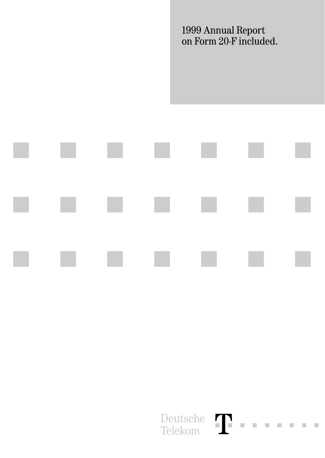1999 Annual Report on Form 20-F included.



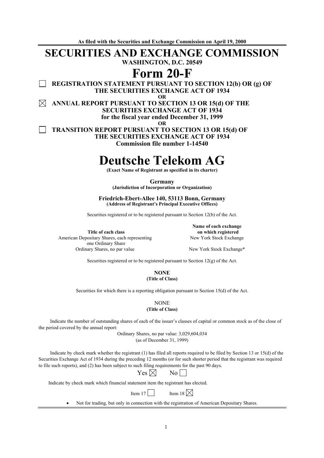**As filed with the Securities and Exchange Commission on April 19, 2000** 

# **SECURITIES AND EXCHANGE COMMISSION**

**WASHINGTON, D.C. 20549** 

# **Form 20-F**

**REGISTRATION STATEMENT PURSUANT TO SECTION 12(b) OR (g) OF THE SECURITIES EXCHANGE ACT OF 1934** 

**OR** 

 $\bowtie$ **ANNUAL REPORT PURSUANT TO SECTION 13 OR 15(d) OF THE SECURITIES EXCHANGE ACT OF 1934 for the fiscal year ended December 31, 1999 OR** 

 **TRANSITION REPORT PURSUANT TO SECTION 13 OR 15(d) OF THE SECURITIES EXCHANGE ACT OF 1934 Commission file number 1-14540** 

# **Deutsche Telekom AG**

**(Exact Name of Registrant as specified in its charter)** 

**Germany (Jurisdiction of Incorporation or Organization)** 

**Friedrich-Ebert-Allee 140, 53113 Bonn, Germany (Address of Registrant's Principal Executive Offices)** 

Securities registered or to be registered pursuant to Section 12(b) of the Act.

**Title of each class**  American Depositary Shares, each representing one Ordinary Share Ordinary Shares, no par value New York Stock Exchange\*

**Name of each exchange on which registered**  New York Stock Exchange

Securities registered or to be registered pursuant to Section 12(g) of the Act.

**NONE (Title of Class)** 

Securities for which there is a reporting obligation pursuant to Section 15(d) of the Act.

**NONE (Title of Class)** 

Indicate the number of outstanding shares of each of the issuer's classes of capital or common stock as of the close of the period covered by the annual report:

> Ordinary Shares, no par value: 3,029,604,034 (as of December 31, 1999)

Indicate by check mark whether the registrant (1) has filed all reports required to be filed by Section 13 or 15(d) of the Securities Exchange Act of 1934 during the preceding 12 months (or for such shorter period that the registrant was required to file such reports), and (2) has been subject to such filing requirements for the past 90 days.

 $Yes \boxtimes$  No

Indicate by check mark which financial statement item the registrant has elected.

Item 17 Item 18  $\times$ 

• Not for trading, but only in connection with the registration of American Depositary Shares.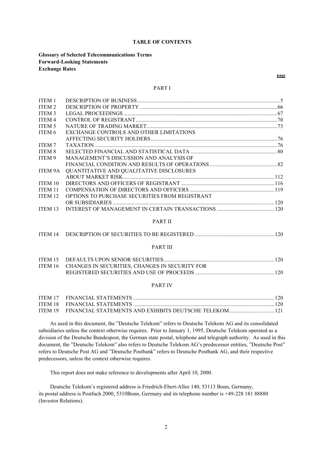#### **TABLE OF CONTENTS**

**Glossary of Selected Telecommunications Terms Forward-Looking Statements Exchange Rates** 

# PART I

| EXCHANGE CONTROLS AND OTHER LIMITATIONS        |  |
|------------------------------------------------|--|
|                                                |  |
|                                                |  |
|                                                |  |
| MANAGEMENT'S DISCUSSION AND ANALYSIS OF        |  |
|                                                |  |
| QUANTITATIVE AND QUALITATIVE DISCLOSURES       |  |
|                                                |  |
|                                                |  |
|                                                |  |
| OPTIONS TO PURCHASE SECURITIES FROM REGISTRANT |  |
|                                                |  |
|                                                |  |
| <b>PART II</b>                                 |  |
|                                                |  |
|                                                |  |
|                                                |  |

# PART III

| ITEM 16 CHANGES IN SECURITIES, CHANGES IN SECURITY FOR |  |
|--------------------------------------------------------|--|
|                                                        |  |

# PART IV

As used in this document, the "Deutsche Telekom" refers to Deutsche Telekom AG and its consolidated subsidiaries unless the context otherwise requires. Prior to January 1, 1995, Deutsche Telekom operated as a division of the Deutsche Bundespost, the German state postal, telephone and telegraph authority. As used in this document, the "Deutsche Telekom" also refers to Deutsche Telekom AG's predecessor entities, "Deutsche Post" refers to Deutsche Post AG and "Deutsche Postbank" refers to Deutsche Postbank AG, and their respective predecessors, unless the context otherwise requires.

This report does not make reference to developments after April 10, 2000.

Deutsche Telekom's registered address is Friedrich-Ebert-Allee 140, 53113 Bonn, Germany, its postal address is Postfach 2000, 5310Bonn, Germany and its telephone number is +49-228 181 88880 (Investor Relations).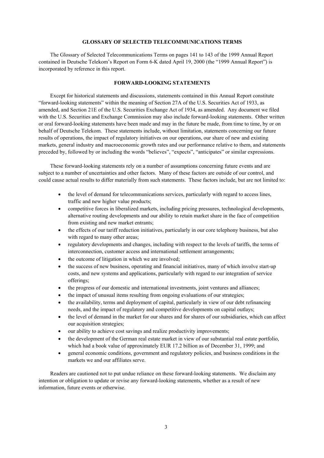# **GLOSSARY OF SELECTED TELECOMMUNICATIONS TERMS**

The Glossary of Selected Telecommunications Terms on pages 141 to 143 of the 1999 Annual Report contained in Deutsche Telekom's Report on Form 6-K dated April 19, 2000 (the "1999 Annual Report") is incorporated by reference in this report.

# **FORWARD-LOOKING STATEMENTS**

Except for historical statements and discussions, statements contained in this Annual Report constitute "forward-looking statements" within the meaning of Section 27A of the U.S. Securities Act of 1933, as amended, and Section 21E of the U.S. Securities Exchange Act of 1934, as amended. Any document we filed with the U.S. Securities and Exchange Commission may also include forward-looking statements. Other written or oral forward-looking statements have been made and may in the future be made, from time to time, by or on behalf of Deutsche Telekom. These statements include, without limitation, statements concerning our future results of operations, the impact of regulatory initiatives on our operations, our share of new and existing markets, general industry and macroeconomic growth rates and our performance relative to them, and statements preceded by, followed by or including the words "believes", "expects", "anticipates" or similar expressions.

These forward-looking statements rely on a number of assumptions concerning future events and are subject to a number of uncertainties and other factors. Many of these factors are outside of our control, and could cause actual results to differ materially from such statements. These factors include, but are not limited to:

- the level of demand for telecommunications services, particularly with regard to access lines, traffic and new higher value products;
- competitive forces in liberalized markets, including pricing pressures, technological developments, alternative routing developments and our ability to retain market share in the face of competition from existing and new market entrants;
- the effects of our tariff reduction initiatives, particularly in our core telephony business, but also with regard to many other areas;
- regulatory developments and changes, including with respect to the levels of tariffs, the terms of interconnection, customer access and international settlement arrangements;
- the outcome of litigation in which we are involved;
- the success of new business, operating and financial initiatives, many of which involve start-up costs, and new systems and applications, particularly with regard to our integration of service offerings;
- the progress of our domestic and international investments, joint ventures and alliances;
- the impact of unusual items resulting from ongoing evaluations of our strategies;
- the availability, terms and deployment of capital, particularly in view of our debt refinancing needs, and the impact of regulatory and competitive developments on capital outlays;
- the level of demand in the market for our shares and for shares of our subsidiaries, which can affect our acquisition strategies;
- our ability to achieve cost savings and realize productivity improvements;
- the development of the German real estate market in view of our substantial real estate portfolio, which had a book value of approximately EUR 17.2 billion as of December 31, 1999; and
- general economic conditions, government and regulatory policies, and business conditions in the markets we and our affiliates serve.

Readers are cautioned not to put undue reliance on these forward-looking statements. We disclaim any intention or obligation to update or revise any forward-looking statements, whether as a result of new information, future events or otherwise.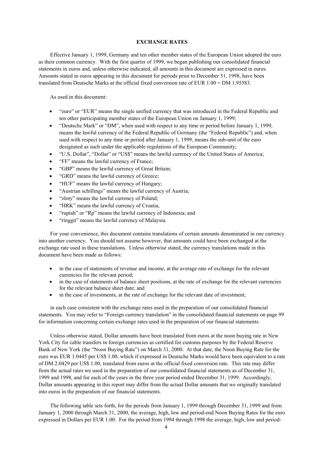# **EXCHANGE RATES**

Effective January 1, 1999, Germany and ten other member states of the European Union adopted the euro as their common currency. With the first quarter of 1999, we began publishing our consolidated financial statements in euros and, unless otherwise indicated, all amounts in this document are expressed in euros. Amounts stated in euros appearing in this document for periods prior to December 31, 1998, have been translated from Deutsche Marks at the official fixed conversion rate of EUR 1.00 = DM 1.95583.

As used in this document:

- "euro" or "EUR" means the single unified currency that was introduced in the Federal Republic and ten other participating member states of the European Union on January 1, 1999;
- "Deutsche Mark" or "DM", when used with respect to any time or period before January 1, 1999, means the lawful currency of the Federal Republic of Germany (the "Federal Republic") and, when used with respect to any time or period after January 1, 1999, means the sub-unit of the euro designated as such under the applicable regulations of the European Community;
- "U.S. Dollar", "Dollar" or "US\$" means the lawful currency of the United States of America;
- "FF" means the lawful currency of France;
- "GBP" means the lawful currency of Great Britain;
- "GRD" means the lawful currency of Greece:
- "HUF" means the lawful currency of Hungary;
- "Austrian schillings" means the lawful currency of Austria;
- "zloty" means the lawful currency of Poland;
- "HRK" means the lawful currency of Croatia;
- "rupiah" or "Rp" means the lawful currency of Indonesia; and
- "ringgit" means the lawful currency of Malaysia.

For your convenience, this document contains translations of certain amounts denominated in one currency into another currency. You should not assume however, that amounts could have been exchanged at the exchange rate used in these translations. Unless otherwise stated, the currency translations made in this document have been made as follows:

- in the case of statements of revenue and income, at the average rate of exchange for the relevant currencies for the relevant period;
- in the case of statements of balance sheet positions, at the rate of exchange for the relevant currencies for the relevant balance sheet date; and
- in the case of investments, at the rate of exchange for the relevant date of investment;

in each case consistent with the exchange rates used in the preparation of our consolidated financial statements. You may refer to "Foreign currency translation" in the consolidated financial statements on page 99 for information concerning certain exchange rates used in the preparation of our financial statements.

Unless otherwise stated, Dollar amounts have been translated from euros at the noon buying rate in New York City for cable transfers in foreign currencies as certified for customs purposes by the Federal Reserve Bank of New York (the "Noon Buying Rate") on March 31, 2000. At that date, the Noon Buying Rate for the euro was EUR 1.0445 per US\$ 1.00, which if expressed in Deutsche Marks would have been equivalent to a rate of DM 2.0429 per US\$ 1.00, translated from euros at the official fixed conversion rate. This rate may differ from the actual rates we used in the preparation of our consolidated financial statements as of December 31, 1999 and 1998, and for each of the years in the three year period ended December 31, 1999. Accordingly, Dollar amounts appearing in this report may differ from the actual Dollar amounts that we originally translated into euros in the preparation of our financial statements.

The following table sets forth, for the periods from January 1, 1999 through December 31, 1999 and from January 1, 2000 through March 31, 2000, the average, high, low and period-end Noon Buying Rates for the euro expressed in Dollars per EUR 1.00. For the period from 1994 through 1998 the average, high, low and period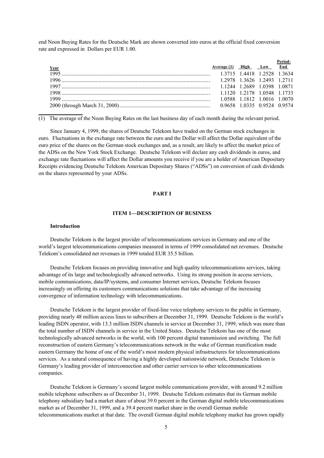end Noon Buying Rates for the Deutsche Mark are shown converted into euros at the official fixed conversion rate and expressed in Dollars per EUR 1.00.

| Year  | Average (1) High Low End |  |  |
|-------|--------------------------|--|--|
|       |                          |  |  |
|       |                          |  |  |
|       |                          |  |  |
|       |                          |  |  |
| 1999. |                          |  |  |
|       |                          |  |  |

(1) The average of the Noon Buying Rates on the last business day of each month during the relevant period.

Since January 4, 1999, the shares of Deutsche Telekom have traded on the German stock exchanges in euro. Fluctuations in the exchange rate between the euro and the Dollar will affect the Dollar equivalent of the euro price of the shares on the German stock exchanges and, as a result, are likely to affect the market price of the ADSs on the New York Stock Exchange. Deutsche Telekom will declare any cash dividends in euros, and exchange rate fluctuations will affect the Dollar amounts you receive if you are a holder of American Depositary Receipts evidencing Deutsche Telekom American Depositary Shares ("ADSs") on conversion of cash dividends on the shares represented by your ADSs.

# **PART I**

# **ITEM 1—DESCRIPTION OF BUSINESS**

# **Introduction**

**\_\_\_\_\_\_\_\_\_\_\_\_\_\_\_\_**

Deutsche Telekom is the largest provider of telecommunications services in Germany and one of the world's largest telecommunications companies measured in terms of 1999 consolidated net revenues. Deutsche Telekom's consolidated net revenues in 1999 totaled EUR 35.5 billion.

Deutsche Telekom focuses on providing innovative and high quality telecommunications services, taking advantage of its large and technologically advanced networks. Using its strong position in access services, mobile communications, data/IP/systems, and consumer Internet services, Deutsche Telekom focuses increasingly on offering its customers communications solutions that take advantage of the increasing convergence of information technology with telecommunications.

Deutsche Telekom is the largest provider of fixed-line voice telephony services to the public in Germany, providing nearly 48 million access lines to subscribers at December 31, 1999. Deutsche Telekom is the world's leading ISDN operator, with 13.3 million ISDN channels in service at December 31, 1999, which was more than the total number of ISDN channels in service in the United States. Deutsche Telekom has one of the most technologically advanced networks in the world, with 100 percent digital transmission and switching. The full reconstruction of eastern Germany's telecommunications network in the wake of German reunification made eastern Germany the home of one of the world's most modern physical infrastructures for telecommunications services. As a natural consequence of having a highly developed nationwide network, Deutsche Telekom is Germany's leading provider of interconnection and other carrier services to other telecommunications companies.

Deutsche Telekom is Germany's second largest mobile communications provider, with around 9.2 million mobile telephone subscribers as of December 31, 1999. Deutsche Telekom estimates that its German mobile telephony subsidiary had a market share of about 39.0 percent in the German digital mobile telecommunications market as of December 31, 1999, and a 39.4 percent market share in the overall German mobile telecommunications market at that date. The overall German digital mobile telephony market has grown rapidly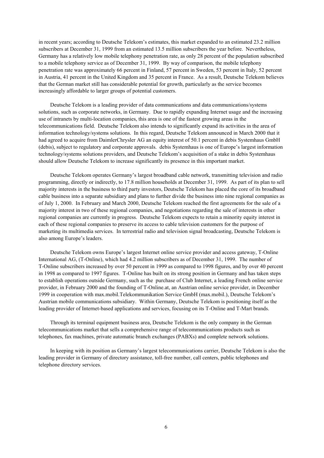in recent years; according to Deutsche Telekom's estimates, this market expanded to an estimated 23.2 million subscribers at December 31, 1999 from an estimated 13.5 million subscribers the year before. Nevertheless, Germany has a relatively low mobile telephony penetration rate, as only 28 percent of the population subscribed to a mobile telephony service as of December 31, 1999. By way of comparison, the mobile telephony penetration rate was approximately 66 percent in Finland, 57 percent in Sweden, 53 percent in Italy, 52 percent in Austria, 41 percent in the United Kingdom and 35 percent in France. As a result, Deutsche Telekom believes that the German market still has considerable potential for growth, particularly as the service becomes increasingly affordable to larger groups of potential customers.

Deutsche Telekom is a leading provider of data communications and data communications/systems solutions, such as corporate networks, in Germany. Due to rapidly expanding Internet usage and the increasing use of intranets by multi-location companies, this area is one of the fastest growing areas in the telecommunications field. Deutsche Telekom also intends to significantly expand its activities in the area of information technology/systems solutions. In this regard, Deutsche Telekom announced in March 2000 that it had agreed to acquire from DaimlerChrysler AG an equity interest of 50.1 percent in debis Systemhaus GmbH (debis), subject to regulatory and corporate approvals. debis Systemhaus is one of Europe's largest information technology/systems solutions providers, and Deutsche Telekom's acquisition of a stake in debis Systemhaus should allow Deutsche Telekom to increase significantly its presence in this important market.

Deutsche Telekom operates Germany's largest broadband cable network, transmitting television and radio programming, directly or indirectly, to 17.8 million households at December 31, 1999. As part of its plan to sell majority interests in the business to third party investors, Deutsche Telekom has placed the core of its broadband cable business into a separate subsidiary and plans to further divide the business into nine regional companies as of July 1, 2000. In February and March 2000, Deutsche Telekom reached the first agreements for the sale of a majority interest in two of these regional companies, and negotiations regarding the sale of interests in other regional companies are currently in progress. Deutsche Telekom expects to retain a minority equity interest in each of these regional companies to preserve its access to cable television customers for the purpose of marketing its multimedia services. In terrestrial radio and television signal broadcasting, Deutsche Telekom is also among Europe's leaders.

Deutsche Telekom owns Europe's largest Internet online service provider and access gateway, T-Online International AG, (T-Online), which had 4.2 million subscribers as of December 31, 1999. The number of T-Online subscribers increased by over 50 percent in 1999 as compared to 1998 figures, and by over 40 percent in 1998 as compared to 1997 figures. T-Online has built on its strong position in Germany and has taken steps to establish operations outside Germany, such as the purchase of Club Internet, a leading French online service provider, in February 2000 and the founding of T-Online.at, an Austrian online service provider, in December 1999 in cooperation with max.mobil.Telekommunikation Service GmbH (max.mobil.), Deutsche Telekom's Austrian mobile communications subsidiary. Within Germany, Deutsche Telekom is positioning itself as the leading provider of Internet-based applications and services, focusing on its T-Online and T-Mart brands.

Through its terminal equipment business area, Deutsche Telekom is the only company in the German telecommunications market that sells a comprehensive range of telecommunications products such as telephones, fax machines, private automatic branch exchanges (PABXs) and complete network solutions.

In keeping with its position as Germany's largest telecommunications carrier, Deutsche Telekom is also the leading provider in Germany of directory assistance, toll-free number, call centers, public telephones and telephone directory services.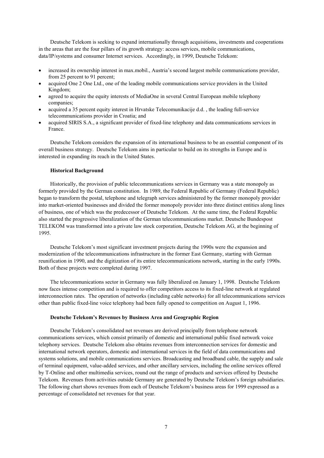Deutsche Telekom is seeking to expand internationally through acquisitions, investments and cooperations in the areas that are the four pillars of its growth strategy: access services, mobile communications, data/IP/systems and consumer Internet services. Accordingly, in 1999, Deutsche Telekom:

- increased its ownership interest in max.mobil., Austria's second largest mobile communications provider, from 25 percent to 91 percent;
- acquired One 2 One Ltd., one of the leading mobile communications service providers in the United Kingdom;
- agreed to acquire the equity interests of MediaOne in several Central European mobile telephony companies;
- acquired a 35 percent equity interest in Hrvatske Telecomunikacije d.d. , the leading full-service telecommunications provider in Croatia; and
- acquired SIRIS S.A., a significant provider of fixed-line telephony and data communications services in France.

Deutsche Telekom considers the expansion of its international business to be an essential component of its overall business strategy. Deutsche Telekom aims in particular to build on its strengths in Europe and is interested in expanding its reach in the United States.

# **Historical Background**

Historically, the provision of public telecommunications services in Germany was a state monopoly as formerly provided by the German constitution. In 1989, the Federal Republic of Germany (Federal Republic) began to transform the postal, telephone and telegraph services administered by the former monopoly provider into market-oriented businesses and divided the former monopoly provider into three distinct entities along lines of business, one of which was the predecessor of Deutsche Telekom. At the same time, the Federal Republic also started the progressive liberalization of the German telecommunications market. Deutsche Bundespost TELEKOM was transformed into a private law stock corporation, Deutsche Telekom AG, at the beginning of 1995.

Deutsche Telekom's most significant investment projects during the 1990s were the expansion and modernization of the telecommunications infrastructure in the former East Germany, starting with German reunification in 1990, and the digitization of its entire telecommunications network, starting in the early 1990s. Both of these projects were completed during 1997.

The telecommunications sector in Germany was fully liberalized on January 1, 1998. Deutsche Telekom now faces intense competition and is required to offer competitors access to its fixed-line network at regulated interconnection rates. The operation of networks (including cable networks) for all telecommunications services other than public fixed-line voice telephony had been fully opened to competition on August 1, 1996.

#### **Deutsche Telekom's Revenues by Business Area and Geographic Region**

Deutsche Telekom's consolidated net revenues are derived principally from telephone network communications services, which consist primarily of domestic and international public fixed network voice telephony services. Deutsche Telekom also obtains revenues from interconnection services for domestic and international network operators, domestic and international services in the field of data communications and systems solutions, and mobile communications services. Broadcasting and broadband cable, the supply and sale of terminal equipment, value-added services, and other ancillary services, including the online services offered by T-Online and other multimedia services, round out the range of products and services offered by Deutsche Telekom. Revenues from activities outside Germany are generated by Deutsche Telekom's foreign subsidiaries. The following chart shows revenues from each of Deutsche Telekom's business areas for 1999 expressed as a percentage of consolidated net revenues for that year.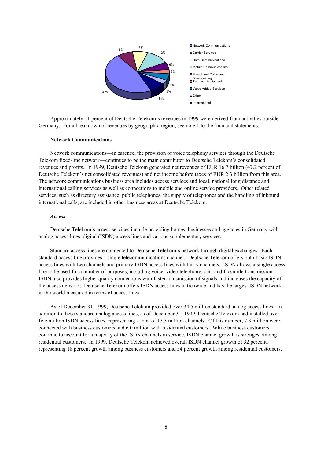

Approximately 11 percent of Deutsche Telekom's revenues in 1999 were derived from activities outside Germany. For a breakdown of revenues by geographic region, see note 1 to the financial statements.

#### **Network Communications**

Network communications—in essence, the provision of voice telephony services through the Deutsche Telekom fixed-line network—continues to be the main contributor to Deutsche Telekom's consolidated revenues and profits. In 1999, Deutsche Telekom generated net revenues of EUR 16.7 billion (47.2 percent of Deutsche Telekom's net consolidated revenues) and net income before taxes of EUR 2.3 billion from this area. The network communications business area includes access services and local, national long distance and international calling services as well as connections to mobile and online service providers. Other related services, such as directory assistance, public telephones, the supply of telephones and the handling of inbound international calls, are included in other business areas at Deutsche Telekom.

#### *Access*

Deutsche Telekom's access services include providing homes, businesses and agencies in Germany with analog access lines, digital (ISDN) access lines and various supplementary services.

Standard access lines are connected to Deutsche Telekom's network through digital exchanges. Each standard access line provides a single telecommunications channel. Deutsche Telekom offers both basic ISDN access lines with two channels and primary ISDN access lines with thirty channels. ISDN allows a single access line to be used for a number of purposes, including voice, video telephony, data and facsimile transmission. ISDN also provides higher quality connections with faster transmission of signals and increases the capacity of the access network. Deutsche Telekom offers ISDN access lines nationwide and has the largest ISDN network in the world measured in terms of access lines.

As of December 31, 1999, Deutsche Telekom provided over 34.5 million standard analog access lines. In addition to these standard analog access lines, as of December 31, 1999, Deutsche Telekom had installed over five million ISDN access lines, representing a total of 13.3 million channels. Of this number, 7.3 million were connected with business customers and 6.0 million with residential customers. While business customers continue to account for a majority of the ISDN channels in service, ISDN channel growth is strongest among residential customers. In 1999, Deutsche Telekom achieved overall ISDN channel growth of 32 percent, representing 18 percent growth among business customers and 54 percent growth among residential customers.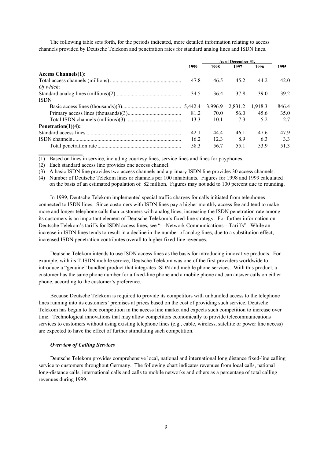The following table sets forth, for the periods indicated, more detailed information relating to access channels provided by Deutsche Telekom and penetration rates for standard analog lines and ISDN lines.

|                            |      | As of December 31. |         |         |       |
|----------------------------|------|--------------------|---------|---------|-------|
|                            | 1999 | 1998               | 1997    | 1996    | 1995  |
| <b>Access Channels(1):</b> |      |                    |         |         |       |
|                            | 47.8 | 46.5               | 45.2    | 44.2    | 42.0  |
| Of which:                  |      |                    |         |         |       |
|                            | 34.5 | 36.4               | 37.8    | 39.0    | 39.2  |
| <b>ISDN</b>                |      |                    |         |         |       |
|                            |      | 3,996.9            | 2,831.2 | 1,918.3 | 846.4 |
|                            | 81.2 | 70.0               | 56.0    | 45.6    | 35.0  |
|                            | 133  | 101                | 7.3     | 5.2     | 2.7   |
| Penetration $(1)(4)$ :     |      |                    |         |         |       |
|                            | 42.1 | 4444               | 46.1    | 47.6    | 47.9  |
|                            | 16.2 | 123                | 8.9     | 6.3     | 3.3   |
|                            | 58.3 | 56.7               | 55.1    | 53.9    | 51.3  |

(1) Based on lines in service, including courtesy lines, service lines and lines for payphones.

(2) Each standard access line provides one access channel.

**\_\_\_\_\_\_\_\_\_\_\_\_\_\_\_\_**

(3) A basic ISDN line provides two access channels and a primary ISDN line provides 30 access channels.

(4) Number of Deutsche Telekom lines or channels per 100 inhabitants. Figures for 1998 and 1999 calculated on the basis of an estimated population of 82 million. Figures may not add to 100 percent due to rounding.

In 1999, Deutsche Telekom implemented special traffic charges for calls initiated from telephones connected to ISDN lines. Since customers with ISDN lines pay a higher monthly access fee and tend to make more and longer telephone calls than customers with analog lines, increasing the ISDN penetration rate among its customers is an important element of Deutsche Telekom's fixed-line strategy. For further information on Deutsche Telekom's tariffs for ISDN access lines, see "—Network Communications—Tariffs". While an increase in ISDN lines tends to result in a decline in the number of analog lines, due to a substitution effect, increased ISDN penetration contributes overall to higher fixed-line revenues.

Deutsche Telekom intends to use ISDN access lines as the basis for introducing innovative products. For example, with its T-ISDN mobile service, Deutsche Telekom was one of the first providers worldwide to introduce a "genuine" bundled product that integrates ISDN and mobile phone services. With this product, a customer has the same phone number for a fixed-line phone and a mobile phone and can answer calls on either phone, according to the customer's preference.

Because Deutsche Telekom is required to provide its competitors with unbundled access to the telephone lines running into its customers' premises at prices based on the cost of providing such service, Deutsche Telekom has begun to face competition in the access line market and expects such competition to increase over time. Technological innovations that may allow competitors economically to provide telecommunications services to customers without using existing telephone lines (e.g., cable, wireless, satellite or power line access) are expected to have the effect of further stimulating such competition.

#### *Overview of Calling Services*

Deutsche Telekom provides comprehensive local, national and international long distance fixed-line calling service to customers throughout Germany. The following chart indicates revenues from local calls, national long-distance calls, international calls and calls to mobile networks and others as a percentage of total calling revenues during 1999.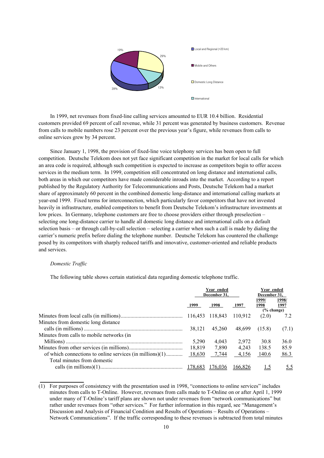

In 1999, net revenues from fixed-line calling services amounted to EUR 10.4 billion. Residential customers provided 69 percent of call revenue, while 31 percent was generated by business customers. Revenue from calls to mobile numbers rose 23 percent over the previous year's figure, while revenues from calls to online services grew by 34 percent.

Since January 1, 1998, the provision of fixed-line voice telephony services has been open to full competition. Deutsche Telekom does not yet face significant competition in the market for local calls for which an area code is required, although such competition is expected to increase as competitors begin to offer access services in the medium term. In 1999, competition still concentrated on long distance and international calls, both areas in which our competitors have made considerable inroads into the market. According to a report published by the Regulatory Authority for Telecommunications and Posts, Deutsche Telekom had a market share of approximately 60 percent in the combined domestic long-distance and international calling markets at year-end 1999. Fixed terms for interconnection, which particularly favor competitors that have not invested heavily in infrastructure, enabled competitors to benefit from Deutsche Telekom's infrastructure investments at low prices. In Germany, telephone customers are free to choose providers either through preselection – selecting one long-distance carrier to handle all domestic long distance and international calls on a default selection basis – or through call-by-call selection – selecting a carrier when such a call is made by dialing the carrier's numeric prefix before dialing the telephone number. Deutsche Telekom has countered the challenge posed by its competitors with sharply reduced tariffs and innovative, customer-oriented and reliable products and services.

#### *Domestic Traffic*

**\_\_\_\_\_\_\_\_\_\_\_\_\_\_\_\_**

The following table shows certain statistical data regarding domestic telephone traffic.

|                                                          | Year ended<br>December 31. |         |         | Year ended<br>December 31, |               |
|----------------------------------------------------------|----------------------------|---------|---------|----------------------------|---------------|
|                                                          | 1999                       | 1998    | 1997    | 1999/<br>1998              | 1998/<br>1997 |
|                                                          |                            |         |         | $(\%$ change)              |               |
|                                                          |                            |         | 110.912 | (2.0)                      | 7.2           |
| Minutes from domestic long distance                      |                            |         |         |                            |               |
|                                                          | 38,121                     | 45,260  | 48,699  | (15.8)                     | (7.1)         |
| Minutes from calls to mobile networks (in                |                            |         |         |                            |               |
|                                                          | 5,290                      | 4,043   | 2,972   | 30.8                       | 36.0          |
|                                                          | 18,819                     | 7,890   | 4,243   | 138.5                      | 85.9          |
| of which connections to online services (in millions)(1) | 18,630                     | 7,744   | 4,156   | 140.6                      | 86.3          |
| Total minutes from domestic                              |                            |         |         |                            |               |
|                                                          |                            | 176.036 | 166.826 |                            | <u>5.5</u>    |

(1) For purposes of consistency with the presentation used in 1998, "connections to online services" includes minutes from calls to T-Online. However, revenues from calls made to T-Online on or after April 1, 1999 under many of T-Online's tariff plans are shown not under revenues from "network communications" but rather under revenues from "other services." For further information in this regard, see "Management's Discussion and Analysis of Financial Condition and Results of Operations – Results of Operations – Network Communications". If the traffic corresponding to these revenues is subtracted from total minutes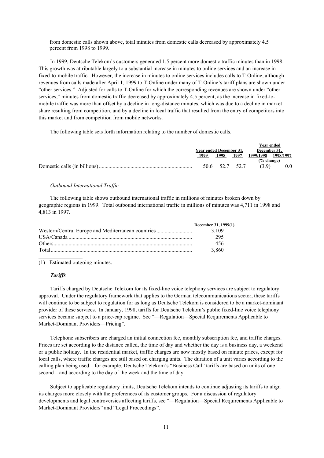from domestic calls shown above, total minutes from domestic calls decreased by approximately 4.5 percent from 1998 to 1999.

In 1999, Deutsche Telekom's customers generated 1.5 percent more domestic traffic minutes than in 1998. This growth was attributable largely to a substantial increase in minutes to online services and an increase in fixed-to-mobile traffic. However, the increase in minutes to online services includes calls to T-Online, although revenues from calls made after April 1, 1999 to T-Online under many of T-Online's tariff plans are shown under "other services." Adjusted for calls to T-Online for which the corresponding revenues are shown under "other services," minutes from domestic traffic decreased by approximately 4.5 percent, as the increase in fixed-tomobile traffic was more than offset by a decline in long-distance minutes, which was due to a decline in market share resulting from competition, and by a decline in local traffic that resulted from the entry of competitors into this market and from competition from mobile networks.

The following table sets forth information relating to the number of domestic calls.

|                         |                |      | Year ended    |           |
|-------------------------|----------------|------|---------------|-----------|
| Year ended December 31, |                |      | December 31.  |           |
| 1998<br>1999            |                | 1997 |               | 1998/1997 |
|                         |                |      | $(\%$ change) |           |
|                         | 50.6 52.7 52.7 |      | (39)          | 0.0       |

#### *Outbound International Traffic*

The following table shows outbound international traffic in millions of minutes broken down by geographic regions in 1999. Total outbound international traffic in millions of minutes was 4,711 in 1998 and 4,813 in 1997.

|                                                    | December 31, 1999(1) |
|----------------------------------------------------|----------------------|
| Western/Central Europe and Mediterranean countries | 3.109                |
|                                                    | 295                  |
|                                                    | 456                  |
|                                                    | 3.860                |

(1) Estimated outgoing minutes.

# *Tariffs*

**\_\_\_\_\_\_\_\_\_\_\_\_\_\_\_\_**

Tariffs charged by Deutsche Telekom for its fixed-line voice telephony services are subject to regulatory approval. Under the regulatory framework that applies to the German telecommunications sector, these tariffs will continue to be subject to regulation for as long as Deutsche Telekom is considered to be a market-dominant provider of these services. In January, 1998, tariffs for Deutsche Telekom's public fixed-line voice telephony services became subject to a price-cap regime. See "-Regulation-Special Requirements Applicable to Market-Dominant Providers—Pricing".

Telephone subscribers are charged an initial connection fee, monthly subscription fee, and traffic charges. Prices are set according to the distance called, the time of day and whether the day is a business day, a weekend or a public holiday. In the residential market, traffic charges are now mostly based on minute prices, except for local calls, where traffic charges are still based on charging units. The duration of a unit varies according to the calling plan being used – for example, Deutsche Telekom's "Business Call" tariffs are based on units of one second – and according to the day of the week and the time of day.

Subject to applicable regulatory limits, Deutsche Telekom intends to continue adjusting its tariffs to align its charges more closely with the preferences of its customer groups. For a discussion of regulatory developments and legal controversies affecting tariffs, see "—Regulation—Special Requirements Applicable to Market-Dominant Providers" and "Legal Proceedings".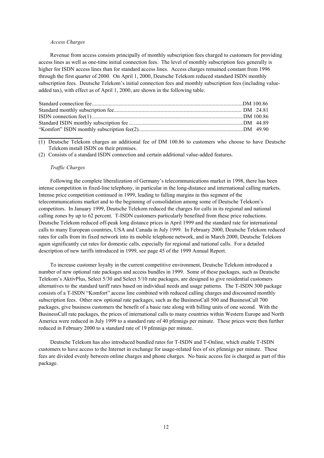#### *Access Charges*

Revenue from access consists principally of monthly subscription fees charged to customers for providing access lines as well as one-time initial connection fees. The level of monthly subscription fees generally is higher for ISDN access lines than for standard access lines. Access charges remained constant from 1996 through the first quarter of 2000. On April 1, 2000, Deutsche Telekom reduced standard ISDN monthly subscription fees. Deutsche Telekom's initial connection fees and monthly subscription fees (including valueadded tax), with effect as of April 1, 2000, are shown in the following table.

(1) Deutsche Telekom charges an additional fee of DM 100.86 to customers who choose to have Deutsche Telekom install ISDN on their premises.

(2) Consists of a standard ISDN connection and certain additional value-added features.

#### *Traffic Charges*

**\_\_\_\_\_\_\_\_\_\_\_\_\_\_\_\_**

Following the complete liberalization of Germany's telecommunications market in 1998, there has been intense competition in fixed-line telephony, in particular in the long-distance and international calling markets. Intense price competition continued in 1999, leading to falling margins in this segment of the telecommunications market and to the beginning of consolidation among some of Deutsche Telekom's competitors. In January 1999, Deutsche Telekom reduced the charges for calls in its regional and national calling zones by up to 62 percent. T-ISDN customers particularly benefited from these price reductions. Deutsche Telekom reduced off-peak long distance prices in April 1999 and the standard rate for international calls to many European countries, USA and Canada in July 1999. In February 2000, Deutsche Telekom reduced rates for calls from its fixed network into its mobile telephone network, and in March 2000, Deutsche Telekom again significantly cut rates for domestic calls, especially for regional and national calls. For a detailed description of new tariffs introduced in 1999, see page 45 of the 1999 Annual Report.

To increase customer loyalty in the current competitive environment, Deutsche Telekom introduced a number of new optional rate packages and access bundles in 1999. Some of these packages, such as Deutsche Telekom's AktivPlus, Select 5/30 and Select 5/10 rate packages, are designed to give residential customers alternatives to the standard tariff rates based on individual needs and usage patterns. The T-ISDN 300 package consists of a T-ISDN "Komfort" access line combined with reduced calling charges and discounted monthly subscription fees. Other new optional rate packages, such as the BusinessCall 500 and BusinessCall 700 packages, give business customers the benefit of a basic rate along with billing units of one second. With the BusinessCall rate packages, the prices of international calls to many countries within Western Europe and North America were reduced in July 1999 to a standard rate of 40 pfennigs per minute. These prices were then further reduced in February 2000 to a standard rate of 19 pfennigs per minute.

Deutsche Telekom has also introduced bundled rates for T-ISDN and T-Online, which enable T-ISDN customers to have access to the Internet in exchange for usage-related fees of six pfennigs per minute. These fees are divided evenly between online charges and phone charges. No basic access fee is charged as part of this package.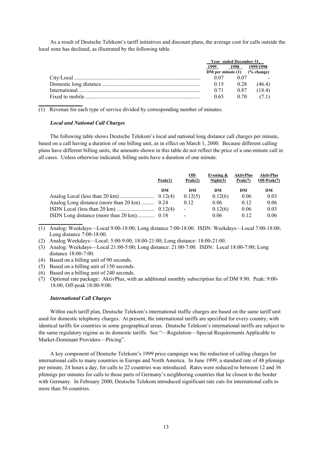As a result of Deutsche Telekom's tariff initiatives and discount plans, the average cost for calls outside the local zone has declined, as illustrated by the following table.

| Year ended December 31. |      |                                               |
|-------------------------|------|-----------------------------------------------|
| 1999                    | 1998 | 1999/1998<br>DM per minute $(1)$ $(% change)$ |
| 0.07                    | 0.07 |                                               |
| 0.15                    | 0.28 | (46.4)                                        |
| 0.71                    | 0.87 | (18.4)                                        |
| 0.65                    | 0.70 | (7.1)                                         |

(1) Revenue for each type of service divided by corresponding number of minutes.

#### *Local and National Call Charges*

The following table shows Deutsche Telekom's local and national long distance call charges per minute, based on a call having a duration of one billing unit, as in effect on March 1, 2000. Because different calling plans have different billing units, the amounts shown in this table do not reflect the price of a one-minute call in all cases. Unless otherwise indicated, billing units have a duration of one minute.

|                                              | Peak(1) | Off-<br>Peak(2)          | Evening $\&$<br>Night(3) | <b>AktivPlus</b><br>Peak(7) | <b>AktivPlus</b><br>Off-Peak(7) |
|----------------------------------------------|---------|--------------------------|--------------------------|-----------------------------|---------------------------------|
|                                              | DM      | DM                       | DМ                       | DM                          | DM                              |
|                                              |         | 0.12(5)                  | 0.12(6)                  | 0.06                        | 0.03                            |
| Analog Long distance (more than 20 km)  0.24 |         | 0.12                     | 0.06                     | 0.12                        | 0.06                            |
|                                              |         | $\blacksquare$           | 0.12(6)                  | 0.06                        | 0.03                            |
|                                              |         | $\overline{\phantom{0}}$ | 0.06                     | 0.12                        | 0.06                            |
|                                              |         |                          |                          |                             |                                 |

(1) Analog: Weekdays—Local 9:00-18:00; Long distance 7:00-18:00. ISDN: Weekdays—Local 7:00-18:00; Long distance 7:00-18:00.

- (2) Analog Weekdays—Local: 5:00-9:00, 18:00-21:00; Long distance: 18:00-21:00.
- (3) Analog: Weekdays—Local 21:00-5:00; Long distance: 21:00-7:00. ISDN: Local 18:00-7:00; Long distance 18:00-7:00.
- (4) Based on a billing unit of 90 seconds.
- (5) Based on a billing unit of 150 seconds.
- (6) Based on a billing unit of 240 seconds.
- (7) Optional rate package: AktivPlus, with an additional monthly subscription fee of DM 9.90. Peak: 9:00- 18:00, Off-peak 18:00-9:00.

#### *International Call Charges*

Within each tariff plan, Deutsche Telekom's international traffic charges are based on the same tariff unit used for domestic telephony charges. At present, the international tariffs are specified for every country, with identical tariffs for countries in some geographical areas. Deutsche Telekom's international tariffs are subject to the same regulatory regime as its domestic tariffs. See "—Regulation—Special Requirements Applicable to Market-Dominant Providers—Pricing".

A key component of Deutsche Telekom's 1999 price campaign was the reduction of calling charges for international calls to many countries in Europe and North America. In June 1999, a standard rate of 48 pfennigs per minute, 24 hours a day, for calls to 22 countries was introduced. Rates were reduced to between 12 and 36 pfennigs per minutes for calls to those parts of Germany's neighboring countries that lie closest to the border with Germany. In February 2000, Deutsche Telekom introduced significant rate cuts for international calls to more than 50 countries.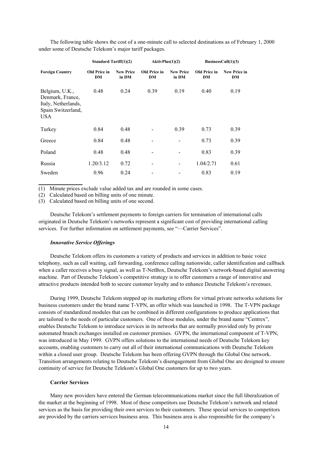The following table shows the cost of a one-minute call to selected destinations as of February 1, 2000 under some of Deutsche Telekom's major tariff packages.

|                                                                                               | Standard Tariff $(1)(2)$<br>AktivPlus(1)(2) |                           |                                  |                           |                                  | BusinessCall $(1)(3)$     |  |  |  |
|-----------------------------------------------------------------------------------------------|---------------------------------------------|---------------------------|----------------------------------|---------------------------|----------------------------------|---------------------------|--|--|--|
| <b>Foreign Country</b>                                                                        | <b>Old Price in</b><br>DM                   | <b>New Price</b><br>in DM | <b>Old Price in</b><br><b>DM</b> | <b>New Price</b><br>in DM | <b>Old Price in</b><br><b>DM</b> | <b>New Price in</b><br>DM |  |  |  |
| Belgium, U.K.,<br>Denmark, France,<br>Italy, Netherlands,<br>Spain Switzerland,<br><b>USA</b> | 0.48                                        | 0.24                      | 0.39                             | 0.19                      | 0.40                             | 0.19                      |  |  |  |
| Turkey                                                                                        | 0.84                                        | 0.48                      |                                  | 0.39                      | 0.73                             | 0.39                      |  |  |  |
| Greece                                                                                        | 0.84                                        | 0.48                      |                                  |                           | 0.73                             | 0.39                      |  |  |  |
| Poland                                                                                        | 0.48                                        | 0.48                      |                                  |                           | 0.83                             | 0.39                      |  |  |  |
| Russia                                                                                        | 1.20/3.12                                   | 0.72                      |                                  |                           | 1.04/2.71                        | 0.61                      |  |  |  |
| Sweden                                                                                        | 0.96                                        | 0.24                      |                                  |                           | 0.83                             | 0.19                      |  |  |  |

(1) Minute prices exclude value added tax and are rounded in some cases.

(2) Calculated based on billing units of one minute.

(3) Calculated based on billing units of one second.

Deutsche Telekom's settlement payments to foreign carriers for termination of international calls originated in Deutsche Telekom's networks represent a significant cost of providing international calling services. For further information on settlement payments, see "—Carrier Services".

#### *Innovative Service Offerings*

**\_\_\_\_\_\_\_\_\_\_\_\_\_\_\_\_**

Deutsche Telekom offers its customers a variety of products and services in addition to basic voice telephony, such as call waiting, call forwarding, conference calling nationwide, caller identification and callback when a caller receives a busy signal, as well as T-NetBox, Deutsche Telekom's network-based digital answering machine. Part of Deutsche Telekom's competitive strategy is to offer customers a range of innovative and attractive products intended both to secure customer loyalty and to enhance Deutsche Telekom's revenues.

During 1999, Deutsche Telekom stepped up its marketing efforts for virtual private networks solutions for business customers under the brand name T-VPN, an offer which was launched in 1998. The T-VPN package consists of standardized modules that can be combined in different configurations to produce applications that are tailored to the needs of particular customers. One of these modules, under the brand name "Centrex", enables Deutsche Telekom to introduce services in its networks that are normally provided only by private automated branch exchanges installed on customer premises. GVPN, the international component of T-VPN, was introduced in May 1999. GVPN offers solutions to the international needs of Deutsche Telekom key accounts, enabling customers to carry out all of their international communications with Deutsche Telekom within a closed user group. Deutsche Telekom has been offering GVPN through the Global One network. Transition arrangements relating to Deutsche Telekom's disengagement from Global One are designed to ensure continuity of service for Deutsche Telekom's Global One customers for up to two years.

# **Carrier Services**

Many new providers have entered the German telecommunications market since the full liberalization of the market at the beginning of 1998. Most of these competitors use Deutsche Telekom's network and related services as the basis for providing their own services to their customers. These special services to competitors are provided by the carriers services business area. This business area is also responsible for the company's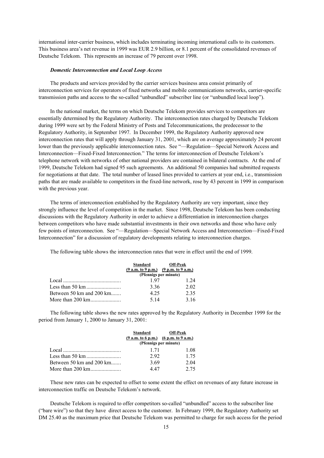international inter-carrier business, which includes terminating incoming international calls to its customers. This business area's net revenue in 1999 was EUR 2.9 billion, or 8.1 percent of the consolidated revenues of Deutsche Telekom. This represents an increase of 79 percent over 1998.

#### *Domestic Interconnection and Local Loop Access*

The products and services provided by the carrier services business area consist primarily of interconnection services for operators of fixed networks and mobile communications networks, carrier-specific transmission paths and access to the so-called "unbundled" subscriber line (or "unbundled local loop").

In the national market, the terms on which Deutsche Telekom provides services to competitors are essentially determined by the Regulatory Authority. The interconnection rates charged by Deutsche Telekom during 1999 were set by the Federal Ministry of Posts and Telecommunications, the predecessor to the Regulatory Authority, in September 1997. In December 1999, the Regulatory Authority approved new interconnection rates that will apply through January 31, 2001, which are on average approximately 24 percent lower than the previously applicable interconnection rates. See "—Regulation—Special Network Access and Interconnection—Fixed-Fixed Interconnection." The terms for interconnection of Deutsche Telekom's telephone network with networks of other national providers are contained in bilateral contracts. At the end of 1999, Deutsche Telekom had signed 95 such agreements. An additional 50 companies had submitted requests for negotiations at that date. The total number of leased lines provided to carriers at year end, i.e., transmission paths that are made available to competitors in the fixed-line network, rose by 43 percent in 1999 in comparison with the previous year.

The terms of interconnection established by the Regulatory Authority are very important, since they strongly influence the level of competition in the market. Since 1998, Deutsche Telekom has been conducting discussions with the Regulatory Authority in order to achieve a differentiation in interconnection charges between competitors who have made substantial investments in their own networks and those who have only few points of interconnection. See "—Regulation—Special Network Access and Interconnection—Fixed-Fixed Interconnection" for a discussion of regulatory developments relating to interconnection charges.

The following table shows the interconnection rates that were in effect until the end of 1999.

|                          | Standard<br>$(9 a.m. to 9 p.m.)$ $(9 p.m. to 9 a.m.)$ | <b>Off-Peak</b> |
|--------------------------|-------------------------------------------------------|-----------------|
|                          | (Pfennigs per minute)                                 |                 |
|                          | 197                                                   | 1 24            |
|                          | 336                                                   | 2.02            |
| Between 50 km and 200 km | 4.25                                                  | 2.35            |
|                          | 5 1 4                                                 | 3.16            |

The following table shows the new rates approved by the Regulatory Authority in December 1999 for the period from January 1, 2000 to January 31, 2001:

|                                           | $(9 a.m. to 6 p.m.)$ $(6 p.m. to 9 a.m.)$<br>(Pfennigs per minute) | Standard Off-Peak |
|-------------------------------------------|--------------------------------------------------------------------|-------------------|
| Local $\cdots$ $\cdots$ $\cdots$ $\cdots$ | 1 7 1                                                              | 1.08              |
|                                           | 292                                                                | 1 75              |
| Between 50 km and 200 km                  | 3.69                                                               | 2.04              |
|                                           | 4 47                                                               | 2.75              |

These new rates can be expected to offset to some extent the effect on revenues of any future increase in interconnection traffic on Deutsche Telekom's network.

Deutsche Telekom is required to offer competitors so-called "unbundled" access to the subscriber line ("bare wire") so that they have direct access to the customer. In February 1999, the Regulatory Authority set DM 25.40 as the maximum price that Deutsche Telekom was permitted to charge for such access for the period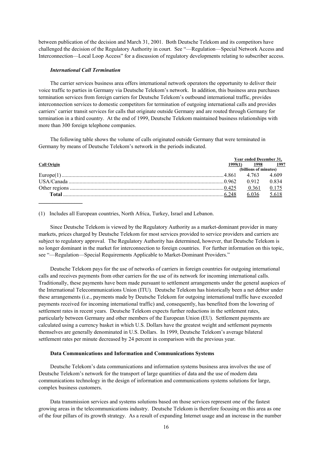between publication of the decision and March 31, 2001. Both Deutsche Telekom and its competitors have challenged the decision of the Regulatory Authority in court. See "—Regulation—Special Network Access and Interconnection—Local Loop Access" for a discussion of regulatory developments relating to subscriber access.

#### *International Call Termination*

The carrier services business area offers international network operators the opportunity to deliver their voice traffic to parties in Germany via Deutsche Telekom's network. In addition, this business area purchases termination services from foreign carriers for Deutsche Telekom's outbound international traffic, provides interconnection services to domestic competitors for termination of outgoing international calls and provides carriers' carrier transit services for calls that originate outside Germany and are routed through Germany for termination in a third country. At the end of 1999, Deutsche Telekom maintained business relationships with more than 300 foreign telephone companies.

The following table shows the volume of calls originated outside Germany that were terminated in Germany by means of Deutsche Telekom's network in the periods indicated.

|                    |          | <b>Year ended December 31.</b> |       |  |  |
|--------------------|----------|--------------------------------|-------|--|--|
| <b>Call Origin</b> | 1999(1). | 1998                           | 1997  |  |  |
|                    |          | (billions of minutes)          |       |  |  |
|                    |          |                                | 4.609 |  |  |
|                    |          |                                | 0.834 |  |  |
|                    |          | 0.361                          | 0.175 |  |  |
|                    |          |                                | 5.618 |  |  |
|                    |          |                                |       |  |  |

(1) Includes all European countries, North Africa, Turkey, Israel and Lebanon.

Since Deutsche Telekom is viewed by the Regulatory Authority as a market-dominant provider in many markets, prices charged by Deutsche Telekom for most services provided to service providers and carriers are subject to regulatory approval. The Regulatory Authority has determined, however, that Deutsche Telekom is no longer dominant in the market for interconnection to foreign countries. For further information on this topic, see "—Regulation—Special Requirements Applicable to Market-Dominant Providers."

Deutsche Telekom pays for the use of networks of carriers in foreign countries for outgoing international calls and receives payments from other carriers for the use of its network for incoming international calls. Traditionally, these payments have been made pursuant to settlement arrangements under the general auspices of the International Telecommunications Union (ITU). Deutsche Telekom has historically been a net debtor under these arrangements (i.e., payments made by Deutsche Telekom for outgoing international traffic have exceeded payments received for incoming international traffic) and, consequently, has benefited from the lowering of settlement rates in recent years. Deutsche Telekom expects further reductions in the settlement rates, particularly between Germany and other members of the European Union (EU). Settlement payments are calculated using a currency basket in which U.S. Dollars have the greatest weight and settlement payments themselves are generally denominated in U.S. Dollars. In 1999, Deutsche Telekom's average bilateral settlement rates per minute decreased by 24 percent in comparison with the previous year.

# **Data Communications and Information and Communications Systems**

Deutsche Telekom's data communications and information systems business area involves the use of Deutsche Telekom's network for the transport of large quantities of data and the use of modern data communications technology in the design of information and communications systems solutions for large, complex business customers.

Data transmission services and systems solutions based on those services represent one of the fastest growing areas in the telecommunications industry. Deutsche Telekom is therefore focusing on this area as one of the four pillars of its growth strategy. As a result of expanding Internet usage and an increase in the number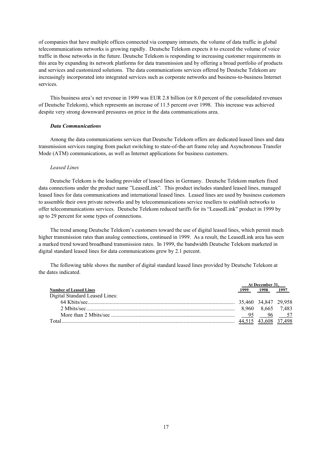of companies that have multiple offices connected via company intranets, the volume of data traffic in global telecommunications networks is growing rapidly. Deutsche Telekom expects it to exceed the volume of voice traffic in those networks in the future. Deutsche Telekom is responding to increasing customer requirements in this area by expanding its network platforms for data transmission and by offering a broad portfolio of products and services and customized solutions. The data communications services offered by Deutsche Telekom are increasingly incorporated into integrated services such as corporate networks and business-to-business Internet services.

This business area's net revenue in 1999 was EUR 2.8 billion (or 8.0 percent of the consolidated revenues of Deutsche Telekom), which represents an increase of 11.5 percent over 1998. This increase was achieved despite very strong downward pressures on price in the data communications area.

#### *Data Communications*

Among the data communications services that Deutsche Telekom offers are dedicated leased lines and data transmission services ranging from packet switching to state-of-the-art frame relay and Asynchronous Transfer Mode (ATM) communications, as well as Internet applications for business customers.

#### *Leased Lines*

Deutsche Telekom is the leading provider of leased lines in Germany. Deutsche Telekom markets fixed data connections under the product name "LeasedLink". This product includes standard leased lines, managed leased lines for data communications and international leased lines. Leased lines are used by business customers to assemble their own private networks and by telecommunications service resellers to establish networks to offer telecommunications services. Deutsche Telekom reduced tariffs for its "LeasedLink" product in 1999 by up to 29 percent for some types of connections.

The trend among Deutsche Telekom's customers toward the use of digital leased lines, which permit much higher transmission rates than analog connections, continued in 1999. As a result, the LeasedLink area has seen a marked trend toward broadband transmission rates. In 1999, the bandwidth Deutsche Telekom marketed in digital standard leased lines for data communications grew by 2.1 percent.

The following table shows the number of digital standard leased lines provided by Deutsche Telekom at the dates indicated.

|                                | At December 31. |                        |       |
|--------------------------------|-----------------|------------------------|-------|
| <b>Number of Leased Lines</b>  | 1999            | 1998                   | 1997  |
| Digital Standard Leased Lines: |                 |                        |       |
|                                |                 | . 35.460 34.847 29.958 |       |
|                                | 8.960           | 8.665                  | 7.483 |
|                                | 95              |                        | 96 57 |
| $\int$                         |                 |                        |       |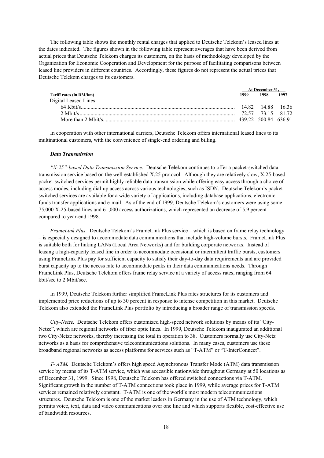The following table shows the monthly rental charges that applied to Deutsche Telekom's leased lines at the dates indicated. The figures shown in the following table represent averages that have been derived from actual prices that Deutsche Telekom charges its customers, on the basis of methodology developed by the Organization for Economic Cooperation and Development for the purpose of facilitating comparisons between leased line providers in different countries. Accordingly, these figures do not represent the actual prices that Deutsche Telekom charges to its customers.

|                         | At December 31. |                      |      |
|-------------------------|-----------------|----------------------|------|
| Tariff rates (in DM/km) | 1999            | 1998                 | 1997 |
| Digital Leased Lines:   |                 |                      |      |
|                         |                 | 14 82 14 88 16 36    |      |
|                         |                 | 72 57 73 15 81 72    |      |
|                         |                 | 439 22 500 84 636 91 |      |

In cooperation with other international carriers, Deutsche Telekom offers international leased lines to its multinational customers, with the convenience of single-end ordering and billing.

#### *Data Transmission*

*"X-25"-based Data Transmission Service.* Deutsche Telekom continues to offer a packet-switched data transmission service based on the well-established X.25 protocol. Although they are relatively slow, X.25-based packet-switched services permit highly reliable data transmission while offering easy access through a choice of access modes, including dial-up access across various technologies, such as ISDN. Deutsche Telekom's packetswitched services are available for a wide variety of applications, including database applications, electronic funds transfer applications and e-mail. As of the end of 1999, Deutsche Telekom's customers were using some 75,000 X-25-based lines and 61,000 access authorizations, which represented an decrease of 5.9 percent compared to year-end 1998.

*FrameLink Plus.* Deutsche Telekom's FrameLink Plus service – which is based on frame relay technology – is especially designed to accommodate data communications that include high-volume bursts. FrameLink Plus is suitable both for linking LANs (Local Area Networks) and for building corporate networks. Instead of leasing a high-capacity leased line in order to accommodate occasional or intermittent traffic bursts, customers using FrameLink Plus pay for sufficient capacity to satisfy their day-to-day data requirements and are provided burst capacity up to the access rate to accommodate peaks in their data communications needs. Through FrameLink Plus, Deutsche Telekom offers frame relay service at a variety of access rates, ranging from 64 kbit/sec to 2 Mbit/sec.

In 1999, Deutsche Telekom further simplified FrameLink Plus rates structures for its customers and implemented price reductions of up to 30 percent in response to intense competition in this market. Deutsche Telekom also extended the FrameLink Plus portfolio by introducing a broader range of transmission speeds.

*City-Netze.* Deutsche Telekom offers customized high-speed network solutions by means of its "City-Netze", which are regional networks of fiber optic lines. In 1999, Deutsche Telekom inaugurated an additional two City-Netze networks, thereby increasing the total in operation to 38. Customers normally use City-Netz networks as a basis for comprehensive telecommunications solutions. In many cases, customers use these broadband regional networks as access platforms for services such as "T-ATM" or "T-InterConnect".

*T- ATM.* Deutsche Telekom's offers high speed Asynchronous Transfer Mode (ATM) data transmission service by means of its T-ATM service, which was accessible nationwide throughout Germany at 50 locations as of December 31, 1999. Since 1998, Deutsche Telekom has offered switched connections via T-ATM. Significant growth in the number of T-ATM connections took place in 1999, while average prices for T-ATM services remained relatively constant. T-ATM is one of the world's most modern telecommunications structures. Deutsche Telekom is one of the market leaders in Germany in the use of ATM technology, which permits voice, text, data and video communications over one line and which supports flexible, cost-effective use of bandwidth resources.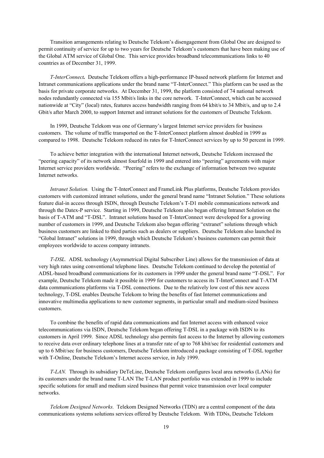Transition arrangements relating to Deutsche Telekom's disengagement from Global One are designed to permit continuity of service for up to two years for Deutsche Telekom's customers that have been making use of the Global ATM service of Global One. This service provides broadband telecommunications links to 40 countries as of December 31, 1999.

*T-InterConnect.* Deutsche Telekom offers a high-performance IP-based network platform for Internet and Intranet communications applications under the brand name "T-InterConnect." This platform can be used as the basis for private corporate networks. At December 31, 1999, the platform consisted of 74 national network nodes redundantly connected via 155 Mbit/s links in the core network. T-InterConnect, which can be accessed nationwide at "City" (local) rates, features access bandwidth ranging from 64 kbit/s to 34 Mbit/s, and up to 2.4 Gbit/s after March 2000, to support Internet and intranet solutions for the customers of Deutsche Telekom.

In 1999, Deutsche Telekom was one of Germany's largest Internet service providers for business customers. The volume of traffic transported on the T-InterConnect platform almost doubled in 1999 as compared to 1998. Deutsche Telekom reduced its rates for T-InterConnect services by up to 50 percent in 1999.

To achieve better integration with the international Internet network, Deutsche Telekom increased the "peering capacity" of its network almost fourfold in 1999 and entered into "peering" agreements with major Internet service providers worldwide. "Peering" refers to the exchange of information between two separate Internet networks.

*Intranet Solution.* Using the T-InterConnect and FrameLink Plus platforms, Deutsche Telekom provides customers with customized intranet solutions, under the general brand name "Intranet Solution." These solutions feature dial-in access through ISDN, through Deutsche Telekom's T-D1 mobile communications network and through the Datex-P service. Starting in 1999, Deutsche Telekom also began offering Intranet Solution on the basis of T-ATM and "T-DSL". Intranet solutions based on T-InterConnect were developed for a growing number of customers in 1999, and Deutsche Telekom also began offering "extranet" solutions through which business customers are linked to third parties such as dealers or suppliers. Deutsche Telekom also launched its "Global Intranet" solutions in 1999, through which Deutsche Telekom's business customers can permit their employees worldwide to access company intranets.

*T-DSL.* ADSL technology (Asymmetrical Digital Subscriber Line) allows for the transmission of data at very high rates using conventional telephone lines. Deutsche Telekom continued to develop the potential of ADSL-based broadband communications for its customers in 1999 under the general brand name "T-DSL". For example, Deutsche Telekom made it possible in 1999 for customers to access its T-InterConnect and T-ATM data communications platforms via T-DSL connections. Due to the relatively low cost of this new access technology, T-DSL enables Deutsche Telekom to bring the benefits of fast Internet communications and innovative multimedia applications to new customer segments, in particular small and medium-sized business customers.

To combine the benefits of rapid data communications and fast Internet access with enhanced voice telecommunications via ISDN, Deutsche Telekom began offering T-DSL in a package with ISDN to its customers in April 1999. Since ADSL technology also permits fast access to the Internet by allowing customers to receive data over ordinary telephone lines at a transfer rate of up to 768 kbit/sec for residential customers and up to 6 Mbit/sec for business customers, Deutsche Telekom introduced a package consisting of T-DSL together with T-Online, Deutsche Telekom's Internet access service, in July 1999.

*T-LAN.* Through its subsidiary DeTeLine, Deutsche Telekom configures local area networks (LANs) for its customers under the brand name T-LAN The T-LAN product portfolio was extended in 1999 to include specific solutions for small and medium sized business that permit voice transmission over local computer networks.

*Telekom Designed Networks.* Telekom Designed Networks (TDN) are a central component of the data communications systems solutions services offered by Deutsche Telekom. With TDNs, Deutsche Telekom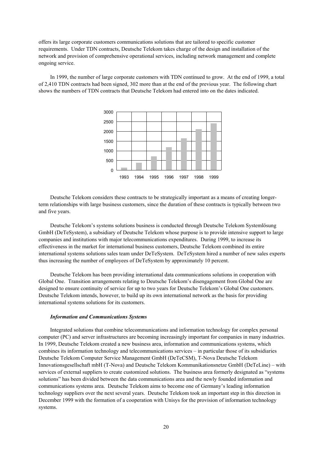offers its large corporate customers communications solutions that are tailored to specific customer requirements. Under TDN contracts, Deutsche Telekom takes charge of the design and installation of the network and provision of comprehensive operational services, including network management and complete ongoing service.

In 1999, the number of large corporate customers with TDN continued to grow. At the end of 1999, a total of 2,410 TDN contracts had been signed, 302 more than at the end of the previous year. The following chart shows the numbers of TDN contracts that Deutsche Telekom had entered into on the dates indicated.



Deutsche Telekom considers these contracts to be strategically important as a means of creating longerterm relationships with large business customers, since the duration of these contracts is typically between two and five years.

Deutsche Telekom's systems solutions business is conducted through Deutsche Telekom Systemlösung GmbH (DeTeSystem), a subsidiary of Deutsche Telekom whose purpose is to provide intensive support to large companies and institutions with major telecommunications expenditures. During 1999, to increase its effectiveness in the market for international business customers, Deutsche Telekom combined its entire international systems solutions sales team under DeTeSystem. DeTeSystem hired a number of new sales experts thus increasing the number of employees of DeTeSystem by approximately 10 percent.

Deutsche Telekom has been providing international data communications solutions in cooperation with Global One. Transition arrangements relating to Deutsche Telekom's disengagement from Global One are designed to ensure continuity of service for up to two years for Deutsche Telekom's Global One customers. Deutsche Telekom intends, however, to build up its own international network as the basis for providing international systems solutions for its customers.

#### *Information and Communications Systems*

Integrated solutions that combine telecommunications and information technology for complex personal computer (PC) and server infrastructures are becoming increasingly important for companies in many industries. In 1999, Deutsche Telekom created a new business area, information and communications systems, which combines its information technology and telecommunications services – in particular those of its subsidiaries Deutsche Telekom Computer Service Management GmbH (DeTeCSM), T-Nova Deutsche Telekom Innovationsgesellschaft mbH (T-Nova) and Deutsche Telekom Kommunikationsnetze GmbH (DeTeLine) – with services of external suppliers to create customized solutions. The business area formerly designated as "systems solutions" has been divided between the data communications area and the newly founded information and communications systems area. Deutsche Telekom aims to become one of Germany's leading information technology suppliers over the next several years. Deutsche Telekom took an important step in this direction in December 1999 with the formation of a cooperation with Unisys for the provision of information technology systems.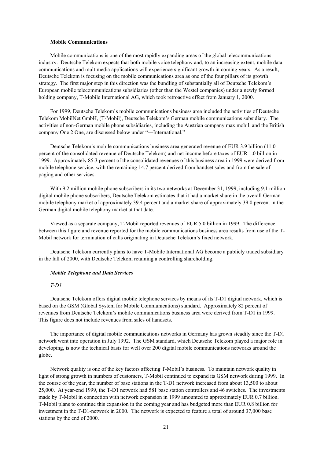# **Mobile Communications**

Mobile communications is one of the most rapidly expanding areas of the global telecommunications industry. Deutsche Telekom expects that both mobile voice telephony and, to an increasing extent, mobile data communications and multimedia applications will experience significant growth in coming years. As a result, Deutsche Telekom is focusing on the mobile communications area as one of the four pillars of its growth strategy. The first major step in this direction was the bundling of substantially all of Deutsche Telekom's European mobile telecommunications subsidiaries (other than the Westel companies) under a newly formed holding company, T-Mobile International AG, which took retroactive effect from January 1, 2000.

For 1999, Deutsche Telekom's mobile communications business area included the activities of Deutsche Telekom MobilNet GmbH, (T-Mobil), Deutsche Telekom's German mobile communications subsidiary. The activities of non-German mobile phone subsidiaries, including the Austrian company max.mobil. and the British company One 2 One, are discussed below under "—International."

Deutsche Telekom's mobile communications business area generated revenue of EUR 3.9 billion (11.0 percent of the consolidated revenue of Deutsche Telekom) and net income before taxes of EUR 1.0 billion in 1999. Approximately 85.3 percent of the consolidated revenues of this business area in 1999 were derived from mobile telephone service, with the remaining 14.7 percent derived from handset sales and from the sale of paging and other services.

With 9.2 million mobile phone subscribers in its two networks at December 31, 1999, including 9.1 million digital mobile phone subscribers, Deutsche Telekom estimates that it had a market share in the overall German mobile telephony market of approximately 39.4 percent and a market share of approximately 39.0 percent in the German digital mobile telephony market at that date.

Viewed as a separate company, T-Mobil reported revenues of EUR 5.0 billion in 1999. The difference between this figure and revenue reported for the mobile communications business area results from use of the T-Mobil network for termination of calls originating in Deutsche Telekom's fixed network.

Deutsche Telekom currently plans to have T-Mobile International AG become a publicly traded subsidiary in the fall of 2000, with Deutsche Telekom retaining a controlling shareholding.

#### *Mobile Telephone and Data Services*

#### *T-D1*

Deutsche Telekom offers digital mobile telephone services by means of its T-D1 digital network, which is based on the GSM (Global System for Mobile Communications) standard. Approximately 82 percent of revenues from Deutsche Telekom's mobile communications business area were derived from T-D1 in 1999. This figure does not include revenues from sales of handsets.

The importance of digital mobile communications networks in Germany has grown steadily since the T-D1 network went into operation in July 1992. The GSM standard, which Deutsche Telekom played a major role in developing, is now the technical basis for well over 200 digital mobile communications networks around the globe.

Network quality is one of the key factors affecting T-Mobil's business. To maintain network quality in light of strong growth in numbers of customers, T-Mobil continued to expand its GSM network during 1999. In the course of the year, the number of base stations in the T-D1 network increased from about 13,500 to about 25,000. At year-end 1999, the T-D1 network had 581 base station controllers and 46 switches. The investments made by T-Mobil in connection with network expansion in 1999 amounted to approximately EUR 0.7 billion. T-Mobil plans to continue this expansion in the coming year and has budgeted more than EUR 0.8 billion for investment in the T-D1-network in 2000. The network is expected to feature a total of around 37,000 base stations by the end of 2000.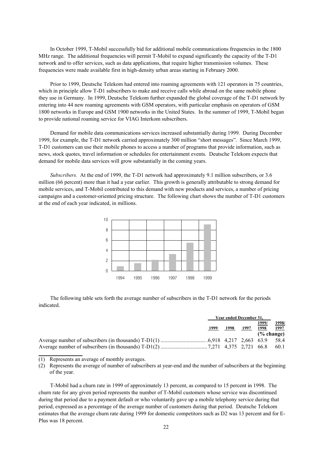In October 1999, T-Mobil successfully bid for additional mobile communications frequencies in the 1800 MHz range. The additional frequencies will permit T-Mobil to expand significantly the capacity of the T-D1 network and to offer services, such as data applications, that require higher transmission volumes. These frequencies were made available first in high-density urban areas starting in February 2000.

Prior to 1999, Deutsche Telekom had entered into roaming agreements with 121 operators in 75 countries, which in principle allow T-D1 subscribers to make and receive calls while abroad on the same mobile phone they use in Germany. In 1999, Deutsche Telekom further expanded the global coverage of the T-D1 network by entering into 44 new roaming agreements with GSM operators, with particular emphasis on operators of GSM 1800 networks in Europe and GSM 1900 networks in the United States. In the summer of 1999, T-Mobil began to provide national roaming service for VIAG Interkom subscribers.

Demand for mobile data communications services increased substantially during 1999. During December 1999, for example, the T-D1 network carried approximately 300 million "short messages". Since March 1999, T-D1 customers can use their mobile phones to access a number of programs that provide information, such as news, stock quotes, travel information or schedules for entertainment events. Deutsche Telekom expects that demand for mobile data services will grow substantially in the coming years.

*Subscribers.* At the end of 1999, the T-D1 network had approximately 9.1 million subscribers, or 3.6 million (66 percent) more than it had a year earlier. This growth is generally attributable to strong demand for mobile services, and T-Mobil contributed to this demand with new products and services, a number of pricing campaigns and a customer-oriented pricing structure. The following chart shows the number of T-D1 customers at the end of each year indicated, in millions.



The following table sets forth the average number of subscribers in the T-D1 network for the periods indicated.

|      | Year ended December 31, |      |               |               |
|------|-------------------------|------|---------------|---------------|
| 1999 | 1998                    | 1997 | 1999/<br>1998 | 1998/<br>1997 |
|      |                         |      | $(\%$ change) |               |
|      |                         |      |               |               |
|      |                         |      |               | 60.1          |

<sup>(1)</sup> Represents an average of monthly averages.

**\_\_\_\_\_\_\_\_\_\_\_\_\_\_\_\_**

(2) Represents the average of number of subscribers at year-end and the number of subscribers at the beginning of the year.

T-Mobil had a churn rate in 1999 of approximately 13 percent, as compared to 15 percent in 1998. The churn rate for any given period represents the number of T-Mobil customers whose service was discontinued during that period due to a payment default or who voluntarily gave up a mobile telephony service during that period, expressed as a percentage of the average number of customers during that period. Deutsche Telekom estimates that the average churn rate during 1999 for domestic competitors such as D2 was 13 percent and for E-Plus was 18 percent.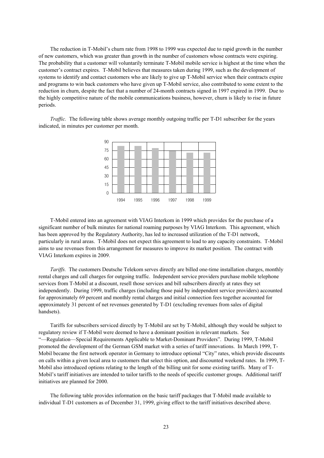The reduction in T-Mobil's churn rate from 1998 to 1999 was expected due to rapid growth in the number of new customers, which was greater than growth in the number of customers whose contracts were expiring. The probability that a customer will voluntarily terminate T-Mobil mobile service is highest at the time when the customer's contract expires. T-Mobil believes that measures taken during 1999, such as the development of systems to identify and contact customers who are likely to give up T-Mobil service when their contracts expire and programs to win back customers who have given up T-Mobil service, also contributed to some extent to the reduction in churn, despite the fact that a number of 24-month contracts signed in 1997 expired in 1999. Due to the highly competitive nature of the mobile communications business, however, churn is likely to rise in future periods.

*Traffic.* The following table shows average monthly outgoing traffic per T-D1 subscriber for the years indicated, in minutes per customer per month.



T-Mobil entered into an agreement with VIAG Interkom in 1999 which provides for the purchase of a significant number of bulk minutes for national roaming purposes by VIAG Interkom. This agreement, which has been approved by the Regulatory Authority, has led to increased utilization of the T-D1 network, particularly in rural areas. T-Mobil does not expect this agreement to lead to any capacity constraints. T-Mobil aims to use revenues from this arrangement for measures to improve its market position. The contract with VIAG Interkom expires in 2009.

*Tariffs.* The customers Deutsche Telekom serves directly are billed one-time installation charges, monthly rental charges and call charges for outgoing traffic. Independent service providers purchase mobile telephone services from T-Mobil at a discount, resell those services and bill subscribers directly at rates they set independently. During 1999, traffic charges (including those paid by independent service providers) accounted for approximately 69 percent and monthly rental charges and initial connection fees together accounted for approximately 31 percent of net revenues generated by T-D1 (excluding revenues from sales of digital handsets).

Tariffs for subscribers serviced directly by T-Mobil are set by T-Mobil, although they would be subject to regulatory review if T-Mobil were deemed to have a dominant position in relevant markets. See "—Regulation—Special Requirements Applicable to Market-Dominant Providers". During 1999, T-Mobil promoted the development of the German GSM market with a series of tariff innovations. In March 1999, T-Mobil became the first network operator in Germany to introduce optional "City" rates, which provide discounts on calls within a given local area to customers that select this option, and discounted weekend rates. In 1999, T-Mobil also introduced options relating to the length of the billing unit for some existing tariffs. Many of T-Mobil's tariff initiatives are intended to tailor tariffs to the needs of specific customer groups. Additional tariff initiatives are planned for 2000.

The following table provides information on the basic tariff packages that T-Mobil made available to individual T-D1 customers as of December 31, 1999, giving effect to the tariff initiatives described above.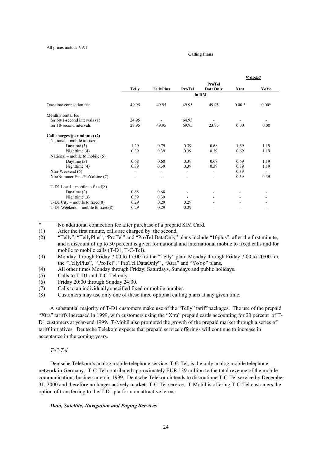#### **Calling Plans**

|                                        |                          |                          |                          |                 |                          | Prepaid |
|----------------------------------------|--------------------------|--------------------------|--------------------------|-----------------|--------------------------|---------|
|                                        |                          |                          |                          | ProTel          |                          |         |
|                                        | <b>Telly</b>             | <b>TellyPlus</b>         | ProTel                   | <b>DataOnly</b> | Xtra                     | YoYo    |
|                                        |                          |                          |                          | in DM           |                          |         |
| One-time connection fee                | 49.95                    | 49.95                    | 49.95                    | 49.95           | $0.00*$                  | $0.00*$ |
| Monthly rental fee                     |                          |                          |                          |                 |                          |         |
| for $60/1$ -second intervals $(1)$     | 24.95                    |                          | 64.95                    |                 |                          |         |
| for 10-second intervals                | 29.95                    | 49.95                    | 69.95                    | 23.95           | 0.00                     | 0.00    |
| Call charges (per minute) (2)          |                          |                          |                          |                 |                          |         |
| National – mobile to fixed             |                          |                          |                          |                 |                          |         |
| Daytime $(3)$                          | 1.29                     | 0.79                     | 0.39                     | 0.68            | 1.69                     | 1.19    |
| Nighttime $(4)$                        | 0.39                     | 0.39                     | 0.39                     | 0.39            | 0.69                     | 1.19    |
| National – mobile to mobile $(5)$      |                          |                          |                          |                 |                          |         |
| Daytime $(3)$                          | 0.68                     | 0.68                     | 0.39                     | 0.68            | 0.69                     | 1.19    |
| Nighttime $(4)$                        | 0.39                     | 0.39                     | 0.39                     | 0.39            | 0.39                     | 1.19    |
| Xtra-Weekend (6)                       | -                        | $\overline{\phantom{0}}$ | $\overline{\phantom{a}}$ | ٠               | 0.39                     |         |
| XtraNummer Eins/YoYoLine (7)           | $\overline{\phantom{a}}$ | ٠                        | ۰                        |                 | 0.39                     | 0.39    |
| $T-D1$ Local – mobile to fixed $(8)$   |                          |                          |                          |                 |                          |         |
| Daytime $(2)$                          | 0.68                     | 0.68                     | $\blacksquare$           |                 |                          |         |
| Nighttime $(3)$                        | 0.39                     | 0.39                     |                          |                 |                          |         |
| $T-D1$ City – mobile to fixed(8)       | 0.29                     | 0.29                     | 0.29                     |                 |                          |         |
| $T-D1$ Weekend – mobile to fixed $(8)$ | 0.29                     | 0.29                     | 0.29                     |                 | $\overline{\phantom{0}}$ |         |

\* No additional connection fee after purchase of a prepaid SIM Card.

(1) After the first minute, calls are charged by the second.

(2) "Telly", "TellyPlus", "ProTel" and "ProTel DataOnly" plans include "10plus": after the first minute, and a discount of up to 30 percent is given for national and international mobile to fixed calls and for mobile to mobile calls (T-D1, T-C-Tel).

- (3) Monday through Friday 7:00 to 17:00 for the "Telly" plan; Monday through Friday 7:00 to 20:00 for the "TellyPlus", "ProTel", "ProTel DataOnly" , "Xtra" and "YoYo" plans.
- (4) All other times Monday through Friday; Saturdays, Sundays and public holidays.

(5) Calls to T-D1 and T-C-Tel only.

- (6) Friday 20:00 through Sunday 24:00.
- (7) Calls to an individually specified fixed or mobile number.

(8) Customers may use only one of these three optional calling plans at any given time.

A substantial majority of T-D1 customers make use of the "Telly" tariff packages. The use of the prepaid "Xtra" tariffs increased in 1999, with customers using the "Xtra" prepaid cards accounting for 20 percent of T-D1 customers at year-end 1999. T-Mobil also promoted the growth of the prepaid market through a series of tariff initiatives. Deutsche Telekom expects that prepaid service offerings will continue to increase in acceptance in the coming years.

### *T-C-Tel*

**\_\_\_\_\_\_\_\_\_\_\_\_\_\_\_\_**

Deutsche Telekom's analog mobile telephone service, T-C-Tel, is the only analog mobile telephone network in Germany. T-C-Tel contributed approximately EUR 139 million to the total revenue of the mobile communications business area in 1999. Deutsche Telekom intends to discontinue T-C-Tel service by December 31, 2000 and therefore no longer actively markets T-C-Tel service. T-Mobil is offering T-C-Tel customers the option of transferring to the T-D1 platform on attractive terms.

#### *Data, Satellite, Navigation and Paging Services*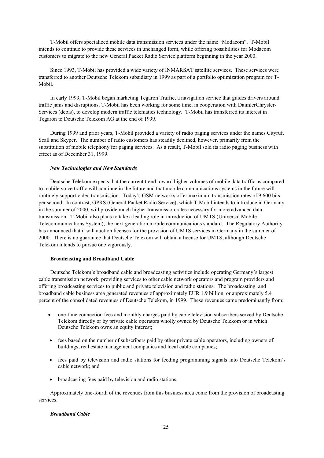T-Mobil offers specialized mobile data transmission services under the name "Modacom". T-Mobil intends to continue to provide these services in unchanged form, while offering possibilities for Modacom customers to migrate to the new General Packet Radio Service platform beginning in the year 2000.

Since 1993, T-Mobil has provided a wide variety of INMARSAT satellite services. These services were transferred to another Deutsche Telekom subsidiary in 1999 as part of a portfolio optimization program for T-Mobil.

In early 1999, T-Mobil began marketing Tegaron Traffic, a navigation service that guides drivers around traffic jams and disruptions. T-Mobil has been working for some time, in cooperation with DaimlerChrysler-Services (debis), to develop modern traffic telematics technology. T-Mobil has transferred its interest in Tegaron to Deutsche Telekom AG at the end of 1999.

During 1999 and prior years, T-Mobil provided a variety of radio paging services under the names Cityruf, Scall and Skyper. The number of radio customers has steadily declined, however, primarily from the substitution of mobile telephony for paging services. As a result, T-Mobil sold its radio paging business with effect as of December 31, 1999.

### *New Technologies and New Standards*

Deutsche Telekom expects that the current trend toward higher volumes of mobile data traffic as compared to mobile voice traffic will continue in the future and that mobile communications systems in the future will routinely support video transmission. Today's GSM networks offer maximum transmission rates of 9,600 bits per second. In contrast, GPRS (General Packet Radio Service), which T-Mobil intends to introduce in Germany in the summer of 2000, will provide much higher transmission rates necessary for more advanced data transmission. T-Mobil also plans to take a leading role in introduction of UMTS (Universal Mobile Telecommunications System), the next generation mobile communications standard. The Regulatory Authority has announced that it will auction licenses for the provision of UMTS services in Germany in the summer of 2000. There is no guarantee that Deutsche Telekom will obtain a license for UMTS, although Deutsche Telekom intends to pursue one vigorously.

### **Broadcasting and Broadband Cable**

Deutsche Telekom's broadband cable and broadcasting activities include operating Germany's largest cable transmission network, providing services to other cable network operators and program providers and offering broadcasting services to public and private television and radio stations. The broadcasting and broadband cable business area generated revenues of approximately EUR 1.9 billion, or approximately 5.4 percent of the consolidated revenues of Deutsche Telekom, in 1999. These revenues came predominantly from:

- one-time connection fees and monthly charges paid by cable television subscribers served by Deutsche Telekom directly or by private cable operators wholly owned by Deutsche Telekom or in which Deutsche Telekom owns an equity interest;
- fees based on the number of subscribers paid by other private cable operators, including owners of buildings, real estate management companies and local cable companies;
- fees paid by television and radio stations for feeding programming signals into Deutsche Telekom's cable network; and
- broadcasting fees paid by television and radio stations.

Approximately one-fourth of the revenues from this business area come from the provision of broadcasting services.

# *Broadband Cable*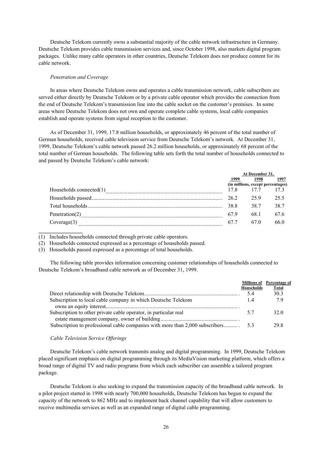Deutsche Telekom currently owns a substantial majority of the cable network infrastructure in Germany. Deutsche Telekom provides cable transmission services and, since October 1998, also markets digital program packages. Unlike many cable operators in other countries, Deutsche Telekom does not produce content for its cable network.

#### *Penetration and Coverage*

In areas where Deutsche Telekom owns and operates a cable transmission network, cable subscribers are served either directly by Deutsche Telekom or by a private cable operator which provides the connection from the end of Deutsche Telekom's transmission line into the cable socket on the customer's premises. In some areas where Deutsche Telekom does not own and operate complete cable systems, local cable companies establish and operate systems from signal reception to the customer.

As of December 31, 1999, 17.8 million households, or approximately 46 percent of the total number of German households, received cable television service from Deutsche Telekom's network. At December 31, 1999, Deutsche Telekom's cable network passed 26.2 million households, or approximately 68 percent of the total number of German households. The following table sets forth the total number of households connected to and passed by Deutsche Telekom's cable network:

|                            | At December 31, |                                   |      |
|----------------------------|-----------------|-----------------------------------|------|
|                            | 1999            | 1998                              | 1997 |
|                            |                 | (in millions, except percentages) |      |
| Households connected $(1)$ | 17.8            | 177                               |      |
|                            | 262             | 25.9                              | 25.5 |
|                            | 38 R            | 38.7                              | 38.7 |
| Penetration $(2)$          | 67.9            | 681                               | 67.6 |
| Coverage(3)                | 67 7            | 67.0                              | 66 0 |

(1) Includes households connected through private cable operators.

(2) Households connected expressed as a percentage of households passed.

(3) Households passed expressed as a percentage of total households.

The following table provides information concerning customer relationships of households connected to Deutsche Telekom's broadband cable network as of December 31, 1999.

|                                                                  | <b>Households</b><br>54 | <b>Millions of</b> Percentage of<br><b>Total</b><br>303 |
|------------------------------------------------------------------|-------------------------|---------------------------------------------------------|
| Subscription to local cable company in which Deutsche Telekom    | 1.4                     | 79                                                      |
| Subscription to other private cable operator, in particular real |                         | 32 O                                                    |
|                                                                  |                         | 29 R                                                    |

# *Cable Television Service Offerings*

**\_\_\_\_\_\_\_\_\_\_\_\_\_\_\_\_**

Deutsche Telekom's cable network transmits analog and digital programming. In 1999, Deutsche Telekom placed significant emphasis on digital programming through its MediaVision marketing platform, which offers a broad range of digital TV and radio programs from which each subscriber can assemble a tailored program package.

Deutsche Telekom is also seeking to expand the transmission capacity of the broadband cable network. In a pilot project started in 1998 with nearly 700,000 households, Deutsche Telekom has begun to expand the capacity of the network to 862 MHz and to implement back channel capability that will allow customers to receive multimedia services as well as an expanded range of digital cable programming.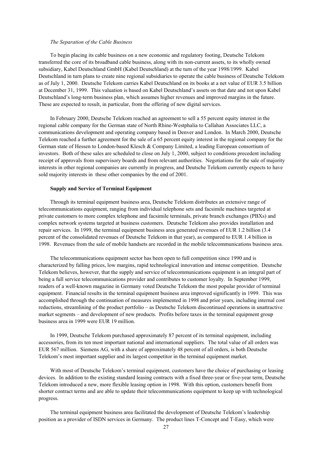#### *The Separation of the Cable Business*

To begin placing its cable business on a new economic and regulatory footing, Deutsche Telekom transferred the core of its broadband cable business, along with its non-current assets, to its wholly owned subsidiary, Kabel Deutschland GmbH (Kabel Deutschland) at the turn of the year 1998/1999. Kabel Deutschland in turn plans to create nine regional subsidiaries to operate the cable business of Deutsche Telekom as of July 1, 2000. Deutsche Telekom carries Kabel Deutschland on its books at a net value of EUR 3.5 billion at December 31, 1999. This valuation is based on Kabel Deutschland's assets on that date and not upon Kabel Deutschland's long-term business plan, which assumes higher revenues and improved margins in the future. These are expected to result, in particular, from the offering of new digital services.

In February 2000, Deutsche Telekom reached an agreement to sell a 55 percent equity interest in the regional cable company for the German state of North Rhine-Westphalia to Callahan Associates LLC, a communications development and operating company based in Denver and London. In March 2000, Deutsche Telekom reached a further agreement for the sale of a 65 percent equity interest in the regional company for the German state of Hessen to London-based Klesch & Company Limited, a leading European consortium of investors. Both of these sales are scheduled to close on July 1, 2000, subject to conditions precedent including receipt of approvals from supervisory boards and from relevant authorities. Negotiations for the sale of majority interests in other regional companies are currently in progress, and Deutsche Telekom currently expects to have sold majority interests in these other companies by the end of 2001.

#### **Supply and Service of Terminal Equipment**

Through its terminal equipment business area, Deutsche Telekom distributes an extensive range of telecommunications equipment, ranging from individual telephone sets and facsimile machines targeted at private customers to more complex telephone and facsimile terminals, private branch exchanges (PBXs) and complex network systems targeted at business customers. Deutsche Telekom also provides installation and repair services. In 1999, the terminal equipment business area generated revenues of EUR 1.2 billion (3.4 percent of the consolidated revenues of Deutsche Telekom in that year), as compared to EUR 1.4 billion in 1998. Revenues from the sale of mobile handsets are recorded in the mobile telecommunications business area.

The telecommunications equipment sector has been open to full competition since 1990 and is characterized by falling prices, low margins, rapid technological innovation and intense competition. Deutsche Telekom believes, however, that the supply and service of telecommunications equipment is an integral part of being a full service telecommunications provider and contributes to customer loyalty. In September 1999, readers of a well-known magazine in Germany voted Deutsche Telekom the most popular provider of terminal equipment. Financial results in the terminal equipment business area improved significantly in 1999. This was accomplished through the continuation of measures implemented in 1998 and prior years, including internal cost reductions, streamlining of the product portfolio – as Deutsche Telekom discontinued operations in unattractive market segments – and development of new products. Profits before taxes in the terminal equipment group business area in 1999 were EUR 19 million.

In 1999, Deutsche Telekom purchased approximately 87 percent of its terminal equipment, including accessories, from its ten most important national and international suppliers. The total value of all orders was EUR 567 million. Siemens AG, with a share of approximately 48 percent of all orders, is both Deutsche Telekom's most important supplier and its largest competitor in the terminal equipment market.

With most of Deutsche Telekom's terminal equipment, customers have the choice of purchasing or leasing devices. In addition to the existing standard leasing contracts with a fixed three-year or five-year term, Deutsche Telekom introduced a new, more flexible leasing option in 1998. With this option, customers benefit from shorter contract terms and are able to update their telecommunications equipment to keep up with technological progress.

The terminal equipment business area facilitated the development of Deutsche Telekom's leadership position as a provider of ISDN services in Germany. The product lines T-Concept and T-Easy, which were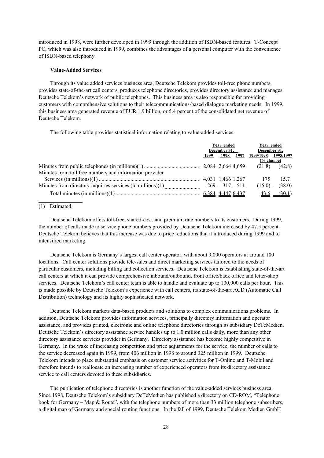introduced in 1998, were further developed in 1999 through the addition of ISDN-based features. T-Concept PC, which was also introduced in 1999, combines the advantages of a personal computer with the convenience of ISDN-based telephony.

# **Value-Added Services**

Through its value added services business area, Deutsche Telekom provides toll-free phone numbers, provides state-of-the-art call centers, produces telephone directories, provides directory assistance and manages Deutsche Telekom's network of public telephones. This business area is also responsible for providing customers with comprehensive solutions to their telecommunications-based dialogue marketing needs. In 1999, this business area generated revenue of EUR 1.9 billion, or 5.4 percent of the consolidated net revenue of Deutsche Telekom.

The following table provides statistical information relating to value-added services.

|                                                                                                | Year ended<br>December 31, |      | Year ended<br>December 31, |           |                         |
|------------------------------------------------------------------------------------------------|----------------------------|------|----------------------------|-----------|-------------------------|
|                                                                                                | 1999                       | 1998 | 1997                       | 1999/1998 | 1998/1997               |
|                                                                                                |                            |      |                            | % change) |                         |
|                                                                                                |                            |      |                            | (21.8)    | (42.8)                  |
| Minutes from toll free numbers and information provider                                        |                            |      |                            |           |                         |
|                                                                                                |                            |      |                            | -175      | 15.7                    |
| Minutes from directory inquiries services (in millions)(1) $\frac{269}{100}$ $\frac{317}{511}$ |                            |      |                            |           | $(15.0)$ $(38.0)$       |
|                                                                                                |                            |      |                            |           | $\frac{43.6}{ }$ (30.1) |
|                                                                                                |                            |      |                            |           |                         |

# (1) Estimated.

Deutsche Telekom offers toll-free, shared-cost, and premium rate numbers to its customers. During 1999, the number of calls made to service phone numbers provided by Deutsche Telekom increased by 47.5 percent. Deutsche Telekom believes that this increase was due to price reductions that it introduced during 1999 and to intensified marketing.

Deutsche Telekom is Germany's largest call center operator, with about 9,000 operators at around 100 locations. Call center solutions provide tele-sales and direct marketing services tailored to the needs of particular customers, including billing and collection services. Deutsche Telekom is establishing state-of-the-art call centers at which it can provide comprehensive inbound/outbound, front office/back office and letter-shop services. Deutsche Telekom's call center team is able to handle and evaluate up to 100,000 calls per hour. This is made possible by Deutsche Telekom's experience with call centers, its state-of-the-art ACD (Automatic Call Distribution) technology and its highly sophisticated network.

Deutsche Telekom markets data-based products and solutions to complex communications problems. In addition, Deutsche Telekom provides information services, principally directory information and operator assistance, and provides printed, electronic and online telephone directories through its subsidiary DeTeMedien. Deutsche Telekom's directory assistance service handles up to 1.0 million calls daily, more than any other directory assistance services provider in Germany. Directory assistance has become highly competitive in Germany. In the wake of increasing competition and price adjustments for the service, the number of calls to the service decreased again in 1999, from 406 million in 1998 to around 325 million in 1999. Deutsche Telekom intends to place substantial emphasis on customer service activities for T-Online and T-Mobil and therefore intends to reallocate an increasing number of experienced operators from its directory assistance service to call centers devoted to these subsidiaries.

The publication of telephone directories is another function of the value-added services business area. Since 1998, Deutsche Telekom's subsidiary DeTeMedien has published a directory on CD-ROM, "Telephone book for Germany – Map & Route", with the telephone numbers of more than 33 million telephone subscribers, a digital map of Germany and special routing functions. In the fall of 1999, Deutsche Telekom Medien GmbH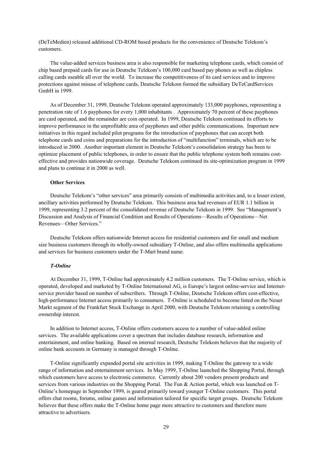(DeTeMedien) released additional CD-ROM based products for the convenience of Deutsche Telekom's customers.

The value-added services business area is also responsible for marketing telephone cards, which consist of chip based prepaid cards for use in Deutsche Telekom's 100,000 card based pay phones as well as chipless calling cards useable all over the world. To increase the competitiveness of its card services and to improve protections against misuse of telephone cards, Deutsche Telekom formed the subsidiary DeTeCardServices GmbH in 1999.

As of December 31, 1999, Deutsche Telekom operated approximately 133,000 payphones, representing a penetration rate of 1.6 payphones for every 1,000 inhabitants . Approximately 70 percent of these payphones are card operated, and the remainder are coin operated. In 1999, Deutsche Telekom continued its efforts to improve performance in the unprofitable area of payphones and other public communications. Important new initiatives in this regard included pilot programs for the introduction of payphones that can accept both telephone cards and coins and preparations for the introduction of "multifunction" terminals, which are to be introduced in 2000. Another important element in Deutsche Telekom's consolidation strategy has been to optimize placement of public telephones, in order to ensure that the public telephone system both remains costeffective and provides nationwide coverage. Deutsche Telekom continued its site-optimization program in 1999 and plans to continue it in 2000 as well.

# **Other Services**

Deutsche Telekom's "other services" area primarily consists of multimedia activities and, to a lesser extent, ancillary activities performed by Deutsche Telekom. This business area had revenues of EUR 1.1 billion in 1999, representing 3.2 percent of the consolidated revenue of Deutsche Telekom in 1999. See "Management's Discussion and Analysis of Financial Condition and Results of Operations—Results of Operations—Net Revenues—Other Services."

Deutsche Telekom offers nationwide Internet access for residential customers and for small and medium size business customers through its wholly-owned subsidiary T-Online, and also offers multimedia applications and services for business customers under the T-Mart brand name.

# *T-Online*

At December 31, 1999, T-Online had approximately 4.2 million customers. The T-Online service, which is operated, developed and marketed by T-Online International AG, is Europe's largest online-service and Internetservice provider based on number of subscribers. Through T-Online, Deutsche Telekom offers cost-effective, high-performance Internet access primarily to consumers. T-Online is scheduled to become listed on the Neuer Markt segment of the Frankfurt Stock Exchange in April 2000, with Deutsche Telekom retaining a controlling ownership interest.

In addition to Internet access, T-Online offers customers access to a number of value-added online services. The available applications cover a spectrum that includes database research, information and entertainment, and online banking. Based on internal research, Deutsche Telekom believes that the majority of online bank accounts in Germany is managed through T-Online.

T-Online significantly expanded portal site activities in 1999, making T-Online the gateway to a wide range of information and entertainment services. In May 1999, T-Online launched the Shopping Portal, through which customers have access to electronic commerce. Currently about 200 vendors present products and services from various industries on the Shopping Portal. The Fun & Action portal, which was launched on T-Online's homepage in September 1999, is geared primarily toward younger T-Online customers. This portal offers chat rooms, forums, online games and information tailored for specific target groups. Deutsche Telekom believes that these offers make the T-Online home page more attractive to customers and therefore more attractive to advertisers.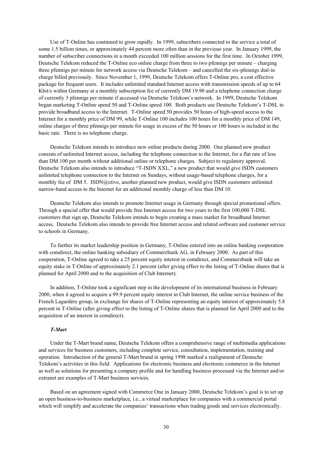Use of T-Online has continued to grow rapidly. In 1999, subscribers connected to the service a total of some 1.5 billion times, or approximately 44 percent more often than in the previous year. In January 1999, the number of subscriber connections in a month exceeded 100 million sessions for the first time. In October 1999, Deutsche Telekom reduced the T-Online eco online charge from three to two pfennigs per minute – charging three pfennigs per minute for network access via Deutsche Telekom – and cancelled the six-pfennigs dial-in charge billed previously. Since November 1, 1999, Deutsche Telekom offers T-Online pro, a cost effective package for frequent users. It includes unlimited standard Internet access with transmission speeds of up to 64 Kbit/s within Germany at a monthly subscription fee of currently DM 19.90 and a telephone connection charge of currently 3 pfennigs per minute if accessed via Deutsche Telekom's network. In 1999, Deutsche Telekom began marketing T-Online speed 50 and T-Online speed 100. Both products use Deutsche Telekom's T-DSL to provide broadband access to the Internet. T-Online speed 50 provides 50 hours of high-speed access to the Internet for a monthly price of DM 99, while T-Online 100 includes 100 hours for a monthly price of DM 149, online charges of three pfennigs per minute for usage in excess of the 50 hours or 100 hours is included in the basic rate. There is no telephone charge.

Deutsche Telekom intends to introduce new online products during 2000. One planned new product consists of unlimited Internet access, including the telephone connection to the Internet, for a flat rate of less than DM 100 per month without additional online or telephone charges. Subject to regulatory approval, Deutsche Telekom also intends to introduce "T-ISDN XXL," a new product that would give ISDN customers unlimited telephone connection to the Internet on Sundays, without usage-based telephone charges, for a monthly fee of DM 5. ISDN@ctive, another planned new product, would give ISDN customers unlimited narrow-band access to the Internet for an additional monthly charge of less than DM 10.

Deutsche Telekom also intends to promote Internet usage in Germany through special promotional offers. Through a special offer that would provide free Internet access for two years to the first 100,000 T-DSL customers that sign up, Deutsche Telekom intends to begin creating a mass market for broadband Internet access. Deutsche Telekom also intends to provide free Internet access and related software and customer service to schools in Germany.

To further its market leadership position in Germany, T-Online entered into an online banking cooperation with comdirect, the online banking subsidiary of Commerzbank AG, in February 2000. As part of this cooperation, T-Online agreed to take a 25 percent equity interest in comdirect, and Commerzbank will take an equity stake in T-Online of approximately 2.1 percent (after giving effect to the listing of T-Online shares that is planned for April 2000 and to the acquisition of Club Internet).

In addition, T-Online took a significant step in the development of its international business in February 2000, when it agreed to acquire a 99.9 percent equity interest in Club Internet, the online service business of the French Lagardère group, in exchange for shares of T-Online representing an equity interest of approximately 5.8 percent in T-Online (after giving effect to the listing of T-Online shares that is planned for April 2000 and to the acquisition of an interest in comdirect).

## *T-Mart*

Under the T-Mart brand name, Deutsche Telekom offers a comprehensive range of multimedia applications and services for business customers, including complete service, consultation, implementation, training and operation. Introduction of the general T-Mart brand in spring 1998 marked a realignment of Deutsche Telekom's activities in this field. Applications for electronic business and electronic commerce in the Internet as well as solutions for presenting a company profile and for handling business processed via the Internet and/or extranet are examples of T-Mart business services.

Based on an agreement signed with Commerce One in January 2000, Deutsche Telekom's goal is to set up an open business-to-business marketplace, i.e., a virtual marketplace for companies with a commercial portal which will simplify and accelerate the companies' transactions when trading goods and services electronically.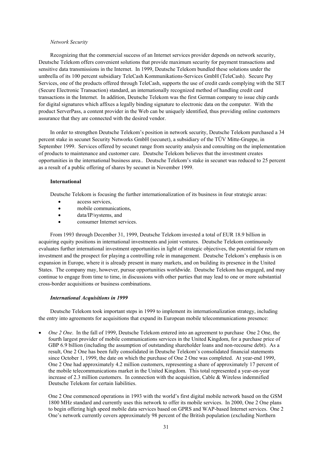#### *Network Security*

Recognizing that the commercial success of an Internet services provider depends on network security, Deutsche Telekom offers convenient solutions that provide maximum security for payment transactions and sensitive data transmissions in the Internet. In 1999, Deutsche Telekom bundled these solutions under the umbrella of its 100 percent subsidiary TeleCash Kommunikations-Services GmbH (TeleCash). Secure Pay Services, one of the products offered through TeleCash, supports the use of credit cards complying with the SET (Secure Electronic Transaction) standard, an internationally recognized method of handling credit card transactions in the Internet. In addition, Deutsche Telekom was the first German company to issue chip cards for digital signatures which affixes a legally binding signature to electronic data on the computer. With the product ServerPass, a content provider in the Web can be uniquely identified, thus providing online customers assurance that they are connected with the desired vendor.

In order to strengthen Deutsche Telekom's position in network security, Deutsche Telekom purchased a 34 percent stake in secunet Security Networks GmbH (secunet), a subsidiary of the TÜV Mitte-Gruppe, in September 1999. Services offered by secunet range from security analysis and consulting on the implementation of products to maintenance and customer care. Deutsche Telekom believes that the investment creates opportunities in the international business area.. Deutsche Telekom's stake in secunet was reduced to 25 percent as a result of a public offering of shares by secunet in November 1999.

# **International**

Deutsche Telekom is focusing the further internationalization of its business in four strategic areas:

- access services.
- mobile communications,
- data/IP/systems, and
- consumer Internet services.

From 1993 through December 31, 1999, Deutsche Telekom invested a total of EUR 18.9 billion in acquiring equity positions in international investments and joint ventures. Deutsche Telekom continuously evaluates further international investment opportunities in light of strategic objectives, the potential for return on investment and the prospect for playing a controlling role in management. Deutsche Telekom's emphasis is on expansion in Europe, where it is already present in many markets, and on building its presence in the United States. The company may, however, pursue opportunities worldwide. Deutsche Telekom has engaged, and may continue to engage from time to time, in discussions with other parties that may lead to one or more substantial cross-border acquisitions or business combinations.

# *International Acquisitions in 1999*

Deutsche Telekom took important steps in 1999 to implement its internationalization strategy, including the entry into agreements for acquisitions that expand its European mobile telecommunications presence:

• *One 2 One*. In the fall of 1999, Deutsche Telekom entered into an agreement to purchase One 2 One, the fourth largest provider of mobile communications services in the United Kingdom, for a purchase price of GBP 6.9 billion (including the assumption of outstanding shareholder loans and non-recourse debt). As a result, One 2 One has been fully consolidated in Deutsche Telekom's consolidated financial statements since October 1, 1999, the date on which the purchase of One 2 One was completed. At year-end 1999, One 2 One had approximately 4.2 million customers, representing a share of approximately 17 percent of the mobile telecommunications market in the United Kingdom. This total represented a year-on-year increase of 2.3 million customers. In connection with the acquisition, Cable & Wireless indemnified Deutsche Telekom for certain liabilities.

One 2 One commenced operations in 1993 with the world's first digital mobile network based on the GSM 1800 MHz standard and currently uses this network to offer its mobile services. In 2000, One 2 One plans to begin offering high speed mobile data services based on GPRS and WAP-based Internet services. One 2 One's network currently covers approximately 98 percent of the British population (excluding Northern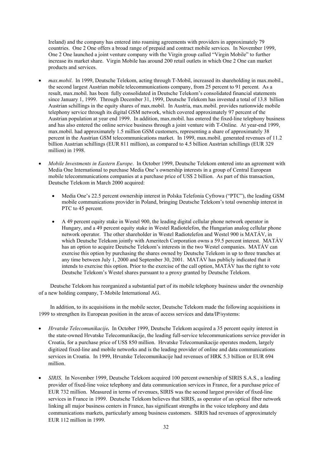Ireland) and the company has entered into roaming agreements with providers in approximately 79 countries. One 2 One offers a broad range of prepaid and contract mobile services. In November 1999, One 2 One launched a joint venture company with the Virgin group called "Virgin Mobile" to further increase its market share. Virgin Mobile has around 200 retail outlets in which One 2 One can market products and services.

- *max.mobil*. In 1999, Deutsche Telekom, acting through T-Mobil, increased its shareholding in max.mobil., the second largest Austrian mobile telecommunications company, from 25 percent to 91 percent. As a result, max.mobil. has been fully consolidated in Deutsche Telekom's consolidated financial statements since January 1, 1999. Through December 31, 1999, Deutsche Telekom has invested a total of 13.8 billion Austrian schillings in the equity shares of max.mobil. In Austria, max.mobil. provides nationwide mobile telephony service through its digital GSM network, which covered approximately 97 percent of the Austrian population at year end 1999. In addition, max.mobil. has entered the fixed-line telephony business and has also entered the online service business through a joint venture with T-Online. At year-end 1999, max.mobil. had approximately 1.5 million GSM customers, representing a share of approximately 38 percent in the Austrian GSM telecommunications market. In 1999, max.mobil. generated revenues of 11.2 billion Austrian schillings (EUR 811 million), as compared to 4.5 billion Austrian schillings (EUR 329 million) in 1998.
- *Mobile Investments in Eastern Europe*. In October 1999, Deutsche Telekom entered into an agreement with Media One International to purchase Media One's ownership interests in a group of Central European mobile telecommunications companies at a purchase price of US\$ 2 billion. As part of this transaction, Deutsche Telekom in March 2000 acquired:
	- Media One's 22.5 percent ownership interest in Polska Telefonia Cyfrowa ("PTC"), the leading GSM mobile communications provider in Poland, bringing Deutsche Telekom's total ownership interest in PTC to 45 percent.
	- A 49 percent equity stake in Westel 900, the leading digital cellular phone network operator in Hungary, and a 49 percent equity stake in Westel Radiotelefon, the Hungarian analog cellular phone network operator. The other shareholder in Westel Radiotelefon and Westel 900 is MATÁV, in which Deutsche Telekom jointly with Ameritech Corporation owns a 59.5 percent interest. MATÁV has an option to acquire Deutsche Telekom's interests in the two Westel companies. MATÁV can exercise this option by purchasing the shares owned by Deutsche Telekom in up to three tranches at any time between July 1, 2000 and September 30, 2001. MATÁV has publicly indicated that it intends to exercise this option. Prior to the exercise of the call option, MATÁV has the right to vote Deutsche Telekom's Westel shares pursuant to a proxy granted by Deutsche Telekom.

Deutsche Telekom has reorganized a substantial part of its mobile telephony business under the ownership of a new holding company, T-Mobile International AG.

In addition, to its acquisitions in the mobile sector, Deutsche Telekom made the following acquisitions in 1999 to strengthen its European position in the areas of access services and data/IP/systems:

- *Hrvatske Telecomunikacije.* In October 1999, Deutsche Telekom acquired a 35 percent equity interest in the state-owned Hrvatske Telecomunikacije, the leading full-service telecommunications service provider in Croatia, for a purchase price of US\$ 850 million. Hrvatske Telecomunikacije operates modern, largely digitized fixed-line and mobile networks and is the leading provider of online and data communications services in Croatia. In 1999, Hrvatske Telecomunikacije had revenues of HRK 5.3 billion or EUR 694 million.
- *SIRIS*. In November 1999, Deutsche Telekom acquired 100 percent ownership of SIRIS S.A.S., a leading provider of fixed-line voice telephony and data communication services in France, for a purchase price of EUR 732 million. Measured in terms of revenues, SIRIS was the second largest provider of fixed-line services in France in 1999. Deutsche Telekom believes that SIRIS, as operator of an optical fiber network linking all major business centers in France, has significant strengths in the voice telephony and data communications markets, particularly among business customers. SIRIS had revenues of approximately EUR 112 million in 1999.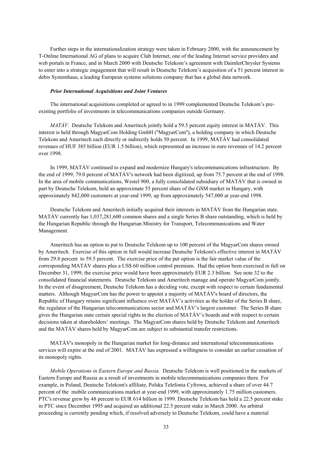Further steps in the internationalization strategy were taken in February 2000, with the announcement by T-Online International AG of plans to acquire Club Internet, one of the leading Internet service providers and web portals in France, and in March 2000 with Deutsche Telekom's agreement with DaimlerChrysler Systems to enter into a strategic engagement that will result in Deutsche Telekom's acquisition of a 51 percent interest in debis Systemhaus, a leading European systems solutions company that has a global data network.

#### *Prior International Acquisitions and Joint Ventures*

The international acquisitions completed or agreed to in 1999 complemented Deutsche Telekom's preexisting portfolio of investments in telecommunications companies outside Germany.

*MATÁV.* Deutsche Telekom and Ameritech jointly hold a 59.5 percent equity interest in MATÁV. This interest is held through MagyarCom Holding GmbH (''MagyarCom''), a holding company in which Deutsche Telekom and Ameritech each directly or indirectly holds 50 percent. In 1999, MATÁV had consolidated revenues of HUF 385 billion (EUR 1.5 billion), which represented an increase in euro revenues of 14.2 percent over 1998.

In 1999, MATÁV continued to expand and modernize Hungary's telecommunications infrastructure. By the end of 1999, 79.0 percent of MATÁV's network had been digitized, up from 75.7 percent at the end of 1998. In the area of mobile communications, Westel 900, a fully consolidated subsidiary of MATÁV that is owned in part by Deutsche Telekom, held an approximate 55 percent share of the GSM market in Hungary, with approximately 842,000 customers at year-end 1999, up from approximately 547,000 at year-end 1998.

Deutsche Telekom and Ameritech initially acquired their interests in MATÁV from the Hungarian state. MATÁV currently has 1,037,281,600 common shares and a single Series B share outstanding, which is held by the Hungarian Republic through the Hungarian Ministry for Transport, Telecommunications and Water Management.

Ameritech has an option to put to Deutsche Telekom up to 100 percent of the MagyarCom shares owned by Ameritech. Exercise of this option in full would increase Deutsche Telekom's effective interest in MATÁV from 29.8 percent to 59.5 percent. The exercise price of the put option is the fair market value of the corresponding MATÁV shares plus a US\$ 60 million control premium. Had the option been exercised in full on December 31, 1999, the exercise price would have been approximately EUR 2.3 billion. See note 32 to the consolidated financial statements. Deutsche Telekom and Ameritech manage and operate MagyarCom jointly. In the event of disagreement, Deutsche Telekom has a deciding vote, except with respect to certain fundamental matters. Although MagyarCom has the power to appoint a majority of MATÁV's board of directors, the Republic of Hungary retains significant influence over MATÁV's activities as the holder of the Series B share, the regulator of the Hungarian telecommunications sector and MATÁV's largest customer. The Series B share gives the Hungarian state certain special rights in the election of MATÁV's boards and with respect to certain decisions taken at shareholders' meetings. The MagyarCom shares held by Deutsche Telekom and Ameritech and the MATÁV shares held by MagyarCom are subject to substantial transfer restrictions.

MATÁV's monopoly in the Hungarian market for long-distance and international telecommunications services will expire at the end of 2001. MATÁV has expressed a willingness to consider an earlier cessation of its monopoly rights.

*Mobile Operations in Eastern Europe and Russia.* Deutsche Telekom is well positioned in the markets of Eastern Europe and Russia as a result of investments in mobile telecommunications companies there. For example, in Poland, Deutsche Telekom's affiliate, Polska Telefonia Cyfrowa, achieved a share of over 44.7 percent of the mobile communications market at year-end 1999, with approximately 1.75 million customers. PTC's revenue grew by 48 percent to EUR 614 billion in 1999. Deutsche Telekom has held a 22.5 percent stake in PTC since December 1995 and acquired an additional 22.5 percent stake in March 2000. An arbitral proceeding is currently pending which, if resolved adversely to Deutsche Telekom, could have a material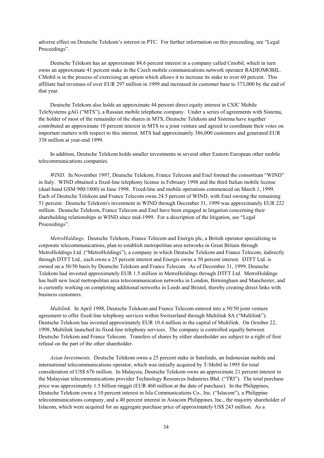adverse effect on Deutsche Telekom's interest in PTC. For further information on this proceeding, see "Legal Proceedings".

Deutsche Telekom has an approximate 84.6 percent interest in a company called Cmobil, which in turn owns an approximate 41 percent stake in the Czech mobile communications network operator RADIOMOBIL. CMobil is in the process of exercising an option which allows it to increase its stake to over 60 percent. This affiliate had revenues of over EUR 297 million in 1999 and increased its customer base to 373,000 by the end of that year.

Deutsche Telekom also holds an approximate 44 percent direct equity interest in CSJC Mobile TeleSystems gAG ("MTS"), a Russian mobile telephone company. Under a series of agreements with Sistema, the holder of most of the remainder of the shares in MTS, Deutsche Telekom and Sistema have together contributed an approximate 10 percent interest in MTS to a joint venture and agreed to coordinate their votes on important matters with respect to this interest. MTS had approximately 386,000 customers and generated EUR 338 million at year-end 1999.

In addition, Deutsche Telekom holds smaller investments in several other Eastern European other mobile telecommunications companies.

*WIND.* In November 1997, Deutsche Telekom, France Telecom and Enel formed the consortium "WIND" in Italy. WIND obtained a fixed-line telephony license in February 1998 and the third Italian mobile license (dual-band GSM 900/1800) in June 1998. Fixed-line and mobile operations commenced on March 1, 1999. Each of Deutsche Telekom and France Telecom owns 24.5 percent of WIND, with Enel owning the remaining 51 percent. Deutsche Telekom's investment in WIND through December 31, 1999 was approximately EUR 222 million. Deutsche Telekom, France Telecom and Enel have been engaged in litigation concerning their shareholding relationships in WIND since mid-1999. For a description of the litigation, see "Legal Proceedings".

*MetroHoldings.* Deutsche Telekom, France Telecom and Energis plc, a British operator specializing in corporate telecommunications, plan to establish metropolitan area networks in Great Britain through MetroHoldings Ltd. ("MetroHoldings"), a company in which Deutsche Telekom and France Telecom, indirectly through DTFT Ltd., each owns a 25 percent interest and Energis owns a 50 percent interest. DTFT Ltd. is owned on a 50/50 basis by Deutsche Telekom and France Telecom. As of December 31, 1999, Deutsche Telekom had invested approximately EUR 1.5 million in MetroHoldings through DTFT Ltd. MetroHoldings has built new local metropolitan area telecommunication networks in London, Birmingham and Manchester, and is currently working on completing additional networks in Leeds and Bristol, thereby creating direct links with business customers.

*Multilink.* In April 1998, Deutsche Telekom and France Telecom entered into a 50/50 joint venture agreement to offer fixed-line telephony services within Switzerland through Multilink SA ("Multilink"). Deutsche Telekom has invested approximately EUR 10.4 million in the capital of Multilink. On October 22, 1998, Multilink launched its fixed-line telephony services. The company is controlled equally between Deutsche Telekom and France Telecom. Transfers of shares by either shareholder are subject to a right of first refusal on the part of the other shareholder.

*Asian Investments.* Deutsche Telekom owns a 25 percent stake in Satelindo, an Indonesian mobile and international telecommunications operator, which was initially acquired by T-Mobil in 1995 for total consideration of US\$ 676 million. In Malaysia, Deutsche Telekom owns an approximate 21 percent interest in the Malaysian telecommunications provider Technology Resources Industries Bhd. ("TRI"). The total purchase price was approximately 1.5 billion ringgit (EUR 460 million at the date of purchase). In the Philippines, Deutsche Telekom owns a 10 percent interest in Isla Communications Co., Inc. ("Islacom"), a Philippine telecommunications company, and a 40 percent interest in Asiacom Philippines, Inc., the majority shareholder of Islacom, which were acquired for an aggregate purchase price of approximately US\$ 243 million. As a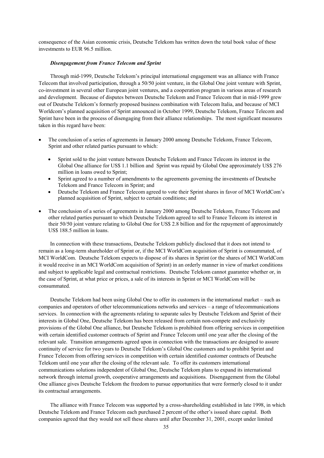consequence of the Asian economic crisis, Deutsche Telekom has written down the total book value of these investments to EUR 96.5 million.

# *Disengagement from France Telecom and Sprint*

Through mid-1999, Deutsche Telekom's principal international engagement was an alliance with France Telecom that involved participation, through a 50/50 joint venture, in the Global One joint venture with Sprint, co-investment in several other European joint ventures, and a cooperation program in various areas of research and development. Because of disputes between Deutsche Telekom and France Telecom that in mid-1999 grew out of Deutsche Telekom's formerly proposed business combination with Telecom Italia, and because of MCI Worldcom's planned acquisition of Sprint announced in October 1999, Deutsche Telekom, France Telecom and Sprint have been in the process of disengaging from their alliance relationships. The most significant measures taken in this regard have been:

- The conclusion of a series of agreements in January 2000 among Deutsche Telekom, France Telecom, Sprint and other related parties pursuant to which:
	- Sprint sold to the joint venture between Deutsche Telekom and France Telecom its interest in the Global One alliance for US\$ 1.1 billion and Sprint was repaid by Global One approximately US\$ 276 million in loans owed to Sprint;
	- Sprint agreed to a number of amendments to the agreements governing the investments of Deutsche Telekom and France Telecom in Sprint; and
	- Deutsche Telekom and France Telecom agreed to vote their Sprint shares in favor of MCI WorldCom's planned acquisition of Sprint, subject to certain conditions; and
- The conclusion of a series of agreements in January 2000 among Deutsche Telekom, France Telecom and other related parties pursuant to which Deutsche Telekom agreed to sell to France Telecom its interest in their 50/50 joint venture relating to Global One for US\$ 2.8 billion and for the repayment of approximately US\$ 188.5 million in loans.

In connection with these transactions, Deutsche Telekom publicly disclosed that it does not intend to remain as a long-term shareholder of Sprint or, if the MCI WorldCom acquisition of Sprint is consummated, of MCI WorldCom. Deutsche Telekom expects to dispose of its shares in Sprint (or the shares of MCI WorldCom it would receive in an MCI WorldCom acquisition of Sprint) in an orderly manner in view of market conditions and subject to applicable legal and contractual restrictions. Deutsche Telekom cannot guarantee whether or, in the case of Sprint, at what price or prices, a sale of its interests in Sprint or MCI WorldCom will be consummated.

Deutsche Telekom had been using Global One to offer its customers in the international market – such as companies and operators of other telecommunications networks and services – a range of telecommunications services. In connection with the agreements relating to separate sales by Deutsche Telekom and Sprint of their interests in Global One, Deutsche Telekom has been released from certain non-compete and exclusivity provisions of the Global One alliance, but Deutsche Telekom is prohibited from offering services in competition with certain identified customer contracts of Sprint and France Telecom until one year after the closing of the relevant sale. Transition arrangements agreed upon in connection with the transactions are designed to assure continuity of service for two years to Deutsche Telekom's Global One customers and to prohibit Sprint and France Telecom from offering services in competition with certain identified customer contracts of Deutsche Telekom until one year after the closing of the relevant sale. To offer its customers international communications solutions independent of Global One, Deutsche Telekom plans to expand its international network through internal growth, cooperative arrangements and acquisitions. Disengagement from the Global One alliance gives Deutsche Telekom the freedom to pursue opportunities that were formerly closed to it under its contractual arrangements.

The alliance with France Telecom was supported by a cross-shareholding established in late 1998, in which Deutsche Telekom and France Telecom each purchased 2 percent of the other's issued share capital. Both companies agreed that they would not sell these shares until after December 31, 2001, except under limited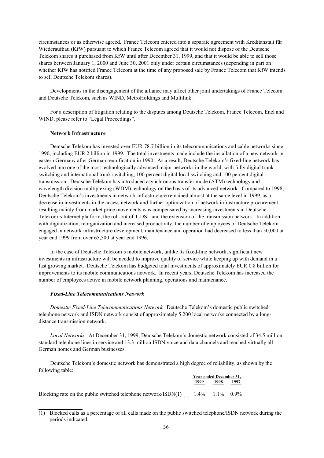circumstances or as otherwise agreed. France Telecom entered into a separate agreement with Kreditanstalt für Wiederaufbau (KfW) pursuant to which France Telecom agreed that it would not dispose of the Deutsche Telekom shares it purchased from KfW until after December 31, 1999, and that it would be able to sell those shares between January 1, 2000 and June 30, 2001 only under certain circumstances (depending in part on whether KfW has notified France Telecom at the time of any proposed sale by France Telecom that KfW intends to sell Deutsche Telekom shares).

Developments in the disengagement of the alliance may affect other joint undertakings of France Telecom and Deutsche Telekom, such as WIND, MetroHoldings and Multilink.

For a description of litigation relating to the disputes among Deutsche Telekom, France Telecom, Enel and WIND, please refer to "Legal Proceedings".

# **Network Infrastructure**

Deutsche Telekom has invested over EUR 78.7 billion in its telecommunications and cable networks since 1990, including EUR 2 billion in 1999. The total investments made include the installation of a new network in eastern Germany after German reunification in 1990. As a result, Deutsche Telekom's fixed-line network has evolved into one of the most technologically advanced major networks in the world, with fully digital trunk switching and international trunk switching, 100 percent digital local switching and 100 percent digital transmission. Deutsche Telekom has introduced asynchronous transfer mode (ATM) technology and wavelength division multiplexing (WDM) technology on the basis of its advanced network. Compared to 1998, Deutsche Telekom's investments in network infrastructure remained almost at the same level in 1999, as a decrease in investments in the access network and further optimization of network infrastructure procurement resulting mainly from market price movements was compensated by increasing investments in Deutsche Telekom's Internet platform, the roll-out of T-DSL and the extension of the transmission network. In addition, with digitalization, reorganization and increased productivity, the number of employees of Deutsche Telekom engaged in network infrastructure development, maintenance and operation had decreased to less than 50,000 at year end 1999 from over 65,500 at year end 1996.

In the case of Deutsche Telekom's mobile network, unlike its fixed-line network, significant new investments in infrastructure will be needed to improve quality of service while keeping up with demand in a fast growing market. Deutsche Telekom has budgeted total investments of approximately EUR 0.8 billion for improvements to its mobile communications network. In recent years, Deutsche Telekom has increased the number of employees active in mobile network planning, operations and maintenance.

# *Fixed-Line Telecommunications Network*

**\_\_\_\_\_\_\_\_\_\_\_\_\_\_\_\_**

*Domestic Fixed-Line Telecommunications Network.* Deutsche Telekom's domestic public switched telephone network and ISDN network consist of approximately 5,200 local networks connected by a longdistance transmission network.

*Local Networks.* At December 31, 1999, Deutsche Telekom's domestic network consisted of 34.5 million standard telephone lines in service and 13.3 million ISDN voice and data channels and reached virtually all German homes and German businesses.

Deutsche Telekom's domestic network has demonstrated a high degree of reliability, as shown by the following table:

| Year ended December 31. |
|-------------------------|
| 1998<br>1999<br>1997    |

Blocking rate on the public switched telephone network/ISDN(1)  $1.4\%$  1.1% 0.9%

 $(1)$  Blocked calls as a percentage of all calls made on the public switched telephone/ISDN network during the periods indicated.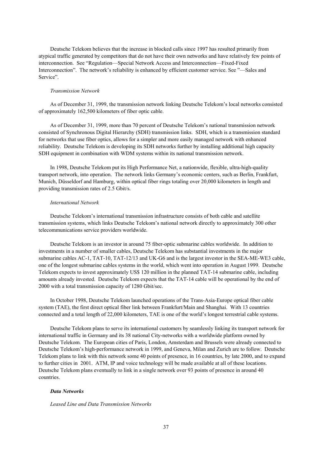Deutsche Telekom believes that the increase in blocked calls since 1997 has resulted primarily from atypical traffic generated by competitors that do not have their own networks and have relatively few points of interconnection. See "Regulation—Special Network Access and Interconnection—Fixed-Fixed Interconnection". The network's reliability is enhanced by efficient customer service. See "—Sales and Service".

### *Transmission Network*

As of December 31, 1999, the transmission network linking Deutsche Telekom's local networks consisted of approximately 162,500 kilometers of fiber optic cable.

As of December 31, 1999, more than 70 percent of Deutsche Telekom's national transmission network consisted of Synchronous Digital Hierarchy (SDH) transmission links. SDH, which is a transmission standard for networks that use fiber optics, allows for a simpler and more easily managed network with enhanced reliability. Deutsche Telekom is developing its SDH networks further by installing additional high capacity SDH equipment in combination with WDM systems within its national transmission network.

In 1998, Deutsche Telekom put its High Performance Net, a nationwide, flexible, ultra-high-quality transport network, into operation. The network links Germany's economic centers, such as Berlin, Frankfurt, Munich, Düsseldorf and Hamburg, within optical fiber rings totaling over 20,000 kilometers in length and providing transmission rates of 2.5 Gbit/s.

### *International Network*

Deutsche Telekom's international transmission infrastructure consists of both cable and satellite transmission systems, which links Deutsche Telekom's national network directly to approximately 300 other telecommunications service providers worldwide.

Deutsche Telekom is an investor in around 75 fiber-optic submarine cables worldwide. In addition to investments in a number of smaller cables, Deutsche Telekom has substantial investments in the major submarine cables AC-1, TAT-10, TAT-12/13 and UK-G6 and is the largest investor in the SEA-ME-WE3 cable, one of the longest submarine cables systems in the world, which went into operation in August 1999. Deutsche Telekom expects to invest approximately US\$ 120 million in the planned TAT-14 submarine cable, including amounts already invested. Deutsche Telekom expects that the TAT-14 cable will be operational by the end of 2000 with a total transmission capacity of 1280 Gbit/sec.

In October 1998, Deutsche Telekom launched operations of the Trans-Asia-Europe optical fiber cable system (TAE), the first direct optical fiber link between Frankfurt/Main and Shanghai. With 13 countries connected and a total length of 22,000 kilometers, TAE is one of the world's longest terrestrial cable systems.

Deutsche Telekom plans to serve its international customers by seamlessly linking its transport network for international traffic in Germany and its 38 national City-networks with a worldwide platform owned by Deutsche Telekom. The European cities of Paris, London, Amsterdam and Brussels were already connected to Deutsche Telekom's high-performance network in 1999, and Geneva, Milan and Zurich are to follow. Deutsche Telekom plans to link with this network some 40 points of presence, in 16 countries, by late 2000, and to expand to further cities in 2001. ATM, IP and voice technology will be made available at all of these locations. Deutsche Telekom plans eventually to link in a single network over 93 points of presence in around 40 countries.

## *Data Networks*

### *Leased Line and Data Transmission Networks*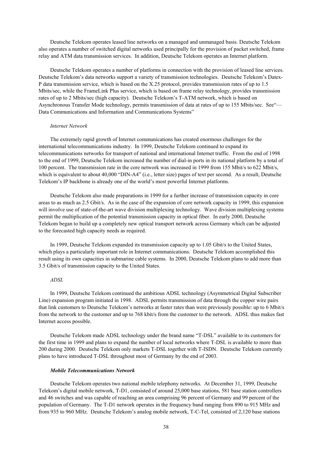Deutsche Telekom operates leased line networks on a managed and unmanaged basis. Deutsche Telekom also operates a number of switched digital networks used principally for the provision of packet switched, frame relay and ATM data transmission services. In addition, Deutsche Telekom operates an Internet platform.

Deutsche Telekom operates a number of platforms in connection with the provision of leased line services. Deutsche Telekom's data networks support a variety of transmission technologies. Deutsche Telekom's Datex-P data transmission service, which is based on the X.25 protocol, provides transmission rates of up to 1.5 Mbits/sec, while the FrameLink Plus service, which is based on frame relay technology, provides transmission rates of up to 2 Mbits/sec (high capacity). Deutsche Telekom's T-ATM network, which is based on Asynchronous Transfer Mode technology, permits transmission of data at rates of up to 155 Mbits/sec. See"— Data Communications and Information and Communications Systems"

#### *Internet Network*

The extremely rapid growth of Internet communications has created enormous challenges for the international telecommunications industry. In 1999, Deutsche Telekom continued to expand its telecommunications networks for transport of national and international Internet traffic. From the end of 1998 to the end of 1999, Deutsche Telekom increased the number of dial-in ports in its national platform by a total of 100 percent. The transmission rate in the core network was increased in 1999 from 155 Mbit/s to 622 Mbit/s, which is equivalent to about 40,000 "DIN-A4" (i.e., letter size) pages of text per second. As a result, Deutsche Telekom's IP backbone is already one of the world's most powerful Internet platforms.

Deutsche Telekom also made preparations in 1999 for a further increase of transmission capacity in core areas to as much as 2.5 Gbit/s. As in the case of the expansion of core network capacity in 1999, this expansion will involve use of state-of-the-art wave division multiplexing technology. Wave division multiplexing systems permit the multiplication of the potential transmission capacity in optical fiber. In early 2000, Deutsche Telekom began to build up a completely new optical transport network across Germany which can be adjusted to the forecasted high capacity needs as required.

In 1999, Deutsche Telekom expanded its transmission capacity up to 1.05 Gbit/s to the United States, which plays a particularly important role in Internet communications. Deutsche Telekom accomplished this result using its own capacities in submarine cable systems. In 2000, Deutsche Telekom plans to add more than 3.5 Gbit/s of transmission capacity to the United States.

### *ADSL*

In 1999, Deutsche Telekom continued the ambitious ADSL technology (Asymmetrical Digital Subscriber Line) expansion program initiated in 1998. ADSL permits transmission of data through the copper wire pairs that link customers to Deutsche Telekom's networks at faster rates than were previously possible: up to 6 Mbit/s from the network to the customer and up to 768 kbit/s from the customer to the network. ADSL thus makes fast Internet access possible.

Deutsche Telekom made ADSL technology under the brand name "T-DSL" available to its customers for the first time in 1999 and plans to expand the number of local networks where T-DSL is available to more than 200 during 2000. Deutsche Telekom only markets T-DSL together with T-ISDN. Deutsche Telekom currently plans to have introduced T-DSL throughout most of Germany by the end of 2003.

#### *Mobile Telecommunications Network*

Deutsche Telekom operates two national mobile telephony networks. At December 31, 1999, Deutsche Telekom's digital mobile network, T-D1, consisted of around 25,000 base stations, 581 base station controllers and 46 switches and was capable of reaching an area comprising 96 percent of Germany and 99 percent of the population of Germany. The T-D1 network operates in the frequency band ranging from 890 to 915 MHz and from 935 to 960 MHz. Deutsche Telekom's analog mobile network, T-C-Tel, consisted of 2,120 base stations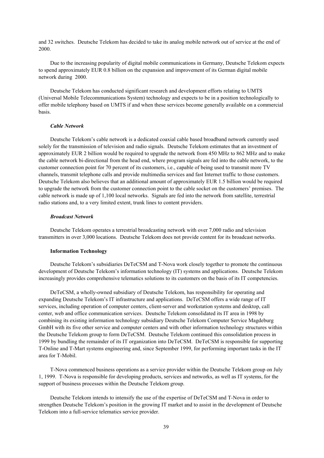and 32 switches. Deutsche Telekom has decided to take its analog mobile network out of service at the end of 2000.

Due to the increasing popularity of digital mobile communications in Germany, Deutsche Telekom expects to spend approximately EUR 0.8 billion on the expansion and improvement of its German digital mobile network during 2000.

Deutsche Telekom has conducted significant research and development efforts relating to UMTS (Universal Mobile Telecommunications System) technology and expects to be in a position technologically to offer mobile telephony based on UMTS if and when these services become generally available on a commercial basis.

### *Cable Network*

Deutsche Telekom's cable network is a dedicated coaxial cable based broadband network currently used solely for the transmission of television and radio signals. Deutsche Telekom estimates that an investment of approximately EUR 2 billion would be required to upgrade the network from 450 MHz to 862 MHz and to make the cable network bi-directional from the head end, where program signals are fed into the cable network, to the customer connection point for 70 percent of its customers, i.e., capable of being used to transmit more TV channels, transmit telephone calls and provide multimedia services and fast Internet traffic to those customers. Deutsche Telekom also believes that an additional amount of approximately EUR 1.5 billion would be required to upgrade the network from the customer connection point to the cable socket on the customers' premises. The cable network is made up of 1,100 local networks. Signals are fed into the network from satellite, terrestrial radio stations and, to a very limited extent, trunk lines to content providers.

## *Broadcast Network*

Deutsche Telekom operates a terrestrial broadcasting network with over 7,000 radio and television transmitters in over 3,000 locations. Deutsche Telekom does not provide content for its broadcast networks.

## **Information Technology**

Deutsche Telekom's subsidiaries DeTeCSM and T-Nova work closely together to promote the continuous development of Deutsche Telekom's information technology (IT) systems and applications. Deutsche Telekom increasingly provides comprehensive telematics solutions to its customers on the basis of its IT competencies.

DeTeCSM, a wholly-owned subsidiary of Deutsche Telekom, has responsibility for operating and expanding Deutsche Telekom's IT infrastructure and applications. DeTeCSM offers a wide range of IT services, including operation of computer centers, client-server and workstation systems and desktop, call center, web and office communication services. Deutsche Telekom consolidated its IT area in 1998 by combining its existing information technology subsidiary Deutsche Telekom Computer Service Magdeburg GmbH with its five other service and computer centers and with other information technology structures within the Deutsche Telekom group to form DeTeCSM. Deutsche Telekom continued this consolidation process in 1999 by bundling the remainder of its IT organization into DeTeCSM. DeTeCSM is responsible for supporting T-Online and T-Mart systems engineering and, since September 1999, for performing important tasks in the IT area for T-Mobil.

T-Nova commenced business operations as a service provider within the Deutsche Telekom group on July 1, 1999. T-Nova is responsible for developing products, services and networks, as well as IT systems, for the support of business processes within the Deutsche Telekom group.

Deutsche Telekom intends to intensify the use of the expertise of DeTeCSM and T-Nova in order to strengthen Deutsche Telekom's position in the growing IT market and to assist in the development of Deutsche Telekom into a full-service telematics service provider.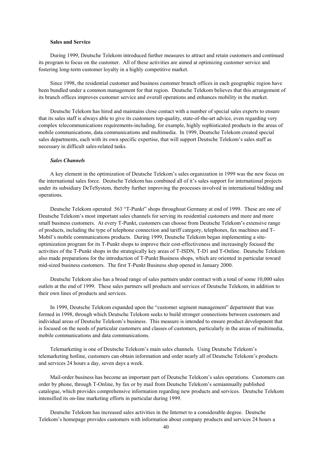# **Sales and Service**

During 1999, Deutsche Telekom introduced further measures to attract and retain customers and continued its program to focus on the customer. All of these activities are aimed at optimizing customer service and fostering long-term customer loyalty in a highly competitive market.

Since 1998, the residential customer and business customer branch offices in each geographic region have been bundled under a common management for that region. Deutsche Telekom believes that this arrangement of its branch offices improves customer service and overall operations and enhances mobility in the market.

Deutsche Telekom has hired and maintains close contact with a number of special sales experts to ensure that its sales staff is always able to give its customers top-quality, state-of-the-art advice, even regarding very complex telecommunications requirements-including, for example, highly sophisticated products in the areas of mobile communications, data communications and multimedia. In 1999, Deutsche Telekom created special sales departments, each with its own specific expertise, that will support Deutsche Telekom's sales staff as necessary in difficult sales-related tasks.

# *Sales Channels*

A key element in the optimization of Deutsche Telekom's sales organization in 1999 was the new focus on the international sales force. Deutsche Telekom has combined all of it's sales support for international projects under its subsidiary DeTeSystem, thereby further improving the processes involved in international bidding and operations.

Deutsche Telekom operated 563 "T-Punkt" shops throughout Germany at end of 1999. These are one of Deutsche Telekom's most important sales channels for serving its residential customers and more and more small business customers. At every T-Punkt, customers can choose from Deutsche Telekom's extensive range of products, including the type of telephone connection and tariff category, telephones, fax machines and T-Mobil's mobile communications products. During 1999, Deutsche Telekom began implementing a siteoptimization program for its T-Punkt shops to improve their cost-effectiveness and increasingly focused the activities of the T-Punkt shops in the strategically key areas of T-ISDN, T-D1 and T-Online. Deutsche Telekom also made preparations for the introduction of T-Punkt Business shops, which are oriented in particular toward mid-sized business customers. The first T-Punkt Business shop opened in January 2000.

Deutsche Telekom also has a broad range of sales partners under contract with a total of some 10,000 sales outlets at the end of 1999. These sales partners sell products and services of Deutsche Telekom, in addition to their own lines of products and services.

In 1999, Deutsche Telekom expanded upon the "customer segment management" department that was formed in 1998, through which Deutsche Telekom seeks to build stronger connections between customers and individual areas of Deutsche Telekom's business. This measure is intended to ensure product development that is focused on the needs of particular customers and classes of customers, particularly in the areas of multimedia, mobile communications and data communications.

Telemarketing is one of Deutsche Telekom's main sales channels. Using Deutsche Telekom's telemarketing hotline, customers can obtain information and order nearly all of Deutsche Telekom's products and services 24 hours a day, seven days a week.

Mail-order business has become an important part of Deutsche Telekom's sales operations. Customers can order by phone, through T-Online, by fax or by mail from Deutsche Telekom's semiannually published catalogue, which provides comprehensive information regarding new products and services. Deutsche Telekom intensified its on-line marketing efforts in particular during 1999.

Deutsche Telekom has increased sales activities in the Internet to a considerable degree. Deutsche Telekom's homepage provides customers with information about company products and services 24 hours a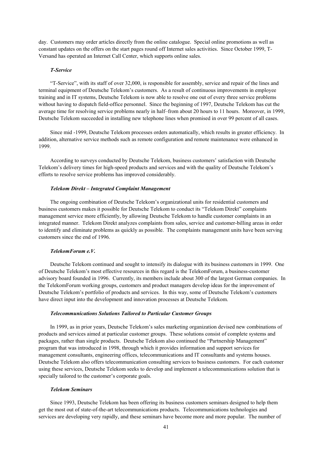day. Customers may order articles directly from the online catalogue. Special online promotions as well as constant updates on the offers on the start pages round off Internet sales activities. Since October 1999, T-Versand has operated an Internet Call Center, which supports online sales.

### *T-Service*

"T-Service", with its staff of over 32,000, is responsible for assembly, service and repair of the lines and terminal equipment of Deutsche Telekom's customers. As a result of continuous improvements in employee training and in IT systems, Deutsche Telekom is now able to resolve one out of every three service problems without having to dispatch field-office personnel. Since the beginning of 1997, Deutsche Telekom has cut the average time for resolving service problems nearly in half–from about 20 hours to 11 hours. Moreover, in 1999, Deutsche Telekom succeeded in installing new telephone lines when promised in over 99 percent of all cases.

Since mid -1999, Deutsche Telekom processes orders automatically, which results in greater efficiency. In addition, alternative service methods such as remote configuration and remote maintenance were enhanced in 1999.

According to surveys conducted by Deutsche Telekom, business customers' satisfaction with Deutsche Telekom's delivery times for high-speed products and services and with the quality of Deutsche Telekom's efforts to resolve service problems has improved considerably.

### *Telekom Direkt – Integrated Complaint Management*

The ongoing combination of Deutsche Telekom's organizational units for residential customers and business customers makes it possible for Deutsche Telekom to conduct its "Telekom Direkt" complaints management service more efficiently, by allowing Deutsche Telekom to handle customer complaints in an integrated manner. Telekom Direkt analyzes complaints from sales, service and customer-billing areas in order to identify and eliminate problems as quickly as possible. The complaints management units have been serving customers since the end of 1996.

# *TelekomForum e.V.*

Deutsche Telekom continued and sought to intensify its dialogue with its business customers in 1999. One of Deutsche Telekom's most effective resources in this regard is the TelekomForum, a business-customer advisory board founded in 1996. Currently, its members include about 300 of the largest German companies. In the TelekomForum working groups, customers and product managers develop ideas for the improvement of Deutsche Telekom's portfolio of products and services. In this way, some of Deutsche Telekom's customers have direct input into the development and innovation processes at Deutsche Telekom.

# *Telecommunications Solutions Tailored to Particular Customer Groups*

In 1999, as in prior years, Deutsche Telekom's sales marketing organization devised new combinations of products and services aimed at particular customer groups. These solutions consist of complete systems and packages, rather than single products. Deutsche Telekom also continued the "Partnership Management" program that was introduced in 1998, through which it provides information and support services for management consultants, engineering offices, telecommunications and IT consultants and systems houses. Deutsche Telekom also offers telecommunication consulting services to business customers. For each customer using these services, Deutsche Telekom seeks to develop and implement a telecommunications solution that is specially tailored to the customer's corporate goals.

## *Telekom Seminars*

Since 1993, Deutsche Telekom has been offering its business customers seminars designed to help them get the most out of state-of-the-art telecommunications products. Telecommunications technologies and services are developing very rapidly, and these seminars have become more and more popular. The number of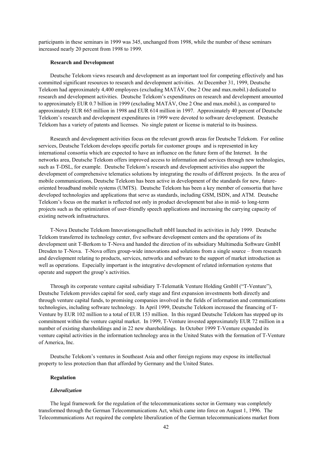participants in these seminars in 1999 was 345, unchanged from 1998, while the number of these seminars increased nearly 20 percent from 1998 to 1999.

### **Research and Development**

Deutsche Telekom views research and development as an important tool for competing effectively and has committed significant resources to research and development activities. At December 31, 1999, Deutsche Telekom had approximately 4,400 employees (excluding MATÁV, One 2 One and max.mobil.) dedicated to research and development activities. Deutsche Telekom's expenditures on research and development amounted to approximately EUR 0.7 billion in 1999 (excluding MATÁV, One 2 One and max.mobil.), as compared to approximately EUR 665 million in 1998 and EUR 614 million in 1997. Approximately 40 percent of Deutsche Telekom's research and development expenditures in 1999 were devoted to software development. Deutsche Telekom has a variety of patents and licenses. No single patent or license is material to its business.

Research and development activities focus on the relevant growth areas for Deutsche Telekom. For online services, Deutsche Telekom develops specific portals for customer groups and is represented in key international consortia which are expected to have an influence on the future form of the Internet. In the networks area, Deutsche Telekom offers improved access to information and services through new technologies, such as T-DSL, for example. Deutsche Telekom's research and development activities also support the development of comprehensive telematics solutions by integrating the results of different projects. In the area of mobile communications, Deutsche Telekom has been active in development of the standards for new, futureoriented broadband mobile systems (UMTS). Deutsche Telekom has been a key member of consortia that have developed technologies and applications that serve as standards, including GSM, ISDN, and ATM. Deutsche Telekom's focus on the market is reflected not only in product development but also in mid- to long-term projects such as the optimization of user-friendly speech applications and increasing the carrying capacity of existing network infrastructures.

T-Nova Deutsche Telekom Innovationsgesellschaft mbH launched its activities in July 1999. Deutsche Telekom transferred its technology center, five software development centers and the operations of its development unit T-Berkom to T-Nova and handed the direction of its subsidiary Multimedia Software GmbH Dresden to T-Nova. T-Nova offers group-wide innovations and solutions from a single source – from research and development relating to products, services, networks and software to the support of market introduction as well as operations. Especially important is the integrative development of related information systems that operate and support the group's activities.

Through its corporate venture capital subsidiary T-Telematik Venture Holding GmbH ("T-Venture"), Deutsche Telekom provides capital for seed, early stage and first expansion investments both directly and through venture capital funds, to promising companies involved in the fields of information and communications technologies, including software technology. In April 1999, Deutsche Telekom increased the financing of T-Venture by EUR 102 million to a total of EUR 153 million. In this regard Deutsche Telekom has stepped up its commitment within the venture capital market. In 1999, T-Venture invested approximately EUR 72 million in a number of existing shareholdings and in 22 new shareholdings. In October 1999 T-Venture expanded its venture capital activities in the information technology area in the United States with the formation of T-Venture of America, Inc.

Deutsche Telekom's ventures in Southeast Asia and other foreign regions may expose its intellectual property to less protection than that afforded by Germany and the United States.

# **Regulation**

#### *Liberalization*

The legal framework for the regulation of the telecommunications sector in Germany was completely transformed through the German Telecommunications Act, which came into force on August 1, 1996. The Telecommunications Act required the complete liberalization of the German telecommunications market from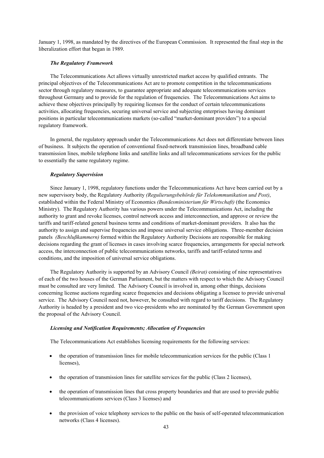January 1, 1998, as mandated by the directives of the European Commission. It represented the final step in the liberalization effort that began in 1989.

# *The Regulatory Framework*

The Telecommunications Act allows virtually unrestricted market access by qualified entrants. The principal objectives of the Telecommunications Act are to promote competition in the telecommunications sector through regulatory measures, to guarantee appropriate and adequate telecommunications services throughout Germany and to provide for the regulation of frequencies. The Telecommunications Act aims to achieve these objectives principally by requiring licenses for the conduct of certain telecommunications activities, allocating frequencies, securing universal service and subjecting enterprises having dominant positions in particular telecommunications markets (so-called "market-dominant providers") to a special regulatory framework.

In general, the regulatory approach under the Telecommunications Act does not differentiate between lines of business. It subjects the operation of conventional fixed-network transmission lines, broadband cable transmission lines, mobile telephone links and satellite links and all telecommunications services for the public to essentially the same regulatory regime.

# *Regulatory Supervision*

Since January 1, 1998, regulatory functions under the Telecommunications Act have been carried out by a new supervisory body, the Regulatory Authority *(Regulierungsbehörde für Telekommunikation und Post)*, established within the Federal Ministry of Economics *(Bundesministerium für Wirtschaft)* (the Economics Ministry). The Regulatory Authority has various powers under the Telecommunications Act, including the authority to grant and revoke licenses, control network access and interconnection, and approve or review the tariffs and tariff-related general business terms and conditions of market-dominant providers. It also has the authority to assign and supervise frequencies and impose universal service obligations. Three-member decision panels *(Beschlußkammern)* formed within the Regulatory Authority Decisions are responsible for making decisions regarding the grant of licenses in cases involving scarce frequencies, arrangements for special network access, the interconnection of public telecommunications networks, tariffs and tariff-related terms and conditions, and the imposition of universal service obligations.

The Regulatory Authority is supported by an Advisory Council *(Beirat)* consisting of nine representatives of each of the two houses of the German Parliament, but the matters with respect to which the Advisory Council must be consulted are very limited. The Advisory Council is involved in, among other things, decisions concerning license auctions regarding scarce frequencies and decisions obligating a licensee to provide universal service. The Advisory Council need not, however, be consulted with regard to tariff decisions. The Regulatory Authority is headed by a president and two vice-presidents who are nominated by the German Government upon the proposal of the Advisory Council.

## *Licensing and Notification Requirements; Allocation of Frequencies*

The Telecommunications Act establishes licensing requirements for the following services:

- the operation of transmission lines for mobile telecommunication services for the public (Class 1) licenses),
- the operation of transmission lines for satellite services for the public (Class 2 licenses),
- the operation of transmission lines that cross property boundaries and that are used to provide public telecommunications services (Class 3 licenses) and
- the provision of voice telephony services to the public on the basis of self-operated telecommunication networks (Class 4 licenses).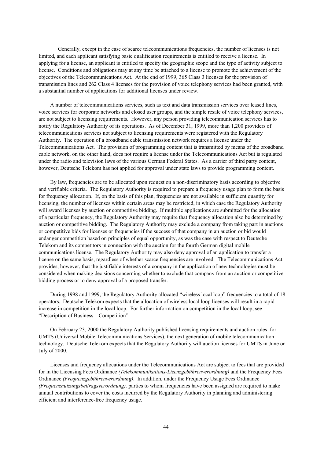Generally, except in the case of scarce telecommunications frequencies, the number of licenses is not limited, and each applicant satisfying basic qualification requirements is entitled to receive a license. In applying for a license, an applicant is entitled to specify the geographic scope and the type of activity subject to license. Conditions and obligations may at any time be attached to a license to promote the achievement of the objectives of the Telecommunications Act. At the end of 1999, 365 Class 3 licenses for the provision of transmission lines and 262 Class 4 licenses for the provision of voice telephony services had been granted, with a substantial number of applications for additional licenses under review.

A number of telecommunications services, such as text and data transmission services over leased lines, voice services for corporate networks and closed user groups, and the simple resale of voice telephony services, are not subject to licensing requirements. However, any person providing telecommunication services has to notify the Regulatory Authority of its operations. As of December 31, 1999, more than 1,200 providers of telecommunications services not subject to licensing requirements were registered with the Regulatory Authority. The operation of a broadband cable transmission network requires a license under the Telecommunications Act. The provision of programming content that is transmitted by means of the broadband cable network, on the other hand, does not require a license under the Telecommunications Act but is regulated under the radio and television laws of the various German Federal States. As a carrier of third party content, however, Deutsche Telekom has not applied for approval under state laws to provide programming content.

By law, frequencies are to be allocated upon request on a non-discriminatory basis according to objective and verifiable criteria. The Regulatory Authority is required to prepare a frequency usage plan to form the basis for frequency allocation. If, on the basis of this plan, frequencies are not available in sufficient quantity for licensing, the number of licenses within certain areas may be restricted, in which case the Regulatory Authority will award licenses by auction or competitive bidding. If multiple applications are submitted for the allocation of a particular frequency, the Regulatory Authority may require that frequency allocation also be determined by auction or competitive bidding. The Regulatory Authority may exclude a company from taking part in auctions or competitive bids for licenses or frequencies if the success of that company in an auction or bid would endanger competition based on principles of equal opportunity, as was the case with respect to Deutsche Telekom and its competitors in connection with the auction for the fourth German digital mobile communications license. The Regulatory Authority may also deny approval of an application to transfer a license on the same basis, regardless of whether scarce frequencies are involved. The Telecommunications Act provides, however, that the justifiable interests of a company in the application of new technologies must be considered when making decisions concerning whether to exclude that company from an auction or competitive bidding process or to deny approval of a proposed transfer.

During 1998 and 1999, the Regulatory Authority allocated "wireless local loop" frequencies to a total of 18 operators. Deutsche Telekom expects that the allocation of wireless local loop licenses will result in a rapid increase in competition in the local loop. For further information on competition in the local loop, see "Description of Business—Competition".

On February 23, 2000 the Regulatory Authority published licensing requirements and auction rules for UMTS (Universal Mobile Telecommunications Services), the next generation of mobile telecommunication technology. Deutsche Telekom expects that the Regulatory Authority will auction licenses for UMTS in June or July of 2000.

Licenses and frequency allocations under the Telecommunications Act are subject to fees that are provided for in the Licensing Fees Ordinance *(Telekommunikations-Lizenzgebührenverordnung)* and the Frequency Fees Ordinance *(Frequenzgebührenverordnung)*. In addition, under the Frequency Usage Fees Ordinance *(Frequenznutzungsbeitragsverordnung),* parties to whom frequencies have been assigned are required to make annual contributions to cover the costs incurred by the Regulatory Authority in planning and administering efficient and interference-free frequency usage.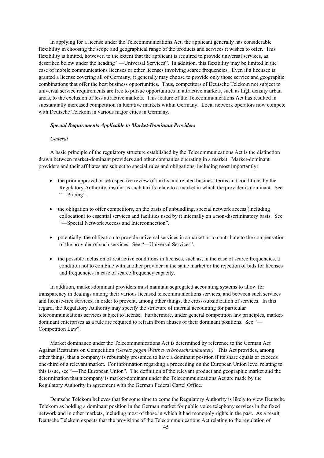In applying for a license under the Telecommunications Act, the applicant generally has considerable flexibility in choosing the scope and geographical range of the products and services it wishes to offer. This flexibility is limited, however, to the extent that the applicant is required to provide universal services, as described below under the heading "—Universal Services". In addition, this flexibility may be limited in the case of mobile communications licenses or other licenses involving scarce frequencies. Even if a licensee is granted a license covering all of Germany, it generally may choose to provide only those service and geographic combinations that offer the best business opportunities. Thus, competitors of Deutsche Telekom not subject to universal service requirements are free to pursue opportunities in attractive markets, such as high density urban areas, to the exclusion of less attractive markets. This feature of the Telecommunications Act has resulted in substantially increased competition in lucrative markets within Germany. Local network operators now compete with Deutsche Telekom in various major cities in Germany.

### *Special Requirements Applicable to Market-Dominant Providers*

## *General*

A basic principle of the regulatory structure established by the Telecommunications Act is the distinction drawn between market-dominant providers and other companies operating in a market. Market-dominant providers and their affiliates are subject to special rules and obligations, including most importantly:

- the prior approval or retrospective review of tariffs and related business terms and conditions by the Regulatory Authority, insofar as such tariffs relate to a market in which the provider is dominant. See "—Pricing".
- the obligation to offer competitors, on the basis of unbundling, special network access (including collocation) to essential services and facilities used by it internally on a non-discriminatory basis. See "—Special Network Access and Interconnection".
- potentially, the obligation to provide universal services in a market or to contribute to the compensation of the provider of such services. See "—Universal Services".
- the possible inclusion of restrictive conditions in licenses, such as, in the case of scarce frequencies, a condition not to combine with another provider in the same market or the rejection of bids for licenses and frequencies in case of scarce frequency capacity.

In addition, market-dominant providers must maintain segregated accounting systems to allow for transparency in dealings among their various licensed telecommunications services, and between such services and license-free services, in order to prevent, among other things, the cross-subsidization of services. In this regard, the Regulatory Authority may specify the structure of internal accounting for particular telecommunications services subject to license. Furthermore, under general competition law principles, marketdominant enterprises as a rule are required to refrain from abuses of their dominant positions. See "— Competition Law".

Market dominance under the Telecommunications Act is determined by reference to the German Act Against Restraints on Competition *(Gesetz gegen Wettbewerbsbeschränkungen).* This Act provides, among other things, that a company is rebuttably presumed to have a dominant position if its share equals or exceeds one-third of a relevant market. For information regarding a proceeding on the European Union level relating to this issue, see "—The European Union". The definition of the relevant product and geographic market and the determination that a company is market-dominant under the Telecommunications Act are made by the Regulatory Authority in agreement with the German Federal Cartel Office.

Deutsche Telekom believes that for some time to come the Regulatory Authority is likely to view Deutsche Telekom as holding a dominant position in the German market for public voice telephony services in the fixed network and in other markets, including most of those in which it had monopoly rights in the past. As a result, Deutsche Telekom expects that the provisions of the Telecommunications Act relating to the regulation of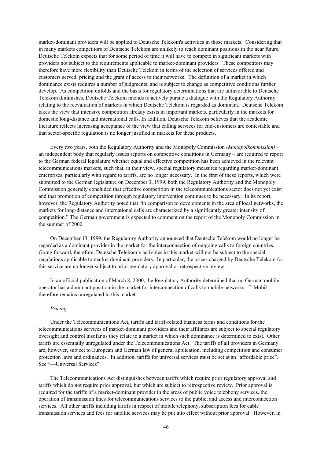market-dominant providers will be applied to Deutsche Telekom's activities in those markets. Considering that in many markets competitors of Deutsche Telekom are unlikely to reach dominant positions in the near future, Deutsche Telekom expects that for some period of time it will have to compete in significant markets with providers not subject to the requirements applicable to market-dominant providers. These competitors may therefore have more flexibility than Deutsche Telekom in terms of the selection of services offered and customers served, pricing and the grant of access to their networks. The definition of a market in which dominance exists requires a number of judgments, and is subject to change as competitive conditions further develop. As competition unfolds and the basis for regulatory determinations that are unfavorable to Deutsche Telekom diminishes, Deutsche Telekom intends to actively pursue a dialogue with the Regulatory Authority relating to the reevaluation of markets in which Deutsche Telekom is regarded as dominant. Deutsche Telekom takes the view that intensive competition already exists in important markets, particularly in the markets for domestic long-distance and international calls. In addition, Deutsche Telekom believes that the academic literature reflects increasing acceptance of the view that calling services for end-customers are contestable and that sector-specific regulation is no longer justified in markets for these products.

Every two years, both the Regulatory Authority and the Monopoly Commission *(Monopolkommission)* – an independent body that regularly issues reports on competitive conditions in Germany – are required to report to the German federal legislature whether equal and effective competition has been achieved in the relevant telecommunications markets, such that, in their view, special regulatory measures regarding market-dominant enterprises, particularly with regard to tariffs, are no longer necessary. In the first of these reports, which were submitted to the German legislature on December 3, 1999, both the Regulatory Authority and the Monopoly Commission generally concluded that effective competition in the telecommunications sector does not yet exist and that promotion of competition through regulatory intervention continues to be necessary. In its report, however, the Regulatory Authority noted that "in comparison to developments in the area of local networks, the markets for long-distance and international calls are characterized by a significantly greater intensity of competition." The German government is expected to comment on the report of the Monopoly Commission in the summer of 2000.

On December 13, 1999, the Regulatory Authority announced that Deutsche Telekom would no longer be regarded as a dominant provider in the market for the interconnection of outgoing calls to foreign countries. Going forward, therefore, Deutsche Telekom's activities in this market will not be subject to the special regulations applicable to market dominant providers. In particular, the prices charged by Deutsche Telekom for this service are no longer subject to prior regulatory approval or retrospective review.

In an official publication of March 8, 2000, the Regulatory Authority determined that no German mobile operator has a dominant position in the market for interconnection of calls to mobile networks. T-Mobil therefore remains unregulated in this market.

### *Pricing*

Under the Telecommunications Act, tariffs and tariff-related business terms and conditions for the telecommunications services of market-dominant providers and their affiliates are subject to special regulatory oversight and control insofar as they relate to a market in which such dominance is determined to exist. Other tariffs are essentially unregulated under the Telecommunications Act. The tariffs of all providers in Germany are, however, subject to European and German law of general application, including competition and consumer protection laws and ordinances. In addition, tariffs for universal services must be set at an "affordable price". See "—Universal Services".

The Telecommunications Act distinguishes between tariffs which require prior regulatory approval and tariffs which do not require prior approval, but which are subject to retrospective review. Prior approval is required for the tariffs of a market-dominant provider in the areas of public voice telephony services, the operation of transmission lines for telecommunications services to the public, and access and interconnection services. All other tariffs including tariffs in respect of mobile telephony, subscription fees for cable transmission services and fees for satellite services may be put into effect without prior approval. However, in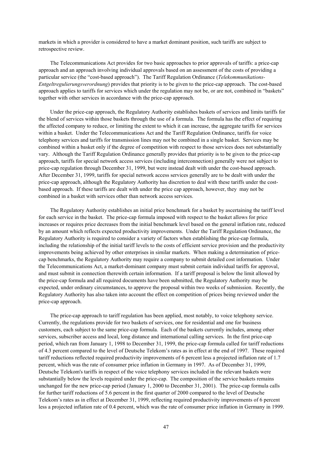markets in which a provider is considered to have a market dominant position, such tariffs are subject to retrospective review.

The Telecommunications Act provides for two basic approaches to prior approvals of tariffs: a price-cap approach and an approach involving individual approvals based on an assessment of the costs of providing a particular service (the "cost-based approach"). The Tariff Regulation Ordinance (*Telekommunikations-Entgeltregulierungsverordnung*) provides that priority is to be given to the price-cap approach. The cost-based approach applies to tariffs for services which under the regulation may not be, or are not, combined in "baskets" together with other services in accordance with the price-cap approach.

Under the price-cap approach, the Regulatory Authority establishes baskets of services and limits tariffs for the blend of services within those baskets through the use of a formula. The formula has the effect of requiring the affected company to reduce, or limiting the extent to which it can increase, the aggregate tariffs for services within a basket. Under the Telecommunications Act and the Tariff Regulation Ordinance, tariffs for voice telephony services and tariffs for transmission lines may not be combined in a single basket. Services may be combined within a basket only if the degree of competition with respect to those services does not substantially vary. Although the Tariff Regulation Ordinance generally provides that priority is to be given to the price-cap approach, tariffs for special network access services (including interconnection) generally were not subject to price-cap regulation through December 31, 1999, but were instead dealt with under the cost-based approach. After December 31, 1999, tariffs for special network access services generally are to be dealt with under the price-cap approach, although the Regulatory Authority has discretion to deal with these tariffs under the costbased approach. If these tariffs are dealt with under the price cap approach, however, they may not be combined in a basket with services other than network access services.

The Regulatory Authority establishes an initial price benchmark for a basket by ascertaining the tariff level for each service in the basket. The price-cap formula imposed with respect to the basket allows for price increases or requires price decreases from the initial benchmark level based on the general inflation rate, reduced by an amount which reflects expected productivity improvements. Under the Tariff Regulation Ordinance, the Regulatory Authority is required to consider a variety of factors when establishing the price-cap formula, including the relationship of the initial tariff levels to the costs of efficient service provision and the productivity improvements being achieved by other enterprises in similar markets. When making a determination of pricecap benchmarks, the Regulatory Authority may require a company to submit detailed cost information. Under the Telecommunications Act, a market-dominant company must submit certain individual tariffs for approval, and must submit in connection therewith certain information. If a tariff proposal is below the limit allowed by the price-cap formula and all required documents have been submitted, the Regulatory Authority may be expected, under ordinary circumstances, to approve the proposal within two weeks of submission. Recently, the Regulatory Authority has also taken into account the effect on competition of prices being reviewed under the price-cap approach.

The price-cap approach to tariff regulation has been applied, most notably, to voice telephony service. Currently, the regulations provide for two baskets of services, one for residential and one for business customers, each subject to the same price-cap formula. Each of the baskets currently includes, among other services, subscriber access and local, long distance and international calling services. In the first price-cap period, which ran from January 1, 1998 to December 31, 1999, the price-cap formula called for tariff reductions of 4.3 percent compared to the level of Deutsche Telekom's rates as in effect at the end of 1997. These required tariff reductions reflected required productivity improvements of 6 percent less a projected inflation rate of 1.7 percent, which was the rate of consumer price inflation in Germany in 1997. As of December 31, 1999, Deutsche Telekom's tariffs in respect of the voice telephony services included in the relevant baskets were substantially below the levels required under the price-cap. The composition of the service baskets remains unchanged for the new price-cap period (January 1, 2000 to December 31, 2001). The price-cap formula calls for further tariff reductions of 5.6 percent in the first quarter of 2000 compared to the level of Deutsche Telekom's rates as in effect at December 31, 1999, reflecting required productivity improvements of 6 percent less a projected inflation rate of 0.4 percent, which was the rate of consumer price inflation in Germany in 1999.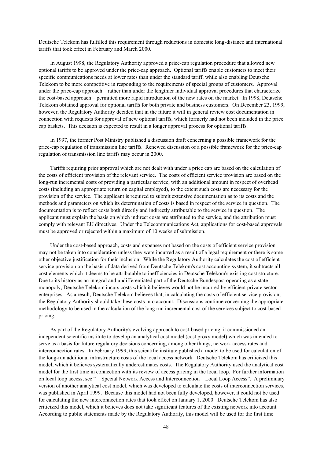Deutsche Telekom has fulfilled this requirement through reductions in domestic long-distance and international tariffs that took effect in February and March 2000.

In August 1998, the Regulatory Authority approved a price-cap regulation procedure that allowed new optional tariffs to be approved under the price-cap approach. Optional tariffs enable customers to meet their specific communications needs at lower rates than under the standard tariff, while also enabling Deutsche Telekom to be more competitive in responding to the requirements of special groups of customers. Approval under the price-cap approach – rather than under the lengthier individual approval procedures that characterize the cost-based approach – permitted more rapid introduction of the new rates on the market. In 1998, Deutsche Telekom obtained approval for optional tariffs for both private and business customers. On December 23, 1999, however, the Regulatory Authority decided that in the future it will in general review cost documentation in connection with requests for approval of new optional tariffs, which formerly had not been included in the price cap baskets. This decision is expected to result in a longer approval process for optional tariffs.

In 1997, the former Post Ministry published a discussion draft concerning a possible framework for the price-cap regulation of transmission line tariffs. Renewed discussion of a possible framework for the price-cap regulation of transmission line tariffs may occur in 2000.

Tariffs requiring prior approval which are not dealt with under a price cap are based on the calculation of the costs of efficient provision of the relevant service. The costs of efficient service provision are based on the long-run incremental costs of providing a particular service, with an additional amount in respect of overhead costs (including an appropriate return on capital employed), to the extent such costs are necessary for the provision of the service. The applicant is required to submit extensive documentation as to its costs and the methods and parameters on which its determination of costs is based in respect of the service in question. The documentation is to reflect costs both directly and indirectly attributable to the service in question. The applicant must explain the basis on which indirect costs are attributed to the service, and the attribution must comply with relevant EU directives. Under the Telecommunications Act, applications for cost-based approvals must be approved or rejected within a maximum of 10 weeks of submission.

Under the cost-based approach, costs and expenses not based on the costs of efficient service provision may not be taken into consideration unless they were incurred as a result of a legal requirement or there is some other objective justification for their inclusion. While the Regulatory Authority calculates the cost of efficient service provision on the basis of data derived from Deutsche Telekom's cost accounting system, it subtracts all cost elements which it deems to be attributable to inefficiencies in Deutsche Telekom's existing cost structure. Due to its history as an integral and undifferentiated part of the Deutsche Bundespost operating as a state monopoly, Deutsche Telekom incurs costs which it believes would not be incurred by efficient private sector enterprises. As a result, Deutsche Telekom believes that, in calculating the costs of efficient service provision, the Regulatory Authority should take these costs into account. Discussions continue concerning the appropriate methodology to be used in the calculation of the long run incremental cost of the services subject to cost-based pricing.

As part of the Regulatory Authority's evolving approach to cost-based pricing, it commissioned an independent scientific institute to develop an analytical cost model (cost proxy model) which was intended to serve as a basis for future regulatory decisions concerning, among other things, network access rates and interconnection rates. In February 1999, this scientific institute published a model to be used for calculation of the long-run additional infrastructure costs of the local access network. Deutsche Telekom has criticized this model, which it believes systematically underestimates costs. The Regulatory Authority used the analytical cost model for the first time in connection with its review of access pricing in the local loop. For further information on local loop access, see "—Special Network Access and Interconnection—Local Loop Access". A preliminary version of another analytical cost model, which was developed to calculate the costs of interconnection services, was published in April 1999. Because this model had not been fully developed, however, it could not be used for calculating the new interconnection rates that took effect on January 1, 2000. Deutsche Telekom has also criticized this model, which it believes does not take significant features of the existing network into account. According to public statements made by the Regulatory Authority, this model will be used for the first time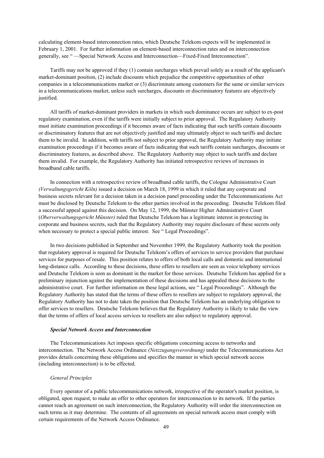calculating element-based interconnection rates, which Deutsche Telekom expects will be implemented in February 1, 2001. For further information on element-based interconnection rates and on interconnection generally, see " —Special Network Access and Interconnection—Fixed-Fixed Interconnection".

Tariffs may not be approved if they (1) contain surcharges which prevail solely as a result of the applicant's market-dominant position, (2) include discounts which prejudice the competitive opportunities of other companies in a telecommunications market or (3) discriminate among customers for the same or similar services in a telecommunications market, unless such surcharges, discounts or discriminatory features are objectively justified.

All tariffs of market-dominant providers in markets in which such dominance occurs are subject to ex-post regulatory examination, even if the tariffs were initially subject to prior approval. The Regulatory Authority must initiate examination proceedings if it becomes aware of facts indicating that such tariffs contain discounts or discriminatory features that are not objectively justified and may ultimately object to such tariffs and declare them to be invalid. In addition, with tariffs not subject to prior approval, the Regulatory Authority may initiate examination proceedings if it becomes aware of facts indicating that such tariffs contain surcharges, discounts or discriminatory features, as described above. The Regulatory Authority may object to such tariffs and declare them invalid. For example, the Regulatory Authority has initiated retrospective reviews of increases in broadband cable tariffs.

In connection with a retrospective review of broadband cable tariffs, the Cologne Administrative Court *(Verwaltungsgericht Köln)* issued a decision on March 18, 1999 in which it ruled that any corporate and business secrets relevant for a decision taken in a decision panel proceeding under the Telecommunications Act must be disclosed by Deutsche Telekom to the other parties involved in the proceeding. Deutsche Telekom filed a successful appeal against this decision. On May 12, 1999, the Münster Higher Administrative Court (*Oberverwaltungsgericht Münster)* ruled that Deutsche Telekom has a legitimate interest in protecting its corporate and business secrets, such that the Regulatory Authority may require disclosure of these secrets only when necessary to protect a special public interest. See " Legal Proceedings".

In two decisions published in September and November 1999, the Regulatory Authority took the position that regulatory approval is required for Deutsche Telekom's offers of services to service providers that purchase services for purposes of resale. This position relates to offers of both local calls and domestic and international long-distance calls. According to these decisions, these offers to resellers are seen as voice telephony services and Deutsche Telekom is seen as dominant in the market for those services. Deutsche Telekom has applied for a preliminary injunction against the implementation of these decisions and has appealed these decisions to the administrative court. For further information on these legal actions, see " Legal Proceedings". Although the Regulatory Authority has stated that the terms of these offers to resellers are subject to regulatory approval, the Regulatory Authority has not to date taken the position that Deutsche Telekom has an underlying obligation to offer services to resellers. Deutsche Telekom believes that the Regulatory Authority is likely to take the view that the terms of offers of local access services to resellers are also subject to regulatory approval.

## *Special Network Access and Interconnection*

The Telecommunications Act imposes specific obligations concerning access to networks and interconnection. The Network Access Ordinance *(Netzzugangsverordnung)* under the Telecommunications Act provides details concerning these obligations and specifies the manner in which special network access (including interconnection) is to be effected.

## *General Principles*

Every operator of a public telecommunications network, irrespective of the operator's market position, is obligated, upon request, to make an offer to other operators for interconnection to its network. If the parties cannot reach an agreement on such interconnection, the Regulatory Authority will order the interconnection on such terms as it may determine. The contents of all agreements on special network access must comply with certain requirements of the Network Access Ordinance.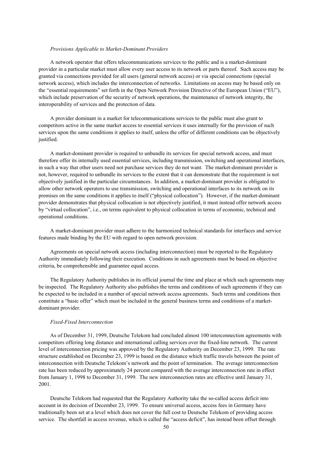### *Provisions Applicable to Market-Dominant Providers*

A network operator that offers telecommunications services to the public and is a market-dominant provider in a particular market must allow every user access to its network or parts thereof. Such access may be granted via connections provided for all users (general network access) or via special connections (special network access), which includes the interconnection of networks. Limitations on access may be based only on the "essential requirements" set forth in the Open Network Provision Directive of the European Union ("EU"), which include preservation of the security of network operations, the maintenance of network integrity, the interoperability of services and the protection of data.

A provider dominant in a market for telecommunications services to the public must also grant to competitors active in the same market access to essential services it uses internally for the provision of such services upon the same conditions it applies to itself, unless the offer of different conditions can be objectively justified.

A market-dominant provider is required to unbundle its services for special network access, and must therefore offer its internally used essential services, including transmission, switching and operational interfaces, in such a way that other users need not purchase services they do not want. The market-dominant provider is not, however, required to unbundle its services to the extent that it can demonstrate that the requirement is not objectively justified in the particular circumstances. In addition, a market-dominant provider is obligated to allow other network operators to use transmission, switching and operational interfaces to its network on its premises on the same conditions it applies to itself ("physical collocation"). However, if the market-dominant provider demonstrates that physical collocation is not objectively justified, it must instead offer network access by "virtual collocation", i.e., on terms equivalent to physical collocation in terms of economic, technical and operational conditions.

A market-dominant provider must adhere to the harmonized technical standards for interfaces and service features made binding by the EU with regard to open network provision.

Agreements on special network access (including interconnection) must be reported to the Regulatory Authority immediately following their execution. Conditions in such agreements must be based on objective criteria, be comprehensible and guarantee equal access.

The Regulatory Authority publishes in its official journal the time and place at which such agreements may be inspected. The Regulatory Authority also publishes the terms and conditions of such agreements if they can be expected to be included in a number of special network access agreements. Such terms and conditions then constitute a "basic offer" which must be included in the general business terms and conditions of a marketdominant provider.

### *Fixed-Fixed Interconnection*

As of December 31, 1999, Deutsche Telekom had concluded almost 100 interconnection agreements with competitors offering long distance and international calling services over the fixed-line network. The current level of interconnection pricing was approved by the Regulatory Authority on December 23, 1999. The rate structure established on December 23, 1999 is based on the distance which traffic travels between the point of interconnection with Deutsche Telekom's network and the point of termination. The average interconnection rate has been reduced by approximately 24 percent compared with the average interconnection rate in effect from January 1, 1998 to December 31, 1999. The new interconnection rates are effective until January 31, 2001.

Deutsche Telekom had requested that the Regulatory Authority take the so-called access deficit into account in its decision of December 23, 1999. To ensure universal access, access fees in Germany have traditionally been set at a level which does not cover the full cost to Deutsche Telekom of providing access service. The shortfall in access revenue, which is called the "access deficit", has instead been offset through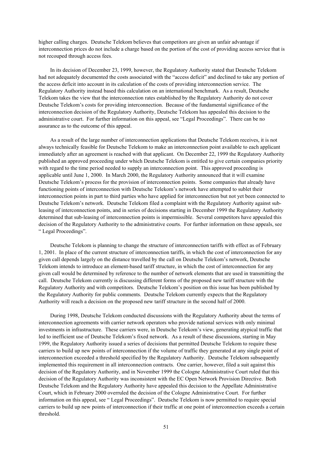higher calling charges. Deutsche Telekom believes that competitors are given an unfair advantage if interconnection prices do not include a charge based on the portion of the cost of providing access service that is not recouped through access fees.

In its decision of December 23, 1999, however, the Regulatory Authority stated that Deutsche Telekom had not adequately documented the costs associated with the "access deficit" and declined to take any portion of the access deficit into account in its calculation of the costs of providing interconnection service. The Regulatory Authority instead based this calculation on an international benchmark. As a result, Deutsche Telekom takes the view that the interconnection rates established by the Regulatory Authority do not cover Deutsche Telekom's costs for providing interconnection. Because of the fundamental significance of the interconnection decision of the Regulatory Authority, Deutsche Telekom has appealed this decision to the administrative court. For further information on this appeal, see "Legal Proceedings". There can be no assurance as to the outcome of this appeal.

As a result of the large number of interconnection applications that Deutsche Telekom receives, it is not always technically feasible for Deutsche Telekom to make an interconnection point available to each applicant immediately after an agreement is reached with that applicant. On December 22, 1999 the Regulatory Authority published an approved proceeding under which Deutsche Telekom is entitled to give certain companies priority with regard to the time period needed to supply an interconnection point. This approved proceeding is applicable until June 1, 2000. In March 2000, the Regulatory Authority announced that it will examine Deutsche Telekom's process for the provision of interconnection points. Some companies that already have functioning points of interconnection with Deutsche Telekom's network have attempted to sublet their interconnection points in part to third parties who have applied for interconnection but not yet been connected to Deutsche Telekom's network. Deutsche Telekom filed a complaint with the Regulatory Authority against subleasing of interconnection points, and in series of decisions starting in December 1999 the Regulatory Authority determined that sub-leasing of interconnection points is impermissible. Several competitors have appealed this decision of the Regulatory Authority to the administrative courts. For further information on these appeals, see " Legal Proceedings".

Deutsche Telekom is planning to change the structure of interconnection tariffs with effect as of February 1, 2001. In place of the current structure of interconnection tariffs, in which the cost of interconnection for any given call depends largely on the distance travelled by the call on Deutsche Telekom's network, Deutsche Telekom intends to introduce an element-based tariff structure, in which the cost of interconnection for any given call would be determined by reference to the number of network elements that are used in transmitting the call. Deutsche Telekom currently is discussing different forms of the proposed new tariff structure with the Regulatory Authority and with competitors. Deutsche Telekom's position on this issue has been published by the Regulatory Authority for public comments. Deutsche Telekom currently expects that the Regulatory Authority will reach a decision on the proposed new tariff structure in the second half of 2000.

During 1998, Deutsche Telekom conducted discussions with the Regulatory Authority about the terms of interconnection agreements with carrier network operators who provide national services with only minimal investments in infrastructure. These carriers were, in Deutsche Telekom's view, generating atypical traffic that led to inefficient use of Deutsche Telekom's fixed network. As a result of these discussions, starting in May 1999, the Regulatory Authority issued a series of decisions that permitted Deutsche Telekom to require these carriers to build up new points of interconnection if the volume of traffic they generated at any single point of interconnection exceeded a threshold specified by the Regulatory Authority. Deutsche Telekom subsequently implemented this requirement in all interconnection contracts. One carrier, however, filed a suit against this decision of the Regulatory Authority, and in November 1999 the Cologne Administrative Court ruled that this decision of the Regulatory Authority was inconsistent with the EC Open Network Provision Directive. Both Deutsche Telekom and the Regulatory Authority have appealed this decision to the Appellate Administrative Court, which in February 2000 overruled the decision of the Cologne Administrative Court. For further information on this appeal, see " Legal Proceedings". Deutsche Telekom is now permitted to require special carriers to build up new points of interconnection if their traffic at one point of interconnection exceeds a certain threshold.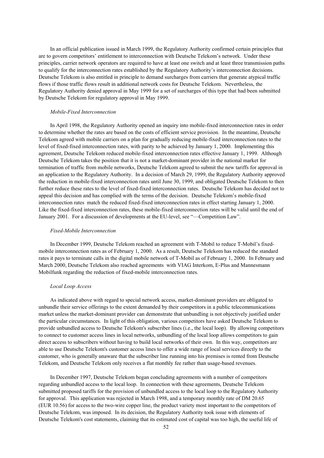In an official publication issued in March 1999, the Regulatory Authority confirmed certain principles that are to govern competitors' entitlement to interconnection with Deutsche Telekom's network. Under these principles, carrier network operators are required to have at least one switch and at least three transmission paths to qualify for the interconnection rates established by the Regulatory Authority's interconnection decisions. Deutsche Telekom is also entitled in principle to demand surcharges from carriers that generate atypical traffic flows if those traffic flows result in additional network costs for Deutsche Telekom. Nevertheless, the Regulatory Authority denied approval in May 1999 for a set of surcharges of this type that had been submitted by Deutsche Telekom for regulatory approval in May 1999.

# *Mobile-Fixed Interconnection*

In April 1998, the Regulatory Authority opened an inquiry into mobile-fixed interconnection rates in order to determine whether the rates are based on the costs of efficient service provision. In the meantime, Deutsche Telekom agreed with mobile carriers on a plan for gradually reducing mobile-fixed interconnection rates to the level of fixed-fixed interconnection rates, with parity to be achieved by January 1, 2000. Implementing this agreement, Deutsche Telekom reduced mobile-fixed interconnection rates effective January 1, 1999. Although Deutsche Telekom takes the position that it is not a market-dominant provider in the national market for termination of traffic from mobile networks, Deutsche Telekom agreed to submit the new tariffs for approval in an application to the Regulatory Authority. In a decision of March 29, 1999, the Regulatory Authority approved the reduction in mobile-fixed interconnection rates until June 30, 1999, and obligated Deutsche Telekom to then further reduce these rates to the level of fixed-fixed interconnection rates. Deutsche Telekom has decided not to appeal this decision and has complied with the terms of the decision. Deutsche Telekom's mobile-fixed interconnection rates match the reduced fixed-fixed interconnection rates in effect starting January 1, 2000. Like the fixed-fixed interconnection rates, these mobile-fixed interconnection rates will be valid until the end of January 2001. For a discussion of developments at the EU-level, see "—Competition Law".

# *Fixed-Mobile Interconnection*

In December 1999, Deutsche Telekom reached an agreement with T-Mobil to reduce T-Mobil's fixedmobile interconnection rates as of February 1, 2000. As a result, Deutsche Telekom has reduced the standard rates it pays to terminate calls in the digital mobile network of T-Mobil as of February 1, 2000. In February and March 2000, Deutsche Telekom also reached agreements with VIAG Interkom, E-Plus and Mannesmann Mobilfunk regarding the reduction of fixed-mobile interconnection rates.

# *Local Loop Access*

As indicated above with regard to special network access, market-dominant providers are obligated to unbundle their service offerings to the extent demanded by their competitors in a public telecommunications market unless the market-dominant provider can demonstrate that unbundling is not objectively justified under the particular circumstances. In light of this obligation, various competitors have asked Deutsche Telekom to provide unbundled access to Deutsche Telekom's subscriber lines (i.e., the local loop). By allowing competitors to connect to customer access lines in local networks, unbundling of the local loop allows competitors to gain direct access to subscribers without having to build local networks of their own. In this way, competitors are able to use Deutsche Telekom's customer access lines to offer a wide range of local services directly to the customer, who is generally unaware that the subscriber line running into his premises is rented from Deutsche Telekom, and Deutsche Telekom only receives a flat monthly fee rather than usage-based revenues.

In December 1997, Deutsche Telekom began concluding agreements with a number of competitors regarding unbundled access to the local loop. In connection with these agreements, Deutsche Telekom submitted proposed tariffs for the provision of unbundled access to the local loop to the Regulatory Authority for approval. This application was rejected in March 1998, and a temporary monthly rate of DM 20.65 (EUR 10.56) for access to the two-wire copper line, the product variety most important to the competitors of Deutsche Telekom, was imposed. In its decision, the Regulatory Authority took issue with elements of Deutsche Telekom's cost statements, claiming that its estimated cost of capital was too high, the useful life of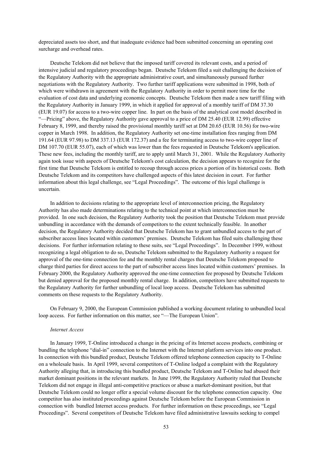depreciated assets too short, and that inadequate evidence had been submitted concerning an operating cost surcharge and overhead rates.

Deutsche Telekom did not believe that the imposed tariff covered its relevant costs, and a period of intensive judicial and regulatory proceedings began. Deutsche Telekom filed a suit challenging the decision of the Regulatory Authority with the appropriate administrative court, and simultaneously pursued further negotiations with the Regulatory Authority. Two further tariff applications were submitted in 1998, both of which were withdrawn in agreement with the Regulatory Authority in order to permit more time for the evaluation of cost data and underlying economic concepts. Deutsche Telekom then made a new tariff filing with the Regulatory Authority in January 1999, in which it applied for approval of a monthly tariff of DM 37.30 (EUR 19.07) for access to a two-wire copper line. In part on the basis of the analytical cost model described in "—Pricing" above, the Regulatory Authority gave approval to a price of DM 25.40 (EUR 12.99) effective February 8, 1999, and thereby raised the provisional monthly tariff set at DM 20.65 (EUR 10.56) for two-wire copper in March 1998. In addition, the Regulatory Authority set one-time installation fees ranging from DM 191.64 (EUR 97.98) to DM 337.13 (EUR 172.37) and a fee for terminating access to two-wire copper line of DM 107.70 (EUR 55.07), each of which was lower than the fees requested in Deutsche Telekom's application. These new fees, including the monthly tariff, are to apply until March 31, 2001. While the Regulatory Authority again took issue with aspects of Deutsche Telekom's cost calculation, the decision appears to recognize for the first time that Deutsche Telekom is entitled to recoup through access prices a portion of its historical costs. Both Deutsche Telekom and its competitors have challenged aspects of this latest decision in court. For further information about this legal challenge, see "Legal Proceedings". The outcome of this legal challenge is uncertain.

In addition to decisions relating to the appropriate level of interconnection pricing, the Regulatory Authority has also made determinations relating to the technical point at which interconnection must be provided. In one such decision, the Regulatory Authority took the position that Deutsche Telekom must provide unbundling in accordance with the demands of competitors to the extent technically feasible. In another decision, the Regulatory Authority decided that Deutsche Telekom has to grant unbundled access to the part of subscriber access lines located within customers' premises. Deutsche Telekom has filed suits challenging these decisions. For further information relating to these suits, see "Legal Proceedings". In December 1999, without recognizing a legal obligation to do so, Deutsche Telekom submitted to the Regulatory Authority a request for approval of the one-time connection fee and the monthly rental charges that Deutsche Telekom proposed to charge third parties for direct access to the part of subscriber access lines located within customers' premises. In February 2000, the Regulatory Authority approved the one-time connection fee proposed by Deutsche Telekom but denied approval for the proposed monthly rental charge. In addition, competitors have submitted requests to the Regulatory Authority for further unbundling of local loop access. Deutsche Telekom has submitted comments on these requests to the Regulatory Authority.

On February 9, 2000, the European Commission published a working document relating to unbundled local loop access. For further information on this matter, see "—The European Union".

### *Internet Access*

In January 1999, T-Online introduced a change in the pricing of its Internet access products, combining or bundling the telephone "dial-in" connection to the Internet with the Internet platform services into one product. In connection with this bundled product, Deutsche Telekom offered telephone connection capacity to T-Online on a wholesale basis. In April 1999, several competitors of T-Online lodged a complaint with the Regulatory Authority alleging that, in introducing this bundled product, Deutsche Telekom and T-Online had abused their market dominant positions in the relevant markets. In June 1999, the Regulatory Authority ruled that Deutsche Telekom did not engage in illegal anti-competitive practices or abuse a market-dominant position, but that Deutsche Telekom could no longer offer a special volume discount for the telephone connection capacity. One competitor has also instituted proceedings against Deutsche Telekom before the European Commission in connection with bundled Internet access products. For further information on these proceedings, see "Legal Proceedings". Several competitors of Deutsche Telekom have filed administrative lawsuits seeking to compel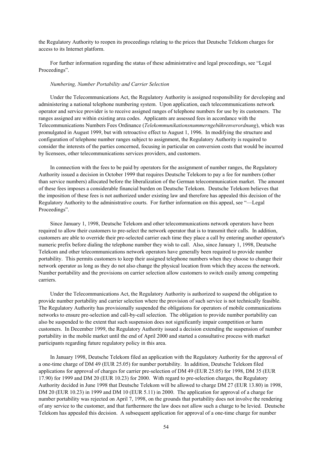the Regulatory Authority to reopen its proceedings relating to the prices that Deutsche Telekom charges for access to its Internet platform.

For further information regarding the status of these administrative and legal proceedings, see "Legal Proceedings".

### *Numbering, Number Portability and Carrier Selection*

Under the Telecommunications Act, the Regulatory Authority is assigned responsibility for developing and administering a national telephone numbering system. Upon application, each telecommunications network operator and service provider is to receive assigned ranges of telephone numbers for use by its customers. The ranges assigned are within existing area codes. Applicants are assessed fees in accordance with the Telecommunications Numbers Fees Ordinance (*Telekommunikationsnummerngebührenverordnung*), which was promulgated in August 1999, but with retroactive effect to August 1, 1996. In modifying the structure and configuration of telephone number ranges subject to assignment, the Regulatory Authority is required to consider the interests of the parties concerned, focusing in particular on conversion costs that would be incurred by licensees, other telecommunications services providers, and customers.

In connection with the fees to be paid by operators for the assignment of number ranges, the Regulatory Authority issued a decision in October 1999 that requires Deutsche Telekom to pay a fee for numbers (other than service numbers) allocated before the liberalization of the German telecommunication market. The amount of these fees imposes a considerable financial burden on Deutsche Telekom. Deutsche Telekom believes that the imposition of these fees is not authorized under existing law and therefore has appealed this decision of the Regulatory Authority to the administrative courts. For further information on this appeal, see "—Legal Proceedings".

Since January 1, 1998, Deutsche Telekom and other telecommunications network operators have been required to allow their customers to pre-select the network operator that is to transmit their calls. In addition, customers are able to override their pre-selected carrier each time they place a call by entering another operator's numeric prefix before dialing the telephone number they wish to call. Also, since January 1, 1998, Deutsche Telekom and other telecommunications network operators have generally been required to provide number portability. This permits customers to keep their assigned telephone numbers when they choose to change their network operator as long as they do not also change the physical location from which they access the network. Number portability and the provisions on carrier selection allow customers to switch easily among competing carriers.

Under the Telecommunications Act, the Regulatory Authority is authorized to suspend the obligation to provide number portability and carrier selection where the provision of such service is not technically feasible. The Regulatory Authority has provisionally suspended the obligations for operators of mobile communications networks to ensure pre-selection and call-by-call selection. The obligation to provide number portability can also be suspended to the extent that such suspension does not significantly impair competition or harm customers. In December 1999, the Regulatory Authority issued a decision extending the suspension of number portability in the mobile market until the end of April 2000 and started a consultative process with market participants regarding future regulatory policy in this area.

In January 1998, Deutsche Telekom filed an application with the Regulatory Authority for the approval of a one-time charge of DM 49 (EUR 25.05) for number portability. In addition, Deutsche Telekom filed applications for approval of charges for carrier pre-selection of DM 49 (EUR 25.05) for 1998, DM 35 (EUR 17.90) for 1999 and DM 20 (EUR 10.23) for 2000. With regard to pre-selection charges, the Regulatory Authority decided in June 1998 that Deutsche Telekom will be allowed to charge DM 27 (EUR 13.80) in 1998, DM 20 (EUR 10.23) in 1999 and DM 10 (EUR 5.11) in 2000. The application for approval of a charge for number portability was rejected on April 7, 1998, on the grounds that portability does not involve the rendering of any service to the customer, and that furthermore the law does not allow such a charge to be levied. Deutsche Telekom has appealed this decision. A subsequent application for approval of a one-time charge for number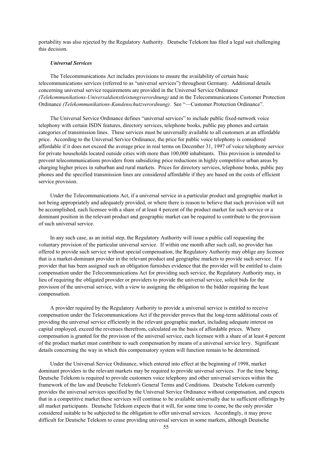portability was also rejected by the Regulatory Authority. Deutsche Telekom has filed a legal suit challenging this decision.

# *Universal Services*

The Telecommunications Act includes provisions to ensure the availability of certain basic telecommunications services (referred to as "universal services") throughout Germany. Additional details concerning universal service requirements are provided in the Universal Service Ordinance *(Telekommunikations-Universaldienstleistungsverordnung)* and in the Telecommunications Customer Protection Ordinance *(Telekommunikations-Kundenschutzverordnung)*. See "—Customer Protection Ordinance".

The Universal Service Ordinance defines "universal services" to include public fixed-network voice telephony with certain ISDN features, directory services, telephone books, public pay phones and certain categories of transmission lines. These services must be universally available to all customers at an affordable price. According to the Universal Service Ordinance, the price for public voice telephony is considered affordable if it does not exceed the average price in real terms on December 31, 1997 of voice telephony service for private households located outside cities with more than 100,000 inhabitants. This provision is intended to prevent telecommunications providers from subsidizing price reductions in highly competitive urban areas by charging higher prices in suburban and rural markets. Prices for directory services, telephone books, public pay phones and the specified transmission lines are considered affordable if they are based on the costs of efficient service provision.

Under the Telecommunications Act, if a universal service in a particular product and geographic market is not being appropriately and adequately provided, or where there is reason to believe that such provision will not be accomplished, each licensee with a share of at least 4 percent of the product market for such service or a dominant position in the relevant product and geographic market can be required to contribute to the provision of such universal service.

In any such case, as an initial step, the Regulatory Authority will issue a public call requesting the voluntary provision of the particular universal service. If within one month after such call, no provider has offered to provide such service without special compensation, the Regulatory Authority may oblige any licensee that is a market-dominant provider in the relevant product and geographic markets to provide such service. If a provider that has been assigned such an obligation furnishes evidence that the provider will be entitled to claim compensation under the Telecommunications Act for providing such service, the Regulatory Authority may, in lieu of requiring the obligated provider or providers to provide the universal service, solicit bids for the provision of the universal service, with a view to assigning the obligation to the bidder requiring the least compensation.

A provider required by the Regulatory Authority to provide a universal service is entitled to receive compensation under the Telecommunications Act if the provider proves that the long-term additional costs of providing the universal service efficiently in the relevant geographic market, including adequate interest on capital employed, exceed the revenues therefrom, calculated on the basis of affordable prices. Where compensation is granted for the provision of the universal service, each licensee with a share of at least 4 percent of the product market must contribute to such compensation by means of a universal service levy. Significant details concerning the way in which this compensatory system will function remain to be determined.

Under the Universal Service Ordinance, which entered into effect at the beginning of 1998, market dominant providers in the relevant markets may be required to provide universal services. For the time being, Deutsche Telekom is required to provide customers voice telephony and other universal services within the framework of the law and Deutsche Telekom's General Terms and Conditions. Deutsche Telekom currently provides the universal services specified by the Universal Service Ordinance without compensation, and expects that in a competitive market these services will continue to be available universally due to sufficient offerings by all market participants. Deutsche Telekom expects that it will, for some time to come, be the only provider considered suitable to be subjected to the obligation to offer universal services. Accordingly, it may prove difficult for Deutsche Telekom to cease providing universal services in some markets, although Deutsche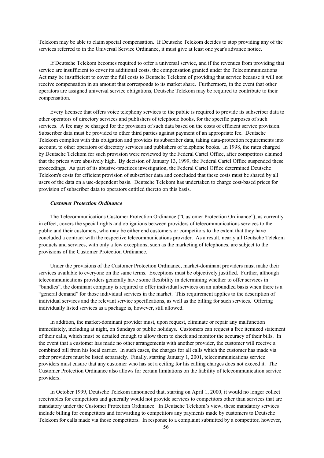Telekom may be able to claim special compensation. If Deutsche Telekom decides to stop providing any of the services referred to in the Universal Service Ordinance, it must give at least one year's advance notice.

If Deutsche Telekom becomes required to offer a universal service, and if the revenues from providing that service are insufficient to cover its additional costs, the compensation granted under the Telecommunications Act may be insufficient to cover the full costs to Deutsche Telekom of providing that service because it will not receive compensation in an amount that corresponds to its market share. Furthermore, in the event that other operators are assigned universal service obligations, Deutsche Telekom may be required to contribute to their compensation.

Every licensee that offers voice telephony services to the public is required to provide its subscriber data to other operators of directory services and publishers of telephone books, for the specific purposes of such services. A fee may be charged for the provision of such data based on the costs of efficient service provision. Subscriber data must be provided to other third parties against payment of an appropriate fee. Deutsche Telekom complies with this obligation and provides its subscriber data, taking data-protection requirements into account, to other operators of directory services and publishers of telephone books. In 1998, the rates charged by Deutsche Telekom for such provision were reviewed by the Federal Cartel Office, after competitors claimed that the prices were abusively high. By decision of January 13, 1999, the Federal Cartel Office suspended these proceedings. As part of its abusive-practices investigation, the Federal Cartel Office determined Deutsche Telekom's costs for efficient provision of subscriber data and concluded that these costs must be shared by all users of the data on a use-dependent basis. Deutsche Telekom has undertaken to charge cost-based prices for provision of subscriber data to operators entitled thereto on this basis.

### *Customer Protection Ordinance*

The Telecommunications Customer Protection Ordinance ("Customer Protection Ordinance"), as currently in effect, covers the special rights and obligations between providers of telecommunications services to the public and their customers, who may be either end customers or competitors to the extent that they have concluded a contract with the respective telecommunications provider. As a result, nearly all Deutsche Telekom products and services, with only a few exceptions, such as the marketing of telephones, are subject to the provisions of the Customer Protection Ordinance.

Under the provisions of the Customer Protection Ordinance, market-dominant providers must make their services available to everyone on the same terms. Exceptions must be objectively justified. Further, although telecommunications providers generally have some flexibility in determining whether to offer services in "bundles", the dominant company is required to offer individual services on an unbundled basis when there is a "general demand" for those individual services in the market. This requirement applies to the description of individual services and the relevant service specifications, as well as the billing for such services. Offering individually listed services as a package is, however, still allowed.

In addition, the market-dominant provider must, upon request, eliminate or repair any malfunction immediately, including at night, on Sundays or public holidays. Customers can request a free itemized statement of their calls, which must be detailed enough to allow them to check and monitor the accuracy of their bills. In the event that a customer has made no other arrangements with another provider, the customer will receive a combined bill from his local carrier. In such cases, the charges for all calls which the customer has made via other providers must be listed separately. Finally, starting January 1, 2001, telecommunications service providers must ensure that any customer who has set a ceiling for his calling charges does not exceed it. The Customer Protection Ordinance also allows for certain limitations on the liability of telecommunication service providers.

In October 1999, Deutsche Telekom announced that, starting on April 1, 2000, it would no longer collect receivables for competitors and generally would not provide services to competitors other than services that are mandatory under the Customer Protection Ordinance. In Deutsche Telekom's view, these mandatory services include billing for competitors and forwarding to competitors any payments made by customers to Deutsche Telekom for calls made via those competitors. In response to a complaint submitted by a competitor, however,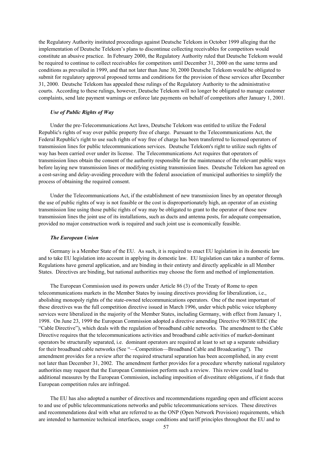the Regulatory Authority instituted proceedings against Deutsche Telekom in October 1999 alleging that the implementation of Deutsche Telekom's plans to discontinue collecting receivables for competitors would constitute an abusive practice. In February 2000, the Regulatory Authority ruled that Deutsche Telekom would be required to continue to collect receivables for competitors until December 31, 2000 on the same terms and conditions as prevailed in 1999, and that not later than June 30, 2000 Deutsche Telekom would be obligated to submit for regulatory approval proposed terms and conditions for the provision of these services after December 31, 2000. Deutsche Telekom has appealed these rulings of the Regulatory Authority to the administrative courts. According to these rulings, however, Deutsche Telekom will no longer be obligated to manage customer complaints, send late payment warnings or enforce late payments on behalf of competitors after January 1, 2001.

# *Use of Public Rights of Way*

Under the pre-Telecommunications Act laws, Deutsche Telekom was entitled to utilize the Federal Republic's rights of way over public property free of charge. Pursuant to the Telecommunications Act, the Federal Republic's right to use such rights of way free of charge has been transferred to licensed operators of transmission lines for public telecommunications services. Deutsche Telekom's right to utilize such rights of way has been carried over under its license. The Telecommunications Act requires that operators of transmission lines obtain the consent of the authority responsible for the maintenance of the relevant public ways before laying new transmission lines or modifying existing transmission lines. Deutsche Telekom has agreed on a cost-saving and delay-avoiding procedure with the federal association of municipal authorities to simplify the process of obtaining the required consent.

Under the Telecommunications Act, if the establishment of new transmission lines by an operator through the use of public rights of way is not feasible or the cost is disproportionately high, an operator of an existing transmission line using those public rights of way may be obligated to grant to the operator of those new transmission lines the joint use of its installations, such as ducts and antenna posts, for adequate compensation, provided no major construction work is required and such joint use is economically feasible.

#### *The European Union*

Germany is a Member State of the EU. As such, it is required to enact EU legislation in its domestic law and to take EU legislation into account in applying its domestic law. EU legislation can take a number of forms. Regulations have general application, and are binding in their entirety and directly applicable in all Member States. Directives are binding, but national authorities may choose the form and method of implementation.

The European Commission used its powers under Article 86 (3) of the Treaty of Rome to open telecommunications markets in the Member States by issuing directives providing for liberalization, i.e., abolishing monopoly rights of the state-owned telecommunications operators. One of the most important of these directives was the full competition directive issued in March 1996, under which public voice telephony services were liberalized in the majority of the Member States, including Germany, with effect from January 1, 1998. On June 23, 1999 the European Commission adopted a directive amending Directive 90/388/EEC (the "Cable Directive"), which deals with the regulation of broadband cable networks. The amendment to the Cable Directive requires that the telecommunications activities and broadband cable activities of market-dominant operators be structurally separated, i.e. dominant operators are required at least to set up a separate subsidiary for their broadband cable networks (See "—Competition—Broadband Cable and Broadcasting"). The amendment provides for a review after the required structural separation has been accomplished, in any event not later than December 31, 2002. The amendment further provides for a procedure whereby national regulatory authorities may request that the European Commission perform such a review. This review could lead to additional measures by the European Commission, including imposition of divestiture obligations, if it finds that European competition rules are infringed.

The EU has also adopted a number of directives and recommendations regarding open and efficient access to and use of public telecommunications networks and public telecommunications services. These directives and recommendations deal with what are referred to as the ONP (Open Network Provision) requirements, which are intended to harmonize technical interfaces, usage conditions and tariff principles throughout the EU and to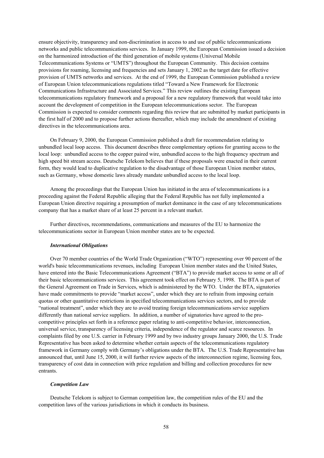ensure objectivity, transparency and non-discrimination in access to and use of public telecommunications networks and public telecommunications services. In January 1999, the European Commission issued a decision on the harmonized introduction of the third generation of mobile systems (Universal Mobile Telecommunications Systems or "UMTS") throughout the European Community. This decision contains provisions for roaming, licensing and frequencies and sets January 1, 2002 as the target date for effective provision of UMTS networks and services. At the end of 1999, the European Commission published a review of European Union telecommunications regulations titled "Toward a New Framework for Electronic Communications Infrastructure and Associated Services." This review outlines the existing European telecommunications regulatory framework and a proposal for a new regulatory framework that would take into account the development of competition in the European telecommunications sector. The European Commission is expected to consider comments regarding this review that are submitted by market participants in the first half of 2000 and to propose further actions thereafter, which may include the amendment of existing directives in the telecommunications area.

On February 9, 2000, the European Commission published a draft for recommendation relating to unbundled local loop access. This document describes three complementary options for granting access to the local loop: unbundled access to the copper paired wire, unbundled access to the high frequency spectrum and high speed bit stream access. Deutsche Telekom believes that if these proposals were enacted in their current form, they would lead to duplicative regulation to the disadvantage of those European Union member states, such as Germany, whose domestic laws already mandate unbundled access to the local loop.

Among the proceedings that the European Union has initiated in the area of telecommunications is a proceeding against the Federal Republic alleging that the Federal Republic has not fully implemented a European Union directive requiring a presumption of market dominance in the case of any telecommunications company that has a market share of at least 25 percent in a relevant market.

Further directives, recommendations, communications and measures of the EU to harmonize the telecommunications sector in European Union member states are to be expected.

#### *International Obligations*

Over 70 member countries of the World Trade Organization ("WTO") representing over 90 percent of the world's basic telecommunications revenues, including European Union member states and the United States, have entered into the Basic Telecommunications Agreement ("BTA") to provide market access to some or all of their basic telecommunications services. This agreement took effect on February 5, 1998. The BTA is part of the General Agreement on Trade in Services, which is administered by the WTO. Under the BTA, signatories have made commitments to provide "market access", under which they are to refrain from imposing certain quotas or other quantitative restrictions in specified telecommunications services sectors, and to provide "national treatment", under which they are to avoid treating foreign telecommunications service suppliers differently than national service suppliers. In addition, a number of signatories have agreed to the procompetitive principles set forth in a reference paper relating to anti-competitive behavior, interconnection, universal service, transparency of licensing criteria, independence of the regulator and scarce resources. In complaints filed by one U.S. carrier in February 1999 and by two industry groups January 2000, the U.S. Trade Representative has been asked to determine whether certain aspects of the telecommunications regulatory framework in Germany comply with Germany's obligations under the BTA. The U.S. Trade Representative has announced that, until June 15, 2000, it will further review aspects of the interconnection regime, licensing fees, transparency of cost data in connection with price regulation and billing and collection procedures for new entrants.

#### *Competition Law*

Deutsche Telekom is subject to German competition law, the competition rules of the EU and the competition laws of the various jurisdictions in which it conducts its business.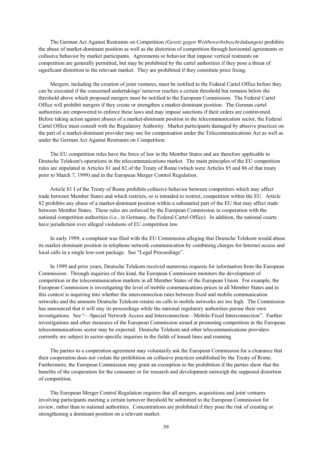The German Act Against Restraints on Competition *(Gesetz gegen Wettbewerbsbeschränkungen)* prohibits the abuse of market-dominant position as well as the distortion of competition through horizontal agreements or collusive behavior by market participants. Agreements or behavior that impose vertical restraints on competition are generally permitted, but may be prohibited by the cartel authorities if they pose a threat of significant distortion to the relevant market. They are prohibited if they constitute price fixing.

Mergers, including the creation of joint ventures, must be notified to the Federal Cartel Office before they can be executed if the concerned undertakings' turnover reaches a certain threshold but remains below the threshold above which proposed mergers must be notified to the European Commission. The Federal Cartel Office will prohibit mergers if they create or strengthen a market-dominant position. The German cartel authorities are empowered to enforce these laws and may impose sanctions if their orders are contravened. Before taking action against abuses of a market-dominant position in the telecommunication sector, the Federal Cartel Office must consult with the Regulatory Authority. Market participants damaged by abusive practices on the part of a market-dominant provider may sue for compensation under the Telecommunications Act as well as under the German Act Against Restraints on Competition.

The EU competition rules have the force of law in the Member States and are therefore applicable to Deutsche Telekom's operations in the telecommunications market. The main principles of the EU competition rules are stipulated in Articles 81 and 82 of the Treaty of Rome (which were Articles 85 and 86 of that treaty prior to March 7, 1999) and in the European Merger Control Regulation.

Article 81 I of the Treaty of Rome prohibits collusive behavior between competitors which may affect trade between Member States and which restricts, or is intended to restrict, competition within the EU. Article 82 prohibits any abuse of a market-dominant position within a substantial part of the EU that may affect trade between Member States. These rules are enforced by the European Commission in cooperation with the national competition authorities (i.e., in Germany, the Federal Cartel Office). In addition, the national courts have jurisdiction over alleged violations of EU competition law.

In early 1999, a complaint was filed with the EU Commission alleging that Deutsche Telekom would abuse its market-dominant position in telephone network communication by combining charges for Internet access and local calls in a single low-cost package. See "Legal Proceedings".

In 1999 and prior years, Deutsche Telekom received numerous requests for information from the European Commission. Through inquiries of this kind, the European Commission monitors the development of competition in the telecommunication markets in all Member States of the European Union. For example, the European Commission is investigating the level of mobile communications prices in all Member States and in this context is inquiring into whether the interconnection rates between fixed and mobile communication networks and the amounts Deutsche Telekom retains on calls to mobile networks are too high. The Commission has announced that it will stay its proceedings while the national regulatory authorities pursue their own investigations. See "—Special Network Access and Interconnection—Mobile-Fixed Interconnection". Further investigations and other measures of the European Commission aimed at promoting competition in the European telecommunications sector may be expected. Deutsche Telekom and other telecommunications providers currently are subject to sector-specific inquiries in the fields of leased lines and roaming.

The parties to a cooperation agreement may voluntarily ask the European Commission for a clearance that their cooperation does not violate the prohibition on collusive practices established by the Treaty of Rome. Furthermore, the European Commission may grant an exemption to the prohibition if the parties show that the benefits of the cooperation for the consumer or for research and development outweigh the supposed distortion of competition.

The European Merger Control Regulation requires that all mergers, acquisitions and joint ventures involving participants meeting a certain turnover threshold be submitted to the European Commission for review, rather than to national authorities. Concentrations are prohibited if they pose the risk of creating or strengthening a dominant position on a relevant market.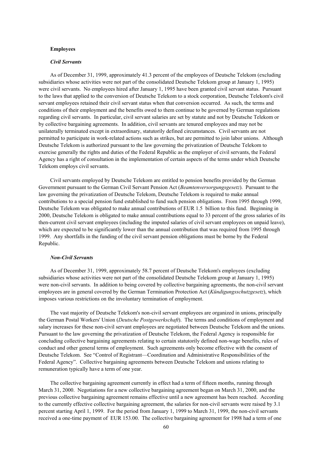### **Employees**

## *Civil Servants*

As of December 31, 1999, approximately 41.3 percent of the employees of Deutsche Telekom (excluding subsidiaries whose activities were not part of the consolidated Deutsche Telekom group at January 1, 1995) were civil servants. No employees hired after January 1, 1995 have been granted civil servant status. Pursuant to the laws that applied to the conversion of Deutsche Telekom to a stock corporation, Deutsche Telekom's civil servant employees retained their civil servant status when that conversion occurred. As such, the terms and conditions of their employment and the benefits owed to them continue to be governed by German regulations regarding civil servants. In particular, civil servant salaries are set by statute and not by Deutsche Telekom or by collective bargaining agreements. In addition, civil servants are tenured employees and may not be unilaterally terminated except in extraordinary, statutorily defined circumstances. Civil servants are not permitted to participate in work-related actions such as strikes, but are permitted to join labor unions. Although Deutsche Telekom is authorized pursuant to the law governing the privatization of Deutsche Telekom to exercise generally the rights and duties of the Federal Republic as the employer of civil servants, the Federal Agency has a right of consultation in the implementation of certain aspects of the terms under which Deutsche Telekom employs civil servants.

Civil servants employed by Deutsche Telekom are entitled to pension benefits provided by the German Government pursuant to the German Civil Servant Pension Act (*Beamtenversorgungsgesetz*). Pursuant to the law governing the privatization of Deutsche Telekom, Deutsche Telekom is required to make annual contributions to a special pension fund established to fund such pension obligations. From 1995 through 1999, Deutsche Telekom was obligated to make annual contributions of EUR 1.5 billion to this fund. Beginning in 2000, Deutsche Telekom is obligated to make annual contributions equal to 33 percent of the gross salaries of its then-current civil servant employees (including the imputed salaries of civil servant employees on unpaid leave), which are expected to be significantly lower than the annual contribution that was required from 1995 through 1999. Any shortfalls in the funding of the civil servant pension obligations must be borne by the Federal Republic.

## *Non-Civil Servants*

As of December 31, 1999, approximately 58.7 percent of Deutsche Telekom's employees (excluding subsidiaries whose activities were not part of the consolidated Deutsche Telekom group at January 1, 1995) were non-civil servants. In addition to being covered by collective bargaining agreements, the non-civil servant employees are in general covered by the German Termination Protection Act (*Kündigungsschutzgesetz*), which imposes various restrictions on the involuntary termination of employment.

The vast majority of Deutsche Telekom's non-civil servant employees are organized in unions, principally the German Postal Workers' Union (*Deutsche Postgewerkschaft*). The terms and conditions of employment and salary increases for these non-civil servant employees are negotiated between Deutsche Telekom and the unions. Pursuant to the law governing the privatization of Deutsche Telekom, the Federal Agency is responsible for concluding collective bargaining agreements relating to certain statutorily defined non-wage benefits, rules of conduct and other general terms of employment. Such agreements only become effective with the consent of Deutsche Telekom. See "Control of Registrant—Coordination and Administrative Responsibilities of the Federal Agency". Collective bargaining agreements between Deutsche Telekom and unions relating to remuneration typically have a term of one year.

The collective bargaining agreement currently in effect had a term of fifteen months, running through March 31, 2000. Negotiations for a new collective bargaining agreement began on March 31, 2000, and the previous collective bargaining agreement remains effective until a new agreement has been reached. According to the currently effective collective bargaining agreement, the salaries for non-civil servants were raised by 3.1 percent starting April 1, 1999. For the period from January 1, 1999 to March 31, 1999, the non-civil servants received a one-time payment of EUR 153.00. The collective bargaining agreement for 1998 had a term of one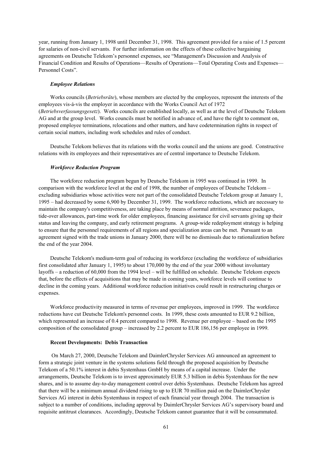year, running from January 1, 1998 until December 31, 1998. This agreement provided for a raise of 1.5 percent for salaries of non-civil servants. For further information on the effects of these collective bargaining agreements on Deutsche Telekom's personnel expenses, see "Management's Discussion and Analysis of Financial Condition and Results of Operations—Results of Operations—Total Operating Costs and Expenses— Personnel Costs".

### *Employee Relations*

Works councils (*Betriebsräte*), whose members are elected by the employees, represent the interests of the employees vis-á-vis the employer in accordance with the Works Council Act of 1972 (*Betriebsverfassungsgesetz*). Works councils are established locally, as well as at the level of Deutsche Telekom AG and at the group level. Works councils must be notified in advance of, and have the right to comment on, proposed employee terminations, relocations and other matters, and have codetermination rights in respect of certain social matters, including work schedules and rules of conduct.

Deutsche Telekom believes that its relations with the works council and the unions are good. Constructive relations with its employees and their representatives are of central importance to Deutsche Telekom.

### *Workforce Reduction Program*

The workforce reduction program begun by Deutsche Telekom in 1995 was continued in 1999. In comparison with the workforce level at the end of 1998, the number of employees of Deutsche Telekom – excluding subsidiaries whose activities were not part of the consolidated Deutsche Telekom group at January 1, 1995 – had decreased by some 6,900 by December 31, 1999. The workforce reductions, which are necessary to maintain the company's competitiveness, are taking place by means of normal attrition, severance packages, tide-over allowances, part-time work for older employees, financing assistance for civil servants giving up their status and leaving the company, and early retirement programs. A group-wide redeployment strategy is helping to ensure that the personnel requirements of all regions and specialization areas can be met. Pursuant to an agreement signed with the trade unions in January 2000, there will be no dismissals due to rationalization before the end of the year 2004.

Deutsche Telekom's medium-term goal of reducing its workforce (excluding the workforce of subsidiaries first consolidated after January 1, 1995) to about 170,000 by the end of the year 2000 without involuntary layoffs – a reduction of 60,000 from the 1994 level – will be fulfilled on schedule. Deutsche Telekom expects that, before the effects of acquisitions that may be made in coming years, workforce levels will continue to decline in the coming years. Additional workforce reduction initiatives could result in restructuring charges or expenses.

Workforce productivity measured in terms of revenue per employees, improved in 1999. The workforce reductions have cut Deutsche Telekom's personnel costs. In 1999, these costs amounted to EUR 9.2 billion, which represented an increase of 0.4 percent compared to 1998. Revenue per employee – based on the 1995 composition of the consolidated group – increased by 2.2 percent to EUR 186,156 per employee in 1999.

# **Recent Developments: Debis Transaction**

 On March 27, 2000, Deutsche Telekom and DaimlerChrysler Services AG announced an agreement to form a strategic joint venture in the systems solutions field through the proposed acquisition by Deutsche Telekom of a 50.1% interest in debis Systemhaus GmbH by means of a capital increase. Under the arrangements, Deutsche Telekom is to invest approximately EUR 5.3 billion in debis Systemhaus for the new shares, and is to assume day-to-day management control over debis Systemhaus. Deutsche Telekom has agreed that there will be a minimum annual dividend rising to up to EUR 70 million paid on the DaimlerChrysler Services AG interest in debis Systemhaus in respect of each financial year through 2004. The transaction is subject to a number of conditions, including approval by DaimlerChrysler Services AG's supervisory board and requisite antitrust clearances. Accordingly, Deutsche Telekom cannot guarantee that it will be consummated.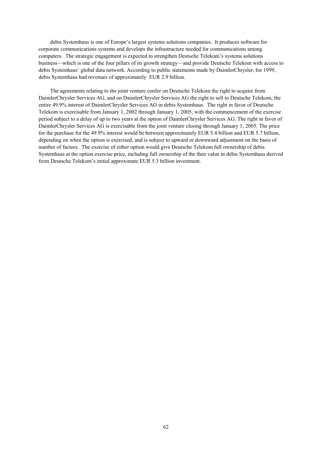debis Systemhaus is one of Europe's largest systems solutions companies. It produces software for corporate communications systems and develops the infrastructure needed for communications among computers. The strategic engagement is expected to strengthen Deutsche Telekom's systems solutions business—which is one of the four pillars of its growth strategy—and provide Deutsche Telekom with access to debis Systemhaus' global data network. According to public statements made by DaimlerChrysler, for 1999, debis Systemhaus had revenues of approximately EUR 2.9 billion.

The agreements relating to the joint venture confer on Deutsche Telekom the right to acquire from DaimlerChrysler Services AG, and on DaimlerChrysler Services AG the right to sell to Deutsche Telekom, the entire 49.9% interest of DaimlerChrysler Services AG in debis Systemhaus. The right in favor of Deutsche Telekom is exercisable from January 1, 2002 through January 1, 2005, with the commencement of the exercise period subject to a delay of up to two years at the option of DaimlerChrysler Services AG. The right in favor of DaimlerChrysler Services AG is exercisable from the joint venture closing through January 1, 2005. The price for the purchase for the 49.9% interest would be between approximately EUR 5.4 billion and EUR 5.7 billion, depending on when the option is exercised, and is subject to upward or downward adjustment on the basis of number of factors. The exercise of either option would give Deutsche Telekom full ownership of debis Systemhaus at the option exercise price, including full ownership of the then value in debis Systemhaus derived from Deutsche Telekom's initial approximate EUR 5.3 billion investment.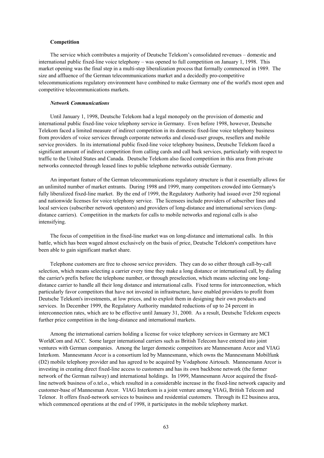# **Competition**

The service which contributes a majority of Deutsche Telekom's consolidated revenues – domestic and international public fixed-line voice telephony – was opened to full competition on January 1, 1998. This market opening was the final step in a multi-step liberalization process that formally commenced in 1989. The size and affluence of the German telecommunications market and a decidedly pro-competitive telecommunications regulatory environment have combined to make Germany one of the world's most open and competitive telecommunications markets.

### *Network Communications*

Until January 1, 1998, Deutsche Telekom had a legal monopoly on the provision of domestic and international public fixed-line voice telephony service in Germany. Even before 1998, however, Deutsche Telekom faced a limited measure of indirect competition in its domestic fixed-line voice telephony business from providers of voice services through corporate networks and closed-user groups, resellers and mobile service providers. In its international public fixed-line voice telephony business, Deutsche Telekom faced a significant amount of indirect competition from calling cards and call back services, particularly with respect to traffic to the United States and Canada. Deutsche Telekom also faced competition in this area from private networks connected through leased lines to public telephone networks outside Germany.

An important feature of the German telecommunications regulatory structure is that it essentially allows for an unlimited number of market entrants. During 1998 and 1999, many competitors crowded into Germany's fully liberalized fixed-line market. By the end of 1999, the Regulatory Authority had issued over 250 regional and nationwide licenses for voice telephony service. The licensees include providers of subscriber lines and local services (subscriber network operators) and providers of long-distance and international services (longdistance carriers). Competition in the markets for calls to mobile networks and regional calls is also intensifying.

The focus of competition in the fixed-line market was on long-distance and international calls. In this battle, which has been waged almost exclusively on the basis of price, Deutsche Telekom's competitors have been able to gain significant market share.

Telephone customers are free to choose service providers. They can do so either through call-by-call selection, which means selecting a carrier every time they make a long distance or international call, by dialing the carrier's prefix before the telephone number, or through preselection, which means selecting one longdistance carrier to handle all their long distance and international calls. Fixed terms for interconnection, which particularly favor competitors that have not invested in infrastructure, have enabled providers to profit from Deutsche Telekom's investments, at low prices, and to exploit them in designing their own products and services. In December 1999, the Regulatory Authority mandated reductions of up to 24 percent in interconnection rates, which are to be effective until January 31, 2000. As a result, Deutsche Telekom expects further price competition in the long-distance and international markets.

Among the international carriers holding a license for voice telephony services in Germany are MCI WorldCom and ACC. Some larger international carriers such as British Telecom have entered into joint ventures with German companies. Among the larger domestic competitors are Mannesmann Arcor and VIAG Interkom. Mannesmann Arcor is a consortium led by Mannesmann, which owns the Mannesmann Mobilfunk (D2) mobile telephony provider and has agreed to be acquired by Vodaphone Airtouch. Mannesmann Arcor is investing in creating direct fixed-line access to customers and has its own backbone network (the former network of the German railway) and international holdings. In 1999, Mannesmann Arcor acquired the fixedline network business of o.tel.o., which resulted in a considerable increase in the fixed-line network capacity and customer-base of Mannesman Arcor. VIAG Interkom is a joint venture among VIAG, British Telecom and Telenor. It offers fixed-network services to business and residential customers. Through its E2 business area, which commenced operations at the end of 1998, it participates in the mobile telephony market.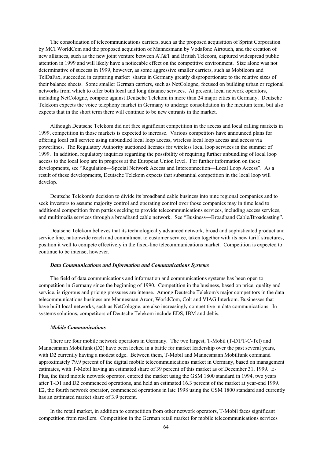The consolidation of telecommunications carriers, such as the proposed acquisition of Sprint Corporation by MCI WorldCom and the proposed acquisition of Mannesmann by Vodafone Airtouch, and the creation of new alliances, such as the new joint venture between AT&T and British Telecom, captured widespread public attention in 1999 and will likely have a noticeable effect on the competitive environment. Size alone was not determinative of success in 1999, however, as some aggressive smaller carriers, such as Mobilcom and TelDaFax, succeeded in capturing market shares in Germany greatly disproportionate to the relative sizes of their balance sheets. Some smaller German carriers, such as NetCologne, focused on building urban or regional networks from which to offer both local and long distance services. At present, local network operators, including NetCologne, compete against Deutsche Telekom in more than 24 major cities in Germany. Deutsche Telekom expects the voice telephony market in Germany to undergo consolidation in the medium term, but also expects that in the short term there will continue to be new entrants in the market.

Although Deutsche Telekom did not face significant competition in the access and local calling markets in 1999, competition in those markets is expected to increase. Various competitors have announced plans for offering local call service using unbundled local loop access, wireless local loop access and access via powerlines. The Regulatory Authority auctioned licenses for wireless local loop services in the summer of 1999. In addition, regulatory inquiries regarding the possibility of requiring further unbundling of local loop access to the local loop are in progress at the European Union level. For further information on these developments, see "Regulation—Special Network Access and Interconnection—Local Loop Access". As a result of these developments, Deutsche Telekom expects that substantial competition in the local loop will develop.

Deutsche Telekom's decision to divide its broadband cable business into nine regional companies and to seek investors to assume majority control and operating control over those companies may in time lead to additional competition from parties seeking to provide telecommunications services, including access services, and multimedia services through a broadband cable network. See "Business—Broadband Cable/Broadcasting".

Deutsche Telekom believes that its technologically advanced network, broad and sophisticated product and service line, nationwide reach and commitment to customer service, taken together with its new tariff structures, position it well to compete effectively in the fixed-line telecommunications market. Competition is expected to continue to be intense, however.

#### *Data Communications and Information and Communications Systems*

The field of data communications and information and communications systems has been open to competition in Germany since the beginning of 1990. Competition in the business, based on price, quality and service, is rigorous and pricing pressures are intense. Among Deutsche Telekom's major competitors in the data telecommunications business are Mannesman Arcor, WorldCom, Colt and VIAG Interkom. Businesses that have built local networks, such as NetCologne, are also increasingly competitive in data communications. In systems solutions, competitors of Deutsche Telekom include EDS, IBM and debis.

### *Mobile Communications*

There are four mobile network operators in Germany. The two largest, T-Mobil (T-D1/T-C-Tel) and Mannesmann Mobilfunk (D2) have been locked in a battle for market leadership over the past several years, with D2 currently having a modest edge. Between them, T-Mobil and Mannesmann Mobilfunk command approximately 79.9 percent of the digital mobile telecommunications market in Germany, based on management estimates, with T-Mobil having an estimated share of 39 percent of this market as of December 31, 1999. E-Plus, the third mobile network operator, entered the market using the GSM 1800 standard in 1994, two years after T-D1 and D2 commenced operations, and held an estimated 16.3 percent of the market at year-end 1999. E2, the fourth network operator, commenced operations in late 1998 using the GSM 1800 standard and currently has an estimated market share of 3.9 percent.

In the retail market, in addition to competition from other network operators, T-Mobil faces significant competition from resellers. Competition in the German retail market for mobile telecommunications services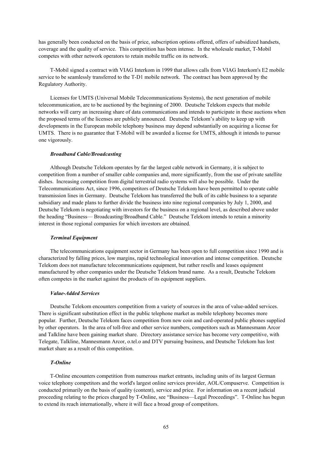has generally been conducted on the basis of price, subscription options offered, offers of subsidized handsets, coverage and the quality of service. This competition has been intense. In the wholesale market, T-Mobil competes with other network operators to retain mobile traffic on its network.

T-Mobil signed a contract with VIAG Interkom in 1999 that allows calls from VIAG Interkom's E2 mobile service to be seamlessly transferred to the T-D1 mobile network. The contract has been approved by the Regulatory Authority.

Licenses for UMTS (Universal Mobile Telecommunications Systems), the next generation of mobile telecommunication, are to be auctioned by the beginning of 2000. Deutsche Telekom expects that mobile networks will carry an increasing share of data communications and intends to participate in these auctions when the proposed terms of the licenses are publicly announced. Deutsche Telekom's ability to keep up with developments in the European mobile telephony business may depend substantially on acquiring a license for UMTS. There is no guarantee that T-Mobil will be awarded a license for UMTS, although it intends to pursue one vigorously.

### *Broadband Cable/Broadcasting*

Although Deutsche Telekom operates by far the largest cable network in Germany, it is subject to competition from a number of smaller cable companies and, more significantly, from the use of private satellite dishes. Increasing competition from digital terrestrial radio systems will also be possible. Under the Telecommunications Act, since 1996, competitors of Deutsche Telekom have been permitted to operate cable transmission lines in Germany. Deutsche Telekom has transferred the bulk of its cable business to a separate subsidiary and made plans to further divide the business into nine regional companies by July 1, 2000, and Deutsche Telekom is negotiating with investors for the business on a regional level, as described above under the heading "Business— Broadcasting/Broadband Cable." Deutsche Telekom intends to retain a minority interest in those regional companies for which investors are obtained.

#### *Terminal Equipment*

The telecommunications equipment sector in Germany has been open to full competition since 1990 and is characterized by falling prices, low margins, rapid technological innovation and intense competition. Deutsche Telekom does not manufacture telecommunications equipment, but rather resells and leases equipment manufactured by other companies under the Deutsche Telekom brand name. As a result, Deutsche Telekom often competes in the market against the products of its equipment suppliers.

#### *Value-Added Services*

Deutsche Telekom encounters competition from a variety of sources in the area of value-added services. There is significant substitution effect in the public telephone market as mobile telephony becomes more popular. Further, Deutsche Telekom faces competition from new coin and card-operated public phones supplied by other operators. In the area of toll-free and other service numbers, competitors such as Mannesmann Arcor and Talkline have been gaining market share. Directory assistance service has become very competitive, with Telegate, Talkline, Mannesmann Arcor, o.tel.o and DTV pursuing business, and Deutsche Telekom has lost market share as a result of this competition.

# *T-Online*

T-Online encounters competition from numerous market entrants, including units of its largest German voice telephony competitors and the world's largest online services provider, AOL/Compuserve. Competition is conducted primarily on the basis of quality (content), service and price. For information on a recent judicial proceeding relating to the prices charged by T-Online, see "Business—Legal Proceedings". T-Online has begun to extend its reach internationally, where it will face a broad group of competitors.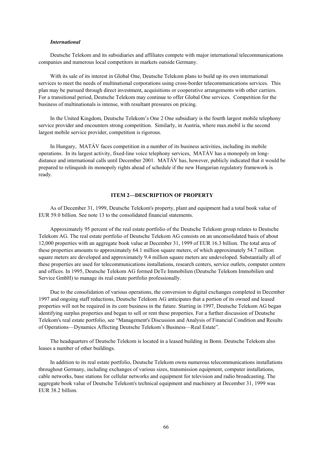# *International*

Deutsche Telekom and its subsidiaries and affiliates compete with major international telecommunications companies and numerous local competitors in markets outside Germany.

With its sale of its interest in Global One. Deutsche Telekom plans to build up its own international services to meet the needs of multinational corporations using cross-border telecommunications services. This plan may be pursued through direct investment, acquisitions or cooperative arrangements with other carriers. For a transitional period, Deutsche Telekom may continue to offer Global One services. Competition for the business of multinationals is intense, with resultant pressures on pricing.

In the United Kingdom, Deutsche Telekom's One 2 One subsidiary is the fourth largest mobile telephony service provider and encounters strong competition. Similarly, in Austria, where max.mobil is the second largest mobile service provider, competition is rigorous.

In Hungary, MATÁV faces competition in a number of its business activities, including its mobile operations. In its largest activity, fixed-line voice telephony services, MATÁV has a monopoly on longdistance and international calls until December 2001. MATÁV has, however, publicly indicated that it would be prepared to relinquish its monopoly rights ahead of schedule if the new Hungarian regulatory framework is ready.

# **ITEM 2—DESCRIPTION OF PROPERTY**

As of December 31, 1999, Deutsche Telekom's property, plant and equipment had a total book value of EUR 59.0 billion. See note 13 to the consolidated financial statements.

Approximately 95 percent of the real estate portfolio of the Deutsche Telekom group relates to Deutsche Telekom AG. The real estate portfolio of Deutsche Telekom AG consists on an unconsolidated basis of about 12,000 properties with an aggregate book value at December 31, 1999 of EUR 16.3 billion. The total area of these properties amounts to approximately 64.1 million square meters, of which approximately 54.7 million square meters are developed and approximately 9.4 million square meters are undeveloped. Substantially all of these properties are used for telecommunications installations, research centers, service outlets, computer centers and offices. In 1995, Deutsche Telekom AG formed DeTe Immobilien (Deutsche Telekom Immobilien und Service GmbH) to manage its real estate portfolio professionally.

Due to the consolidation of various operations, the conversion to digital exchanges completed in December 1997 and ongoing staff reductions, Deutsche Telekom AG anticipates that a portion of its owned and leased properties will not be required in its core business in the future. Starting in 1997, Deutsche Telekom AG began identifying surplus properties and began to sell or rent these properties. For a further discussion of Deutsche Telekom's real estate portfolio, see "Management's Discussion and Analysis of Financial Condition and Results of Operations—Dynamics Affecting Deutsche Telekom's Business—Real Estate".

The headquarters of Deutsche Telekom is located in a leased building in Bonn. Deutsche Telekom also leases a number of other buildings.

In addition to its real estate portfolio, Deutsche Telekom owns numerous telecommunications installations throughout Germany, including exchanges of various sizes, transmission equipment, computer installations, cable networks, base stations for cellular networks and equipment for television and radio broadcasting. The aggregate book value of Deutsche Telekom's technical equipment and machinery at December 31, 1999 was EUR 38.2 billion.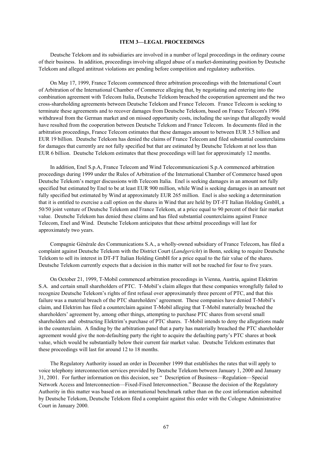## **ITEM 3—LEGAL PROCEEDINGS**

Deutsche Telekom and its subsidiaries are involved in a number of legal proceedings in the ordinary course of their business. In addition, proceedings involving alleged abuse of a market-dominating position by Deutsche Telekom and alleged antitrust violations are pending before competition and regulatory authorities.

On May 17, 1999, France Telecom commenced three arbitration proceedings with the International Court of Arbitration of the International Chamber of Commerce alleging that, by negotiating and entering into the combination agreement with Telecom Italia, Deutsche Telekom breached the cooperation agreement and the two cross-shareholding agreements between Deutsche Telekom and France Telecom. France Telecom is seeking to terminate these agreements and to recover damages from Deutsche Telekom, based on France Telecom's 1996 withdrawal from the German market and on missed opportunity costs, including the savings that allegedly would have resulted from the cooperation between Deutsche Telekom and France Telecom. In documents filed in the arbitration proceedings, France Telecom estimates that these damages amount to between EUR 3.5 billion and EUR 19 billion. Deutsche Telekom has denied the claims of France Telecom and filed substantial counterclaims for damages that currently are not fully specified but that are estimated by Deutsche Telekom at not less than EUR 6 billion. Deutsche Telekom estimates that these proceedings will last for approximately 12 months.

In addition, Enel S.p.A, France Telecom and Wind Telecommunicazioni S.p.A commenced arbitration proceedings during 1999 under the Rules of Arbitration of the International Chamber of Commerce based upon Deutsche Telekom's merger discussions with Telecom Italia. Enel is seeking damages in an amount not fully specified but estimated by Enel to be at least EUR 900 million, while Wind is seeking damages in an amount not fully specified but estimated by Wind at approximately EUR 265 million. Enel is also seeking a determination that it is entitled to exercise a call option on the shares in Wind that are held by DT-FT Italian Holding GmbH, a 50/50 joint venture of Deutsche Telekom and France Telekom, at a price equal to 90 percent of their fair market value. Deutsche Telekom has denied these claims and has filed substantial counterclaims against France Telecom, Enel and Wind. Deutsche Telekom anticipates that these arbitral proceedings will last for approximately two years.

Compagnie Générale des Communications S.A., a wholly-owned subsidiary of France Telecom, has filed a complaint against Deutsche Telekom with the District Court (*Landgericht*) in Bonn, seeking to require Deutsche Telekom to sell its interest in DT-FT Italian Holding GmbH for a price equal to the fair value of the shares. Deutsche Telekom currently expects that a decision in this matter will not be reached for four to five years.

On October 21, 1999, T-Mobil commenced arbitration proceedings in Vienna, Austria, against Elektrim S.A. and certain small shareholders of PTC. T-Mobil's claim alleges that these companies wrongfully failed to recognize Deutsche Telekom's rights of first refusal over approximately three percent of PTC, and that this failure was a material breach of the PTC shareholders' agreement. These companies have denied T-Mobil's claim, and Elektrim has filed a counterclaim against T-Mobil alleging that T-Mobil materially breached the shareholders' agreement by, among other things, attempting to purchase PTC shares from several small shareholders and obstructing Elektrim's purchase of PTC shares. T-Mobil intends to deny the allegations made in the counterclaim. A finding by the arbitration panel that a party has materially breached the PTC shareholder agreement would give the non-defaulting party the right to acquire the defaulting party's PTC shares at book value, which would be substantially below their current fair market value. Deutsche Telekom estimates that these proceedings will last for around 12 to 18 months.

The Regulatory Authority issued an order in December 1999 that establishes the rates that will apply to voice telephony interconnection services provided by Deutsche Telekom between January 1, 2000 and January 31, 2001. For further information on this decision, see " Description of Business—Regulation—Special Network Access and Interconnection—Fixed-Fixed Interconnection." Because the decision of the Regulatory Authority in this matter was based on an international benchmark rather than on the cost information submitted by Deutsche Telekom, Deutsche Telekom filed a complaint against this order with the Cologne Administrative Court in January 2000.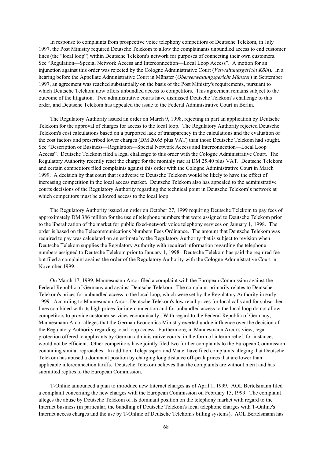In response to complaints from prospective voice telephony competitors of Deutsche Telekom, in July 1997, the Post Ministry required Deutsche Telekom to allow the complainants unbundled access to end customer lines (the "local loop") within Deutsche Telekom's network for purposes of connecting their own customers. See "Regulation—Special Network Access and Interconnection—Local Loop Access". A motion for an injunction against this order was rejected by the Cologne Administrative Court (*Verwaltungsgericht Köln*). In a hearing before the Appellate Administrative Court in Münster (*Oberverwaltungsgericht Münster*) in September 1997, an agreement was reached substantially on the basis of the Post Ministry's requirements, pursuant to which Deutsche Telekom now offers unbundled access to competitors. This agreement remains subject to the outcome of the litigation. Two administrative courts have dismissed Deutsche Telekom's challenge to this order, and Deutsche Telekom has appealed the issue to the Federal Administrative Court in Berlin.

The Regulatory Authority issued an order on March 9, 1998, rejecting in part an application by Deutsche Telekom for the approval of charges for access to the local loop. The Regulatory Authority rejected Deutsche Telekom's cost calculations based on a purported lack of transparency in the calculations and the evaluation of the cost factors and prescribed lower charges (DM 20.65 plus VAT) than those Deutsche Telekom had sought. See "Description of Business—Regulation—Special Network Access and Interconnection—Local Loop Access". Deutsche Telekom filed a legal challenge to this order with the Cologne Administrative Court. The Regulatory Authority recently reset the charge for the monthly rate at DM 25.40 plus VAT. Deutsche Telekom and certain competitors filed complaints against this order with the Cologne Administrative Court in March 1999. A decision by that court that is adverse to Deutsche Telekom would be likely to have the effect of increasing competition in the local access market. Deutsche Telekom also has appealed to the administrative courts decisions of the Regulatory Authority regarding the technical point in Deutsche Telekom's network at which competitors must be allowed access to the local loop.

The Regulatory Authority issued an order on October 27, 1999 requiring Deutsche Telekom to pay fees of approximately DM 386 million for the use of telephone numbers that were assigned to Deutsche Telekom prior to the liberalization of the market for public fixed-network voice telephony services on January 1, 1998. The order is based on the Telecommunications Numbers Fees Ordinance. The amount that Deutsche Telekom was required to pay was calculated on an estimate by the Regulatory Authority that is subject to revision when Deutsche Telekom supplies the Regulatory Authority with required information regarding the telephone numbers assigned to Deutsche Telekom prior to January 1, 1998. Deutsche Telekom has paid the required fee but filed a complaint against the order of the Regulatory Authority with the Cologne Administrative Court in November 1999.

On March 17, 1999, Mannesmann Arcor filed a complaint with the European Commission against the Federal Republic of Germany and against Deutsche Telekom. The complaint primarily relates to Deutsche Telekom's prices for unbundled access to the local loop, which were set by the Regulatory Authority in early 1999. According to Mannesmann Arcor, Deutsche Telekom's low retail prices for local calls and for subscriber lines combined with its high prices for interconnection and for unbundled access to the local loop do not allow competitors to provide customer services economically. With regard to the Federal Republic of Germany, Mannesmann Arcor alleges that the German Economics Ministry exerted undue influence over the decision of the Regulatory Authority regarding local loop access. Furthermore, in Mannesmann Arcor's view, legal protection offered to applicants by German administrative courts, in the form of interim relief, for instance, would not be efficient. Other competitors have jointly filed two further complaints to the European Commission containing similar reproaches. In addition, Telepassport and Viatel have filed complaints alleging that Deutsche Telekom has abused a dominant position by charging long distance off-peak prices that are lower than applicable interconnection tariffs. Deutsche Telekom believes that the complaints are without merit and has submitted replies to the European Commission.

T-Online announced a plan to introduce new Internet charges as of April 1, 1999. AOL Bertelsmann filed a complaint concerning the new charges with the European Commission on February 15, 1999. The complaint alleges the abuse by Deutsche Telekom of its dominant position on the telephony market with regard to the Internet business (in particular, the bundling of Deutsche Telekom's local telephone charges with T-Online's Internet access charges and the use by T-Online of Deutsche Telekom's billing systems). AOL Bertelsmann has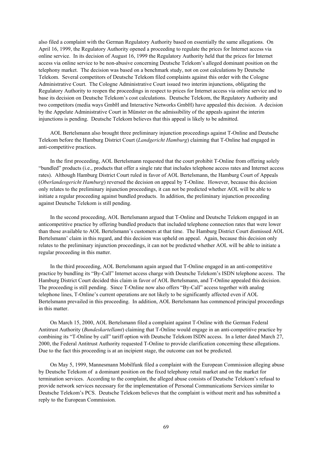also filed a complaint with the German Regulatory Authority based on essentially the same allegations. On April 16, 1999, the Regulatory Authority opened a proceeding to regulate the prices for Internet access via online service. In its decision of August 16, 1999 the Regulatory Authority held that the prices for Internet access via online service to be non-abusive concerning Deutsche Telekom's alleged dominant position on the telephony market. The decision was based on a benchmark study, not on cost calculations by Deutsche Telekom. Several competitors of Deutsche Telekom filed complaints against this order with the Cologne Administrative Court. The Cologne Administrative Court issued two interim injunctions, obligating the Regulatory Authority to reopen the proceedings in respect to prices for Internet access via online service and to base its decision on Deutsche Telekom's cost calculations. Deutsche Telekom, the Regulatory Authority and two competitors (media ways GmbH and Interactive Networks GmbH) have appealed this decision. A decision by the Appelate Administrative Court in Münster on the admissibility of the appeals against the interim injunctions is pending. Deutsche Telekom believes that this appeal is likely to be admitted.

AOL Bertelsmann also brought three preliminary injunction proceedings against T-Online and Deutsche Telekom before the Hamburg District Court (*Landgericht Hamburg*) claiming that T-Online had engaged in anti-competitive practices.

In the first proceeding, AOL Bertelsmann requested that the court prohibit T-Online from offering solely "bundled" products (i.e., products that offer a single rate that includes telephone access rates and Internet access rates). Although Hamburg District Court ruled in favor of AOL Bertelsmann, the Hamburg Court of Appeals (*Oberlandesgericht Hamburg*) reversed the decision on appeal by T-Online. However, because this decision only relates to the preliminary injunction proceedings, it can not be predicted whether AOL will be able to initiate a regular proceeding against bundled products. In addition, the preliminary injunction proceeding against Deutsche Telekom is still pending.

In the second proceeding, AOL Bertelsmann argued that T-Online and Deutsche Telekom engaged in an anticompetitive practice by offering bundled products that included telephone connection rates that were lower than those available to AOL Bertelsmann's customers at that time. The Hamburg District Court dismissed AOL Bertelsmann' claim in this regard, and this decision was upheld on appeal. Again, because this decision only relates to the preliminary injunction proceedings, it can not be predicted whether AOL will be able to initiate a regular proceeding in this matter.

In the third proceeding, AOL Bertelsmann again argued that T-Online engaged in an anti-competitive practice by bundling its "By-Call" Internet access charge with Deutsche Telekom's ISDN telephone access. The Hamburg District Court decided this claim in favor of AOL Bertelsmann, and T-Online appealed this decision. The proceeding is still pending. Since T-Online now also offers "By-Call" access together with analog telephone lines, T-Online's current operations are not likely to be significantly affected even if AOL Bertelsmann prevailed in this proceeding. In addition, AOL Bertelsmann has commenced principal proceedings in this matter.

On March 15, 2000, AOL Bertelsmann filed a complaint against T-Online with the German Federal Antitrust Authority (*Bundeskartellamt*) claiming that T-Online would engage in an anti-competitive practice by combining its "T-Online by call" tariff option with Deutsche Telekom ISDN access. In a letter dated March 27, 2000, the Federal Antitrust Authority requested T-Online to provide clarification concerning these allegations. Due to the fact this proceeding is at an incipient stage, the outcome can not be predicted.

On May 5, 1999, Mannesmann Mobilfunk filed a complaint with the European Commission alleging abuse by Deutsche Telekom of a dominant position on the fixed telephony retail market and on the market for termination services. According to the complaint, the alleged abuse consists of Deutsche Telekom's refusal to provide network services necessary for the implementation of Personal Communications Services similar to Deutsche Telekom's PCS. Deutsche Telekom believes that the complaint is without merit and has submitted a reply to the European Commission.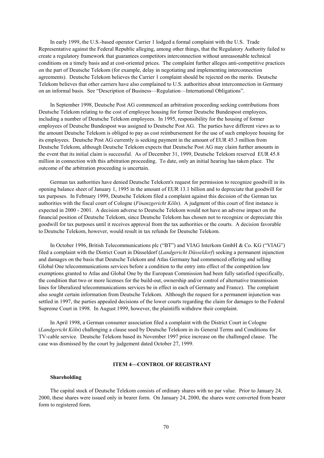In early 1999, the U.S.-based operator Carrier 1 lodged a formal complaint with the U.S. Trade Representative against the Federal Republic alleging, among other things, that the Regulatory Authority failed to create a regulatory framework that guarantees competitors interconnection without unreasonable technical conditions on a timely basis and at cost-oriented prices. The complaint further alleges anti-competitive practices on the part of Deutsche Telekom (for example, delay in negotiating and implementing interconnection agreements). Deutsche Telekom believes the Carrier 1 complaint should be rejected on the merits. Deutsche Telekom believes that other carriers have also complained to U.S. authorities about interconnection in Germany on an informal basis. See "Description of Business—Regulation—International Obligations".

In September 1998, Deutsche Post AG commenced an arbitration proceeding seeking contributions from Deutsche Telekom relating to the cost of employee housing for former Deutsche Bundespost employees, including a number of Deutsche Telekom employees. In 1995, responsibility for the housing of former employees of Deutsche Bundespost was assigned to Deutsche Post AG. The parties have different views as to the amount Deutsche Telekom is obliged to pay as cost reimbursement for the use of such employee housing for its employees. Deutsche Post AG currently is seeking payment in the amount of EUR 45.3 million from Deutsche Telekom, although Deutsche Telekom expects that Deutsche Post AG may claim further amounts in the event that its initial claim is successful. As of December 31, 1999, Deutsche Telekom reserved EUR 45.8 million in connection with this arbitration proceeding. To date, only an initial hearing has taken place. The outcome of the arbitration proceeding is uncertain.

German tax authorities have denied Deutsche Telekom's request for permission to recognize goodwill in its opening balance sheet of January 1, 1995 in the amount of EUR 13.1 billion and to depreciate that goodwill for tax purposes. In February 1999, Deutsche Telekom filed a complaint against this decision of the German tax authorities with the fiscal court of Cologne (*Finanzgericht Köln*). A judgment of this court of first instance is expected in 2000 - 2001. A decision adverse to Deutsche Telekom would not have an adverse impact on the financial position of Deutsche Telekom, since Deutsche Telekom has chosen not to recognize or depreciate this goodwill for tax purposes until it receives approval from the tax authorities or the courts. A decision favorable to Deutsche Telekom, however, would result in tax refunds for Deutsche Telekom.

In October 1996, British Telecommunications plc ("BT") and VIAG Interkom GmbH & Co. KG ("VIAG") filed a complaint with the District Court in Düsseldorf (*Landgericht Düsseldorf*) seeking a permanent injunction and damages on the basis that Deutsche Telekom and Atlas Germany had commenced offering and selling Global One telecommunications services before a condition to the entry into effect of the competition law exemptions granted to Atlas and Global One by the European Commission had been fully satisfied (specifically, the condition that two or more licenses for the build-out, ownership and/or control of alternative transmission lines for liberalized telecommunications services be in effect in each of Germany and France). The complaint also sought certain information from Deutsche Telekom. Although the request for a permanent injunction was settled in 1997, the parties appealed decisions of the lower courts regarding the claim for damages to the Federal Supreme Court in 1998. In August 1999, however, the plaintiffs withdrew their complaint.

In April 1998, a German consumer association filed a complaint with the District Court in Cologne (*Landgericht Köln*) challenging a clause used by Deutsche Telekom in its General Terms and Conditions for TV-cable service. Deutsche Telekom based its November 1997 price increase on the challenged clause. The case was dismissed by the court by judgement dated October 27, 1999.

### **ITEM 4—CONTROL OF REGISTRANT**

# **Shareholding**

The capital stock of Deutsche Telekom consists of ordinary shares with no par value. Prior to January 24, 2000, these shares were issued only in bearer form. On January 24, 2000, the shares were converted from bearer form to registered form.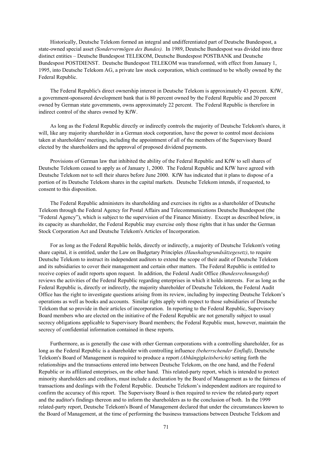Historically, Deutsche Telekom formed an integral and undifferentiated part of Deutsche Bundespost, a state-owned special asset *(Sondervermögen des Bundes).* In 1989, Deutsche Bundespost was divided into three distinct entities – Deutsche Bundespost TELEKOM, Deutsche Bundespost POSTBANK and Deutsche Bundespost POSTDIENST. Deutsche Bundespost TELEKOM was transformed, with effect from January 1, 1995, into Deutsche Telekom AG, a private law stock corporation, which continued to be wholly owned by the Federal Republic.

The Federal Republic's direct ownership interest in Deutsche Telekom is approximately 43 percent. KfW, a government-sponsored development bank that is 80 percent owned by the Federal Republic and 20 percent owned by German state governments, owns approximately 22 percent. The Federal Republic is therefore in indirect control of the shares owned by KfW.

As long as the Federal Republic directly or indirectly controls the majority of Deutsche Telekom's shares, it will, like any majority shareholder in a German stock corporation, have the power to control most decisions taken at shareholders' meetings, including the appointment of all of the members of the Supervisory Board elected by the shareholders and the approval of proposed dividend payments.

Provisions of German law that inhibited the ability of the Federal Republic and KfW to sell shares of Deutsche Telekom ceased to apply as of January 1, 2000. The Federal Republic and KfW have agreed with Deutsche Telekom not to sell their shares before June 2000. KfW has indicated that it plans to dispose of a portion of its Deutsche Telekom shares in the capital markets. Deutsche Telekom intends, if requested, to consent to this disposition.

The Federal Republic administers its shareholding and exercises its rights as a shareholder of Deutsche Telekom through the Federal Agency for Postal Affairs and Telecommunications Deutsche Bundespost (the "Federal Agency"), which is subject to the supervision of the Finance Ministry. Except as described below, in its capacity as shareholder, the Federal Republic may exercise only those rights that it has under the German Stock Corporation Act and Deutsche Telekom's Articles of Incorporation.

For as long as the Federal Republic holds, directly or indirectly, a majority of Deutsche Telekom's voting share capital, it is entitled, under the Law on Budgetary Principles *(Haushaltsgrundsätzegesetz)*, to require Deutsche Telekom to instruct its independent auditors to extend the scope of their audit of Deutsche Telekom and its subsidiaries to cover their management and certain other matters. The Federal Republic is entitled to receive copies of audit reports upon request. In addition, the Federal Audit Office *(Bundesrechnungshof)* reviews the activities of the Federal Republic regarding enterprises in which it holds interests. For as long as the Federal Republic is, directly or indirectly, the majority shareholder of Deutsche Telekom, the Federal Audit Office has the right to investigate questions arising from its review, including by inspecting Deutsche Telekom's operations as well as books and accounts. Similar rights apply with respect to those subsidiaries of Deutsche Telekom that so provide in their articles of incorporation. In reporting to the Federal Republic, Supervisory Board members who are elected on the initiative of the Federal Republic are not generally subject to usual secrecy obligations applicable to Supervisory Board members; the Federal Republic must, however, maintain the secrecy of confidential information contained in these reports.

Furthermore, as is generally the case with other German corporations with a controlling shareholder, for as long as the Federal Republic is a shareholder with controlling influence *(beherrschender Einfluß)*, Deutsche Telekom's Board of Management is required to produce a report *(Abhängigkeitsbericht)* setting forth the relationships and the transactions entered into between Deutsche Telekom, on the one hand, and the Federal Republic or its affiliated enterprises, on the other hand. This related-party report, which is intended to protect minority shareholders and creditors, must include a declaration by the Board of Management as to the fairness of transactions and dealings with the Federal Republic. Deutsche Telekom's independent auditors are required to confirm the accuracy of this report. The Supervisory Board is then required to review the related-party report and the auditor's findings thereon and to inform the shareholders as to the conclusion of both. In the 1999 related-party report, Deutsche Telekom's Board of Management declared that under the circumstances known to the Board of Management, at the time of performing the business transactions between Deutsche Telekom and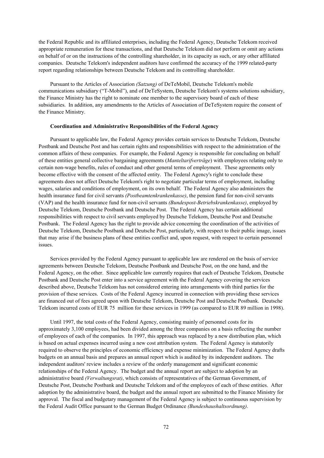the Federal Republic and its affiliated enterprises, including the Federal Agency, Deutsche Telekom received appropriate remuneration for these transactions, and that Deutsche Telekom did not perform or omit any actions on behalf of or on the instructions of the controlling shareholder, in its capacity as such, or any other affiliated companies. Deutsche Telekom's independent auditors have confirmed the accuracy of the 1999 related-party report regarding relationships between Deutsche Telekom and its controlling shareholder.

Pursuant to the Articles of Association *(Satzung)* of DeTeMobil, Deutsche Telekom's mobile communications subsidiary ("T-Mobil"), and of DeTeSystem, Deutsche Telekom's systems solutions subsidiary, the Finance Ministry has the right to nominate one member to the supervisory board of each of these subsidiaries. In addition, any amendments to the Articles of Association of DeTeSystem require the consent of the Finance Ministry.

### **Coordination and Administrative Responsibilities of the Federal Agency**

Pursuant to applicable law, the Federal Agency provides certain services to Deutsche Telekom, Deutsche Postbank and Deutsche Post and has certain rights and responsibilities with respect to the administration of the common affairs of these companies. For example, the Federal Agency is responsible for concluding on behalf of these entities general collective bargaining agreements (*Manteltarifverträge*) with employees relating only to certain non-wage benefits, rules of conduct and other general terms of employment. These agreements only become effective with the consent of the affected entity. The Federal Agency's right to conclude these agreements does not affect Deutsche Telekom's right to negotiate particular terms of employment, including wages, salaries and conditions of employment, on its own behalf. The Federal Agency also administers the health insurance fund for civil servants *(Postbeamtenkrankenkasse)*, the pension fund for non-civil servants (VAP) and the health insurance fund for non-civil servants *(Bundespost-Betriebskrankenkasse)*, employed by Deutsche Telekom, Deutsche Postbank and Deutsche Post. The Federal Agency has certain additional responsibilities with respect to civil servants employed by Deutsche Telekom, Deutsche Post and Deutsche Postbank. The Federal Agency has the right to provide advice concerning the coordination of the activities of Deutsche Telekom, Deutsche Postbank and Deutsche Post, particularly, with respect to their public image, issues that may arise if the business plans of these entities conflict and, upon request, with respect to certain personnel issues.

Services provided by the Federal Agency pursuant to applicable law are rendered on the basis of service agreements between Deutsche Telekom, Deutsche Postbank and Deutsche Post, on the one hand, and the Federal Agency, on the other. Since applicable law currently requires that each of Deutsche Telekom, Deutsche Postbank and Deutsche Post enter into a service agreement with the Federal Agency covering the services described above, Deutsche Telekom has not considered entering into arrangements with third parties for the provision of these services. Costs of the Federal Agency incurred in connection with providing these services are financed out of fees agreed upon with Deutsche Telekom, Deutsche Post and Deutsche Postbank. Deutsche Telekom incurred costs of EUR 75 million for these services in 1999 (as compared to EUR 89 million in 1998).

Until 1997, the total costs of the Federal Agency, consisting mainly of personnel costs for its approximately 3,100 employees, had been divided among the three companies on a basis reflecting the number of employees of each of the companies. In 1997, this approach was replaced by a new distribution plan, which is based on actual expenses incurred using a new cost attribution system. The Federal Agency is statutorily required to observe the principles of economic efficiency and expense minimization. The Federal Agency drafts budgets on an annual basis and prepares an annual report which is audited by its independent auditors. The independent auditors' review includes a review of the orderly management and significant economic relationships of the Federal Agency. The budget and the annual report are subject to adoption by an administrative board *(Verwaltungsrat)*, which consists of representatives of the German Government, of Deutsche Post, Deutsche Postbank and Deutsche Telekom and of the employees of each of these entities. After adoption by the administrative board, the budget and the annual report are submitted to the Finance Ministry for approval. The fiscal and budgetary management of the Federal Agency is subject to continuous supervision by the Federal Audit Office pursuant to the German Budget Ordinance *(Bundeshaushaltsordnung)*.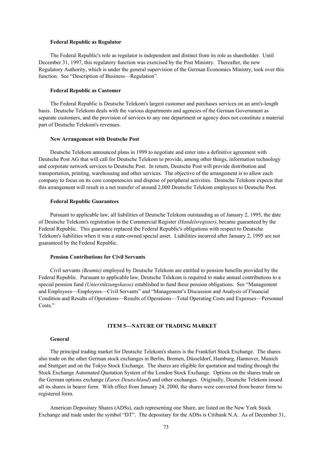#### **Federal Republic as Regulator**

The Federal Republic's role as regulator is independent and distinct from its role as shareholder. Until December 31, 1997, this regulatory function was exercised by the Post Ministry. Thereafter, the new Regulatory Authority, which is under the general supervision of the German Economics Ministry, took over this function. See "Description of Business—Regulation".

#### **Federal Republic as Customer**

The Federal Republic is Deutsche Telekom's largest customer and purchases services on an arm's-length basis. Deutsche Telekom deals with the various departments and agencies of the German Government as separate customers, and the provision of services to any one department or agency does not constitute a material part of Deutsche Telekom's revenues.

### **New Arrangement with Deutsche Post**

Deutsche Telekom announced plans in 1999 to negotiate and enter into a definitive agreement with Deutsche Post AG that will call for Deutsche Telekom to provide, among other things, information technology and corporate network services to Deutsche Post. In return, Deutsche Post will provide distribution and transportation, printing, warehousing and other services. The objective of the arrangement is to allow each company to focus on its core competencies and dispose of peripheral activities. Deutsche Telekom expects that this arrangement will result in a net transfer of around 2,000 Deutsche Telekom employees to Deutsche Post.

## **Federal Republic Guarantees**

Pursuant to applicable law, all liabilities of Deutsche Telekom outstanding as of January 2, 1995, the date of Deutsche Telekom's registration in the Commercial Register *(Handelsregister)*, became guaranteed by the Federal Republic. This guarantee replaced the Federal Republic's obligations with respect to Deutsche Telekom's liabilities when it was a state-owned special asset. Liabilities incurred after January 2, 1995 are not guaranteed by the Federal Republic.

# **Pension Contributions for Civil Servants**

Civil servants *(Beamte)* employed by Deutsche Telekom are entitled to pension benefits provided by the Federal Republic. Pursuant to applicable law, Deutsche Telekom is required to make annual contributions to a special pension fund *(Unterstützungskasse)* established to fund these pension obligations. See "Management and Employees—Employees—Civil Servants" and "Management's Discussion and Analysis of Financial Condition and Results of Operations—Results of Operations—Total Operating Costs and Expenses—Personnel Costs<sup>"</sup>

# **ITEM 5—NATURE OF TRADING MARKET**

#### **General**

The principal trading market for Deutsche Telekom's shares is the Frankfurt Stock Exchange. The shares also trade on the other German stock exchanges in Berlin, Bremen, Düsseldorf, Hamburg, Hannover, Munich and Stuttgart and on the Tokyo Stock Exchange. The shares are eligible for quotation and trading through the Stock Exchange Automated Quotation System of the London Stock Exchange. Options on the shares trade on the German options exchange (*Eurex Deutschland*) and other exchanges. Originally, Deutsche Telekom issued all its shares in bearer form. With effect from January 24, 2000, the shares were converted from bearer form to registered form.

American Depositary Shares (ADSs), each representing one Share, are listed on the New York Stock Exchange and trade under the symbol "DT". The depositary for the ADSs is Citibank N.A. As of December 31,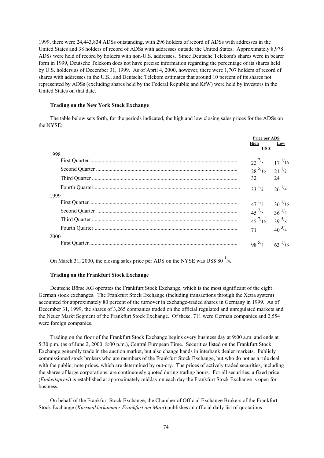1999, there were 24,443,834 ADSs outstanding, with 296 holders of record of ADSs with addresses in the United States and 38 holders of record of ADSs with addresses outside the United States. Approximately 8,978 ADSs were held of record by holders with non-U.S. addresses. Since Deutsche Telekom's shares were in bearer form in 1999, Deutsche Telekom does not have precise information regarding the percentage of its shares held by U.S. holders as of December 31, 1999. As of April 4, 2000, however, there were 1,707 holders of record of shares with addresses in the U.S., and Deutsche Telekom estimates that around 10 percent of its shares not represented by ADSs (excluding shares held by the Federal Republic and KfW) were held by investors in the United States on that date.

# **Trading on the New York Stock Exchange**

The table below sets forth, for the periods indicated, the high and low closing sales prices for the ADSs on the NYSE:

|      | <b>Price per ADS</b> |             |
|------|----------------------|-------------|
|      | High<br>US \$        | Low         |
| 1998 |                      |             |
|      | $22^{7/8}$           | $17^{1/16}$ |
|      | $28^{5/16}$          | $21^{1/2}$  |
|      | 32                   | 24          |
|      | $33^{1/2}$           | $26^{1/4}$  |
| 1999 |                      |             |
|      | $47^{1/8}$           | $36^{1/16}$ |
|      | $45\frac{7}{8}$      | $36^{1/4}$  |
|      | $45^{7/16}$          | $39^{5/8}$  |
|      | 71                   | $40^{3/4}$  |
| 2000 |                      |             |
|      | $98^{5/8}$           | $63^{1/16}$ |

On March 31, 2000, the closing sales price per ADS on the NYSE was US\$ 80 $^1$ /4.

### **Trading on the Frankfurt Stock Exchange**

Deutsche Börse AG operates the Frankfurt Stock Exchange, which is the most significant of the eight German stock exchanges. The Frankfurt Stock Exchange (including transactions through the Xetra system) accounted for approximately 80 percent of the turnover in exchange-traded shares in Germany in 1999. As of December 31, 1999, the shares of 3,265 companies traded on the official regulated and unregulated markets and the Neuer Markt Segment of the Frankfurt Stock Exchange. Of these, 711 were German companies and 2,554 were foreign companies.

Trading on the floor of the Frankfurt Stock Exchange begins every business day at 9:00 a.m. and ends at 5:30 p.m. (as of June 2, 2000: 8:00 p.m.), Central European Time. Securities listed on the Frankfurt Stock Exchange generally trade in the auction market, but also change hands in interbank dealer markets. Publicly commissioned stock brokers who are members of the Frankfurt Stock Exchange, but who do not as a rule deal with the public, note prices, which are determined by out-cry. The prices of actively traded securities, including the shares of large corporations, are continuously quoted during trading hours. For all securities, a fixed price (*Einheitspreis*) is established at approximately midday on each day the Frankfurt Stock Exchange is open for business.

On behalf of the Frankfurt Stock Exchange, the Chamber of Official Exchange Brokers of the Frankfurt Stock Exchange (*Kursmaklerkammer Frankfurt am Main*) publishes an official daily list of quotations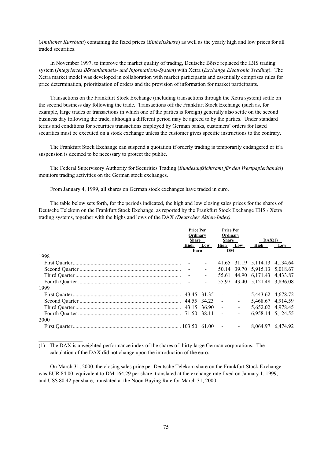(*Amtliches Kursblatt*) containing the fixed prices (*Einheitskurse*) as well as the yearly high and low prices for all traded securities.

In November 1997, to improve the market quality of trading, Deutsche Börse replaced the IBIS trading system (*Integriertes Börsenhandels- und Informations-System*) with Xetra (*Exchange Electronic Trading*). The Xetra market model was developed in collaboration with market participants and essentially comprises rules for price determination, prioritization of orders and the provision of information for market participants.

Transactions on the Frankfurt Stock Exchange (including transactions through the Xetra system) settle on the second business day following the trade. Transactions off the Frankfurt Stock Exchange (such as, for example, large trades or transactions in which one of the parties is foreign) generally also settle on the second business day following the trade, although a different period may be agreed to by the parties. Under standard terms and conditions for securities transactions employed by German banks, customers' orders for listed securities must be executed on a stock exchange unless the customer gives specific instructions to the contrary.

The Frankfurt Stock Exchange can suspend a quotation if orderly trading is temporarily endangered or if a suspension is deemed to be necessary to protect the public.

The Federal Supervisory Authority for Securities Trading (*Bundesaufsichtsamt für den Wertpapierhandel*) monitors trading activities on the German stock exchanges.

From January 4, 1999, all shares on German stock exchanges have traded in euro.

The table below sets forth, for the periods indicated, the high and low closing sales prices for the shares of Deutsche Telekom on the Frankfurt Stock Exchange, as reported by the Frankfurt Stock Exchange IBIS / Xetra trading systems, together with the highs and lows of the DAX *(Deutscher Aktien-Index).* 

|      | <b>Price Per</b><br>Ordinary |  | <b>Price Per</b><br>Ordinary |                     |                                  |  |
|------|------------------------------|--|------------------------------|---------------------|----------------------------------|--|
|      | Share                        |  | Share                        |                     | DAX(1)                           |  |
|      | High Low                     |  | High Low High Low            |                     |                                  |  |
|      | Euro                         |  | DM                           |                     |                                  |  |
| 1998 |                              |  |                              |                     |                                  |  |
|      |                              |  |                              |                     | 41.65 31.19 5,114.13 4,134.64    |  |
|      |                              |  |                              |                     |                                  |  |
|      |                              |  |                              |                     |                                  |  |
|      |                              |  |                              |                     | $-55.97$ 43.40 5,121.48 3,896.08 |  |
| 1999 |                              |  |                              |                     |                                  |  |
|      |                              |  |                              | $\omega_{\rm{max}}$ | 5,443.62 4,678.72                |  |
|      |                              |  |                              | $\Delta \sim 100$   | 5,468.67 4,914.59                |  |
|      |                              |  |                              | $\sim 100$          | 5,652.02 4,978.45                |  |
| 2000 |                              |  |                              | $\sim$              | 6,958.14 5,124.55                |  |
|      |                              |  |                              | $\sim$              | 8,064.97 6,474.92                |  |

 $(1)$  The DAX is a weighted performance index of the shares of thirty large German corporations. The calculation of the DAX did not change upon the introduction of the euro.

**\_\_\_\_\_\_\_\_\_\_\_\_\_\_\_\_**

On March 31, 2000, the closing sales price per Deutsche Telekom share on the Frankfurt Stock Exchange was EUR 84.00, equivalent to DM 164.29 per share, translated at the exchange rate fixed on January 1, 1999, and US\$ 80.42 per share, translated at the Noon Buying Rate for March 31, 2000.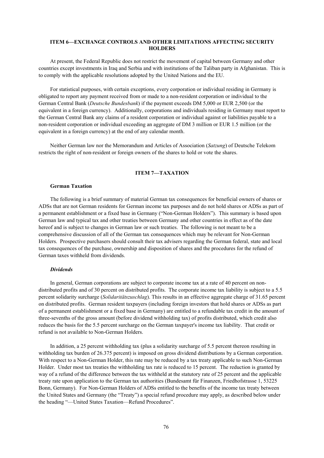# **ITEM 6—EXCHANGE CONTROLS AND OTHER LIMITATIONS AFFECTING SECURITY HOLDERS**

At present, the Federal Republic does not restrict the movement of capital between Germany and other countries except investments in Iraq and Serbia and with institutions of the Taliban party in Afghanistan. This is to comply with the applicable resolutions adopted by the United Nations and the EU.

For statistical purposes, with certain exceptions, every corporation or individual residing in Germany is obligated to report any payment received from or made to a non-resident corporation or individual to the German Central Bank (*Deutsche Bundesbank*) if the payment exceeds DM 5,000 or EUR 2,500 (or the equivalent in a foreign currency). Additionally, corporations and individuals residing in Germany must report to the German Central Bank any claims of a resident corporation or individual against or liabilities payable to a non-resident corporation or individual exceeding an aggregate of DM 3 million or EUR 1.5 million (or the equivalent in a foreign currency) at the end of any calendar month.

Neither German law nor the Memorandum and Articles of Association (*Satzung*) of Deutsche Telekom restricts the right of non-resident or foreign owners of the shares to hold or vote the shares.

## **ITEM 7—TAXATION**

#### **German Taxation**

The following is a brief summary of material German tax consequences for beneficial owners of shares or ADSs that are not German residents for German income tax purposes and do not hold shares or ADSs as part of a permanent establishment or a fixed base in Germany ("Non-German Holders"). This summary is based upon German law and typical tax and other treaties between Germany and other countries in effect as of the date hereof and is subject to changes in German law or such treaties. The following is not meant to be a comprehensive discussion of all of the German tax consequences which may be relevant for Non-German Holders. Prospective purchasers should consult their tax advisers regarding the German federal, state and local tax consequences of the purchase, ownership and disposition of shares and the procedures for the refund of German taxes withheld from dividends.

# *Dividends*

In general, German corporations are subject to corporate income tax at a rate of 40 percent on nondistributed profits and of 30 percent on distributed profits. The corporate income tax liability is subject to a 5.5 percent solidarity surcharge (*Solidaritätszuschlag*). This results in an effective aggregate charge of 31.65 percent on distributed profits. German resident taxpayers (including foreign investors that hold shares or ADSs as part of a permanent establishment or a fixed base in Germany) are entitled to a refundable tax credit in the amount of three-sevenths of the gross amount (before dividend withholding tax) of profits distributed, which credit also reduces the basis for the 5.5 percent surcharge on the German taxpayer's income tax liability. That credit or refund is not available to Non-German Holders.

In addition, a 25 percent withholding tax (plus a solidarity surcharge of 5.5 percent thereon resulting in withholding tax burden of 26.375 percent) is imposed on gross dividend distributions by a German corporation. With respect to a Non-German Holder, this rate may be reduced by a tax treaty applicable to such Non-German Holder. Under most tax treaties the withholding tax rate is reduced to 15 percent. The reduction is granted by way of a refund of the difference between the tax withheld at the statutory rate of 25 percent and the applicable treaty rate upon application to the German tax authorities (Bundesamt für Finanzen, Friedhofstrasse 1, 53225 Bonn, Germany). For Non-German Holders of ADSs entitled to the benefits of the income tax treaty between the United States and Germany (the "Treaty") a special refund procedure may apply, as described below under the heading "—United States Taxation—Refund Procedures".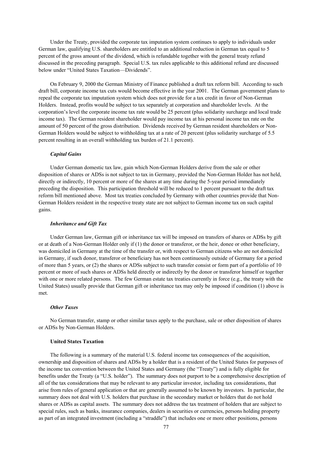Under the Treaty, provided the corporate tax imputation system continues to apply to individuals under German law, qualifying U.S. shareholders are entitled to an additional reduction in German tax equal to 5 percent of the gross amount of the dividend, which is refundable together with the general treaty refund discussed in the preceding paragraph. Special U.S. tax rules applicable to this additional refund are discussed below under "United States Taxation—Dividends".

On February 9, 2000 the German Ministry of Finance published a draft tax reform bill. According to such draft bill, corporate income tax cuts would become effective in the year 2001. The German government plans to repeal the corporate tax imputation system which does not provide for a tax credit in favor of Non-German Holders. Instead, profits would be subject to tax separately at corporation and shareholder levels. At the corporation's level the corporate income tax rate would be 25 percent (plus solidarity surcharge and local trade income tax). The German resident shareholder would pay income tax at his personal income tax rate on the amount of 50 percent of the gross distribution. Dividends received by German resident shareholders or Non-German Holders would be subject to withholding tax at a rate of 20 percent (plus solidarity surcharge of 5.5 percent resulting in an overall withholding tax burden of 21.1 percent).

#### *Capital Gains*

Under German domestic tax law, gain which Non-German Holders derive from the sale or other disposition of shares or ADSs is not subject to tax in Germany, provided the Non-German Holder has not held, directly or indirectly, 10 percent or more of the shares at any time during the 5-year period immediately preceding the disposition. This participation threshold will be reduced to 1 percent pursuant to the draft tax reform bill mentioned above. Most tax treaties concluded by Germany with other countries provide that Non-German Holders resident in the respective treaty state are not subject to German income tax on such capital gains.

### *Inheritance and Gift Tax*

Under German law, German gift or inheritance tax will be imposed on transfers of shares or ADSs by gift or at death of a Non-German Holder only if (1) the donor or transferor, or the heir, donee or other beneficiary, was domiciled in Germany at the time of the transfer or, with respect to German citizens who are not domiciled in Germany, if such donor, transferor or beneficiary has not been continuously outside of Germany for a period of more than 5 years, or (2) the shares or ADSs subject to such transfer consist or form part of a portfolio of 10 percent or more of such shares or ADSs held directly or indirectly by the donor or transferor himself or together with one or more related persons. The few German estate tax treaties currently in force (e.g., the treaty with the United States) usually provide that German gift or inheritance tax may only be imposed if condition (1) above is met.

### *Other Taxes*

No German transfer, stamp or other similar taxes apply to the purchase, sale or other disposition of shares or ADSs by Non-German Holders.

#### **United States Taxation**

The following is a summary of the material U.S. federal income tax consequences of the acquisition, ownership and disposition of shares and ADSs by a holder that is a resident of the United States for purposes of the income tax convention between the United States and Germany (the "Treaty") and is fully eligible for benefits under the Treaty (a "U.S. holder"). The summary does not purport to be a comprehensive description of all of the tax considerations that may be relevant to any particular investor, including tax considerations, that arise from rules of general application or that are generally assumed to be known by investors. In particular, the summary does not deal with U.S. holders that purchase in the secondary market or holders that do not hold shares or ADSs as capital assets. The summary does not address the tax treatment of holders that are subject to special rules, such as banks, insurance companies, dealers in securities or currencies, persons holding property as part of an integrated investment (including a "straddle") that includes one or more other positions, persons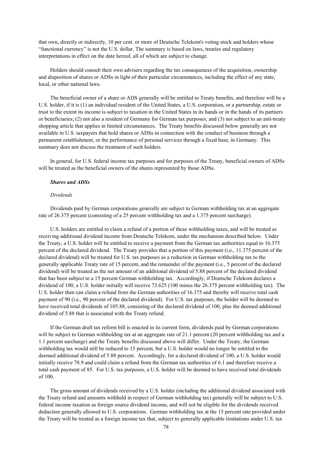that own, directly or indirectly, 10 per cent. or more of Deutsche Telekom's voting stock and holders whose "functional currency" is not the U.S. dollar. The summary is based on laws, treaties and regulatory interpretations in effect on the date hereof, all of which are subject to change.

Holders should consult their own advisers regarding the tax consequences of the acquisition, ownership and disposition of shares or ADSs in light of their particular circumstances, including the effect of any state, local, or other national laws.

The beneficial owner of a share or ADS generally will be entitled to Treaty benefits, and therefore will be a U.S. holder, if it is (1) an individual resident of the United States, a U.S. corporation, or a partnership, estate or trust to the extent its income is subject to taxation in the United States in its hands or in the hands of its partners or beneficiaries; (2) not also a resident of Germany for German tax purposes; and (3) not subject to an anti-treaty shopping article that applies in limited circumstances. The Treaty benefits discussed below generally are not available to U.S. taxpayers that hold shares or ADSs in connection with the conduct of business through a permanent establishment, or the performance of personal services through a fixed base, in Germany. This summary does not discuss the treatment of such holders.

In general, for U.S. federal income tax purposes and for purposes of the Treaty, beneficial owners of ADSs will be treated as the beneficial owners of the shares represented by those ADSs.

## *Shares and ADSs*

### *Dividends*

Dividends paid by German corporations generally are subject to German withholding tax at an aggregate rate of 26.375 percent (consisting of a 25 percent withholding tax and a 1.375 percent surcharge).

U.S. holders are entitled to claim a refund of a portion of these withholding taxes, and will be treated as receiving additional dividend income from Deutsche Telekom, under the mechanism described below. Under the Treaty, a U.S. holder will be entitled to receive a payment from the German tax authorities equal to 16.375 percent of the declared dividend. The Treaty provides that a portion of this payment (i.e., 11.375 percent of the declared dividend) will be treated for U.S. tax purposes as a reduction in German withholding tax to the generally applicable Treaty rate of 15 percent, and the remainder of the payment (i.e., 5 percent of the declared dividend) will be treated as the net amount of an additional dividend of 5.88 percent of the declared dividend that has been subject to a 15 percent German withholding tax. Accordingly, if Deutsche Telekom declares a dividend of 100, a U.S. holder initially will receive 73.625 (100 minus the 26.375 percent withholding tax). The U.S. holder then can claim a refund from the German authorities of 16.375 and thereby will receive total cash payment of 90 (i.e., 90 percent of the declared dividend). For U.S. tax purposes, the holder will be deemed to have received total dividends of 105.88, consisting of the declared dividend of 100, plus the deemed additional dividend of 5.88 that is associated with the Treaty refund.

If the German draft tax reform bill is enacted in its current form, dividends paid by German corporations will be subject to German withholding tax at an aggregate rate of 21.1 percent (20 percent withholding tax and a 1.1 percent surcharge) and the Treaty benefits discussed above will differ. Under the Treaty, the German withholding tax would still be reduced to 15 percent, but a U.S. holder would no longer be entitled to the deemed additional dividend of 5.88 percent. Accordingly, for a declared dividend of 100, a U.S. holder would initially receive 78.9 and could claim a refund from the German tax authorities of 6.1 and therefore receive a total cash payment of 85. For U.S. tax purposes, a U.S. holder will be deemed to have received total dividends of 100.

The gross amount of dividends received by a U.S. holder (including the additional dividend associated with the Treaty refund and amounts withheld in respect of German withholding tax) generally will be subject to U.S. federal income taxation as foreign source dividend income, and will not be eligible for the dividends received deduction generally allowed to U.S. corporations. German withholding tax at the 15 percent rate provided under the Treaty will be treated as a foreign income tax that, subject to generally applicable limitations under U.S. tax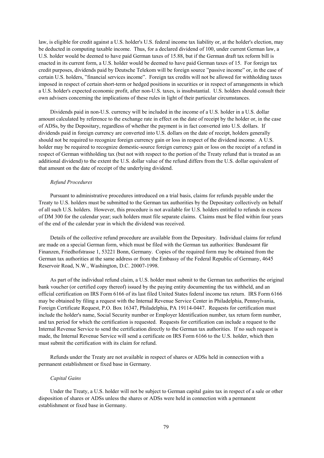law, is eligible for credit against a U.S. holder's U.S. federal income tax liability or, at the holder's election, may be deducted in computing taxable income. Thus, for a declared dividend of 100, under current German law, a U.S. holder would be deemed to have paid German taxes of 15.88, but if the German draft tax reform bill is enacted in its current form, a U.S. holder would be deemed to have paid German taxes of 15. For foreign tax credit purposes, dividends paid by Deutsche Telekom will be foreign source "passive income" or, in the case of certain U.S. holders, "financial services income". Foreign tax credits will not be allowed for withholding taxes imposed in respect of certain short-term or hedged positions in securities or in respect of arrangements in which a U.S. holder's expected economic profit, after non-U.S. taxes, is insubstantial. U.S. holders should consult their own advisers concerning the implications of these rules in light of their particular circumstances.

Dividends paid in non-U.S. currency will be included in the income of a U.S. holder in a U.S. dollar amount calculated by reference to the exchange rate in effect on the date of receipt by the holder or, in the case of ADSs, by the Depositary, regardless of whether the payment is in fact converted into U.S. dollars. If dividends paid in foreign currency are converted into U.S. dollars on the date of receipt, holders generally should not be required to recognize foreign currency gain or loss in respect of the dividend income. A U.S. holder may be required to recognize domestic-source foreign currency gain or loss on the receipt of a refund in respect of German withholding tax (but not with respect to the portion of the Treaty refund that is treated as an additional dividend) to the extent the U.S. dollar value of the refund differs from the U.S. dollar equivalent of that amount on the date of receipt of the underlying dividend.

### *Refund Procedures*

Pursuant to administrative procedures introduced on a trial basis, claims for refunds payable under the Treaty to U.S. holders must be submitted to the German tax authorities by the Depositary collectively on behalf of all such U.S. holders. However, this procedure is not available for U.S. holders entitled to refunds in excess of DM 300 for the calendar year; such holders must file separate claims. Claims must be filed within four years of the end of the calendar year in which the dividend was received.

Details of the collective refund procedure are available from the Depositary. Individual claims for refund are made on a special German form, which must be filed with the German tax authorities: Bundesamt für Finanzen, Friedhofstrasse 1, 53221 Bonn, Germany. Copies of the required form may be obtained from the German tax authorities at the same address or from the Embassy of the Federal Republic of Germany, 4645 Reservoir Road, N.W., Washington, D.C. 20007-1998.

As part of the individual refund claim, a U.S. holder must submit to the German tax authorities the original bank voucher (or certified copy thereof) issued by the paying entity documenting the tax withheld, and an official certification on IRS Form 6166 of its last filed United States federal income tax return. IRS Form 6166 may be obtained by filing a request with the Internal Revenue Service Center in Philadelphia, Pennsylvania, Foreign Certificate Request, P.O. Box 16347, Philadelphia, PA 19114-0447. Requests for certification must include the holder's name, Social Security number or Employer Identification number, tax return form number, and tax period for which the certification is requested. Requests for certification can include a request to the Internal Revenue Service to send the certification directly to the German tax authorities. If no such request is made, the Internal Revenue Service will send a certificate on IRS Form 6166 to the U.S. holder, which then must submit the certification with its claim for refund.

Refunds under the Treaty are not available in respect of shares or ADSs held in connection with a permanent establishment or fixed base in Germany.

#### *Capital Gains*

Under the Treaty, a U.S. holder will not be subject to German capital gains tax in respect of a sale or other disposition of shares or ADSs unless the shares or ADSs were held in connection with a permanent establishment or fixed base in Germany.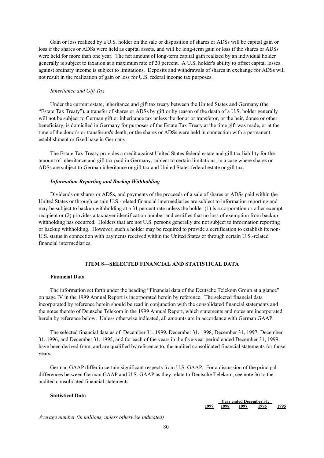Gain or loss realized by a U.S. holder on the sale or disposition of shares or ADSs will be capital gain or loss if the shares or ADSs were held as capital assets, and will be long-term gain or loss if the shares or ADSs were held for more than one year. The net amount of long-term capital gain realized by an individual holder generally is subject to taxation at a maximum rate of 20 percent. A U.S. holder's ability to offset capital losses against ordinary income is subject to limitations. Deposits and withdrawals of shares in exchange for ADSs will not result in the realization of gain or loss for U.S. federal income tax purposes.

#### *Inheritance and Gift Tax*

Under the current estate, inheritance and gift tax treaty between the United States and Germany (the "Estate Tax Treaty"), a transfer of shares or ADSs by gift or by reason of the death of a U.S. holder generally will not be subject to German gift or inheritance tax unless the donor or transferor, or the heir, donee or other beneficiary, is domiciled in Germany for purposes of the Estate Tax Treaty at the time gift was made, or at the time of the donor's or transferors's death, or the shares or ADSs were held in connection with a permanent establishment or fixed base in Germany.

The Estate Tax Treaty provides a credit against United States federal estate and gift tax liability for the amount of inheritance and gift tax paid in Germany, subject to certain limitations, in a case where shares or ADSs are subject to German inheritance or gift tax and United States federal estate or gift tax.

# *Information Reporting and Backup Withholding*

Dividends on shares or ADSs, and payments of the proceeds of a sale of shares or ADSs paid within the United States or through certain U.S.-related financial intermediaries are subject to information reporting and may be subject to backup withholding at a 31 percent rate unless the holder (1) is a corporation or other exempt recipient or (2) provides a taxpayer identification number and certifies that no loss of exemption from backup withholding has occurred. Holders that are not U.S. persons generally are not subject to information reporting or backup withholding. However, such a holder may be required to provide a certification to establish its non-U.S. status in connection with payments received within the United States or through certain U.S.-related financial intermediaries.

## **ITEM 8—SELECTED FINANCIAL AND STATISTICAL DATA**

## **Financial Data**

The information set forth under the heading "Financial data of the Deutsche Telekom Group at a glance" on page IV in the 1999 Annual Report is incorporated herein by reference. The selected financial data incorporated by reference herein should be read in conjunction with the consolidated financial statements and the notes thereto of Deutsche Telekom in the 1999 Annual Report, which statements and notes are incorporated herein by reference below. Unless otherwise indicated, all amounts are in accordance with German GAAP.

The selected financial data as of December 31, 1999, December 31, 1998, December 31, 1997, December 31, 1996, and December 31, 1995, and for each of the years in the five-year period ended December 31, 1999, have been derived from, and are qualified by reference to, the audited consolidated financial statements for those years.

German GAAP differ in certain significant respects from U.S. GAAP. For a discussion of the principal differences between German GAAP and U.S. GAAP as they relate to Deutsche Telekom, see note 36 to the audited consolidated financial statements.

### **Statistical Data**

|      | Year ended December 31. |  |  |      |      |
|------|-------------------------|--|--|------|------|
| 1000 | '998                    |  |  | 1996 | 1995 |

*Average number (in millions, unless otherwise indicated)*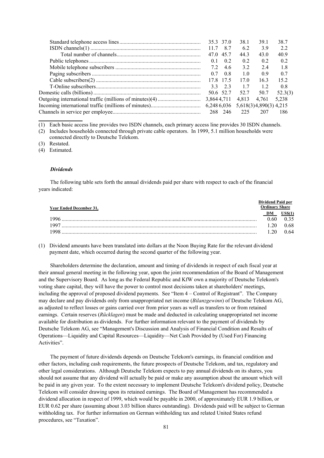|             | 35.3 37.0 | 38.1                | 39.1 | 38.7    |
|-------------|-----------|---------------------|------|---------|
| 11.7 8.7    |           | -62                 | 39   | 22      |
|             | 47.0 45.7 | 44.3                | 43.0 | 40.9    |
| 0.1         | 02        | 02                  | 02   | 0.2     |
|             | 72 46     | 32                  | 24   | -1.8    |
|             | 07 08     | 10                  | 09   | 0.7     |
|             | 17.8 17.5 | 170                 | 163  | 152     |
|             | 3323      | 17                  | 12   | 08      |
|             |           | 50.6 52.7 52.7 50.7 |      | 52.3(3) |
| 3,864 4,711 |           | 4,813 4,761         |      | 5,238   |
|             |           |                     |      |         |
|             | 268 246   | 225                 | 207  | 186     |
|             |           |                     |      |         |

(1) Each basic access line provides two ISDN channels, each primary access line provides 30 ISDN channels.

(3) Restated.

**\_\_\_\_\_\_\_\_\_\_\_\_\_\_\_\_**

(4) Estimated.

# *Dividends*

The following table sets forth the annual dividends paid per share with respect to each of the financial years indicated:

| Year Ended December 31. |    | Dividend Paid per<br>Ordinarv ¦ |
|-------------------------|----|---------------------------------|
|                         |    |                                 |
| 996                     | 60 |                                 |
| 997                     | ንበ | ., 68                           |
|                         | 20 | በ 64                            |

(1) Dividend amounts have been translated into dollars at the Noon Buying Rate for the relevant dividend payment date, which occurred during the second quarter of the following year.

Shareholders determine the declaration, amount and timing of dividends in respect of each fiscal year at their annual general meeting in the following year, upon the joint recommendation of the Board of Management and the Supervisory Board. As long as the Federal Republic and KfW own a majority of Deutsche Telekom's voting share capital, they will have the power to control most decisions taken at shareholders' meetings, including the approval of proposed dividend payments. See "Item 4 – Control of Registrant". The Company may declare and pay dividends only from unappropriated net income (*Bilanzgewinn*) of Deutsche Telekom AG, as adjusted to reflect losses or gains carried over from prior years as well as transfers to or from retained earnings. Certain reserves (*Rücklagen*) must be made and deducted in calculating unappropriated net income available for distribution as dividends. For further information relevant to the payment of dividends by Deutsche Telekom AG, see "Management's Discussion and Analysis of Financial Condition and Results of Operations—Liquidity and Capital Resources—Liquidity—Net Cash Provided by (Used For) Financing Activities".

The payment of future dividends depends on Deutsche Telekom's earnings, its financial condition and other factors, including cash requirements, the future prospects of Deutsche Telekom, and tax, regulatory and other legal considerations. Although Deutsche Telekom expects to pay annual dividends on its shares, you should not assume that any dividend will actually be paid or make any assumption about the amount which will be paid in any given year. To the extent necessary to implement Deutsche Telekom's dividend policy, Deutsche Telekom will consider drawing upon its retained earnings. The Board of Management has recommended a dividend allocation in respect of 1999, which would be payable in 2000, of approximately EUR 1.9 billion, or EUR 0.62 per share (assuming about 3.03 billion shares outstanding). Dividends paid will be subject to German withholding tax. For further information on German withholding tax and related United States refund procedures, see "Taxation".

<sup>(2)</sup> Includes households connected through private cable operators. In 1999, 5.1 million households were connected directly to Deutsche Telekom.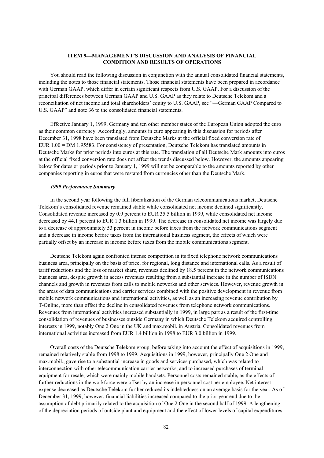# **ITEM 9MANAGEMENT'S DISCUSSION AND ANALYSIS OF FINANCIAL CONDITION AND RESULTS OF OPERATIONS**

You should read the following discussion in conjunction with the annual consolidated financial statements, including the notes to those financial statements. Those financial statements have been prepared in accordance with German GAAP, which differ in certain significant respects from U.S. GAAP. For a discussion of the principal differences between German GAAP and U.S. GAAP as they relate to Deutsche Telekom and a reconciliation of net income and total shareholders' equity to U.S. GAAP, see "—German GAAP Compared to U.S. GAAP" and note 36 to the consolidated financial statements.

Effective January 1, 1999, Germany and ten other member states of the European Union adopted the euro as their common currency. Accordingly, amounts in euro appearing in this discussion for periods after December 31, 1998 have been translated from Deutsche Marks at the official fixed conversion rate of EUR 1.00 = DM 1.95583. For consistency of presentation, Deutsche Telekom has translated amounts in Deutsche Marks for prior periods into euros at this rate. The translation of all Deutsche Mark amounts into euros at the official fixed conversion rate does not affect the trends discussed below. However, the amounts appearing below for dates or periods prior to January 1, 1999 will not be comparable to the amounts reported by other companies reporting in euros that were restated from currencies other than the Deutsche Mark.

#### *1999 Performance Summary*

In the second year following the full liberalization of the German telecommunications market, Deutsche Telekom's consolidated revenue remained stable while consolidated net income declined significantly. Consolidated revenue increased by 0.9 percent to EUR 35.5 billion in 1999, while consolidated net income decreased by 44.1 percent to EUR 1.3 billion in 1999. The decrease in consolidated net income was largely due to a decrease of approximately 53 percent in income before taxes from the network communications segment and a decrease in income before taxes from the international business segment, the effects of which were partially offset by an increase in income before taxes from the mobile communications segment.

Deutsche Telekom again confronted intense competition in its fixed telephone network communications business area, principally on the basis of price, for regional, long distance and international calls. As a result of tariff reductions and the loss of market share, revenues declined by 18.5 percent in the network communications business area, despite growth in access revenues resulting from a substantial increase in the number of ISDN channels and growth in revenues from calls to mobile networks and other services. However, revenue growth in the areas of data communications and carrier services combined with the positive development in revenue from mobile network communications and international activities, as well as an increasing revenue contribution by T-Online, more than offset the decline in consolidated revenues from telephone network communications. Revenues from international activities increased substantially in 1999, in large part as a result of the first-time consolidation of revenues of businesses outside Germany in which Deutsche Telekom acquired controlling interests in 1999, notably One 2 One in the UK and max.mobil. in Austria. Consolidated revenues from international activities increased from EUR 1.4 billion in 1998 to EUR 3.0 billion in 1999.

Overall costs of the Deutsche Telekom group, before taking into account the effect of acquisitions in 1999, remained relatively stable from 1998 to 1999. Acquisitions in 1999, however, principally One 2 One and max.mobil., gave rise to a substantial increase in goods and services purchased, which was related to interconnection with other telecommunication carrier networks, and to increased purchases of terminal equipment for resale, which were mainly mobile handsets. Personnel costs remained stable, as the effects of further reductions in the workforce were offset by an increase in personnel cost per employee. Net interest expense decreased as Deutsche Telekom further reduced its indebtedness on an average basis for the year. As of December 31, 1999, however, financial liabilities increased compared to the prior year end due to the assumption of debt primarily related to the acquisition of One 2 One in the second half of 1999. A lengthening of the depreciation periods of outside plant and equipment and the effect of lower levels of capital expenditures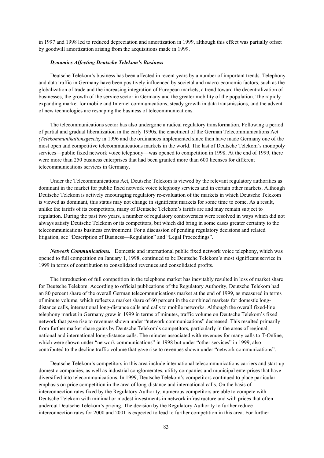in 1997 and 1998 led to reduced depreciation and amortization in 1999, although this effect was partially offset by goodwill amortization arising from the acquisitions made in 1999.

#### *Dynamics Affecting Deutsche Telekom's Business*

Deutsche Telekom's business has been affected in recent years by a number of important trends. Telephony and data traffic in Germany have been positively influenced by societal and macro-economic factors, such as the globalization of trade and the increasing integration of European markets, a trend toward the decentralization of businesses, the growth of the service sector in Germany and the greater mobility of the population. The rapidly expanding market for mobile and Internet communications, steady growth in data transmissions, and the advent of new technologies are reshaping the business of telecommunications.

The telecommunications sector has also undergone a radical regulatory transformation. Following a period of partial and gradual liberalization in the early 1990s, the enactment of the German Telecommunications Act *(Telekommunikationsgesetz)* in 1996 and the ordinances implemented since then have made Germany one of the most open and competitive telecommunications markets in the world. The last of Deutsche Telekom's monopoly services—public fixed network voice telephony—was opened to competition in 1998. At the end of 1999, there were more than 250 business enterprises that had been granted more than 600 licenses for different telecommunications services in Germany.

Under the Telecommunications Act, Deutsche Telekom is viewed by the relevant regulatory authorities as dominant in the market for public fixed network voice telephony services and in certain other markets. Although Deutsche Telekom is actively encouraging regulatory re-evaluation of the markets in which Deutsche Telekom is viewed as dominant, this status may not change in significant markets for some time to come. As a result, unlike the tariffs of its competitors, many of Deutsche Telekom's tariffs are and may remain subject to regulation. During the past two years, a number of regulatory controversies were resolved in ways which did not always satisfy Deutsche Telekom or its competitors, but which did bring in some cases greater certainty to the telecommunications business environment. For a discussion of pending regulatory decisions and related litigation, see "Description of Business––Regulation" and "Legal Proceedings".

*Network Communications.*Domestic and international public fixed network voice telephony, which was opened to full competition on January 1, 1998, continued to be Deutsche Telekom's most significant service in 1999 in terms of contribution to consolidated revenues and consolidated profits.

The introduction of full competition in the telephone market has inevitably resulted in loss of market share for Deutsche Telekom. According to official publications of the Regulatory Authority, Deutsche Telekom had an 80 percent share of the overall German telecommunications market at the end of 1999, as measured in terms of minute volume, which reflects a market share of 60 percent in the combined markets for domestic longdistance calls, international long-distance calls and calls to mobile networks. Although the overall fixed-line telephony market in Germany grew in 1999 in terms of minutes, traffic volume on Deutsche Telekom's fixed network that gave rise to revenues shown under "network communications" decreased. This resulted primarily from further market share gains by Deutsche Telekom's competitors, particularly in the areas of regional, national and international long-distance calls. The minutes associated with revenues for many calls to T-Online, which were shown under "network communications" in 1998 but under "other services" in 1999, also contributed to the decline traffic volume that gave rise to revenues shown under "network communications".

Deutsche Telekom's competitors in this area include international telecommunications carriers and start-up domestic companies, as well as industrial conglomerates, utility companies and municipal enterprises that have diversified into telecommunications. In 1999, Deutsche Telekom's competitors continued to place particular emphasis on price competition in the area of long-distance and international calls. On the basis of interconnection rates fixed by the Regulatory Authority, numerous competitors are able to compete with Deutsche Telekom with minimal or modest investments in network infrastructure and with prices that often undercut Deutsche Telekom's pricing. The decision by the Regulatory Authority to further reduce interconnection rates for 2000 and 2001 is expected to lead to further competition in this area. For further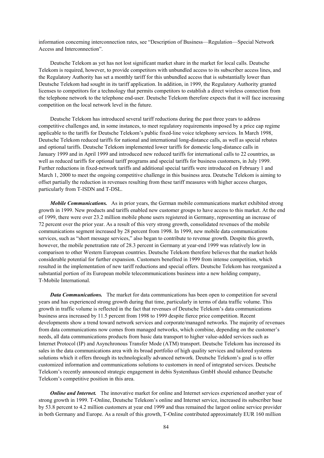information concerning interconnection rates, see "Description of Business—Regulation—Special Network Access and Interconnection".

Deutsche Telekom as yet has not lost significant market share in the market for local calls. Deutsche Telekom is required, however, to provide competitors with unbundled access to its subscriber access lines, and the Regulatory Authority has set a monthly tariff for this unbundled access that is substantially lower than Deutsche Telekom had sought in its tariff application. In addition, in 1999, the Regulatory Authority granted licenses to competitors for a technology that permits competitors to establish a direct wireless connection from the telephone network to the telephone end-user. Deutsche Telekom therefore expects that it will face increasing competition on the local network level in the future.

Deutsche Telekom has introduced several tariff reductions during the past three years to address competitive challenges and, in some instances, to meet regulatory requirements imposed by a price cap regime applicable to the tariffs for Deutsche Telekom's public fixed-line voice telephony services. In March 1998, Deutsche Telekom reduced tariffs for national and international long-distance calls, as well as special rebates and optional tariffs. Deutsche Telekom implemented lower tariffs for domestic long-distance calls in January 1999 and in April 1999 and introduced new reduced tariffs for international calls to 22 countries, as well as reduced tariffs for optional tariff programs and special tariffs for business customers, in July 1999. Further reductions in fixed-network tariffs and additional special tariffs were introduced on February 1 and March 1, 2000 to meet the ongoing competitive challenge in this business area. Deutsche Telekom is aiming to offset partially the reduction in revenues resulting from these tariff measures with higher access charges, particularly from T-ISDN and T-DSL.

*Mobile Communications.*As in prior years, the German mobile communications market exhibited strong growth in 1999. New products and tariffs enabled new customer groups to have access to this market. At the end of 1999, there were over 23.2 million mobile phone users registered in Germany, representing an increase of 72 percent over the prior year. As a result of this very strong growth, consolidated revenues of the mobile communications segment increased by 28 percent from 1998. In 1999, new mobile data communications services, such as "short message services," also began to contribute to revenue growth. Despite this growth, however, the mobile penetration rate of 28.3 percent in Germany at year-end 1999 was relatively low in comparison to other Western European countries. Deutsche Telekom therefore believes that the market holds considerable potential for further expansion. Customers benefited in 1999 from intense competition, which resulted in the implementation of new tariff reductions and special offers. Deutsche Telekom has reorganized a substantial portion of its European mobile telecommunications business into a new holding company, T-Mobile International.

*Data Communications.* The market for data communications has been open to competition for several years and has experienced strong growth during that time, particularly in terms of data traffic volume. This growth in traffic volume is reflected in the fact that revenues of Deutsche Telekom's data communications business area increased by 11.5 percent from 1998 to 1999 despite fierce price competition. Recent developments show a trend toward network services and corporate/managed networks. The majority of revenues from data communications now comes from managed networks, which combine, depending on the customer's needs, all data communications products from basic data transport to higher value-added services such as Internet Protocol (IP) and Asynchronous Transfer Mode (ATM) transport. Deutsche Telekom has increased its sales in the data communications area with its broad portfolio of high quality services and tailored systems solutions which it offers through its technologically advanced network. Deutsche Telekom's goal is to offer customized information and communications solutions to customers in need of integrated services. Deutsche Telekom's recently announced strategic engagement in debis Systemhaus GmbH should enhance Deutsche Telekom's competitive position in this area.

*Online and Internet.* The innovative market for online and Internet services experienced another year of strong growth in 1999. T-Online, Deutsche Telekom's online and Internet service, increased its subscriber base by 53.8 percent to 4.2 million customers at year end 1999 and thus remained the largest online service provider in both Germany and Europe. As a result of this growth, T-Online contributed approximately EUR 160 million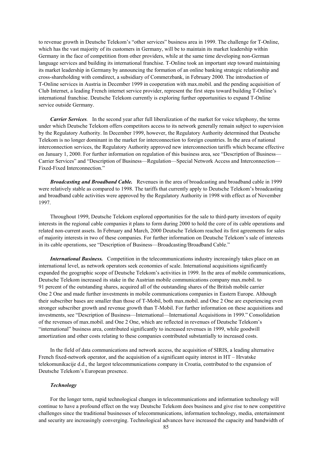to revenue growth in Deutsche Telekom's "other services" business area in 1999. The challenge for T-Online, which has the vast majority of its customers in Germany, will be to maintain its market leadership within Germany in the face of competition from other providers, while at the same time developing non-German language services and building its international franchise. T-Online took an important step toward maintaining its market leadership in Germany by announcing the formation of an online banking strategic relationship and cross-shareholding with comdirect, a subsidiary of Commerzbank, in February 2000. The introduction of T-Online services in Austria in December 1999 in cooperation with max.mobil. and the pending acquisition of Club Internet, a leading French internet service provider, represent the first steps toward building T-Online's international franchise. Deutsche Telekom currently is exploring further opportunities to expand T-Online service outside Germany.

*Carrier Services.* In the second year after full liberalization of the market for voice telephony, the terms under which Deutsche Telekom offers competitors access to its network generally remain subject to supervision by the Regulatory Authority. In December 1999, however, the Regulatory Authority determined that Deutsche Telekom is no longer dominant in the market for interconnection to foreign countries. In the area of national interconnection services, the Regulatory Authority approved new interconnection tariffs which became effective on January 1, 2000. For further information on regulation of this business area, see "Description of Business— Carrier Services" and "Description of Business—Regulation—Special Network Access and Interconnection— Fixed-Fixed Interconnection."

*Broadcasting and Broadband Cable.*Revenues in the area of broadcasting and broadband cable in 1999 were relatively stable as compared to 1998. The tariffs that currently apply to Deutsche Telekom's broadcasting and broadband cable activities were approved by the Regulatory Authority in 1998 with effect as of November 1997.

Throughout 1999, Deutsche Telekom explored opportunities for the sale to third-party investors of equity interests in the regional cable companies it plans to form during 2000 to hold the core of its cable operations and related non-current assets. In February and March, 2000 Deutsche Telekom reached its first agreements for sales of majority interests in two of these companies. For further information on Deutsche Telekom's sale of interests in its cable operations, see "Description of Business—Broadcasting/Broadband Cable."

*International Business.* Competition in the telecommunications industry increasingly takes place on an international level, as network operators seek economies of scale. International acquisitions significantly expanded the geographic scope of Deutsche Telekom's activities in 1999. In the area of mobile communications, Deutsche Telekom increased its stake in the Austrian mobile communications company max.mobil. to 91 percent of the outstanding shares, acquired all of the outstanding shares of the British mobile carrier One 2 One and made further investments in mobile communications companies in Eastern Europe. Although their subscriber bases are smaller than those of T-Mobil, both max.mobil. and One 2 One are experiencing even stronger subscriber growth and revenue growth than T-Mobil. For further information on these acquisitions and investments, see "Description of Business—International—International Acquisitions in 1999." Consolidation of the revenues of max.mobil. and One 2 One, which are reflected in revenues of Deutsche Telekom's "international" business area, contributed significantly to increased revenues in 1999, while goodwill amortization and other costs relating to these companies contributed substantially to increased costs.

In the field of data communications and network access, the acquisition of SIRIS, a leading alternative French fixed-network operator, and the acquisition of a significant equity interest in HT – Hrvatske telekomunikacije d.d., the largest telecommunications company in Croatia, contributed to the expansion of Deutsche Telekom's European presence.

#### *Technology*

For the longer term, rapid technological changes in telecommunications and information technology will continue to have a profound effect on the way Deutsche Telekom does business and give rise to new competitive challenges since the traditional businesses of telecommunications, information technology, media, entertainment and security are increasingly converging. Technological advances have increased the capacity and bandwidth of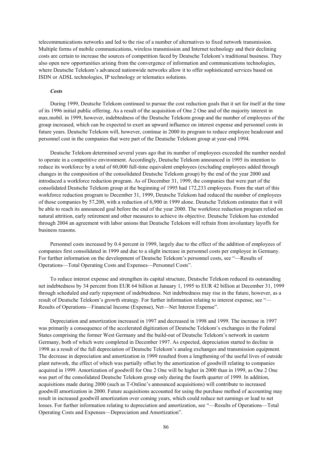telecommunications networks and led to the rise of a number of alternatives to fixed network transmission. Multiple forms of mobile communications, wireless transmission and Internet technology and their declining costs are certain to increase the sources of competition faced by Deutsche Telekom's traditional business. They also open new opportunities arising from the convergence of information and communications technologies, where Deutsche Telekom's advanced nationwide networks allow it to offer sophisticated services based on ISDN or ADSL technologies, IP technology or telematics solutions.

#### *Costs*

During 1999, Deutsche Telekom continued to pursue the cost reduction goals that it set for itself at the time of its 1996 initial public offering. As a result of the acquisition of One 2 One and of the majority interest in max.mobil. in 1999, however, indebtedness of the Deutsche Telekom group and the number of employees of the group increased, which can be expected to exert an upward influence on interest expense and personnel costs in future years. Deutsche Telekom will, however, continue in 2000 its program to reduce employee headcount and personnel cost in the companies that were part of the Deutsche Telekom group at year-end 1994.

Deutsche Telekom determined several years ago that its number of employees exceeded the number needed to operate in a competitive environment. Accordingly, Deutsche Telekom announced in 1995 its intention to reduce its workforce by a total of 60,000 full-time equivalent employees (excluding employees added through changes in the composition of the consolidated Deutsche Telekom group) by the end of the year 2000 and introduced a workforce reduction program. As of December 31, 1999, the companies that were part of the consolidated Deutsche Telekom group at the beginning of 1995 had 172,233 employees. From the start of this workforce reduction program to December 31, 1999, Deutsche Telekom had reduced the number of employees of those companies by 57,200, with a reduction of 6,900 in 1999 alone. Deutsche Telekom estimates that it will be able to reach its announced goal before the end of the year 2000. The workforce reduction program relied on natural attrition, early retirement and other measures to achieve its objective. Deutsche Telekom has extended through 2004 an agreement with labor unions that Deutsche Telekom will refrain from involuntary layoffs for business reasons.

Personnel costs increased by 0.4 percent in 1999, largely due to the effect of the addition of employees of companies first consolidated in 1999 and due to a slight increase in personnel costs per employee in Germany. For further information on the development of Deutsche Telekom's personnel costs, see "—Results of Operations—Total Operating Costs and Expenses—Personnel Costs".

To reduce interest expense and strengthen its capital structure, Deutsche Telekom reduced its outstanding net indebtedness by 34 percent from EUR 64 billion at January 1, 1995 to EUR 42 billion at December 31, 1999 through scheduled and early repayment of indebtedness. Net indebtedness may rise in the future, however, as a result of Deutsche Telekom's growth strategy. For further information relating to interest expense, see "— Results of Operations—Financial Income (Expense), Net—Net Interest Expense".

Depreciation and amortization increased in 1997 and decreased in 1998 and 1999. The increase in 1997 was primarily a consequence of the accelerated digitization of Deutsche Telekom's exchanges in the Federal States comprising the former West Germany and the build-out of Deutsche Telekom's network in eastern Germany, both of which were completed in December 1997. As expected, depreciation started to decline in 1998 as a result of the full depreciation of Deutsche Telekom's analog exchanges and transmission equipment. The decrease in depreciation and amortization in 1999 resulted from a lengthening of the useful lives of outside plant network, the effect of which was partially offset by the amortization of goodwill relating to companies acquired in 1999. Amortization of goodwill for One 2 One will be higher in 2000 than in 1999, as One 2 One was part of the consolidated Deutsche Telekom group only during the fourth quarter of 1999. In addition, acquisitions made during 2000 (such as T-Online's announced acquisitions) will contribute to increased goodwill amortization in 2000. Future acquisitions accounted for using the purchase method of accounting may result in increased goodwill amortization over coming years, which could reduce net earnings or lead to net losses. For further information relating to depreciation and amortization, see "—Results of Operations—Total Operating Costs and Expenses—Depreciation and Amortization".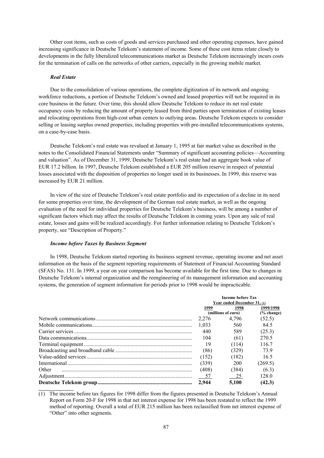Other cost items, such as costs of goods and services purchased and other operating expenses, have gained increasing significance in Deutsche Telekom's statement of income. Some of these cost items relate closely to developments in the fully liberalized telecommunications market as Deutsche Telekom increasingly incurs costs for the termination of calls on the networks of other carriers, especially in the growing mobile market.

## *Real Estate*

**\_\_\_\_\_\_\_\_\_\_\_\_\_\_\_\_**

Due to the consolidation of various operations, the complete digitization of its network and ongoing workforce reductions, a portion of Deutsche Telekom's owned and leased properties will not be required in its core business in the future. Over time, this should allow Deutsche Telekom to reduce its net real estate occupancy costs by reducing the amount of property leased from third parties upon termination of existing leases and relocating operations from high-cost urban centers to outlying areas. Deutsche Telekom expects to consider selling or leasing surplus owned properties, including properties with pre-installed telecommunications systems, on a case-by-case basis.

Deutsche Telekom's real estate was revalued at January 1, 1995 at fair market value as described in the notes to the Consolidated Financial Statements under "Summary of significant accounting policies—Accounting and valuation". As of December 31, 1999, Deutsche Telekom's real estate had an aggregate book value of EUR 17.2 billion. In 1997, Deutsche Telekom established a EUR 205 million reserve in respect of potential losses associated with the disposition of properties no longer used in its businesses. In 1999, this reserve was increased by EUR 21 million.

In view of the size of Deutsche Telekom's real estate portfolio and its expectation of a decline in its need for some properties over time, the development of the German real estate market, as well as the ongoing evaluation of the need for individual properties for Deutsche Telekom's business, will be among a number of significant factors which may affect the results of Deutsche Telekom in coming years. Upon any sale of real estate, losses and gains will be realized accordingly. For further information relating to Deutsche Telekom's property, see "Description of Property."

#### *Income before Taxes by Business Segment*

In 1998, Deutsche Telekom started reporting its business segment revenue, operating income and net asset information on the basis of the segment reporting requirements of Statement of Financial Accounting Standard (SFAS) No. 131. In 1999, a year on year comparison has become available for the first time. Due to changes in Deutsche Telekom's internal organization and the reengineering of its management information and accounting systems, the generation of segment information for periods prior to 1998 would be impracticable.

|       | <b>Income before Tax</b><br>Year ended December 31, (1) |                    |           |  |  |
|-------|---------------------------------------------------------|--------------------|-----------|--|--|
|       | 1999                                                    | 1999/1998          |           |  |  |
|       |                                                         | (millions of euro) | % change) |  |  |
|       | 2.276                                                   | 4,796              | (52.5)    |  |  |
|       | 1.033                                                   | 560                | 84.5      |  |  |
|       | 440                                                     | 589                | (25.3)    |  |  |
|       | 104                                                     | (61)               | 270.5     |  |  |
|       | 19                                                      | (114)              | 116.7     |  |  |
|       | (86)                                                    | (329)              | 739       |  |  |
|       | (152)                                                   | (182)              | 16.5      |  |  |
|       | (339)                                                   | 200                | (269.5)   |  |  |
| Other | (408)                                                   | (384)              | (6.3)     |  |  |
|       | $-57$                                                   | 25                 | 128.0     |  |  |
|       | 2.944                                                   | 5.100              | (42.3)    |  |  |

(1) The income before tax figures for 1998 differ from the figures presented in Deutsche Telekom's Annual Report on Form 20-F for 1998 in that net interest expense for 1998 has been restated to reflect the 1999 method of reporting. Overall a total of EUR 215 million has been reclassified from net interest expense of "Other" into other segments.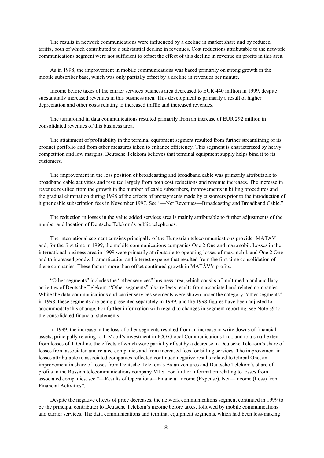The results in network communications were influenced by a decline in market share and by reduced tariffs, both of which contributed to a substantial decline in revenues. Cost reductions attributable to the network communications segment were not sufficient to offset the effect of this decline in revenue on profits in this area.

As in 1998, the improvement in mobile communications was based primarily on strong growth in the mobile subscriber base, which was only partially offset by a decline in revenues per minute.

Income before taxes of the carrier services business area decreased to EUR 440 million in 1999, despite substantially increased revenues in this business area. This development is primarily a result of higher depreciation and other costs relating to increased traffic and increased revenues.

The turnaround in data communications resulted primarily from an increase of EUR 292 million in consolidated revenues of this business area.

The attainment of profitability in the terminal equipment segment resulted from further streamlining of its product portfolio and from other measures taken to enhance efficiency. This segment is characterized by heavy competition and low margins. Deutsche Telekom believes that terminal equipment supply helps bind it to its customers.

The improvement in the loss position of broadcasting and broadband cable was primarily attributable to broadband cable activities and resulted largely from both cost reductions and revenue increases. The increase in revenue resulted from the growth in the number of cable subscribers, improvements in billing procedures and the gradual elimination during 1998 of the effects of prepayments made by customers prior to the introduction of higher cable subscription fees in November 1997. See "—Net Revenues—Broadcasting and Broadband Cable."

The reduction in losses in the value added services area is mainly attributable to further adjustments of the number and location of Deutsche Telekom's public telephones.

The international segment consists principally of the Hungarian telecommunications provider MATÁV and, for the first time in 1999, the mobile communications companies One 2 One and max.mobil. Losses in the international business area in 1999 were primarily attributable to operating losses of max.mobil. and One 2 One and to increased goodwill amortization and interest expense that resulted from the first time consolidation of these companies. These factors more than offset continued growth in MATÁV's profits.

"Other segments" includes the "other services" business area, which consits of multimedia and ancillary activities of Deutsche Telekom. "Other segments" also reflects results from associated and related companies. While the data communications and carrier services segments were shown under the category "other segments" in 1998, these segments are being presented separately in 1999, and the 1998 figures have been adjusted to accommodate this change. For further information with regard to changes in segment reporting, see Note 39 to the consolidated financial statements.

In 1999, the increase in the loss of other segments resulted from an increase in write downs of financial assets, principally relating to T-Mobil's investment in ICO Global Communications Ltd., and to a small extent from losses of T-Online, the effects of which were partially offset by a decrease in Deutsche Telekom's share of losses from associated and related companies and from increased fees for billing services. The improvement in losses attributable to associated companies reflected continued negative results related to Global One, an improvement in share of losses from Deutsche Telekom's Asian ventures and Deutsche Telekom's share of profits in the Russian telecommunications company MTS. For further information relating to losses from associated companies, see "—Results of Operations—Financial Income (Expense), Net—Income (Loss) from Financial Activities".

Despite the negative effects of price decreases, the network communications segment continued in 1999 to be the principal contributor to Deutsche Telekom's income before taxes, followed by mobile communications and carrier services. The data communications and terminal equipment segments, which had been loss-making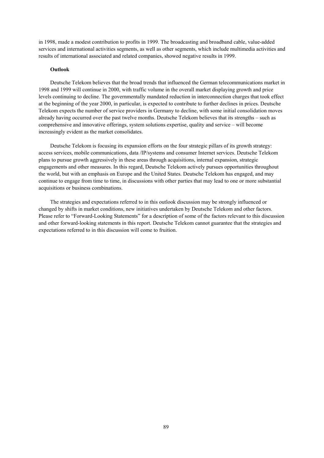in 1998, made a modest contribution to profits in 1999. The broadcasting and broadband cable, value-added services and international activities segments, as well as other segments, which include multimedia activities and results of international associated and related companies, showed negative results in 1999.

## **Outlook**

Deutsche Telekom believes that the broad trends that influenced the German telecommunications market in 1998 and 1999 will continue in 2000, with traffic volume in the overall market displaying growth and price levels continuing to decline. The governmentally mandated reduction in interconnection charges that took effect at the beginning of the year 2000, in particular, is expected to contribute to further declines in prices. Deutsche Telekom expects the number of service providers in Germany to decline, with some initial consolidation moves already having occurred over the past twelve months. Deutsche Telekom believes that its strengths – such as comprehensive and innovative offerings, system solutions expertise, quality and service – will become increasingly evident as the market consolidates.

Deutsche Telekom is focusing its expansion efforts on the four strategic pillars of its growth strategy: access services, mobile communications, data /IP/systems and consumer Internet services. Deutsche Telekom plans to pursue growth aggressively in these areas through acquisitions, internal expansion, strategic engagements and other measures. In this regard, Deutsche Telekom actively pursues opportunities throughout the world, but with an emphasis on Europe and the United States. Deutsche Telekom has engaged, and may continue to engage from time to time, in discussions with other parties that may lead to one or more substantial acquisitions or business combinations.

The strategies and expectations referred to in this outlook discussion may be strongly influenced or changed by shifts in market conditions, new initiatives undertaken by Deutsche Telekom and other factors. Please refer to "Forward-Looking Statements" for a description of some of the factors relevant to this discussion and other forward-looking statements in this report. Deutsche Telekom cannot guarantee that the strategies and expectations referred to in this discussion will come to fruition.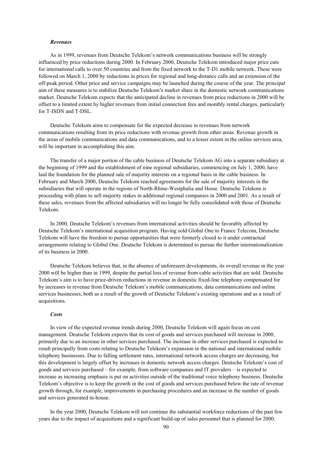#### *Revenues*

As in 1999, revenues from Deutsche Telekom's network communications business will be strongly influenced by price reductions during 2000. In February 2000, Deutsche Telekom introduced major price cuts for international calls to over 50 countries and from the fixed network to the T-D1 mobile network. These were followed on March 1, 2000 by reductions in prices for regional and long-distance calls and an extension of the off-peak period. Other price and service campaigns may be launched during the course of the year. The principal aim of these measures is to stabilize Deutsche Telekom's market share in the domestic network communications market. Deutsche Telekom expects that the anticipated decline in revenues from price reductions in 2000 will be offset to a limited extent by higher revenues from initial connection fees and monthly rental charges, particularly for T-ISDN and T-DSL.

Deutsche Telekom aims to compensate for the expected decrease in revenues from network communications resulting from its price reductions with revenue growth from other areas. Revenue growth in the areas of mobile communications and data communications, and to a lesser extent in the online services area, will be important in accomplishing this aim.

The transfer of a major portion of the cable business of Deutsche Telekom AG into a separate subsidiary at the beginning of 1999 and the establishment of nine regional subsidiaries, commencing on July 1, 2000, have laid the foundation for the planned sale of majority interests on a regional basis in the cable business. In February and March 2000, Deutsche Telekom reached agreements for the sale of majority interests in the subsidiaries that will operate in the regions of North-Rhine-Westphalia and Hesse. Deutsche Telekom is proceeding with plans to sell majority stakes in additional regional companies in 2000 and 2001. As a result of these sales, revenues from the affected subsidiaries will no longer be fully consolidated with those of Deutsche Telekom.

In 2000, Deutsche Telekom's revenues from international activities should be favorably affected by Deutsche Telekom's international acquisition program. Having sold Global One to France Telecom, Deutsche Telekom will have the freedom to pursue opportunities that were formerly closed to it under contractual arrangements relating to Global One. Deutsche Telekom is determined to pursue the further internationalization of its business in 2000.

Deutsche Telekom believes that, in the absence of unforeseen developments, its overall revenue in the year 2000 will be higher than in 1999, despite the partial loss of revenue from cable activities that are sold. Deutsche Telekom's aim is to have price-driven reductions in revenue in domestic fixed-line telephony compensated for by increases in revenue from Deutsche Telekom's mobile communications, data communications and online services businesses, both as a result of the growth of Deutsche Telekom's existing operations and as a result of acquisitions.

### *Costs*

In view of the expected revenue trends during 2000, Deutsche Telekom will again focus on cost management. Deutsche Telekom expects that its cost of goods and services purchased will increase in 2000, primarily due to an increase in other services purchased. The increase in other services purchased is expected to result principally from costs relating to Deutsche Telekom's expansion in the national and international mobile telephony businesses. Due to falling settlement rates, international network access charges are decreasing, but this development is largely offset by increases in domestic network access charges. Deutsche Telekom's cost of goods and services purchased – for example, from software companies and IT providers – is expected to increase as increasing emphasis is put on activities outside of the traditional voice telephony business. Deutsche Telekom's objective is to keep the growth in the cost of goods and services purchased below the rate of revenue growth through, for example, improvements in purchasing procedures and an increase in the number of goods and services generated in-house.

In the year 2000, Deutsche Telekom will not continue the substantial workforce reductions of the past few years due to the impact of acquisitions and a significant build-up of sales personnel that is planned for 2000.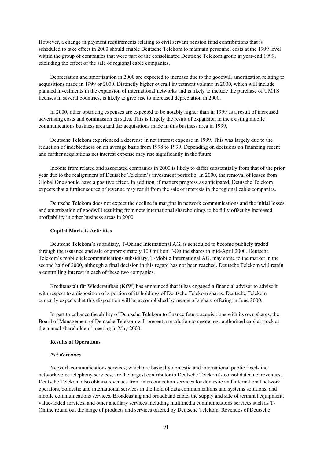However, a change in payment requirements relating to civil servant pension fund contributions that is scheduled to take effect in 2000 should enable Deutsche Telekom to maintain personnel costs at the 1999 level within the group of companies that were part of the consolidated Deutsche Telekom group at year-end 1999, excluding the effect of the sale of regional cable companies.

Depreciation and amortization in 2000 are expected to increase due to the goodwill amortization relating to acquisitions made in 1999 or 2000. Distinctly higher overall investment volume in 2000, which will include planned investments in the expansion of international networks and is likely to include the purchase of UMTS licenses in several countries, is likely to give rise to increased depreciation in 2000.

In 2000, other operating expenses are expected to be notably higher than in 1999 as a result of increased advertising costs and commission on sales. This is largely the result of expansion in the existing mobile communications business area and the acquisitions made in this business area in 1999.

Deutsche Telekom experienced a decrease in net interest expense in 1999. This was largely due to the reduction of indebtedness on an average basis from 1998 to 1999. Depending on decisions on financing recent and further acquisitions net interest expense may rise significantly in the future.

Income from related and associated companies in 2000 is likely to differ substantially from that of the prior year due to the realignment of Deutsche Telekom's investment portfolio. In 2000, the removal of losses from Global One should have a positive effect. In addition, if matters progress as anticipated, Deutsche Telekom expects that a further source of revenue may result from the sale of interests in the regional cable companies.

Deutsche Telekom does not expect the decline in margins in network communications and the initial losses and amortization of goodwill resulting from new international shareholdings to be fully offset by increased profitability in other business areas in 2000.

## **Capital Markets Activities**

Deutsche Telekom's subsidiary**,** T-Online International AG, is scheduled to become publicly traded through the issuance and sale of approximately 100 million T-Online shares in mid-April 2000. Deutsche Telekom's mobile telecommunications subsidiary, T-Mobile International AG, may come to the market in the second half of 2000, although a final decision in this regard has not been reached. Deutsche Telekom will retain a controlling interest in each of these two companies.

Kreditanstalt für Wiederaufbau (KfW) has announced that it has engaged a financial advisor to advise it with respect to a disposition of a portion of its holdings of Deutsche Telekom shares. Deutsche Telekom currently expects that this disposition will be accomplished by means of a share offering in June 2000.

In part to enhance the ability of Deutsche Telekom to finance future acquisitions with its own shares, the Board of Management of Deutsche Telekom will present a resolution to create new authorized capital stock at the annual shareholders' meeting in May 2000.

## **Results of Operations**

## *Net Revenues*

Network communications services, which are basically domestic and international public fixed-line network voice telephony services, are the largest contributor to Deutsche Telekom's consolidated net revenues. Deutsche Telekom also obtains revenues from interconnection services for domestic and international network operators, domestic and international services in the field of data communications and systems solutions, and mobile communications services. Broadcasting and broadband cable, the supply and sale of terminal equipment, value-added services, and other ancillary services including multimedia communications services such as T-Online round out the range of products and services offered by Deutsche Telekom. Revenues of Deutsche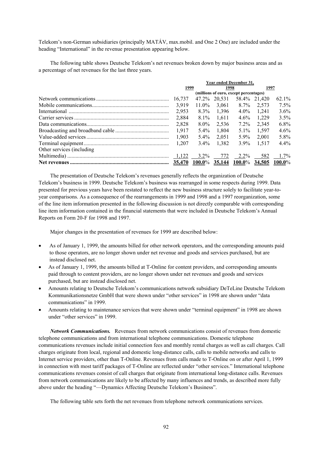Telekom's non-German subsidiaries (principally MATÁV, max.mobil. and One 2 One) are included under the heading "International" in the revenue presentation appearing below.

The following table shows Deutsche Telekom's net revenues broken down by major business areas and as a percentage of net revenues for the last three years.

|                            | Year ended December 31, |           |               |                                        |                 |         |  |
|----------------------------|-------------------------|-----------|---------------|----------------------------------------|-----------------|---------|--|
|                            | 1999                    |           |               | 1998                                   |                 | 1997    |  |
|                            |                         |           |               | (millions of euro, except percentages) |                 |         |  |
|                            | 16.737                  |           |               | 47.2\% 20.531 58.4\% 21,420            |                 | 62.1%   |  |
|                            | 3.919                   |           |               | $11.0\%$ 3,061 8.7% 2,573              |                 | 7.5%    |  |
|                            | 2.953                   |           | 8.3% 1.396    |                                        | $4.0\%$ 1.241   | $3.6\%$ |  |
|                            | 2,884                   |           | $8.1\%$ 1,611 |                                        | $4.6\%$ 1,229   | $3.5\%$ |  |
|                            | 2.828                   | 8.0%      | 2.536         | $7.2\%$                                | 2.345           | $6.8\%$ |  |
|                            |                         | $5.4\%$   | 1.804         |                                        | 5.1\% 1.597     | 4.6%    |  |
|                            | 1.903                   | $5.4\%$   | 2.051         | 5.9%                                   | 2.001           | 5.8%    |  |
|                            |                         | $3.4\%$   | 1.382         |                                        | $3.9\%$ 1.517   | $4.4\%$ |  |
| Other services (including) |                         |           |               |                                        |                 |         |  |
|                            |                         |           |               |                                        |                 |         |  |
|                            | 35.470                  | $100.0\%$ | <u>35,144</u> | $100.0\%$                              | $34.505$ 100.0% |         |  |
|                            |                         |           |               |                                        |                 |         |  |

The presentation of Deutsche Telekom's revenues generally reflects the organization of Deutsche Telekom's business in 1999. Deutsche Telekom's business was rearranged in some respects during 1999. Data presented for previous years have been restated to reflect the new business structure solely to facilitate year-toyear comparisons. As a consequence of the rearrangements in 1999 and 1998 and a 1997 reorganization, some of the line item information presented in the following discussion is not directly comparable with corresponding line item information contained in the financial statements that were included in Deutsche Telekom's Annual Reports on Form 20-F for 1998 and 1997.

Major changes in the presentation of revenues for 1999 are described below:

- As of January 1, 1999, the amounts billed for other network operators, and the corresponding amounts paid to those operators, are no longer shown under net revenue and goods and services purchased, but are instead disclosed net.
- As of January 1, 1999, the amounts billed at T-Online for content providers, and corresponding amounts paid through to content providers, are no longer shown under net revenues and goods and services purchased, but are instead disclosed net.
- Amounts relating to Deutsche Telekom's communications network subsidiary DeTeLine Deutsche Telekom Kommunikationsnetze GmbH that were shown under "other services" in 1998 are shown under "data communications" in 1999.
- Amounts relating to maintenance services that were shown under "terminal equipment" in 1998 are shown under "other services" in 1999.

*Network Communications.* Revenues from network communications consist of revenues from domestic telephone communications and from international telephone communications. Domestic telephone communications revenues include initial connection fees and monthly rental charges as well as call charges. Call charges originate from local, regional and domestic long-distance calls, calls to mobile networks and calls to Internet service providers, other than T-Online. Revenues from calls made to T-Online on or after April 1, 1999 in connection with most tariff packages of T-Online are reflected under "other services." International telephone communications revenues consist of call charges that originate from international long-distance calls. Revenues from network communications are likely to be affected by many influences and trends, as described more fully above under the heading "—Dynamics Affecting Deutsche Telekom's Business".

The following table sets forth the net revenues from telephone network communications services.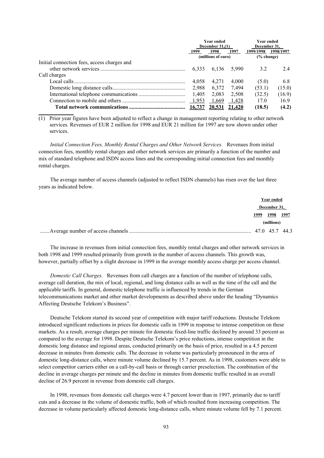|                                             | <b>Year ended</b><br>December $31(1)$ |                    |       | <b>Year ended</b><br>December 31. |           |  |
|---------------------------------------------|---------------------------------------|--------------------|-------|-----------------------------------|-----------|--|
|                                             |                                       |                    |       |                                   |           |  |
|                                             | 1999                                  | 1998               | 1997  | 1999/1998                         | 1998/1997 |  |
|                                             |                                       | (millions of euro) |       | $\frac{6}{6}$ change)             |           |  |
| Initial connection fees, access charges and |                                       |                    |       |                                   |           |  |
|                                             | 6.333                                 | 6.136              | 5.990 | 3.2                               | 2.4       |  |
| Call charges                                |                                       |                    |       |                                   |           |  |
|                                             | 4.058                                 | 4.271              | 4.000 | (5.0)                             | 6.8       |  |
|                                             | 2.988                                 | 6,372              | 7.494 | (53.1)                            | (15.0)    |  |
|                                             | 1.405                                 | 2,083              | 2,508 | (32.5)                            | (16.9)    |  |
|                                             | 1,953                                 | 1,669              | 1,428 | 170                               | 16.9      |  |
|                                             | 16.737                                | 20.531 21.420      |       | (18.5)                            | (4.2)     |  |

(1) Prior year figures have been adjusted to reflect a change in management reporting relating to other network services. Revenues of EUR 2 million for 1998 and EUR 21 million for 1997 are now shown under other services.

**\_\_\_\_\_\_\_\_\_\_\_\_\_\_\_\_**

*Initial Connection Fees, Monthly Rental Charges and Other Network Services.* Revenues from initial connection fees, monthly rental charges and other network services are primarily a function of the number and mix of standard telephone and ISDN access lines and the corresponding initial connection fees and monthly rental charges.

The average number of access channels (adjusted to reflect ISDN channels) has risen over the last three years as indicated below.

|      | Year ended     |  |
|------|----------------|--|
|      | December 31,   |  |
| 1999 | 1998 1997      |  |
|      | (millions)     |  |
|      | 47.0 45.7 44.3 |  |

The increase in revenues from initial connection fees, monthly rental charges and other network services in both 1998 and 1999 resulted primarily from growth in the number of access channels. This growth was, however, partially offset by a slight decrease in 1999 in the average monthly access charge per access channel.

*Domestic Call Charges.*Revenues from call charges are a function of the number of telephone calls, average call duration, the mix of local, regional, and long distance calls as well as the time of the call and the applicable tariffs. In general, domestic telephone traffic is influenced by trends in the German telecommunications market and other market developments as described above under the heading "Dynamics Affecting Deutsche Telekom's Business".

Deutsche Telekom started its second year of competition with major tariff reductions. Deutsche Telekom introduced significant reductions in prices for domestic calls in 1999 in response to intense competition on these markets. As a result, average charges per minute for domestic fixed-line traffic declined by around 33 percent as compared to the average for 1998. Despite Deutsche Telekom's price reductions, intense competition in the domestic long distance and regional areas, conducted primarily on the basis of price, resulted in a 4.5 percent decrease in minutes from domestic calls. The decrease in volume was particularly pronounced in the area of domestic long-distance calls, where minute volume declined by 15.7 percent. As in 1998, customers were able to select competitor carriers either on a call-by-call basis or through carrier preselection. The combination of the decline in average charges per minute and the decline in minutes from domestic traffic resulted in an overall decline of 26.9 percent in revenue from domestic call charges.

In 1998, revenues from domestic call charges were 4.7 percent lower than in 1997, primarily due to tariff cuts and a decrease in the volume of domestic traffic, both of which resulted from increasing competition. The decrease in volume particularly affected domestic long-distance calls, where minute volume fell by 7.1 percent.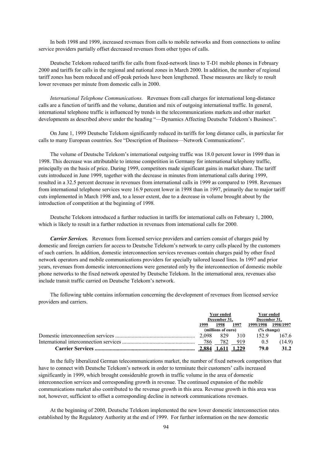In both 1998 and 1999, increased revenues from calls to mobile networks and from connections to online service providers partially offset decreased revenues from other types of calls.

Deutsche Telekom reduced tariffs for calls from fixed-network lines to T-D1 mobile phones in February 2000 and tariffs for calls in the regional and national zones in March 2000. In addition, the number of regional tariff zones has been reduced and off-peak periods have been lengthened. These measures are likely to result lower revenues per minute from domestic calls in 2000.

*International Telephone Communications.*Revenues from call charges for international long-distance calls are a function of tariffs and the volume, duration and mix of outgoing international traffic. In general, international telephone traffic is influenced by trends in the telecommunications markets and other market developments as described above under the heading "—Dynamics Affecting Deutsche Telekom's Business".

On June 1, 1999 Deutsche Telekom significantly reduced its tariffs for long distance calls, in particular for calls to many European countries. See "Description of Business—Network Communications".

The volume of Deutsche Telekom's international outgoing traffic was 18.0 percent lower in 1999 than in 1998. This decrease was attributable to intense competition in Germany for international telephony traffic, principally on the basis of price. During 1999, competitors made significant gains in market share. The tariff cuts introduced in June 1999, together with the decrease in minutes from international calls during 1999, resulted in a 32.5 percent decrease in revenues from international calls in 1999 as compared to 1998. Revenues from international telephone services were 16.9 percent lower in 1998 than in 1997, primarily due to major tariff cuts implemented in March 1998 and, to a lesser extent, due to a decrease in volume brought about by the introduction of competition at the beginning of 1998*.* 

Deutsche Telekom introduced a further reduction in tariffs for international calls on February 1, 2000, which is likely to result in a further reduction in revenues from international calls for 2000.

*Carrier Services.* Revenues from licensed service providers and carriers consist of charges paid by domestic and foreign carriers for access to Deutsche Telekom's network to carry calls placed by the customers of such carriers. In addition, domestic interconnection services revenues contain charges paid by other fixed network operators and mobile communications providers for specially tailored leased lines. In 1997 and prior years, revenues from domestic interconnections were generated only by the interconnection of domestic mobile phone networks to the fixed network operated by Deutsche Telekom. In the international area, revenues also include transit traffic carried on Deutsche Telekom's network.

The following table contains information concerning the development of revenues from licensed service providers and carriers.

|  | Year ended<br>December 31. |                    |             | Year ended            |         |  |
|--|----------------------------|--------------------|-------------|-----------------------|---------|--|
|  |                            |                    |             | December 31.          |         |  |
|  | 1999                       | 1998               | 1997        | 1999/1998 1998/1997   |         |  |
|  |                            | (millions of euro) |             | $\frac{6}{6}$ change) |         |  |
|  |                            |                    |             |                       | - 167.6 |  |
|  |                            |                    | 782 919     | 0.5                   | (14.9)  |  |
|  |                            |                    | 1,611 1,229 | 79.0                  | 31.2    |  |

In the fully liberalized German telecommunications market, the number of fixed network competitors that have to connect with Deutsche Telekom's network in order to terminate their customers' calls increased significantly in 1999, which brought considerable growth in traffic volume in the area of domestic interconnection services and corresponding growth in revenue. The continued expansion of the mobile communications market also contributed to the revenue growth in this area. Revenue growth in this area was not, however, sufficient to offset a corresponding decline in network communications revenues.

At the beginning of 2000, Deutsche Telekom implemented the new lower domestic interconnection rates established by the Regulatory Authority at the end of 1999. For further information on the new domestic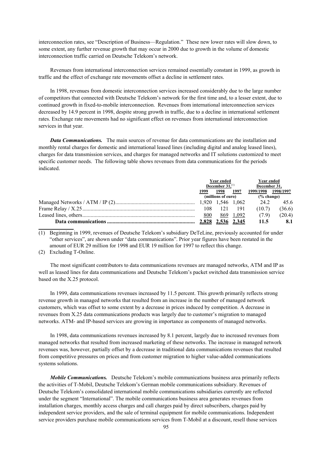interconnection rates, see "Description of Business—Regulation." These new lower rates will slow down, to some extent, any further revenue growth that may occur in 2000 due to growth in the volume of domestic interconnection traffic carried on Deutsche Telekom's network.

Revenues from international interconnection services remained essentially constant in 1999, as growth in traffic and the effect of exchange rate movements offset a decline in settlement rates.

In 1998, revenues from domestic interconnection services increased considerably due to the large number of competitors that connected with Deutsche Telekom's network for the first time and, to a lesser extent, due to continued growth in fixed-to-mobile interconnection. Revenues from international interconnection services decreased by 14.9 percent in 1998, despite strong growth in traffic, due to a decline in international settlement rates. Exchange rate movements had no significant effect on revenues from international interconnection services in that year.

*Data Communications.* The main sources of revenue for data communications are the installation and monthly rental charges for domestic and international leased lines (including digital and analog leased lines), charges for data transmission services, and charges for managed networks and IT solutions customized to meet specific customer needs. The following table shows revenues from data communications for the periods indicated.

| Year ended<br>December $31$ , <sup>(1)</sup> |                    |           | Year ended<br>December 31. |        |
|----------------------------------------------|--------------------|-----------|----------------------------|--------|
| 1999                                         | 1998               | 1997      | 1999/1998 1998/1997        |        |
|                                              | (millions of euro) |           | % change)                  |        |
|                                              |                    |           | 24.2                       | 45.6   |
| 108                                          | 121 191            |           | (10.7)                     | (36.6) |
| 800                                          |                    | 869 1,092 | (79)                       | (20.4) |
|                                              |                    |           | 11.5                       | 8.1    |

(1) Beginning in 1999, revenues of Deutsche Telekom's subsidiary DeTeLine, previously accounted for under "other services", are shown under "data communications". Prior year figures have been restated in the amount of EUR 29 million for 1998 and EUR 19 million for 1997 to reflect this change.

(2) Excluding T-Online.

**\_\_\_\_\_\_\_\_\_\_\_\_\_\_\_\_**

The most significant contributors to data communications revenues are managed networks, ATM and IP as well as leased lines for data communications and Deutsche Telekom's packet switched data transmission service based on the X.25 protocol.

In 1999, data communications revenues increased by 11.5 percent. This growth primarily reflects strong revenue growth in managed networks that resulted from an increase in the number of managed network customers, which was offset to some extent by a decrease in prices induced by competition. A decrease in revenues from X.25 data communications products was largely due to customer's migration to managed networks. ATM- and IP-based services are growing in importance as components of managed networks.

In 1998, data communications revenues increased by 8.1 percent, largely due to increased revenues from managed networks that resulted from increased marketing of these networks. The increase in managed network revenues was, however, partially offset by a decrease in traditional data communications revenues that resulted from competitive pressures on prices and from customer migration to higher value-added communications systems solutions.

*Mobile Communications.*Deutsche Telekom's mobile communications business area primarily reflects the activities of T-Mobil, Deutsche Telekom's German mobile communications subsidiary. Revenues of Deutsche Telekom's consolidated international mobile communications subsidiaries currently are reflected under the segment "International". The mobile communications business area generates revenues from installation charges, monthly access charges and call charges paid by direct subscribers, charges paid by independent service providers, and the sale of terminal equipment for mobile communications. Independent service providers purchase mobile communications services from T-Mobil at a discount, resell those services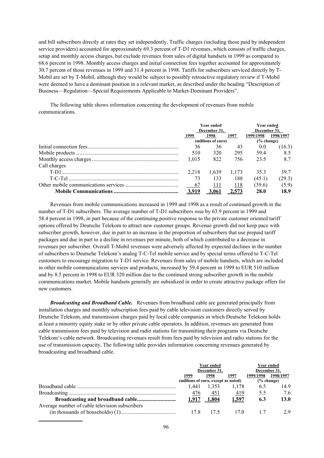and bill subscribers directly at rates they set independently. Traffic charges (including those paid by independent service providers) accounted for approximately 69.3 percent of T-D1 revenues, which consists of traffic charges, setup and monthly access charges, but exclude revenues from sales of digital handsets in 1999 as compared to 68.6 percent in 1998. Monthly access charges and initial connection fees together accounted for approximately 30.7 percent of those revenues in 1999 and 31.4 percent in 1998. Tariffs for subscribers serviced directly by T-Mobil are set by T-Mobil, although they would be subject to possibly retroactive regulatory review if T-Mobil were deemed to have a dominant position in a relevant market, as described under the heading "Description of Business—Regulation—Special Requirements Applicable to Market-Dominant Providers".

The following table shows information concerning the development of revenues from mobile communications.

|              |       | <b>Year ended</b>  | <b>Year ended</b><br>December 31. |             |           |  |
|--------------|-------|--------------------|-----------------------------------|-------------|-----------|--|
|              |       | December 31.       |                                   |             |           |  |
|              | 1999  | 1998               | 1997                              | 1999/1998   | 1998/1997 |  |
|              |       | (millions of euro) |                                   | % change)   |           |  |
|              | 36    | 36                 | 43                                | 0.0         | (16.3)    |  |
|              | 510   | 320                | 295                               | 59.4        | 8.5       |  |
|              | 1.015 | 822                | 756                               | 23.5        | 8.7       |  |
| Call charges |       |                    |                                   |             |           |  |
|              | 2.218 | 1.639              | 1.173                             | 35.3        | 39.7      |  |
|              | 73    | 133                | 188                               | (45.1)      | (29.3)    |  |
|              | 67    | 111                | 118                               | (39.6)      | (5.9)     |  |
|              | 3.919 | 3.061              | 2.573                             | <b>28.0</b> | 18.9      |  |

Revenues from mobile communications increased in 1999 and 1998 as a result of continued growth in the number of T-D1 subscribers. The average number of T-D1 subscribers rose by 63.9 percent in 1999 and 58.4 percent in 1998, in part because of the continuing positive response to the private customer oriented tariff options offered by Deutsche Telekom to attract new customer groups. Revenue growth did not keep pace with subscriber growth, however, due in part to an increase in the proportion of subscribers that use prepaid tariff packages and due in part to a decline in revenues per minute, both of which contributed to a decrease in revenues per subscriber. Overall T-Mobil revenues were adversely affected by expected declines in the number of subscribers to Deutsche Telekom's analog T-C-Tel mobile service and by special terms offered to T-C-Tel customers to encourage migration to T-D1 service. Revenues from sales of mobile handsets, which are included in other mobile communications services and products, increased by 59.4 percent in 1999 to EUR 510 million and by 8.5 percent in 1998 to EUR 320 million due to the continued strong subscriber growth in the mobile communications market. Mobile handsets generally are subsidized in order to create attractive package offers for new customers.

*Broadcasting and Broadband Cable.*Revenues from broadband cable are generated principally from installation charges and monthly subscription fees paid by cable television customers directly served by Deutsche Telekom, and transmission charges paid by local cable companies in which Deutsche Telekom holds at least a minority equity stake or by other private cable operators. In addition, revenues are generated from cable transmission fees paid by television and radio stations for transmitting their programs via Deutsche Telekom's cable network. Broadcasting revenues result from fees paid by television and radio stations for the use of transmission capacity. The following table provides information concerning revenues generated by broadcasting and broadband cable.

|                                                |                                     | Year ended<br>December 31, | Year ended<br>December 31, |               |           |  |
|------------------------------------------------|-------------------------------------|----------------------------|----------------------------|---------------|-----------|--|
|                                                | 1999                                | 1998                       | 1997                       | 1999/1998     | 1998/1997 |  |
|                                                | (millions of euro, except as noted) |                            |                            | $(\%$ change) |           |  |
|                                                | 1.441                               | 1.353                      | 1.178                      | 6.5           | 14.9      |  |
|                                                | 476                                 | 451                        | 419                        | 55            | 7.6       |  |
|                                                |                                     | $1.917$ 1.804              | 1,597                      | 6.3           | 13.0      |  |
| Average number of cable television subscribers |                                     |                            |                            |               |           |  |
|                                                | 17.8                                | 17.5                       | 170                        | 17            | 29        |  |
|                                                |                                     |                            |                            |               |           |  |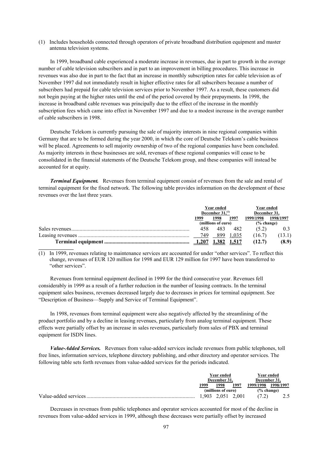(1) Includes households connected through operators of private broadband distribution equipment and master antenna television systems.

In 1999, broadband cable experienced a moderate increase in revenues, due in part to growth in the average number of cable television subscribers and in part to an improvement in billing procedures. This increase in revenues was also due in part to the fact that an increase in monthly subscription rates for cable television as of November 1997 did not immediately result in higher effective rates for all subscribers because a number of subscribers had prepaid for cable television services prior to November 1997. As a result, these customers did not begin paying at the higher rates until the end of the period covered by their prepayments. In 1998, the increase in broadband cable revenues was principally due to the effect of the increase in the monthly subscription fees which came into effect in November 1997 and due to a modest increase in the average number of cable subscribers in 1998.

Deutsche Telekom is currently pursuing the sale of majority interests in nine regional companies within Germany that are to be formed during the year 2000, in which the core of Deutsche Telekom's cable business will be placed. Agreements to sell majority ownership of two of the regional companies have been concluded. As majority interests in these businesses are sold, revenues of these regional companies will cease to be consolidated in the financial statements of the Deutsche Telekom group, and these companies will instead be accounted for at equity.

*Terminal Equipment.* Revenues from terminal equipment consist of revenues from the sale and rental of terminal equipment for the fixed network. The following table provides information on the development of these revenues over the last three years.

| Year ended<br>December $31$ . <sup>(1)</sup> |      |             | Year ended<br>December 31. |           |
|----------------------------------------------|------|-------------|----------------------------|-----------|
| 1999                                         | 1998 | 1997        | 1999/1998                  | 1998/1997 |
| (millions of euro)                           |      |             | % change)                  |           |
| 458                                          | 483  | 482         | (5.2)                      | 0.3       |
| - 749                                        | 899  | 1 0 3 5     | (16.7)                     | (13.1)    |
| 1,207                                        |      | 1,382 1,517 | (12.7)                     | (8.9)     |
|                                              |      |             |                            |           |

(1) In 1999, revenues relating to maintenance services are accounted for under "other services". To reflect this change, revenues of EUR 120 million for 1998 and EUR 129 million for 1997 have been transferred to "other services".

Revenues from terminal equipment declined in 1999 for the third consecutive year. Revenues fell considerably in 1999 as a result of a further reduction in the number of leasing contracts. In the terminal equipment sales business, revenues decreased largely due to decreases in prices for terminal equipment. See "Description of Business—Supply and Service of Terminal Equipment".

In 1998, revenues from terminal equipment were also negatively affected by the streamlining of the product portfolio and by a decline in leasing revenues, particularly from analog terminal equipment. These effects were partially offset by an increase in sales revenues, particularly from sales of PBX and terminal equipment for ISDN lines.

*Value-Added Services.*Revenues from value-added services include revenues from public telephones, toll free lines, information services, telephone directory publishing, and other directory and operator services. The following table sets forth revenues from value-added services for the periods indicated.

|  | Year ended         |                   |      |               | Year ended |  |
|--|--------------------|-------------------|------|---------------|------------|--|
|  | December 31.       |                   |      | December 31.  |            |  |
|  | 1999               | 1998              | 1997 | 1999/1998     | 1998/1997  |  |
|  | (millions of euro) |                   |      | $(\%$ change) |            |  |
|  |                    | 1.903 2.051 2.001 |      |               |            |  |

Decreases in revenues from public telephones and operator services accounted for most of the decline in revenues from value-added services in 1999, although these decreases were partially offset by increased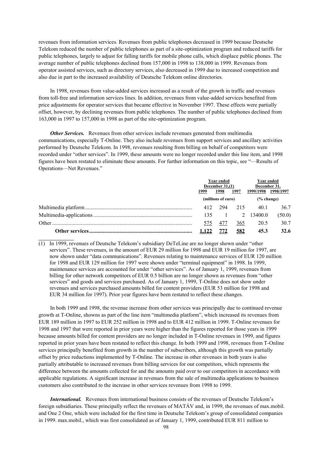revenues from information services. Revenues from public telephones decreased in 1999 because Deutsche Telekom reduced the number of public telephones as part of a site-optimization program and reduced tariffs for public telephones, largely to adjust for falling tariffs for mobile phone calls, which displace public phones. The average number of public telephones declined from 157,000 in 1998 to 138,000 in 1999. Revenues from operator assisted services, such as directory services, also decreased in 1999 due to increased competition and also due in part to the increased availability of Deutsche Telekom online directories.

In 1998, revenues from value-added services increased as a result of the growth in traffic and revenues from toll-free and information services lines. In addition, revenues from value-added services benefited from price adjustments for operator services that became effective in November 1997. These effects were partially offset, however, by declining revenues from public telephones. The number of public telephones declined from 163,000 in 1997 to 157,000 in 1998 as part of the site-optimization program.

*Other Services.* Revenues from other services include revenues generated from multimedia communications, especially T-Online. They also include revenues from support services and ancillary activities performed by Deutsche Telekom. In 1998, revenues resulting from billing on behalf of competitors were recorded under "other services". In 1999, these amounts were no longer recorded under this line item, and 1998 figures have been restated to eliminate these amounts. For further information on this topic, see "—Results of Operations—Net Revenues."

| Year ended<br>December $31,(1)$ |      |      | Year ended<br>December 31, |           |  |
|---------------------------------|------|------|----------------------------|-----------|--|
| 1999                            | 1998 | 1997 | 1999/1998                  | 1998/1997 |  |
| (millions of euro)              |      |      | $(\%$ change)              |           |  |
| 412                             | 294  | 215  | 40.1                       | 36.7      |  |
| 135                             |      |      | 2 13400.0                  | (50.0)    |  |
| 575                             | 477  | 365  | 20.5                       | 30.7      |  |
| 1.122                           | 772  | 582  | 45.3                       | 32.6      |  |

(1) In 1999, revenues of Deutsche Telekom's subsidiary DeTeLine are no longer shown under "other services". These revenues, in the amount of EUR 29 million for 1998 and EUR 19 million for 1997, are now shown under "data communications". Revenues relating to maintenance services of EUR 120 million for 1998 and EUR 129 million for 1997 were shown under "terminal equipment" in 1998. In 1999, maintenance services are accounted for under "other services". As of January 1, 1999, revenues from billing for other network competitors of EUR 0.5 billion are no longer shown as revenues from "other services" and goods and services purchased. As of January 1, 1999, T-Online does not show under revenues and services purchased amounts billed for content providers (EUR 53 million for 1998 and EUR 34 million for 1997). Prior year figures have been restated to reflect these changes.

**\_\_\_\_\_\_\_\_\_\_\_\_\_\_\_\_**

In both 1999 and 1998, the revenue increase from other services was principally due to continued revenue growth at T-Online, showns as part of the line item "multimedia platform", which increased its revenues from EUR 189 million in 1997 to EUR 252 million in 1998 and to EUR 412 million in 1999. T-Online revenues for 1998 and 1997 that were reported in prior years were higher than the figures reported for those years in 1999 because amounts billed for content providers are no longer included in T-Online revenues in 1999, and figures reported in prior years have been restated to reflect this change. In both 1999 and 1998, revenues from T-Online services principally benefited from growth in the number of subscribers, although this growth was partially offset by price reductions implemented by T-Online. The increase in other revenues in both years is also partially attributable to increased revenues from billing services for our competitors, which represents the difference between the amounts collected for and the amounts paid over to our competitors in accordance with applicable regulations. A significant increase in revenues from the sale of multimedia applications to business customers also contributed to the increase in other services revenues from 1998 to 1999.

*International.* Revenues from international business consists of the revenues of Deutsche Telekom's foreign subsidiaries. These principally reflect the revenues of MATÁV and, in 1999, the revenues of max.mobil. and One 2 One, which were included for the first time in Deutsche Telekom's group of consolidated companies in 1999. max.mobil., which was first consolidated as of January 1, 1999, contributed EUR 811 million to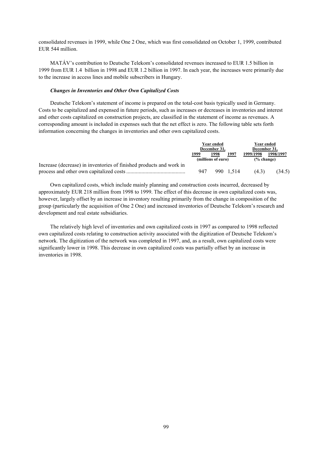consolidated revenues in 1999, while One 2 One, which was first consolidated on October 1, 1999, contributed EUR 544 million.

MATÁV's contribution to Deutsche Telekom's consolidated revenues increased to EUR 1.5 billion in 1999 from EUR 1.4 billion in 1998 and EUR 1.2 billion in 1997. In each year, the increases were primarily due to the increase in access lines and mobile subscribers in Hungary.

### *Changes in Inventories and Other Own Capitalized Costs*

Deutsche Telekom's statement of income is prepared on the total-cost basis typically used in Germany. Costs to be capitalized and expensed in future periods, such as increases or decreases in inventories and interest and other costs capitalized on construction projects, are classified in the statement of income as revenues. A corresponding amount is included in expenses such that the net effect is zero. The following table sets forth information concerning the changes in inventories and other own capitalized costs.

|                                                                     | Year ended         |      |           |                       | Year ended |  |
|---------------------------------------------------------------------|--------------------|------|-----------|-----------------------|------------|--|
|                                                                     | December 31,       |      |           | December 31.          |            |  |
|                                                                     | 1999               | 1998 | 1997      | 1999/1998             | 1998/1997  |  |
|                                                                     | (millions of euro) |      |           | $\frac{6}{6}$ change) |            |  |
| Increase (decrease) in inventories of finished products and work in |                    |      |           |                       |            |  |
|                                                                     | 947                |      | 990 1.514 | (4.3)                 | (34.5)     |  |

Own capitalized costs, which include mainly planning and construction costs incurred, decreased by approximately EUR 218 million from 1998 to 1999. The effect of this decrease in own capitalized costs was, however, largely offset by an increase in inventory resulting primarily from the change in composition of the group (particularly the acquisition of One 2 One) and increased inventories of Deutsche Telekom's research and development and real estate subsidiaries.

The relatively high level of inventories and own capitalized costs in 1997 as compared to 1998 reflected own capitalized costs relating to construction activity associated with the digitization of Deutsche Telekom's network. The digitization of the network was completed in 1997, and, as a result, own capitalized costs were significantly lower in 1998. This decrease in own capitalized costs was partially offset by an increase in inventories in 1998.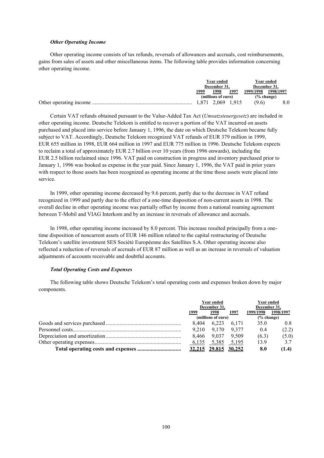### *Other Operating Income*

Other operating income consists of tax refunds, reversals of allowances and accruals, cost reimbursements, gains from sales of assets and other miscellaneous items. The following table provides information concerning other operating income.

|  | Year ended         |                   |      |                       |           | Year ended |
|--|--------------------|-------------------|------|-----------------------|-----------|------------|
|  | December 31.       |                   |      | December 31.          |           |            |
|  | 1999               | 1998              | 1997 | 1999/1998             | 1998/1997 |            |
|  | (millions of euro) |                   |      | $\frac{6}{6}$ change) |           |            |
|  |                    | 1.871 2.069 1.915 |      | (9.6)                 |           |            |

Certain VAT refunds obtained pursuant to the Value-Added Tax Act (*Umsatzsteuergesetz*) are included in other operating income. Deutsche Telekom is entitled to recover a portion of the VAT incurred on assets purchased and placed into service before January 1, 1996, the date on which Deutsche Telekom became fully subject to VAT. Accordingly, Deutsche Telekom recognized VAT refunds of EUR 379 million in 1999, EUR 655 million in 1998, EUR 664 million in 1997 and EUR 775 million in 1996. Deutsche Telekom expects to reclaim a total of approximately EUR 2.7 billion over 10 years (from 1996 onwards), including the EUR 2.5 billion reclaimed since 1996. VAT paid on construction in progress and inventory purchased prior to January 1, 1996 was booked as expense in the year paid. Since January 1, 1996, the VAT paid in prior years with respect to those assets has been recognized as operating income at the time those assets were placed into service.

In 1999, other operating income decreased by 9.6 percent, partly due to the decrease in VAT refund recognized in 1999 and partly due to the effect of a one-time disposition of non-current assets in 1998. The overall decline in other operating income was partially offset by income from a national roaming agreement between T-Mobil and VIAG Interkom and by an increase in reversals of allowance and accruals.

In 1998, other operating income increased by 8.0 percent. This increase resulted principally from a onetime disposition of noncurrent assets of EUR 146 million related to the capital restructuring of Deutsche Telekom's satellite investment SES Société Européenne des Satellites S.A. Other operating income also reflected a reduction of reversals of accruals of EUR 87 million as well as an increase in reversals of valuation adjustments of accounts receivable and doubtful accounts.

#### *Total Operating Costs and Expenses*

The following table shows Deutsche Telekom's total operating costs and expenses broken down by major components.

|  | <b>Year ended</b><br>December 31, |                      |               | Year ended<br>December 31, |           |
|--|-----------------------------------|----------------------|---------------|----------------------------|-----------|
|  |                                   |                      |               |                            |           |
|  | 1999                              | 1998                 | 1997          | 1999/1998                  | 1998/1997 |
|  |                                   | (millions of euro)   | $(\%$ change) |                            |           |
|  | 8.404                             | 6.223                | 6.171         | 35.0                       | 0.8       |
|  | 9.210                             | 9.170                | 9.377         | 0.4                        | (2.2)     |
|  |                                   | 8.466 9.037          | 9.509         | (6.3)                      | (5.0)     |
|  | 6,135                             | 5,385                | 5,195         | 13.9                       | 3.7       |
|  |                                   | 32,215 29.815 30,252 |               | 8.0                        | (1.4)     |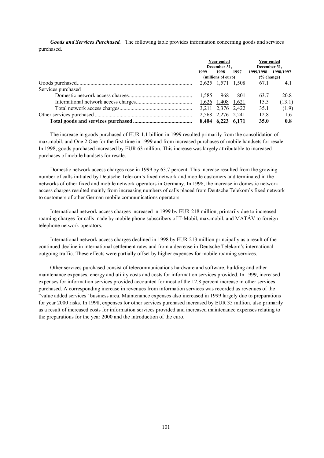*Goods and Services Purchased.* The following table provides information concerning goods and services purchased.

|                    | Year ended<br>December 31. |                    |      | Year ended<br>December 31, |           |
|--------------------|----------------------------|--------------------|------|----------------------------|-----------|
|                    | 1999                       | 1998               | 1997 | 1999/1998                  | 1998/1997 |
|                    |                            | (millions of euro) |      | $(\%$ change)              |           |
|                    |                            | 2,625 1,571 1,508  |      | 67.1                       | 4.1       |
| Services purchased |                            |                    |      |                            |           |
|                    | 1.585                      | 968                | 801  | 63.7                       | 20.8      |
|                    |                            |                    |      | 15.5                       | (13.1)    |
|                    |                            | 3,211 2,376 2,422  |      | 35.1                       | (1.9)     |
|                    |                            | 2,568 2,276 2,241  |      | 12.8                       | 1.6       |
|                    |                            | 8,404 6,223 6,171  |      | 35.0                       | 0.8       |

The increase in goods purchased of EUR 1.1 billion in 1999 resulted primarily from the consolidation of max.mobil. and One 2 One for the first time in 1999 and from increased purchases of mobile handsets for resale. In 1998, goods purchased increased by EUR 63 million. This increase was largely attributable to increased purchases of mobile handsets for resale.

Domestic network access charges rose in 1999 by 63.7 percent. This increase resulted from the growing number of calls initiated by Deutsche Telekom's fixed network and mobile customers and terminated in the networks of other fixed and mobile network operators in Germany. In 1998, the increase in domestic network access charges resulted mainly from increasing numbers of calls placed from Deutsche Telekom's fixed network to customers of other German mobile communications operators.

International network access charges increased in 1999 by EUR 218 million, primarily due to increased roaming charges for calls made by mobile phone subscribers of T-Mobil, max.mobil. and MATÁV to foreign telephone network operators.

International network access charges declined in 1998 by EUR 213 million principally as a result of the continued decline in international settlement rates and from a decrease in Deutsche Telekom's international outgoing traffic. These effects were partially offset by higher expenses for mobile roaming services.

Other services purchased consist of telecommunications hardware and software, building and other maintenance expenses, energy and utility costs and costs for information services provided. In 1999, increased expenses for information services provided accounted for most of the 12.8 percent increase in other services purchased. A corresponding increase in revenues from information services was recorded as revenues of the "value added services" business area. Maintenance expenses also increased in 1999 largely due to preparations for year 2000 risks. In 1998, expenses for other services purchased increased by EUR 35 million, also primarily as a result of increased costs for information services provided and increased maintenance expenses relating to the preparations for the year 2000 and the introduction of the euro.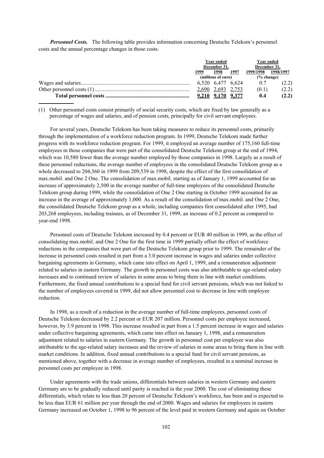**Personnel Costs.** The following table provides information concerning Deutsche Telekom's personnel costs and the annual percentage changes in those costs.

| Year ended<br>December 31, |                   |      | Year ended<br>December 31, |           |
|----------------------------|-------------------|------|----------------------------|-----------|
| 1999                       | 1998              | 1997 | 1999/1998                  | 1998/1997 |
| (millions of euro)         |                   |      | % change)                  |           |
|                            | 6.520 6.477 6.624 |      | 0.7                        | (2.2)     |
|                            | 2,690 2,693 2,753 |      | (0.1)                      | (2.2)     |
|                            | 9,210 9,170 9,377 |      | 0.4                        | (2.2)     |
|                            |                   |      |                            |           |

(1) Other personnel costs consist primarily of social security costs, which are fixed by law generally as a percentage of wages and salaries, and of pension costs, principally for civil servant employees.

For several years, Deutsche Telekom has been taking measures to reduce its personnel costs, primarily through the implementation of a workforce reduction program. In 1999, Deutsche Telekom made further progress with its workforce reduction program. For 1999, it employed an average number of 175,160 full-time employees in those companies that were part of the consolidated Deutsche Telekom group at the end of 1994, which was 10,580 fewer than the average number employed by those companies in 1998. Largely as a result of these personnel reductions, the average number of employees in the consolidated Deutsche Telekom group as a whole decreased to 204,360 in 1999 from 209,539 in 1998, despite the effect of the first consolidation of max.mobil. and One 2 One. The consolidation of max.mobil. starting as of January 1, 1999 accounted for an increase of approximately 2,500 in the average number of full-time employees of the consolidated Deutsche Telekom group during 1999, while the consolidation of One 2 One starting in October 1999 accounted for an increase in the average of approximately 1,000. As a result of the consolidation of max.mobil. and One 2 One, the consolidated Deutsche Telekom group as a whole, including companies first consolidated after 1995, had 203,268 employees, including trainees, as of December 31, 1999, an increase of 0.2 percent as compared to year-end 1998.

Personnel costs of Deutsche Telekom increased by 0.4 percent or EUR 40 million in 1999, as the effect of consolidating max.mobil. and One 2 One for the first time in 1999 partially offset the effect of workforce reductions in the companies that were part of the Deutsche Telekom group prior to 1999. The remainder of the increase in personnel costs resulted in part from a 3.0 percent increase in wages and salaries under collective bargaining agreements in Germany, which came into effect on April 1, 1999, and a remuneration adjustment related to salaries in eastern Germany. The growth in personnel costs was also attributable to age-related salary increases and to continued review of salaries in some areas to bring them in line with market conditions. Furthermore, the fixed annual contributions to a special fund for civil servant pensions, which was not linked to the number of employees covered in 1999, did not allow personnel cost to decrease in line with employee reduction.

In 1998, as a result of a reduction in the average number of full-time employees, personnel costs of Deutsche Telekom decreased by 2.2 percent or EUR 207 million. Personnel costs per employee increased, however, by 3.9 percent in 1998. This increase resulted in part from a 1.5 percent increase in wages and salaries under collective bargaining agreements, which came into effect on January 1, 1998, and a remuneration adjustment related to salaries in eastern Germany. The growth in personnel cost per employee was also attributable to the age-related salary increases and the review of salaries in some areas to bring them in line with market conditions. In addition, fixed annual contributions to a special fund for civil servant pensions, as mentioned above, together with a decrease in average number of employees, resulted in a nominal increase in personnel costs per employee in 1998.

Under agreements with the trade unions, differentials between salaries in western Germany and eastern Germany are to be gradually reduced until parity is reached in the year 2000. The cost of eliminating these differentials, which relate to less than 20 percent of Deutsche Telekom's workforce, has been and is expected to be less than EUR 61 million per year through the end of 2000. Wages and salaries for employees in eastern Germany increased on October 1, 1998 to 96 percent of the level paid in western Germany and again on October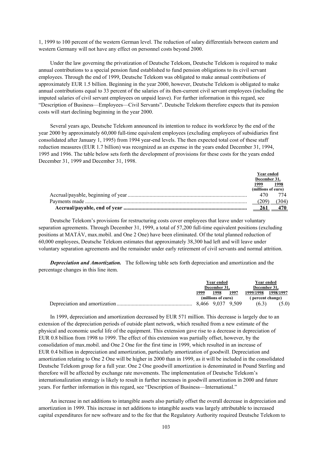1, 1999 to 100 percent of the western German level. The reduction of salary differentials between eastern and western Germany will not have any effect on personnel costs beyond 2000.

Under the law governing the privatization of Deutsche Telekom, Deutsche Telekom is required to make annual contributions to a special pension fund established to fund pension obligations to its civil servant employees. Through the end of 1999, Deutsche Telekom was obligated to make annual contributions of approximately EUR 1.5 billion. Beginning in the year 2000, however, Deutsche Telekom is obligated to make annual contributions equal to 33 percent of the salaries of its then-current civil servant employees (including the imputed salaries of civil servant employees on unpaid leave). For further information in this regard, see "Description of Business—Employees—Civil Servants". Deutsche Telekom therefore expects that its pension costs will start declining beginning in the year 2000.

Several years ago, Deutsche Telekom announced its intention to reduce its workforce by the end of the year 2000 by approximately 60,000 full-time equivalent employees (excluding employees of subsidiaries first consolidated after January 1, 1995) from 1994 year-end levels. The then expected total cost of these staff reduction measures (EUR 1.7 billion) was recognized as an expense in the years ended December 31, 1994, 1995 and 1996. The table below sets forth the development of provisions for these costs for the years ended December 31, 1999 and December 31, 1998.

| Year ended         |      |
|--------------------|------|
| December 31,       |      |
| 1999               | 1998 |
| (millions of euro) |      |
| 470                | 774  |
|                    | 304) |
|                    |      |

Deutsche Telekom's provisions for restructuring costs cover employees that leave under voluntary separation agreements. Through December 31, 1999, a total of 57,200 full-time equivalent positions (excluding positions at MATÁV, max.mobil. and One 2 One) have been eliminated. Of the total planned reduction of 60,000 employees, Deutsche Telekom estimates that approximately 38,300 had left and will leave under voluntary separation agreements and the remainder under early retirement of civil servants and normal attrition.

*Depreciation and Amortization.* The following table sets forth depreciation and amortization and the percentage changes in this line item.

| Year ended   |                    |      | Year ended       |           |
|--------------|--------------------|------|------------------|-----------|
| December 31. |                    |      | December 31.     |           |
| 1999         | 1998               | 1997 | 1999/1998        | 1998/1997 |
|              | (millions of euro) |      | (percent change) |           |
|              | 8.466 9.037 9.509  |      | (6.3)            | (5.0)     |

In 1999, depreciation and amortization decreased by EUR 571 million. This decrease is largely due to an extension of the depreciation periods of outside plant network, which resulted from a new estimate of the physical and economic useful life of the equipment. This extension gave rise to a decrease in depreciation of EUR 0.8 billion from 1998 to 1999. The effect of this extension was partially offset, however, by the consolidation of max.mobil. and One 2 One for the first time in 1999, which resulted in an increase of EUR 0.4 billion in depreciation and amortization, particularly amortization of goodwill. Depreciation and amortization relating to One 2 One will be higher in 2000 than in 1999, as it will be included in the consolidated Deutsche Telekom group for a full year. One 2 One goodwill amortization is denominated in Pound Sterling and therefore will be affected by exchange rate movements. The implementation of Deutsche Telekom's internationalization strategy is likely to result in further increases in goodwill amortization in 2000 and future years. For further information in this regard, see "Description of Business—International."

An increase in net additions to intangible assets also partially offset the overall decrease in depreciation and amortization in 1999. This increase in net additions to intangible assets was largely attributable to increased capital expenditures for new software and to the fee that the Regulatory Authority required Deutsche Telekom to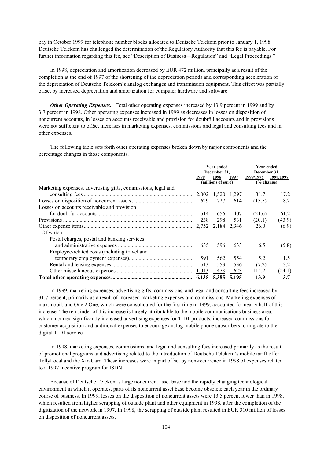pay in October 1999 for telephone number blocks allocated to Deutsche Telekom prior to January 1, 1998. Deutsche Telekom has challenged the determination of the Regulatory Authority that this fee is payable. For further information regarding this fee, see "Description of Business—Regulation" and "Legal Proceedings."

In 1998, depreciation and amortization decreased by EUR 472 million, principally as a result of the completion at the end of 1997 of the shortening of the depreciation periods and corresponding acceleration of the depreciation of Deutsche Telekom's analog exchanges and transmission equipment. This effect was partially offset by increased depreciation and amortization for computer hardware and software.

*Other Operating Expenses.* Total other operating expenses increased by 13.9 percent in 1999 and by 3.7 percent in 1998. Other operating expenses increased in 1999 as decreases in losses on disposition of noncurrent accounts, in losses on accounts receivable and provision for doubtful accounts and in provisions were not sufficient to offset increases in marketing expenses, commissions and legal and consulting fees and in other expenses.

The following table sets forth other operating expenses broken down by major components and the percentage changes in those components.

|                                                               |              | Year ended         |       | Year ended   |           |  |
|---------------------------------------------------------------|--------------|--------------------|-------|--------------|-----------|--|
|                                                               | December 31, |                    |       | December 31, |           |  |
|                                                               | 1999         | 1998               | 1997  | 1999/1998    | 1998/1997 |  |
|                                                               |              | (millions of euro) |       | % change)    |           |  |
| Marketing expenses, advertising gifts, commissions, legal and |              |                    |       |              |           |  |
|                                                               |              | 2,002 1,520 1,297  |       | 31.7         | 17.2      |  |
|                                                               | 629          | 727                | 614   | (13.5)       | 18.2      |  |
| Losses on accounts receivable and provision                   |              |                    |       |              |           |  |
|                                                               | 514          | 656                | 407   | (21.6)       | 61.2      |  |
|                                                               | 238          | 298                | 531   | (20.1)       | (43.9)    |  |
|                                                               |              |                    | 2,346 | 26.0         | (6.9)     |  |
| Of which:                                                     |              |                    |       |              |           |  |
| Postal charges, postal and banking services                   |              |                    |       |              |           |  |
|                                                               | 635          | 596                | 633   | 6.5          | (5.8)     |  |
| Employee-related costs (including travel and                  |              |                    |       |              |           |  |
|                                                               | 591          | 562                | 554   | 5.2          | 1.5       |  |
|                                                               | 513          | 553                | 536   | (7.2)        | 3.2       |  |
|                                                               | 1,013        | 473                | 623   | 114.2        | (24.1)    |  |
|                                                               |              | 6,135 5,385 5,195  |       | 13.9         | 3.7       |  |

In 1999, marketing expenses, advertising gifts, commissions, and legal and consulting fees increased by 31.7 percent, primarily as a result of increased marketing expenses and commissions. Marketing expenses of max.mobil. and One 2 One, which were consolidated for the first time in 1999, accounted for nearly half of this increase. The remainder of this increase is largely attributable to the mobile communications business area, which incurred significantly increased advertising expenses for T-D1 products, increased commissions for customer acquisition and additional expenses to encourage analog mobile phone subscribers to migrate to the digital T-D1 service.

In 1998, marketing expenses, commissions, and legal and consulting fees increased primarily as the result of promotional programs and advertising related to the introduction of Deutsche Telekom's mobile tariff offer TellyLocal and the XtraCard. These increases were in part offset by non-recurrence in 1998 of expenses related to a 1997 incentive program for ISDN.

Because of Deutsche Telekom's large noncurrent asset base and the rapidly changing technological environment in which it operates, parts of its noncurrent asset base become obsolete each year in the ordinary course of business. In 1999, losses on the disposition of noncurrent assets were 13.5 percent lower than in 1998, which resulted from higher scrapping of outside plant and other equipment in 1998, after the completion of the digitization of the network in 1997. In 1998, the scrapping of outside plant resulted in EUR 310 million of losses on disposition of noncurrent assets.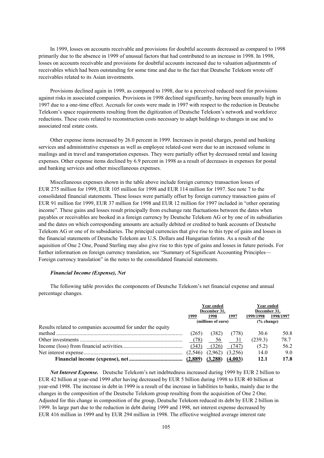In 1999, losses on accounts receivable and provisions for doubtful accounts decreased as compared to 1998 primarily due to the absence in 1999 of unusual factors that had contributed to an increase in 1998. In 1998, losses on accounts receivable and provisions for doubtful accounts increased due to valuation adjustments of receivables which had been outstanding for some time and due to the fact that Deutsche Telekom wrote off receivables related to its Asian investments.

Provisions declined again in 1999, as compared to 1998, due to a perceived reduced need for provisions against risks in associated companies. Provisions in 1998 declined significantly, having been unusually high in 1997 due to a one-time effect. Accruals for costs were made in 1997 with respect to the reduction in Deutsche Telekom's space requirements resulting from the digitization of Deutsche Telekom's network and workforce reductions. These costs related to reconstruction costs necessary to adapt buildings to changes in use and to associated real estate costs.

Other expense items increased by 26.0 percent in 1999. Increases in postal charges, postal and banking services and administrative expenses as well as employee related-cost were due to an increased volume in mailings and in travel and transportation expenses. They were partially offset by decreased rental and leasing expenses. Other expense items declined by 6.9 percent in 1998 as a result of decreases in expenses for postal and banking services and other miscellaneous expenses.

Miscellaneous expenses shown in the table above include foreign currency transaction losses of EUR 275 million for 1999, EUR 105 million for 1998 and EUR 114 million for 1997. See note 7 to the consolidated financial statements. These losses were partially offset by foreign currency transaction gains of EUR 91 million for 1999, EUR 37 million for 1998 and EUR 12 million for 1997 included in "other operating income". These gains and losses result principally from exchange rate fluctuations between the dates when payables or receivables are booked in a foreign currency by Deutsche Telekom AG or by one of its subsidiaries and the dates on which corresponding amounts are actually debited or credited to bank accounts of Deutsche Telekom AG or one of its subsidiaries. The principal currencies that give rise to this type of gains and losses in the financial statements of Deutsche Telekom are U.S. Dollars and Hungarian forints. As a result of the aquisition of One 2 One, Pound Sterling may also give rise to this type of gains and losses in future periods. For further information on foreign currency translation, see "Summary of Significant Accounting Principles— Foreign currency translation" in the notes to the consolidated financial statements.

#### *Financial Income (Expense), Net*

The following table provides the components of Deutsche Telekom's net financial expense and annual percentage changes.

|                                                             | Year ended         |         | Year ended<br>December 31. |               |           |
|-------------------------------------------------------------|--------------------|---------|----------------------------|---------------|-----------|
|                                                             | December 31.       |         |                            |               |           |
|                                                             | 1999               | 1998    | 1997                       | 1999/1998     | 1998/1997 |
|                                                             | (millions of euro) |         |                            | $(\%$ change) |           |
| Results related to companies accounted for under the equity |                    |         |                            |               |           |
|                                                             | (265)              | (382)   | (778)                      | 30.6          | 50.8      |
|                                                             | (78)               | -56     | 31                         | (239.3)       | 78.7      |
|                                                             | (343)              | (326)   | (747)                      | (5.2)         | 56.2      |
|                                                             |                    | (2.962) | (3.256)                    | 14.0          | 9.0       |
|                                                             |                    |         | (4.003)                    | 12.1          | 17.8      |

*Net Interest Expense.* Deutsche Telekom's net indebtedness increased during 1999 by EUR 2 billion to EUR 42 billion at year-end 1999 after having decreased by EUR 5 billion during 1998 to EUR 40 billion at year-end 1998. The increase in debt in 1999 is a result of the increase in liabilities to banks, mainly due to the changes in the composition of the Deutsche Telekom group resulting from the acquisition of One 2 One. Adjusted for this change in composition of the group, Deutsche Telekom reduced its debt by EUR 2 billion in 1999. In large part due to the reduction in debt during 1999 and 1998, net interest expense decreased by EUR 416 million in 1999 and by EUR 294 million in 1998. The effective weighted average interest rate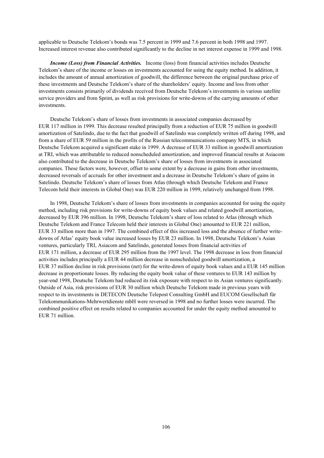applicable to Deutsche Telekom's bonds was 7.5 percent in 1999 and 7.6 percent in both 1998 and 1997. Increased interest revenue also contributed significantly to the decline in net interest expense in 1999 and 1998.

*Income (Loss) from Financial Activities.*Income (loss) from financial activities includes Deutsche Telekom's share of the income or losses on investments accounted for using the equity method. In addition, it includes the amount of annual amortization of goodwill, the difference between the original purchase price of these investments and Deutsche Telekom's share of the shareholders' equity. Income and loss from other investments consists primarily of dividends received from Deutsche Telekom's investments in various satellite service providers and from Sprint, as well as risk provisions for write-downs of the carrying amounts of other investments.

Deutsche Telekom's share of losses from investments in associated companies decreased by EUR 117 million in 1999. This decrease resulted principally from a reduction of EUR 75 million in goodwill amortization of Satelindo, due to the fact that goodwill of Satelindo was completely written off during 1998, and from a share of EUR 59 million in the profits of the Russian telecommunications company MTS, in which Deutsche Telekom acquired a significant stake in 1999. A decrease of EUR 33 million in goodwill amortization at TRI, which was attributable to reduced nonscheduled amortization, and improved financial results at Asiacom also contributed to the decrease in Deutsche Telekom's share of losses from investments in associated companies. These factors were, however, offset to some extent by a decrease in gains from other investments, decreased reversals of accruals for other investment and a decrease in Deutsche Telekom's share of gains in Satelindo. Deutsche Telekom's share of losses from Atlas (through which Deutsche Telekom and France Telecom held their interests in Global One) was EUR 220 million in 1999, relatively unchanged from 1998.

In 1998, Deutsche Telekom's share of losses from investments in companies accounted for using the equity method, including risk provisions for write-downs of equity book values and related goodwill amortization, decreased by EUR 396 million. In 1998, Deutsche Telekom's share of loss related to Atlas (through which Deutsche Telekom and France Telecom held their interests in Global One) amounted to EUR 221 million, EUR 33 million more than in 1997. The combined effect of this increased loss and the absence of further writedowns of Atlas' equity book value increased losses by EUR 23 million. In 1998, Deutsche Telekom's Asian ventures, particularly TRI, Asiacom and Satelindo, generated losses from financial activities of EUR 171 million, a decrease of EUR 295 million from the 1997 level. The 1998 decrease in loss from financial activities includes principally a EUR 44 million decrease in nonscheduled goodwill amortization, a EUR 37 million decline in risk provisions (net) for the write-down of equity book values and a EUR 145 million decrease in proportionate losses. By reducing the equity book value of these ventures to EUR 143 million by year-end 1998, Deutsche Telekom had reduced its risk exposure with respect to its Asian ventures significantly. Outside of Asia, risk provisions of EUR 30 million which Deutsche Telekom made in previous years with respect to its investments in DETECON Deutsche Telepost Consulting GmbH and EUCOM Gesellschaft für Telekommunikations-Mehrwertdienste mbH were reversed in 1998 and no further losses were incurred. The combined positive effect on results related to companies accounted for under the equity method amounted to EUR 71 million.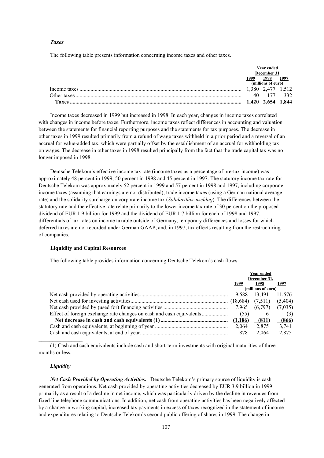# *Taxes*

The following table presents information concerning income taxes and other taxes.

|             | Year ended<br>December 31 |       |      |
|-------------|---------------------------|-------|------|
|             | 999                       | 1998  | 1997 |
|             | (millions of euro)        |       |      |
|             | 380                       | 2.47. |      |
| Other taxes |                           |       |      |
| Favec       |                           |       |      |

Income taxes decreased in 1999 but increased in 1998. In each year, changes in income taxes correlated with changes in income before taxes. Furthermore, income taxes reflect differences in accounting and valuation between the statements for financial reporting purposes and the statements for tax purposes. The decrease in other taxes in 1999 resulted primarily from a refund of wage taxes withheld in a prior period and a reversal of an accrual for value-added tax, which were partially offset by the establishment of an accrual for withholding tax on wages. The decrease in other taxes in 1998 resulted principally from the fact that the trade capital tax was no longer imposed in 1998.

Deutsche Telekom's effective income tax rate (income taxes as a percentage of pre-tax income) was approximately 48 percent in 1999, 50 percent in 1998 and 45 percent in 1997. The statutory income tax rate for Deutsche Telekom was approximately 52 percent in 1999 and 57 percent in 1998 and 1997, including corporate income taxes (assuming that earnings are not distributed), trade income taxes (using a German national average rate) and the solidarity surcharge on corporate income tax (*Solidaritätszuschlag*). The differences between the statutory rate and the effective rate relate primarily to the lower income tax rate of 30 percent on the proposed dividend of EUR 1.9 billion for 1999 and the dividend of EUR 1.7 billion for each of 1998 and 1997, differentials of tax rates on income taxable outside of Germany, temporary differences and losses for which deferred taxes are not recorded under German GAAP, and, in 1997, tax effects resulting from the restructuring of companies.

## **Liquidity and Capital Resources**

The following table provides information concerning Deutsche Telekom's cash flows.

| Year ended<br>December 31, |          |           |  |
|----------------------------|----------|-----------|--|
| 1999                       | 1998     | 1997      |  |
| (millions of euro)         |          |           |  |
| 9,588                      | 13,491   | 11,576    |  |
|                            |          | (5,404)   |  |
|                            | (6,797)  | (7,035)   |  |
|                            | $\sim$ 6 | (3)       |  |
|                            | (811)    | $-$ (866) |  |
| 2,064                      | 2,875    | 3,741     |  |
| 878                        | 2.064    | 2,875     |  |

(1) Cash and cash equivalents include cash and short-term investments with original maturities of three months or less.

### *Liquidity*

**\_\_\_\_\_\_\_\_\_\_\_\_\_\_\_\_**

*Net Cash Provided by Operating Activities.*Deutsche Telekom's primary source of liquidity is cash generated from operations. Net cash provided by operating activities decreased by EUR 3.9 billion in 1999 primarily as a result of a decline in net income, which was particularly driven by the decline in revenues from fixed line telephone communications. In addition, net cash from operating activities has been negatively affected by a change in working capital, increased tax payments in excess of taxes recognized in the statement of income and expenditures relating to Deutsche Telekom's second public offering of shares in 1999. The change in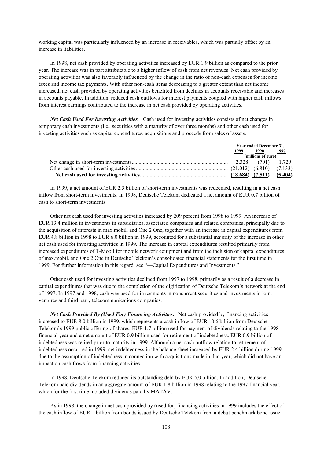working capital was particularly influenced by an increase in receivables, which was partially offset by an increase in liabilities.

In 1998, net cash provided by operating activities increased by EUR 1.9 billion as compared to the prior year. The increase was in part attributable to a higher inflow of cash from net revenues. Net cash provided by operating activities was also favorably influenced by the change in the ratio of non-cash expenses for income taxes and income tax payments. With other non-cash items decreasing to a greater extent than net income increased, net cash provided by operating activities benefited from declines in accounts receivable and increases in accounts payable. In addition, reduced cash outflows for interest payments coupled with higher cash inflows from interest earnings contributed to the increase in net cash provided by operating activities.

*Net Cash Used For Investing Activities.* Cash used for investing activities consists of net changes in temporary cash investments (i.e., securities with a maturity of over three months) and other cash used for investing activities such as capital expenditures, acquisitions and proceeds from sales of assets.

| Year ended December 31, |                    |         |  |  |
|-------------------------|--------------------|---------|--|--|
| 1999                    | 1998               | 1997    |  |  |
|                         | (millions of euro) |         |  |  |
|                         |                    |         |  |  |
|                         |                    |         |  |  |
|                         |                    | (5.404) |  |  |

In 1999, a net amount of EUR 2.3 billion of short-term investments was redeemed, resulting in a net cash inflow from short-term investments. In 1998, Deutsche Telekom dedicated a net amount of EUR 0.7 billion of cash to short-term investments.

Other net cash used for investing activities increased by 209 percent from 1998 to 1999. An increase of EUR 13.4 million in investments in subsidiaries, associated companies and related companies, principally due to the acquisition of interests in max.mobil. and One 2 One, together with an increase in capital expenditures from EUR 4.8 billion in 1998 to EUR 6.0 billion in 1999, accounted for a substantial majority of the increase in other net cash used for investing activities in 1999. The increase in capital expenditures resulted primarily from increased expenditures of T-Mobil for mobile network equipment and from the inclusion of capital expenditures of max.mobil. and One 2 One in Deutsche Telekom's consolidated financial statements for the first time in 1999. For further information in this regard, see "—Capital Expenditures and Investments."

Other cash used for investing activities declined from 1997 to 1998, primarily as a result of a decrease in capital expenditures that was due to the completion of the digitization of Deutsche Telekom's network at the end of 1997. In 1997 and 1998, cash was used for investments in noncurrent securities and investments in joint ventures and third party telecommunications companies.

*Net Cash Provided By (Used For) Financing Activities.* Net cash provided by financing activities increased to EUR 8.0 billion in 1999, which represents a cash inflow of EUR 10.6 billion from Deutsche Telekom's 1999 public offering of shares, EUR 1.7 billion used for payment of dividends relating to the 1998 financial year and a net amount of EUR 0.9 billion used for retirement of indebtedness. EUR 0.9 billion of indebtedness was retired prior to maturity in 1999. Although a net cash outflow relating to retirement of indebtedness occurred in 1999, net indebtedness in the balance sheet increased by EUR 2.4 billion during 1999 due to the assumption of indebtedness in connection with acquisitions made in that year, which did not have an impact on cash flows from financing activities.

In 1998, Deutsche Telekom reduced its outstanding debt by EUR 5.0 billion. In addition, Deutsche Telekom paid dividends in an aggregate amount of EUR 1.8 billion in 1998 relating to the 1997 financial year, which for the first time included dividends paid by MATÁV.

As in 1998, the change in net cash provided by (used for) financing activities in 1999 includes the effect of the cash inflow of EUR 1 billion from bonds issued by Deutsche Telekom from a debut benchmark bond issue.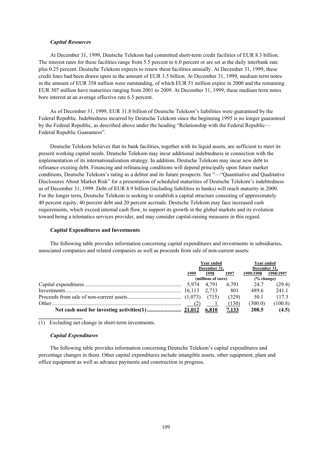### *Capital Resources*

At December 31, 1999, Deutsche Telekom had committed short-term credit facilities of EUR 8.3 billion. The interest rates for these facilities range from 5.5 percent to 6.0 percent or are set at the daily interbank rate plus 0.25 percent. Deutsche Telekom expects to renew these facilities annually. At December 31, 1999, these credit lines had been drawn upon in the amount of EUR 3.5 billion. At December 31, 1999, medium term notes in the amount of EUR 358 million were outstanding, of which EUR 51 million expire in 2000 and the remaining EUR 307 million have maturities ranging from 2001 to 2009. At December 31, 1999, these medium term notes bore interest at an average effective rate 6.5 percent.

As of December 31, 1999, EUR 31.8 billion of Deutsche Telekom's liabilities were guaranteed by the Federal Republic. Indebtedness incurred by Deutsche Telekom since the beginning 1995 is no longer guaranteed by the Federal Republic, as described above under the heading "Relationship with the Federal Republic— Federal Republic Guarantees".

Deutsche Telekom believes that its bank facilities, together with its liquid assets, are sufficient to meet its present working capital needs. Deutsche Telekom may incur additional indebtedness in connection with the implementation of its internationalization strategy. In addition, Deutsche Telekom may incur new debt to refinance existing debt. Financing and refinancing conditions will depend principally upon future market conditions, Deutsche Telekom's rating as a debtor and its future prospects. See "—"Quantitative and Qualitative Disclosures About Market Risk" for a presentation of scheduled maturities of Deutsche Telekom's indebtedness as of December 31, 1999. Debt of EUR 8.9 billion (including liabilities to banks) will reach maturity in 2000. For the longer term, Deutsche Telekom is seeking to establish a capital structure consisting of approximately 40 percent equity, 40 percent debt and 20 percent accruals. Deutsche Telekom may face increased cash requirements, which exceed internal cash flow, to support its growth in the global markets and its evolution toward being a telematics services provider, and may consider capital-raising measures in this regard.

### **Capital Expenditures and Investments**

The following table provides information concerning capital expenditures and investments in subsidiaries, associated companies and related companies as well as proceeds from sale of non-current assets:

|  | Year ended<br>December 31. |                    |              | <b>Year ended</b>     |           |  |
|--|----------------------------|--------------------|--------------|-----------------------|-----------|--|
|  |                            |                    |              | December 31,          |           |  |
|  | 1999                       | 1998               | 1997         | 1999/1998             | 1998/1997 |  |
|  |                            | (millions of euro) |              | $\frac{6}{6}$ change) |           |  |
|  |                            |                    | 6.791        | 24.7                  | (29.4)    |  |
|  |                            |                    | 801          | 489.6                 | 241.1     |  |
|  |                            | (715)              | (329)        | 50.1                  | 1173      |  |
|  |                            |                    | (130)        | (300.0)               | (100.8)   |  |
|  |                            |                    | <u>7,133</u> | 208.5                 | (4.5)     |  |

(1) Excluding net change in short-term investments.

### *Capital Expenditures*

**\_\_\_\_\_\_\_\_\_\_\_\_\_\_\_\_**

The following table provides information concerning Deutsche Telekom's capital expenditures and percentage changes in them. Other capital expenditures include intangible assets, other equipment, plant and office equipment as well as advance payments and construction in progress.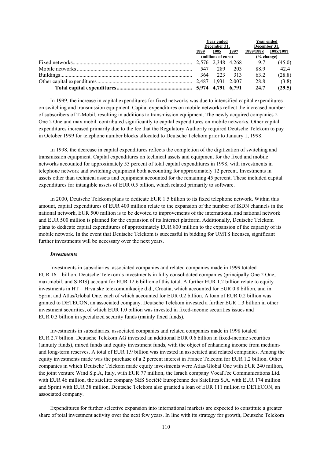|              | <b>Year ended</b>  |      | <b>Year ended</b> |           |  |
|--------------|--------------------|------|-------------------|-----------|--|
| December 31, |                    |      | December 31,      |           |  |
| 1999         | 1998               | 1997 | 1999/1998         | 1998/1997 |  |
|              | (millions of euro) |      | $(\%$ change)     |           |  |
|              |                    |      | 9.7               | (45.0)    |  |
|              | 547 289            | 203  | 88.9              | 42.4      |  |
| 364          | 223                | 313  | 63.2              | (28.8)    |  |
|              |                    |      | 28.8              | (3.8)     |  |
|              |                    |      | 24.7              | (29.5)    |  |

In 1999, the increase in capital expenditures for fixed networks was due to intensified capital expenditures on switching and transmission equipment. Capital expenditures on mobile networks reflect the increased number of subscribers of T-Mobil, resulting in additions to transmission equipment. The newly acquired companies 2 One 2 One and max.mobil. contributed significantly to capital expenditures on mobile networks. Other capital expenditures increased primarily due to the fee that the Regulatory Authority required Deutsche Telekom to pay in October 1999 for telephone number blocks allocated to Deutsche Telekom prior to January 1, 1998.

In 1998, the decrease in capital expenditures reflects the completion of the digitization of switching and transmission equipment. Capital expenditures on technical assets and equipment for the fixed and mobile networks accounted for approximately 55 percent of total capital expenditures in 1998, with investments in telephone network and switching equipment both accounting for approximately 12 percent. Investments in assets other than technical assets and equipment accounted for the remaining 45 percent. These included capital expenditures for intangible assets of EUR 0.5 billion, which related primarily to software.

In 2000, Deutsche Telekom plans to dedicate EUR 1.5 billion to its fixed telephone network. Within this amount, capital expenditures of EUR 400 million relate to the expansion of the number of ISDN channels in the national network, EUR 500 million is to be devoted to improvements of the international and national network and EUR 500 million is planned for the expansion of its Internet platform. Additionally, Deutsche Telekom plans to dedicate capital expenditures of approximately EUR 800 million to the expansion of the capacity of its mobile network. In the event that Deutsche Telekom is successful in bidding for UMTS licenses, significant further investments will be necessary over the next years.

#### *Investments*

Investments in subsidiaries, associated companies and related companies made in 1999 totaled EUR 16.1 billion. Deutsche Telekom's investments in fully consolidated companies (principally One 2 One, max.mobil. and SIRIS) account for EUR 12.6 billion of this total. A further EUR 1.2 billion relate to equity investments in HT – Hrvatske telekomunikacije d.d., Croatia, which accounted for EUR 0.8 billion, and in Sprint and Atlas/Global One, each of which accounted for EUR 0.2 billion. A loan of EUR 0.2 billion was granted to DETECON, an associated company. Deutsche Telekom invested a further EUR 1.3 billion in other investment securities, of which EUR 1.0 billion was invested in fixed-income securities issues and EUR 0.3 billion in specialized security funds (mainly fixed funds).

Investments in subsidiaries, associated companies and related companies made in 1998 totaled EUR 2.7 billion. Deutsche Telekom AG invested an additional EUR 0.6 billion in fixed-income securities (annuity funds), mixed funds and equity investment funds, with the object of enhancing income from mediumand long-term reserves. A total of EUR 1.9 billion was invested in associated and related companies. Among the equity investments made was the purchase of a 2 percent interest in France Telecom for EUR 1.2 billion. Other companies in which Deutsche Telekom made equity investments were Atlas/Global One with EUR 240 million, the joint venture Wind S.p.A, Italy, with EUR 77 million, the Israeli company VocalTec Communications Ltd. with EUR 46 million, the satellite company SES Société Européenne des Satellites S.A. with EUR 174 million and Sprint with EUR 38 million. Deutsche Telekom also granted a loan of EUR 111 million to DETECON, an associated company.

Expenditures for further selective expansion into international markets are expected to constitute a greater share of total investment activity over the next few years. In line with its strategy for growth, Deutsche Telekom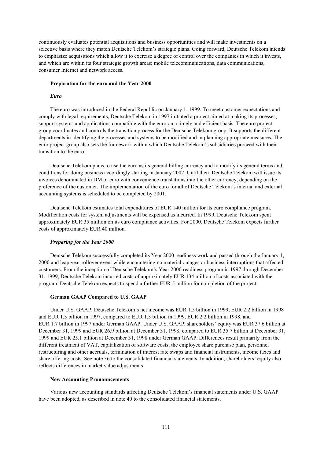continuously evaluates potential acquisitions and business opportunities and will make investments on a selective basis where they match Deutsche Telekom's strategic plans. Going forward, Deutsche Telekom intends to emphasize acquisitions which allow it to exercise a degree of control over the companies in which it invests, and which are within its four strategic growth areas: mobile telecommunications, data communications, consumer Internet and network access.

#### **Preparation for the euro and the Year 2000**

#### *Euro*

The euro was introduced in the Federal Republic on January 1, 1999. To meet customer expectations and comply with legal requirements, Deutsche Telekom in 1997 initiated a project aimed at making its processes, support systems and applications compatible with the euro on a timely and efficient basis. The euro project group coordinates and controls the transition process for the Deutsche Telekom group. It supports the different departments in identifying the processes and systems to be modified and in planning appropriate measures. The euro project group also sets the framework within which Deutsche Telekom's subsidiaries proceed with their transition to the euro.

Deutsche Telekom plans to use the euro as its general billing currency and to modify its general terms and conditions for doing business accordingly starting in January 2002. Until then, Deutsche Telekom will issue its invoices denominated in DM or euro with convenience translations into the other currency, depending on the preference of the customer. The implementation of the euro for all of Deutsche Telekom's internal and external accounting systems is scheduled to be completed by 2001.

Deutsche Telekom estimates total expenditures of EUR 140 million for its euro compliance program. Modification costs for system adjustments will be expensed as incurred. In 1999, Deutsche Telekom spent approximately EUR 35 million on its euro compliance activities. For 2000, Deutsche Telekom expects further costs of approximately EUR 40 million.

#### *Preparing for the Year 2000*

Deutsche Telekom successfully completed its Year 2000 readiness work and passed through the January 1, 2000 and leap year rollover event while encountering no material outages or business interruptions that affected customers. From the inception of Deutsche Telekom's Year 2000 readiness program in 1997 through December 31, 1999, Deutsche Telekom incurred costs of approximately EUR 134 million of costs associated with the program. Deutsche Telekom expects to spend a further EUR 5 million for completion of the project.

### **German GAAP Compared to U.S. GAAP**

Under U.S. GAAP, Deutsche Telekom's net income was EUR 1.5 billion in 1999, EUR 2.2 billion in 1998 and EUR 1.3 billion in 1997, compared to EUR 1.3 billion in 1999, EUR 2.2 billion in 1998, and EUR 1.7 billion in 1997 under German GAAP. Under U.S. GAAP, shareholders' equity was EUR 37.6 billion at December 31, 1999 and EUR 26.9 billion at December 31, 1998, compared to EUR 35.7 billion at December 31, 1999 and EUR 25.1 billion at December 31, 1998 under German GAAP. Differences result primarily from the different treatment of VAT, capitalization of software costs, the employee share purchase plan, personnel restructuring and other accruals, termination of interest rate swaps and financial instruments, income taxes and share offering costs. See note 36 to the consolidated financial statements. In addition, shareholders' equity also reflects differences in market value adjustments.

### **New Accounting Pronouncements**

Various new accounting standards affecting Deutsche Telekom's financial statements under U.S. GAAP have been adopted, as described in note 40 to the consolidated financial statements.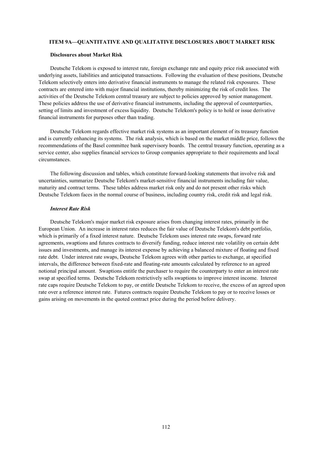### **ITEM 9A—QUANTITATIVE AND QUALITATIVE DISCLOSURES ABOUT MARKET RISK**

### **Disclosures about Market Risk**

Deutsche Telekom is exposed to interest rate, foreign exchange rate and equity price risk associated with underlying assets, liabilities and anticipated transactions. Following the evaluation of these positions, Deutsche Telekom selectively enters into derivative financial instruments to manage the related risk exposures. These contracts are entered into with major financial institutions, thereby minimizing the risk of credit loss. The activities of the Deutsche Telekom central treasury are subject to policies approved by senior management. These policies address the use of derivative financial instruments, including the approval of counterparties, setting of limits and investment of excess liquidity. Deutsche Telekom's policy is to hold or issue derivative financial instruments for purposes other than trading.

Deutsche Telekom regards effective market risk systems as an important element of its treasury function and is currently enhancing its systems. The risk analysis, which is based on the market middle price, follows the recommendations of the Basel committee bank supervisory boards. The central treasury function, operating as a service center, also supplies financial services to Group companies appropriate to their requirements and local circumstances.

The following discussion and tables, which constitute forward-looking statements that involve risk and uncertainties, summarize Deutsche Telekom's market-sensitive financial instruments including fair value, maturity and contract terms. These tables address market risk only and do not present other risks which Deutsche Telekom faces in the normal course of business, including country risk, credit risk and legal risk.

### *Interest Rate Risk*

Deutsche Telekom's major market risk exposure arises from changing interest rates, primarily in the European Union. An increase in interest rates reduces the fair value of Deutsche Telekom's debt portfolio, which is primarily of a fixed interest nature. Deutsche Telekom uses interest rate swaps, forward rate agreements, swaptions and futures contracts to diversify funding, reduce interest rate volatility on certain debt issues and investments, and manage its interest expense by achieving a balanced mixture of floating and fixed rate debt. Under interest rate swaps, Deutsche Telekom agrees with other parties to exchange, at specified intervals, the difference between fixed-rate and floating-rate amounts calculated by reference to an agreed notional principal amount. Swaptions entitle the purchaser to require the counterparty to enter an interest rate swap at specified terms. Deutsche Telekom restrictively sells swaptions to improve interest income. Interest rate caps require Deutsche Telekom to pay, or entitle Deutsche Telekom to receive, the excess of an agreed upon rate over a reference interest rate. Futures contracts require Deutsche Telekom to pay or to receive losses or gains arising on movements in the quoted contract price during the period before delivery.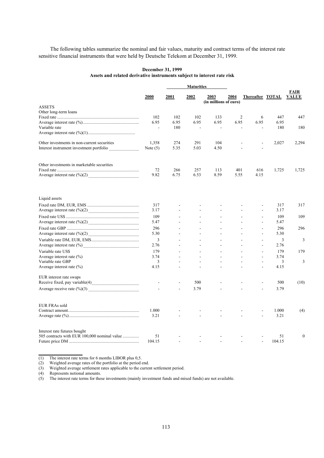The following tables summarize the nominal and fair values, maturity and contract terms of the interest rate sensitive financial instruments that were held by Deutsche Telekom at December 31, 1999.

### **December 31, 1999 Assets and related derivative instruments subject to interest rate risk**

| <b>Maturities</b>                            |                        |                |                |                                      |      |                          |              |                      |
|----------------------------------------------|------------------------|----------------|----------------|--------------------------------------|------|--------------------------|--------------|----------------------|
|                                              | 2000                   | 2001           | 2002           | <b>2003</b><br>(in millions of euro) | 2004 | <b>Thereafter TOTAL</b>  |              | FAIR<br><b>VALUE</b> |
| <b>ASSETS</b>                                |                        |                |                |                                      |      |                          |              |                      |
| Other long-term loans                        |                        |                |                |                                      |      |                          |              |                      |
|                                              | 102                    | 102            | 102            | 133                                  | 2    | 6                        | 447          | 447                  |
| Variable rate                                | 6.95<br>$\mathbb{Z}^2$ | 6.95<br>180    | 6.95<br>$\sim$ | 6.95<br>$\overline{\phantom{a}}$     | 6.95 | 6.95                     | 6.95<br>180  | 180                  |
|                                              |                        |                |                |                                      |      |                          |              |                      |
| Other investments in non-current securities  | 1,358                  | 274            | 291            | 104                                  |      |                          | 2,027        | 2,294                |
|                                              | Note $(5)$             | 5.35           | 5.03           | 4.50                                 |      | L,                       |              |                      |
| Other investments in marketable securities   |                        |                |                |                                      |      |                          |              |                      |
|                                              | 72                     | 266            | 257            | 113                                  | 401  | 616                      | 1,725        | 1,725                |
|                                              | 9.82                   | 6.75           | 6.53           | 8.59                                 | 5.55 | 4.15                     |              |                      |
| Liquid assets                                |                        |                |                |                                      |      |                          |              |                      |
|                                              | 317                    |                |                |                                      |      |                          | 317          | 317                  |
|                                              | 3.17                   |                |                |                                      |      | $\overline{\phantom{a}}$ | 3.17         |                      |
|                                              | 109                    |                |                |                                      |      |                          | 109          | 109                  |
|                                              | 5.47                   |                |                |                                      |      | $\overline{a}$           | 5.47         |                      |
|                                              | 296                    |                | ÷              | $\overline{a}$                       |      | $\sim$                   | 296          | 296                  |
|                                              | 5.30                   |                |                | $\overline{a}$                       |      |                          | 5.30         |                      |
|                                              | 3                      |                |                |                                      |      |                          | 3            | 3                    |
|                                              | 2.76                   |                | ÷.             | $\overline{a}$                       |      | $\sim$                   | 2.76         |                      |
| Variable rate US\$                           | 179                    |                |                |                                      |      |                          | 179          | 179                  |
| Average interest rate (%)                    | 3.74                   |                |                |                                      |      | ÷.                       | 3.74         |                      |
| Variable rate GBP                            | 3                      |                | ÷.             | $\overline{a}$                       |      | $\overline{\phantom{a}}$ | 3            | 3                    |
| Average interest rate $(\% )$                | 4.15                   |                |                |                                      |      |                          | 4.15         |                      |
| EUR interest rate swaps                      |                        |                | 500            |                                      |      |                          | 500          | (10)                 |
|                                              |                        | $\overline{a}$ | 3.79           |                                      |      |                          | 3.79         |                      |
|                                              |                        |                |                |                                      |      |                          |              |                      |
| <b>EUR FRAs sold</b>                         |                        |                |                |                                      |      |                          |              |                      |
|                                              | 1.000                  |                |                |                                      |      |                          | 1.000        | (4)                  |
|                                              | 3.21                   |                |                |                                      |      |                          | 3.21         |                      |
| Interest rate futures bought                 |                        |                |                |                                      |      |                          |              |                      |
| 505 contracts with EUR 100,000 nominal value | 51<br>104.15           |                |                |                                      |      |                          | 51<br>104.15 | $\mathbf{0}$         |
|                                              |                        |                |                |                                      |      |                          |              |                      |

(1) The interest rate terms for 6 months LIBOR plus 0,5.

(2) Weighted average rates of the portfolio at the period end.

(3) Weighted average settlement rates applicable to the current settlement period.

(4) Represents notional amounts.

**\_\_\_\_\_\_\_\_\_\_\_\_\_\_\_\_**

(5) The interest rate terms for these investments (mainly investment funds and mixed funds) are not available.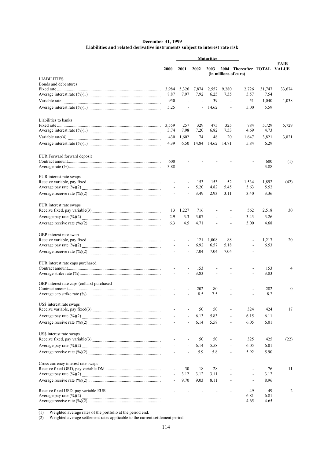### **December 31, 1999 Liabilities and related derivative instruments subject to interest rate risk**

|                                            |                | <b>Maturities</b>        |                          |               |                          |                                                      |                |                |
|--------------------------------------------|----------------|--------------------------|--------------------------|---------------|--------------------------|------------------------------------------------------|----------------|----------------|
|                                            | <b>2000</b>    | 2001                     | 2002                     | <b>2003</b>   |                          | 2004 Thereafter TOTAL VALUE<br>(in millions of euro) |                | FAIR           |
| <b>LIABILITIES</b>                         |                |                          |                          |               |                          |                                                      |                |                |
| Bonds and debentures                       |                |                          |                          |               |                          |                                                      |                |                |
|                                            | 8.87           | 5,326<br>7.97            | 7,874<br>7.92            | 2,557<br>6.25 | 9,280<br>7.35            | 2,726<br>5.57                                        | 31,747<br>7.54 | 33,674         |
|                                            | 950            |                          | $\overline{\phantom{a}}$ | 39            | $\overline{\phantom{a}}$ | 51                                                   | 1,040          | 1,038          |
|                                            | 5.25           | $\overline{\phantom{a}}$ |                          | $-14.62$      | $\blacksquare$           | 5.00                                                 | 5.59           |                |
|                                            |                |                          |                          |               |                          |                                                      |                |                |
| Liabilities to banks                       |                |                          |                          |               |                          |                                                      |                |                |
|                                            | 3.74           | 257<br>7.98              | 329<br>7.20              | 475<br>6.82   | 325<br>7.53              | 784<br>4.69                                          | 5,729<br>4.73  | 5,729          |
|                                            | 430            | 1,602                    | 74                       | 48            | 20                       | 1,647                                                | 3,821          | 3,821          |
|                                            | 4.39           | 6.50                     | 14.84                    | 14.62         | 14.71                    | 5.84                                                 | 6.29           |                |
|                                            |                |                          |                          |               |                          |                                                      |                |                |
| EUR Forward forward deposit                | 600            |                          |                          |               |                          |                                                      | 600            | (1)            |
|                                            | 3.88           |                          |                          |               |                          |                                                      | 3.88           |                |
|                                            |                |                          |                          |               |                          |                                                      |                |                |
| EUR interest rate swaps                    |                |                          |                          |               |                          |                                                      |                |                |
| Average pay rate $(\frac{6}{0})(2)$        | $\blacksquare$ | $\overline{\phantom{a}}$ | 153<br>5.20              | 153<br>4.82   | 52<br>5.45               | 1,534<br>5.63                                        | 1,892<br>5.52  | (42)           |
|                                            |                |                          | 3.49                     |               |                          | 3.40                                                 |                |                |
|                                            |                |                          |                          | 2.93          | 3.11                     |                                                      | 3.36           |                |
| EUR interest rate swaps                    |                |                          |                          |               |                          |                                                      |                |                |
|                                            | 13             | 1,227                    | 716                      |               |                          | 562                                                  | 2,518          | 30             |
|                                            | 2.9            | 3.3                      | 3.07                     |               |                          | 3.43                                                 | 3.26           |                |
|                                            | 6.3            | 4.5                      | 4.71                     |               |                          | 5.00                                                 | 4.68           |                |
| GBP interest rate swap                     |                |                          |                          |               |                          |                                                      |                |                |
|                                            |                |                          | 121                      | 1,008         | 88                       |                                                      | 1,217          | 20             |
|                                            |                |                          | 6.92                     | 6.57          | 5.18                     |                                                      | 6.53           |                |
|                                            |                | $\blacksquare$           | 7.04                     | 7.04          | 7.04                     |                                                      |                |                |
| EUR interest rate caps purchased           |                |                          |                          |               |                          |                                                      |                |                |
|                                            |                |                          | 153                      |               |                          |                                                      | 153            | $\overline{4}$ |
|                                            | $\mathbf{r}$   | $\overline{a}$           | 3.83                     | ÷             | $\overline{a}$           | $\overline{a}$                                       | 3.83           |                |
| GBP interest rate caps (collars) purchased |                |                          |                          |               |                          |                                                      |                |                |
|                                            |                |                          | 202<br>8.5               | 80<br>7.5     |                          |                                                      | 282<br>8.2     | 0              |
|                                            |                |                          |                          |               |                          |                                                      |                |                |
| US\$ interest rate swaps                   |                |                          | 50                       | 50            | ÷                        | 324                                                  | 424            | 17             |
|                                            |                | $\overline{\phantom{a}}$ | 6.13                     | 5.83          | $\overline{a}$           | 6.15                                                 | 6.11           |                |
|                                            | $\sim$         | $\blacksquare$           | 6.14                     | 5.58          | $\blacksquare$           | 6.05                                                 | 6.01           |                |
|                                            |                |                          |                          |               |                          |                                                      |                |                |
| US\$ interest rate swaps                   |                |                          |                          |               |                          |                                                      |                |                |
|                                            |                |                          | 50                       | 50            | $\overline{\phantom{a}}$ | 325                                                  | 425            | (22)           |
|                                            |                | $\overline{\phantom{a}}$ | 6.14                     | 5.58          | $\overline{\phantom{a}}$ | 6.05                                                 | 6.01           |                |
|                                            |                | $\overline{\phantom{a}}$ | 5.9                      | 5.8           | $\overline{\phantom{a}}$ | 5.92                                                 | 5.90           |                |
| Cross currency interest rate swaps         |                |                          |                          |               |                          |                                                      |                |                |
|                                            |                | 30                       | 18                       | 28            |                          |                                                      | 76             | 11             |
|                                            |                | 3.12                     | 3.12                     | 3.11          |                          | $\blacksquare$                                       | 3.12           |                |
|                                            |                | 9.70                     | 9.03                     | 8.11          |                          |                                                      | 8.96           |                |
| Receive fixed USD, pay variable EUR        |                |                          |                          |               |                          | 49                                                   | 49             | 2              |
| Average pay rate $(\frac{6}{6})(2)$        |                |                          |                          |               |                          | 6.81<br>4.65                                         | 6.81<br>4.65   |                |
|                                            |                |                          |                          |               |                          |                                                      |                |                |

(1) Weighted average rates of the portfolio at the period end.

**\_\_\_\_\_\_\_\_\_\_\_\_\_\_\_\_**

(2) Weighted average settlement rates applicable to the current settlement period.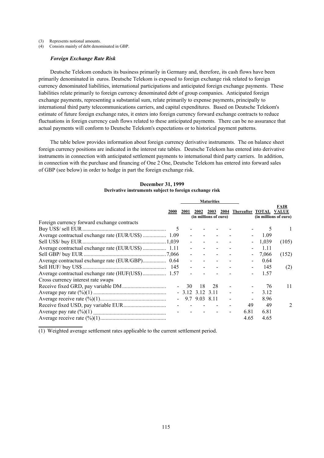(3) Represents notional amounts.

(4) Consists mainly of debt denominated in GBP.

#### *Foreign Exchange Rate Risk*

Deutsche Telekom conducts its business primarily in Germany and, therefore, its cash flows have been primarily denominated in euros. Deutsche Telekom is exposed to foreign exchange risk related to foreign currency denominated liabilities, international participations and anticipated foreign exchange payments. These liabilities relate primarily to foreign currency denominated debt of group companies. Anticipated foreign exchange payments, representing a substantial sum, relate primarily to expense payments, principally to international third party telecommunications carriers, and capital expenditures. Based on Deutsche Telekom's estimate of future foreign exchange rates, it enters into foreign currency forward exchange contracts to reduce fluctuations in foreign currency cash flows related to these anticipated payments. There can be no assurance that actual payments will conform to Deutsche Telekom's expectations or to historical payment patterns.

The table below provides information about foreign currency derivative instruments. The on balance sheet foreign currency positions are indicated in the interest rate tables. Deutsche Telekom has entered into derivative instruments in connection with anticipated settlement payments to international third party carriers. In addition, in connection with the purchase and financing of One 2 One, Deutsche Telekom has entered into forward sales of GBP (see below) in order to hedge in part the foreign exchange risk.

|                                             |                 | <b>Maturities</b> |                               |      |  |                       |       |                                                      |
|---------------------------------------------|-----------------|-------------------|-------------------------------|------|--|-----------------------|-------|------------------------------------------------------|
|                                             | 2000            | <b>2001</b>       | 2002<br>(in millions of euro) | 2003 |  | 2004 Thereafter TOTAL |       | <b>FAIR</b><br><b>VALUE</b><br>(in millions of euro) |
| Foreign currency forward exchange contracts |                 |                   |                               |      |  |                       |       |                                                      |
|                                             |                 |                   |                               |      |  |                       |       |                                                      |
|                                             |                 |                   |                               |      |  |                       | 1.09  |                                                      |
|                                             |                 |                   |                               |      |  |                       | 1.039 | (105)                                                |
|                                             |                 |                   |                               |      |  |                       | 1.11  |                                                      |
|                                             |                 |                   |                               |      |  |                       | 7.066 | (152)                                                |
|                                             |                 |                   |                               |      |  |                       | 0.64  |                                                      |
|                                             |                 |                   |                               |      |  |                       | 145   | (2)                                                  |
|                                             |                 |                   |                               |      |  |                       | 1.57  |                                                      |
| Cross currency interest rate swaps          |                 |                   |                               |      |  |                       |       |                                                      |
|                                             |                 | 30                | 18                            | 28   |  |                       | 76    | 11                                                   |
|                                             |                 | $-3.12$ 3.12 3.11 |                               |      |  |                       | 3.12  |                                                      |
|                                             | $\sim$ 10 $\pm$ |                   | 9.7 9.03 8.11                 |      |  |                       | 8.96  |                                                      |
|                                             |                 |                   |                               |      |  | 49                    | 49    | $\mathcal{L}$                                        |
|                                             |                 |                   |                               |      |  | 6.81                  | 6.81  |                                                      |
|                                             |                 |                   |                               |      |  | 4.65                  | 4.65  |                                                      |

#### **December 31, 1999 Derivative instruments subject to foreign exchange risk**

(1) Weighted average settlement rates applicable to the current settlement period.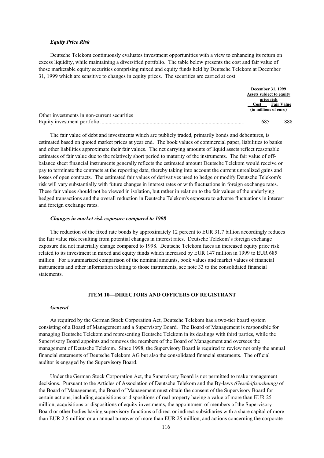### *Equity Price Risk*

Deutsche Telekom continuously evaluates investment opportunities with a view to enhancing its return on excess liquidity, while maintaining a diversified portfolio. The table below presents the cost and fair value of those marketable equity securities comprising mixed and equity funds held by Deutsche Telekom at December 31, 1999 which are sensitive to changes in equity prices. The securities are carried at cost.

|                                             | <b>December 31, 1999</b> |                   |
|---------------------------------------------|--------------------------|-------------------|
|                                             | Assets subject to equity |                   |
|                                             | price risk               |                   |
|                                             | Cost                     | <b>Fair Value</b> |
|                                             | (in millions of euro)    |                   |
| Other investments in non-current securities |                          |                   |
|                                             | 685                      | 888               |

The fair value of debt and investments which are publicly traded, primarily bonds and debentures, is estimated based on quoted market prices at year end. The book values of commercial paper, liabilities to banks and other liabilities approximate their fair values. The net carrying amounts of liquid assets reflect reasonable estimates of fair value due to the relatively short period to maturity of the instruments. The fair value of offbalance sheet financial instruments generally reflects the estimated amount Deutsche Telekom would receive or pay to terminate the contracts at the reporting date, thereby taking into account the current unrealized gains and losses of open contracts. The estimated fair values of derivatives used to hedge or modify Deutsche Telekom's risk will vary substantially with future changes in interest rates or with fluctuations in foreign exchange rates. These fair values should not be viewed in isolation, but rather in relation to the fair values of the underlying hedged transactions and the overall reduction in Deutsche Telekom's exposure to adverse fluctuations in interest and foreign exchange rates.

### *Changes in market risk exposure compared to 1998*

The reduction of the fixed rate bonds by approximately 12 percent to EUR 31.7 billion accordingly reduces the fair value risk resulting from potential changes in interest rates. Deutsche Telekom's foreign exchange exposure did not materially change compared to 1998. Deutsche Telekom faces an increased equity price risk related to its investment in mixed and equity funds which increased by EUR 147 million in 1999 to EUR 685 million. For a summarized comparison of the nominal amounts, book values and market values of financial instruments and other information relating to those instruments, see note 33 to the consolidated financial statements.

## **ITEM 10—DIRECTORS AND OFFICERS OF REGISTRANT**

#### *General*

As required by the German Stock Corporation Act, Deutsche Telekom has a two-tier board system consisting of a Board of Management and a Supervisory Board. The Board of Management is responsible for managing Deutsche Telekom and representing Deutsche Telekom in its dealings with third parties, while the Supervisory Board appoints and removes the members of the Board of Management and oversees the management of Deutsche Telekom. Since 1998, the Supervisory Board is required to review not only the annual financial statements of Deutsche Telekom AG but also the consolidated financial statements. The official auditor is engaged by the Supervisory Board.

Under the German Stock Corporation Act, the Supervisory Board is not permitted to make management decisions. Pursuant to the Articles of Association of Deutsche Telekom and the By-laws *(Geschäftsordnung)* of the Board of Management, the Board of Management must obtain the consent of the Supervisory Board for certain actions, including acquisitions or dispositions of real property having a value of more than EUR 25 million, acquisitions or dispositions of equity investments, the appointment of members of the Supervisory Board or other bodies having supervisory functions of direct or indirect subsidiaries with a share capital of more than EUR 2.5 million or an annual turnover of more than EUR 25 million, and actions concerning the corporate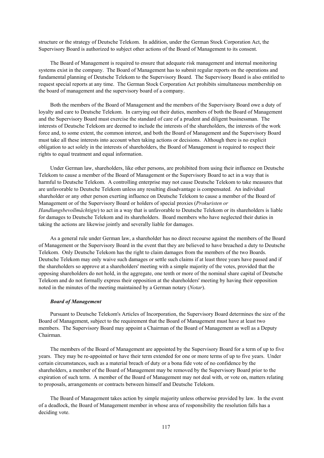structure or the strategy of Deutsche Telekom. In addition, under the German Stock Corporation Act, the Supervisory Board is authorized to subject other actions of the Board of Management to its consent.

The Board of Management is required to ensure that adequate risk management and internal monitoring systems exist in the company. The Board of Management has to submit regular reports on the operations and fundamental planning of Deutsche Telekom to the Supervisory Board. The Supervisory Board is also entitled to request special reports at any time. The German Stock Corporation Act prohibits simultaneous membership on the board of management and the supervisory board of a company.

Both the members of the Board of Management and the members of the Supervisory Board owe a duty of loyalty and care to Deutsche Telekom. In carrying out their duties, members of both the Board of Management and the Supervisory Board must exercise the standard of care of a prudent and diligent businessman. The interests of Deutsche Telekom are deemed to include the interests of the shareholders, the interests of the work force and, to some extent, the common interest, and both the Board of Management and the Supervisory Board must take all these interests into account when taking actions or decisions. Although there is no explicit obligation to act solely in the interests of shareholders, the Board of Management is required to respect their rights to equal treatment and equal information.

Under German law, shareholders, like other persons, are prohibited from using their influence on Deutsche Telekom to cause a member of the Board of Management or the Supervisory Board to act in a way that is harmful to Deutsche Telekom. A controlling enterprise may not cause Deutsche Telekom to take measures that are unfavorable to Deutsche Telekom unless any resulting disadvantage is compensated. An individual shareholder or any other person exerting influence on Deutsche Telekom to cause a member of the Board of Management or of the Supervisory Board or holders of special proxies (*Prokuristen or Handlungsbevollmächtigte*) to act in a way that is unfavorable to Deutsche Telekom or its shareholders is liable for damages to Deutsche Telekom and its shareholders. Board members who have neglected their duties in taking the actions are likewise jointly and severally liable for damages.

As a general rule under German law, a shareholder has no direct recourse against the members of the Board of Management or the Supervisory Board in the event that they are believed to have breached a duty to Deutsche Telekom. Only Deutsche Telekom has the right to claim damages from the members of the two Boards. Deutsche Telekom may only waive such damages or settle such claims if at least three years have passed and if the shareholders so approve at a shareholders' meeting with a simple majority of the votes, provided that the opposing shareholders do not hold, in the aggregate, one tenth or more of the nominal share capital of Deutsche Telekom and do not formally express their opposition at the shareholders' meeting by having their opposition noted in the minutes of the meeting maintained by a German notary (*Notar*).

#### *Board of Management*

Pursuant to Deutsche Telekom's Articles of Incorporation, the Supervisory Board determines the size of the Board of Management, subject to the requirement that the Board of Management must have at least two members. The Supervisory Board may appoint a Chairman of the Board of Management as well as a Deputy Chairman.

The members of the Board of Management are appointed by the Supervisory Board for a term of up to five years. They may be re-appointed or have their term extended for one or more terms of up to five years. Under certain circumstances, such as a material breach of duty or a bona fide vote of no confidence by the shareholders, a member of the Board of Management may be removed by the Supervisory Board prior to the expiration of such term. A member of the Board of Management may not deal with, or vote on, matters relating to proposals, arrangements or contracts between himself and Deutsche Telekom.

The Board of Management takes action by simple majority unless otherwise provided by law. In the event of a deadlock, the Board of Management member in whose area of responsibility the resolution falls has a deciding vote.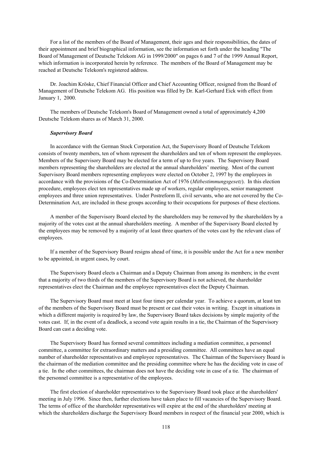For a list of the members of the Board of Management, their ages and their responsibilities, the dates of their appointment and brief biographical information, see the information set forth under the heading "The Board of Management of Deutsche Telekom AG in 1999/2000" on pages 6 and 7 of the 1999 Annual Report, which information is incorporated herein by reference. The members of the Board of Management may be reached at Deutsche Telekom's registered address.

Dr. Joachim Kröske, Chief Financial Officer and Chief Accounting Officer, resigned from the Board of Management of Deutsche Telekom AG. His position was filled by Dr. Karl-Gerhard Eick with effect from January 1, 2000.

The members of Deutsche Telekom's Board of Management owned a total of approximately 4,200 Deutsche Telekom shares as of March 31, 2000.

# *Supervisory Board*

In accordance with the German Stock Corporation Act, the Supervisory Board of Deutsche Telekom consists of twenty members, ten of whom represent the shareholders and ten of whom represent the employees. Members of the Supervisory Board may be elected for a term of up to five years. The Supervisory Board members representing the shareholders are elected at the annual shareholders' meeting. Most of the current Supervisory Board members representing employees were elected on October 2, 1997 by the employees in accordance with the provisions of the Co-Determination Act of 1976 (*Mitbestimmungsgesetz*). In this election procedure, employees elect ten representatives made up of workers, regular employees, senior management employees and three union representatives. Under Postreform II, civil servants, who are not covered by the Co-Determination Act, are included in these groups according to their occupations for purposes of these elections.

A member of the Supervisory Board elected by the shareholders may be removed by the shareholders by a majority of the votes cast at the annual shareholders meeting. A member of the Supervisory Board elected by the employees may be removed by a majority of at least three quarters of the votes cast by the relevant class of employees.

If a member of the Supervisory Board resigns ahead of time, it is possible under the Act for a new member to be appointed, in urgent cases, by court.

The Supervisory Board elects a Chairman and a Deputy Chairman from among its members; in the event that a majority of two thirds of the members of the Supervisory Board is not achieved, the shareholder representatives elect the Chairman and the employee representatives elect the Deputy Chairman.

The Supervisory Board must meet at least four times per calendar year. To achieve a quorum, at least ten of the members of the Supervisory Board must be present or cast their votes in writing. Except in situations in which a different majority is required by law, the Supervisory Board takes decisions by simple majority of the votes cast. If, in the event of a deadlock, a second vote again results in a tie, the Chairman of the Supervisory Board can cast a deciding vote.

The Supervisory Board has formed several committees including a mediation committee, a personnel committee, a committee for extraordinary matters and a presiding committee. All committees have an equal number of shareholder representatives and employee representatives. The Chairman of the Supervisory Board is the chairman of the mediation committee and the presiding committee where he has the deciding vote in case of a tie. In the other committees, the chairman does not have the deciding vote in case of a tie. The chairman of the personnel committee is a representative of the employees.

The first election of shareholder representatives to the Supervisory Board took place at the shareholders' meeting in July 1996. Since then, further elections have taken place to fill vacancies of the Supervisory Board. The terms of office of the shareholder representatives will expire at the end of the shareholders' meeting at which the shareholders discharge the Supervisory Board members in respect of the financial year 2000, which is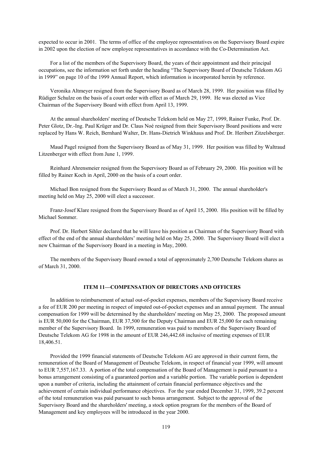expected to occur in 2001. The terms of office of the employee representatives on the Supervisory Board expire in 2002 upon the election of new employee representatives in accordance with the Co-Determination Act.

For a list of the members of the Supervisory Board, the years of their appointment and their principal occupations, see the information set forth under the heading "The Supervisory Board of Deutsche Telekom AG in 1999" on page 10 of the 1999 Annual Report, which information is incorporated herein by reference.

Veronika Altmeyer resigned from the Supervisory Board as of March 28, 1999. Her position was filled by Rüdiger Schulze on the basis of a court order with effect as of March 29, 1999. He was elected as Vice Chairman of the Supervisory Board with effect from April 13, 1999.

At the annual shareholders' meeting of Deutsche Telekom held on May 27, 1999, Rainer Funke, Prof. Dr. Peter Glotz, Dr.-Ing. Paul Krüger and Dr. Claus Noé resigned from their Supervisory Board positions and were replaced by Hans W. Reich, Bernhard Walter, Dr. Hans-Dietrich Winkhaus and Prof. Dr. Heribert Zitzelsberger.

Maud Pagel resigned from the Supervisory Board as of May 31, 1999. Her position was filled by Waltraud Litzenberger with effect from June 1, 1999.

Reinhard Ahrensmeier resigned from the Supervisory Board as of February 29, 2000. His position will be filled by Rainer Koch in April, 2000 on the basis of a court order.

Michael Bon resigned from the Supervisory Board as of March 31, 2000. The annual shareholder's meeting held on May 25, 2000 will elect a successor.

Franz-Josef Klare resigned from the Supervisory Board as of April 15, 2000. His position will be filled by Michael Sommer.

Prof. Dr. Herbert Sihler declared that he will leave his position as Chairman of the Supervisory Board with effect of the end of the annual shareholders' meeting held on May 25, 2000. The Supervisory Board will elect a new Chairman of the Supervisory Board in a meeting in May, 2000.

The members of the Supervisory Board owned a total of approximately 2,700 Deutsche Telekom shares as of March 31, 2000.

### **ITEM 11—COMPENSATION OF DIRECTORS AND OFFICERS**

In addition to reimbursement of actual out-of-pocket expenses, members of the Supervisory Board receive a fee of EUR 200 per meeting in respect of imputed out-of-pocket expenses and an annual payment. The annual compensation for 1999 will be determined by the shareholders' meeting on May 25, 2000. The proposed amount is EUR 50,000 for the Chairman, EUR 37,500 for the Deputy Chairman and EUR 25,000 for each remaining member of the Supervisory Board. In 1999, remuneration was paid to members of the Supervisory Board of Deutsche Telekom AG for 1998 in the amount of EUR 246,442.68 inclusive of meeting expenses of EUR 18,406.51.

Provided the 1999 financial statements of Deutsche Telekom AG are approved in their current form, the remuneration of the Board of Management of Deutsche Telekom, in respect of financial year 1999, will amount to EUR 7,557,167.33. A portion of the total compensation of the Board of Management is paid pursuant to a bonus arrangement consisting of a guaranteed portion and a variable portion. The variable portion is dependent upon a number of criteria, including the attainment of certain financial performance objectives and the achievement of certain individual performance objectives. For the year ended December 31, 1999, 39.2 percent of the total remuneration was paid pursuant to such bonus arrangement. Subject to the approval of the Supervisory Board and the shareholders' meeting, a stock option program for the members of the Board of Management and key employees will be introduced in the year 2000.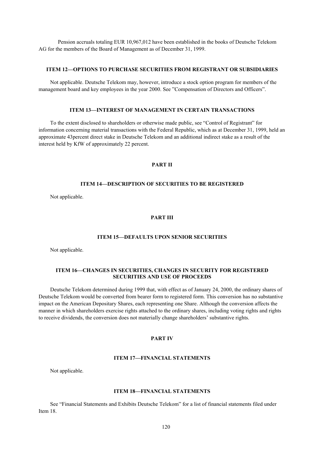Pension accruals totaling EUR 10,967,012 have been established in the books of Deutsche Telekom AG for the members of the Board of Management as of December 31, 1999.

# **ITEM 12—OPTIONS TO PURCHASE SECURITIES FROM REGISTRANT OR SUBSIDIARIES**

Not applicable. Deutsche Telekom may, however, introduce a stock option program for members of the management board and key employees in the year 2000. See "Compensation of Directors and Officers".

# **ITEM 13—INTEREST OF MANAGEMENT IN CERTAIN TRANSACTIONS**

To the extent disclosed to shareholders or otherwise made public, see "Control of Registrant" for information concerning material transactions with the Federal Republic, which as at December 31, 1999, held an approximate 43percent direct stake in Deutsche Telekom and an additional indirect stake as a result of the interest held by KfW of approximately 22 percent.

# **PART II**

# **ITEM 14—DESCRIPTION OF SECURITIES TO BE REGISTERED**

Not applicable.

# **PART III**

## **ITEM 15—DEFAULTS UPON SENIOR SECURITIES**

Not applicable.

# **ITEM 16—CHANGES IN SECURITIES, CHANGES IN SECURITY FOR REGISTERED SECURITIES AND USE OF PROCEEDS**

Deutsche Telekom determined during 1999 that, with effect as of January 24, 2000, the ordinary shares of Deutsche Telekom would be converted from bearer form to registered form. This conversion has no substantive impact on the American Depositary Shares, each representing one Share. Although the conversion affects the manner in which shareholders exercise rights attached to the ordinary shares, including voting rights and rights to receive dividends, the conversion does not materially change shareholders' substantive rights.

# **PART IV**

### **ITEM 17—FINANCIAL STATEMENTS**

Not applicable.

# **ITEM 18—FINANCIAL STATEMENTS**

See "Financial Statements and Exhibits Deutsche Telekom" for a list of financial statements filed under Item 18.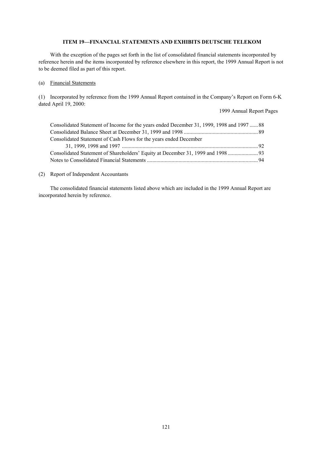# **ITEM 19—FINANCIAL STATEMENTS AND EXHIBITS DEUTSCHE TELEKOM**

With the exception of the pages set forth in the list of consolidated financial statements incorporated by reference herein and the items incorporated by reference elsewhere in this report, the 1999 Annual Report is not to be deemed filed as part of this report.

## (a) Financial Statements

(1) Incorporated by reference from the 1999 Annual Report contained in the Company's Report on Form 6-K dated April 19, 2000:

1999 Annual Report Pages

| Consolidated Statement of Income for the years ended December 31, 1999, 1998 and 1997  88 |  |
|-------------------------------------------------------------------------------------------|--|
|                                                                                           |  |
| Consolidated Statement of Cash Flows for the years ended December                         |  |
|                                                                                           |  |
|                                                                                           |  |
|                                                                                           |  |

# (2) Report of Independent Accountants

The consolidated financial statements listed above which are included in the 1999 Annual Report are incorporated herein by reference.